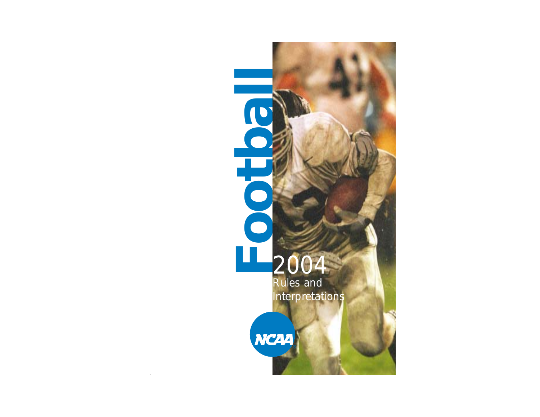# **Footbal** LĹ, 2004 Rules and Interpretations



**limits** and the second control of

**Soltoo**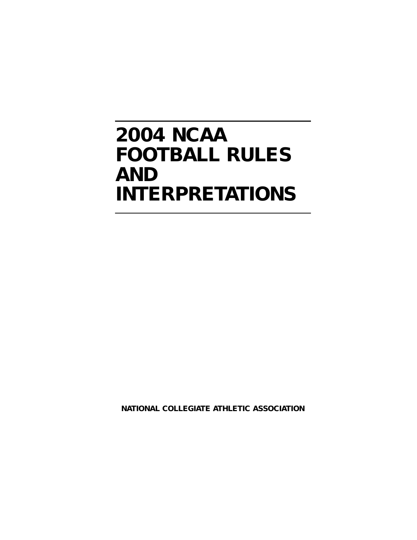# **2004 NCAA FOOTBALL RULES AND INTERPRETATIONS**

**NATIONAL COLLEGIATE ATHLETIC ASSOCIATION**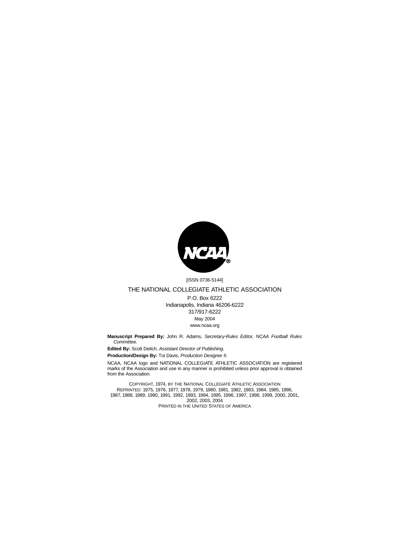

#### [ISSN 0736-5144]

#### THE NATIONAL COLLEGIATE ATHLETIC ASSOCIATION

P.O. Box 6222 Indianapolis, Indiana 46206-6222 317/917-6222 May 2004 www.ncaa.org

**Manuscript Prepared By:** John R. Adams, Secretary-Rules Editor, NCAA Football Rules **Committee** 

**Edited By:** Scott Deitch, Assistant Director of Publishing.

**Production/Design By:** Toi Davis, Production Designer II.

NCAA, NCAA logo and NATIONAL COLLEGIATE ATHLETIC ASSOCIATION are registered marks of the Association and use in any manner is prohibited unless prior approval is obtained from the Association.

COPYRIGHT, 1974, BY THE NATIONAL COLLEGIATE ATHLETIC ASSOCIATION REPRINTED: 1975, 1976, 1977, 1978, 1979, 1980, 1981, 1982, 1983, 1984, 1985, 1986, 1987, 1988, 1989, 1990, 1991, 1992, 1993, 1994, 1995, 1996, 1997, 1998, 1999, 2000, 2001, 2002, 2003, 2004 PRINTED IN THE UNITED STATES OF AMERICA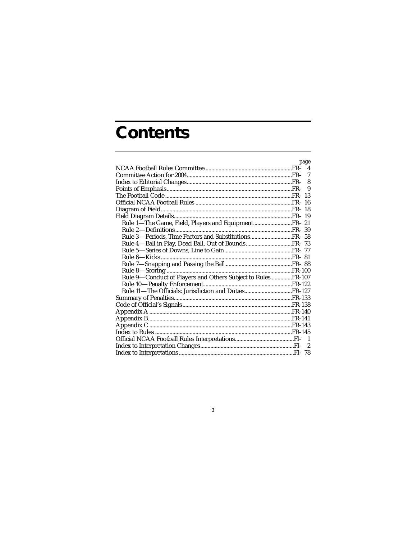# **Contents**

|                                                             | page         |
|-------------------------------------------------------------|--------------|
|                                                             |              |
|                                                             | $\mathcal I$ |
|                                                             | 8            |
|                                                             |              |
|                                                             |              |
|                                                             | -16          |
|                                                             |              |
|                                                             |              |
| Rule 1-The Game, Field, Players and Equipment  FR- 21       |              |
|                                                             |              |
|                                                             |              |
|                                                             |              |
|                                                             |              |
|                                                             |              |
|                                                             |              |
|                                                             |              |
| Rule 9-Conduct of Players and Others Subject to RulesFR-107 |              |
|                                                             |              |
|                                                             |              |
|                                                             |              |
|                                                             |              |
|                                                             |              |
|                                                             |              |
|                                                             |              |
|                                                             |              |
|                                                             |              |
|                                                             |              |
|                                                             |              |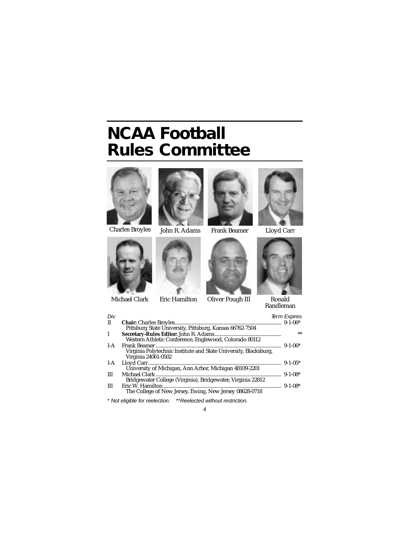# **NCAA Football Rules Committee**



Charles Broyles John R. Adams Frank Beamer Lloyd Carr









Michael Clark Eric Hamilton







Ronald Randleman

| Div.         |                                                                                                          | <b>Term Expires</b> |
|--------------|----------------------------------------------------------------------------------------------------------|---------------------|
| $\mathbf{I}$ |                                                                                                          | $9 - 1 - 06*$       |
|              | Pittsburg State University, Pittsburg, Kansas 66762-7504                                                 |                     |
| I            | Western Athletic Conference, Englewood, Colorado 80112                                                   | **                  |
| $I-A$        | Frank Beamer.<br>Virginia Polytechnic Institute and State University, Blacksburg,<br>Virginia 24061-0502 | $9 - 1 - 06*$       |
| $I-A$        | Lloyd Carr<br>University of Michigan, Ann Arbor, Michigan 48109-2201                                     | $9 - 1 - 0.5*$      |
| Ш            | Michael Clark                                                                                            | $9 - 1 - 08*$       |
|              | Bridgewater College (Virginia), Bridgewater, Virginia 22812                                              |                     |
| Ш            | Eric W. Hamilton<br>The College of New Jersey, Ewing, New Jersey 08628-0718                              | $9 - 1 - 08*$       |
|              | * Not eligible for reelection. ** Reelected without restriction.                                         |                     |

4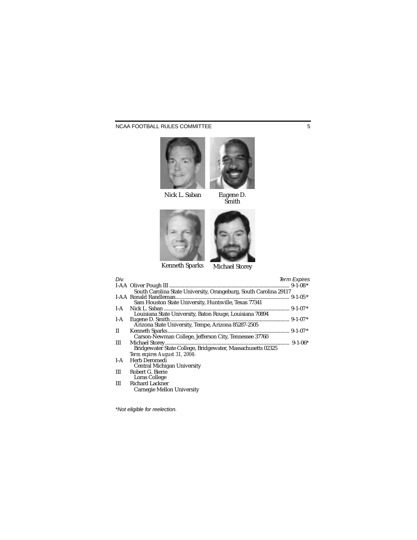### NCAA FOOTBALL RULES COMMITTEE 5



Nick L. Saban



Eugene D. Smith



Kenneth Sparks



Michael Storey

| Div.         |                                                                   | <b>Term Expires</b> |
|--------------|-------------------------------------------------------------------|---------------------|
|              |                                                                   |                     |
|              | South Carolina State University, Orangeburg, South Carolina 29117 |                     |
|              | I-AA Ronald Randleman.                                            |                     |
|              | Sam Houston State University, Huntsville, Texas 77341             |                     |
| $I-A$        | Nick L. Saban                                                     |                     |
|              | Louisiana State University, Baton Rouge, Louisiana 70894          |                     |
| $I-A$        | Eugene D. Smith.                                                  |                     |
|              | Arizona State University, Tempe, Arizona 85287-2505               |                     |
| $\mathbf{I}$ |                                                                   |                     |
|              | Carson-Newman College, Jefferson City, Tennessee 37760            |                     |
| Ш            |                                                                   |                     |
|              | Bridgewater State College, Bridgewater, Massachusetts 02325       |                     |
|              | Term expires August 31, 2004:                                     |                     |
| $I-A$        | Herb Deromedi                                                     |                     |
|              | Central Michigan University                                       |                     |
| Ш            | Robert G. Bierie                                                  |                     |
|              | Loras College                                                     |                     |
| Ш            | <b>Richard Lackner</b>                                            |                     |
|              | Carnegie Mellon University                                        |                     |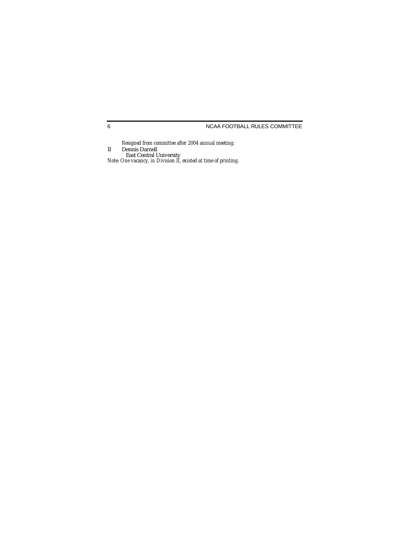### NCAA FOOTBALL RULES COMMITTEE

*Resigned from committee after 2004 annual meeting:* II Dennis Darnell East Central University *Note: One vacancy, in Division II, existed at time of printing.*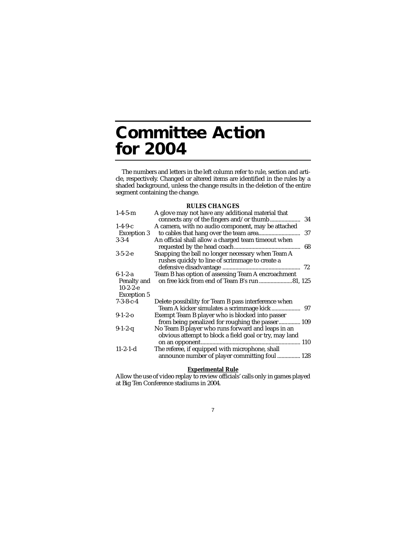# **Committee Action for 2004**

The numbers and letters in the left column refer to rule, section and article, respectively. Changed or altered items are identified in the rules by a shaded background, unless the change results in the deletion of the entire segment containing the change.

#### **RULES CHANGES**

| $1 - 4 - 5 - m$                                                    | A glove may not have any additional material that<br>34                                                     |
|--------------------------------------------------------------------|-------------------------------------------------------------------------------------------------------------|
| $1-4-9-c$<br><b>Exception 3</b>                                    | A camera, with no audio component, may be attached<br>37                                                    |
| $3 - 3 - 4$                                                        | An official shall allow a charged team timeout when<br>68                                                   |
| $3-5-2-e$                                                          | Snapping the ball no longer necessary when Team A<br>rushes quickly to line of scrimmage to create a<br>72  |
| $6 - 1 - 2 - a$<br>Penalty and<br>$10-2-2-e$<br><b>Exception 5</b> | Team B has option of assessing Team A encroachment<br>on free kick from end of Team B's run81, 125          |
| $7 - 3 - 8 - c - 4$                                                | Delete possibility for Team B pass interference when                                                        |
| $9-1-2-0$                                                          | Exempt Team B player who is blocked into passer<br>from being penalized for roughing the passer 109         |
| $9-1-2-q$                                                          | No Team B player who runs forward and leaps in an<br>obvious attempt to block a field goal or try, may land |
| $11-2-1-d$                                                         | The referee, if equipped with microphone, shall<br>announce number of player committing foul  128           |

#### **Experimental Rule**

Allow the use of video replay to review officials' calls only in games played at Big Ten Conference stadiums in 2004.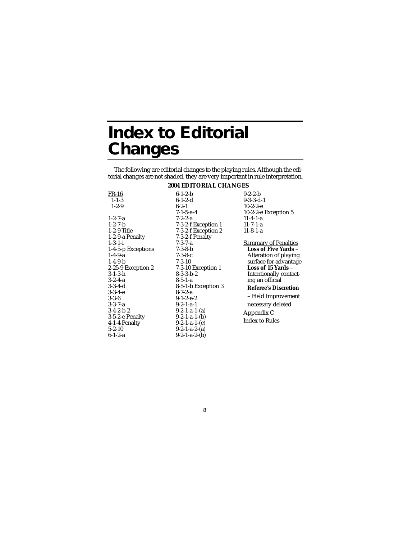# **Index to Editorial Changes**

The following are editorial changes to the playing rules. Although the editorial changes are not shaded, they are very important in rule interpretation.

### **2004 EDITORIAL CHANGES**

| $FR-16$            | $6 - 1 - 2 - b$     | $9-2-2-b$                   |
|--------------------|---------------------|-----------------------------|
| $1 - 1 - 3$        | $6-1-2-d$           | $9-3-3-d-1$                 |
| $1 - 2 - 9$        | $6 - 2 - 1$         | $10-2-2-e$                  |
|                    | $7-1-5-a-4$         | 10-2-2-e Exception 5        |
| $1 - 2 - 7 - a$    | $7 - 2 - 2 - a$     | $11-4-1-a$                  |
| $1 - 2 - 7 - b$    | 7-3-2-f Exception 1 | $11 - 7 - 1 - a$            |
| 1-2-9 Title        | 7-3-2-f Exception 2 | $11-8-1-a$                  |
| 1-2-9-a Penalty    | 7-3-2-f Penalty     |                             |
| $1 - 3 - 1 - i$    | $7 - 3 - 7 - a$     | <b>Summary of Penalties</b> |
| 1-4-5-p Exceptions | $7 - 3 - 8 - b$     | <b>Loss of Five Yards -</b> |
| $1-4-9-a$          | $7 - 3 - 8 - c$     | Alteration of playing       |
| $1-4-9-b$          | $7 - 3 - 10$        | surface for advantage       |
| 2-25-9 Exception 2 | 7-3-10 Exception 1  | Loss of 15 Yards –          |
| $3-1-3-h$          | $8-3-3-b-2$         | Intentionally contact-      |
| $3 - 2 - 4 - a$    | $8-5-1-a$           | ing an official             |
| $3-3-4-d$          | 8-5-1-b Exception 3 | <b>Referee's Discretion</b> |
| $3-3-4-e$          | $8 - 7 - 2 - a$     |                             |
| $3 - 3 - 6$        | $9-1-2-e-2$         | - Field Improvement         |
| $3-3-7-a$          | $9-2-1-a-1$         | necessary deleted           |
| $3-4-2-b-2$        | $9-2-1-a-1-(a)$     | Appendix C                  |
| 3-5-2-e Penalty    | $9-2-1-a-1-(b)$     | <b>Index to Rules</b>       |
| 4-1-4 Penalty      | $9-2-1-a-1-(e)$     |                             |
| $5 - 2 - 10$       | $9-2-1-a-2-(a)$     |                             |
| $6-1-2-a$          | $9-2-1-a-2-(b)$     |                             |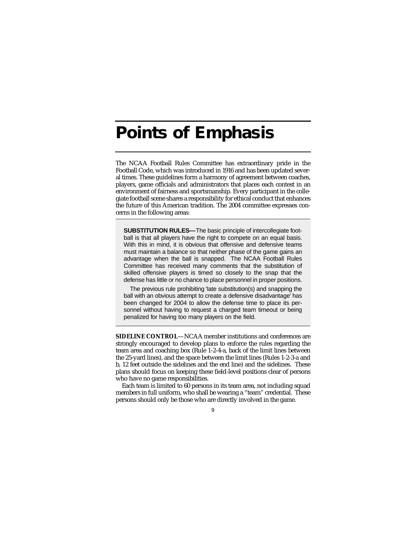# **Points of Emphasis**

The NCAA Football Rules Committee has extraordinary pride in the Football Code, which was introduced in 1916 and has been updated several times. These guidelines form a harmony of agreement between coaches, players, game officials and administrators that places each contest in an environment of fairness and sportsmanship. Every participant in the collegiate football scene shares a responsibility for ethical conduct that enhances the future of this American tradition. The 2004 committee expresses concerns in the following areas:

**SUBSTITUTION RULES—**The basic principle of intercollegiate football is that all players have the right to compete on an equal basis. With this in mind, it is obvious that offensive and defensive teams must maintain a balance so that neither phase of the game gains an advantage when the ball is snapped. The NCAA Football Rules Committee has received many comments that the substitution of skilled offensive players is timed so closely to the snap that the defense has little or no chance to place personnel in proper positions.

The previous rule prohibiting 'late substitution(s) and snapping the ball with an obvious attempt to create a defensive disadvantage' has been changed for 2004 to allow the defense time to place its personnel without having to request a charged team timeout or being penalized for having too many players on the field.

**SIDELINE CONTROL**—NCAA member institutions and conferences are strongly encouraged to develop plans to enforce the rules regarding the team area and coaching box (Rule 1-2-4-a, back of the limit lines between the 25-yard lines), and the space between the limit lines (Rules 1-2-3-a and b, 12 feet outside the sidelines and the end line) and the sidelines. These plans should focus on keeping these field-level positions clear of persons who have no game responsibilities.

Each team is limited to 60 persons in its team area, not including squad members in full uniform, who shall be wearing a "team" credential. These persons should only be those who are directly involved in the game.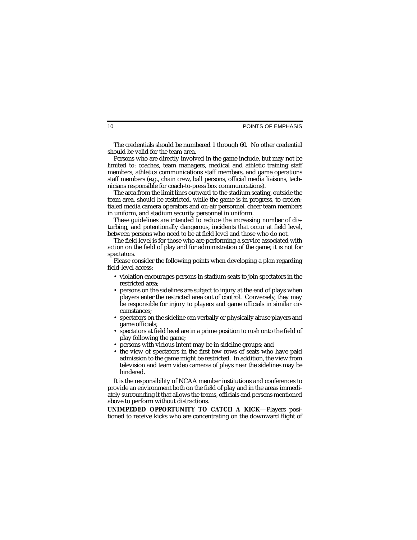The credentials should be numbered 1 through 60. No other credential should be valid for the team area.

Persons who are directly involved in the game include, but may not be limited to: coaches, team managers, medical and athletic training staff members, athletics communications staff members, and game operations staff members (e.g., chain crew, ball persons, official media liaisons, technicians responsible for coach-to-press box communications).

The area from the limit lines outward to the stadium seating, outside the team area, should be restricted, while the game is in progress, to credentialed media camera operators and on-air personnel, cheer team members in uniform, and stadium security personnel in uniform.

These guidelines are intended to reduce the increasing number of disturbing, and potentionally dangerous, incidents that occur at field level, between persons who need to be at field level and those who do not.

The field level is for those who are performing a service associated with action on the field of play and for administration of the game; it is not for spectators.

Please consider the following points when developing a plan regarding field-level access:

- violation encourages persons in stadium seats to join spectators in the restricted area;
- persons on the sidelines are subject to injury at the end of plays when players enter the restricted area out of control. Conversely, they may be responsible for injury to players and game officials in similar circumstances;
- spectators on the sideline can verbally or physically abuse players and game officials;
- spectators at field level are in a prime position to rush onto the field of play following the game;
- persons with vicious intent may be in sideline groups; and
- the view of spectators in the first few rows of seats who have paid admission to the game might be restricted. In addition, the view from television and team video cameras of plays near the sidelines may be hindered.

It is the responsibility of NCAA member institutions and conferences to provide an environment both on the field of play and in the areas immediately surrounding it that allows the teams, officials and persons mentioned above to perform without distractions.

**UNIMPEDED OPPORTUNITY TO CATCH A KICK**—Players positioned to receive kicks who are concentrating on the downward flight of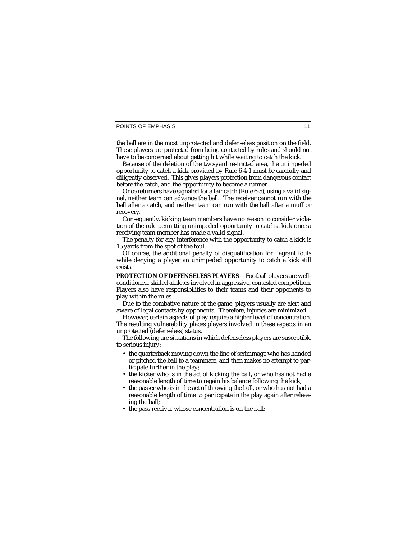#### POINTS OF EMPHASIS

the ball are in the most unprotected and defenseless position on the field. These players are protected from being contacted by rules and should not have to be concerned about getting hit while waiting to catch the kick.

Because of the deletion of the two-yard restricted area, the unimpeded opportunity to catch a kick provided by Rule 6-4-1 must be carefully and diligently observed. This gives players protection from dangerous contact before the catch, and the opportunity to become a runner.

Once returners have signaled for a fair catch (Rule 6-5), using a valid signal, neither team can advance the ball. The receiver cannot run with the ball after a catch, and neither team can run with the ball after a muff or recovery.

Consequently, kicking team members have no reason to consider violation of the rule permitting unimpeded opportunity to catch a kick once a receiving team member has made a valid signal.

The penalty for any interference with the opportunity to catch a kick is 15 yards from the spot of the foul.

Of course, the additional penalty of disqualification for flagrant fouls while denying a player an unimpeded opportunity to catch a kick still exists.

**PROTECTION OF DEFENSELESS PLAYERS**—Football players are wellconditioned, skilled athletes involved in aggressive, contested competition. Players also have responsibilities to their teams and their opponents to play within the rules.

Due to the combative nature of the game, players usually are alert and aware of legal contacts by opponents. Therefore, injuries are minimized.

However, certain aspects of play require a higher level of concentration. The resulting vulnerability places players involved in these aspects in an unprotected (defenseless) status.

The following are situations in which defenseless players are susceptible to serious injury:

- the quarterback moving down the line of scrimmage who has handed or pitched the ball to a teammate, and then makes no attempt to participate further in the play;
- the kicker who is in the act of kicking the ball, or who has not had a reasonable length of time to regain his balance following the kick;
- the passer who is in the act of throwing the ball, or who has not had a reasonable length of time to participate in the play again after releasing the ball;
- the pass receiver whose concentration is on the ball;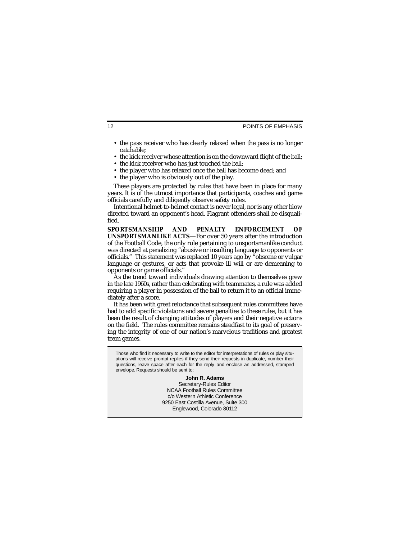- the pass receiver who has clearly relaxed when the pass is no longer catchable;
- the kick receiver whose attention is on the downward flight of the ball;
- the kick receiver who has just touched the ball:
- the player who has relaxed once the ball has become dead; and
- the player who is obviously out of the play.

These players are protected by rules that have been in place for many years. It is of the utmost importance that participants, coaches and game officials carefully and diligently observe safety rules.

Intentional helmet-to-helmet contact is never legal, nor is any other blow directed toward an opponent's head. Flagrant offenders shall be disqualified.

**SPORTSMANSHIP AND PENALTY ENFORCEMENT OF UNSPORTSMANLIKE ACTS**—For over 50 years after the introduction of the Football Code, the only rule pertaining to unsportsmanlike conduct was directed at penalizing "abusive or insulting language to opponents or officials." This statement was replaced 10 years ago by "obscene or vulgar language or gestures, or acts that provoke ill will or are demeaning to opponents or game officials."

As the trend toward individuals drawing attention to themselves grew in the late 1960s, rather than celebrating with teammates, a rule was added requiring a player in possession of the ball to return it to an official immediately after a score.

It has been with great reluctance that subsequent rules committees have had to add specific violations and severe penalties to these rules, but it has been the result of changing attitudes of players and their negative actions on the field. The rules committee remains steadfast to its goal of preserving the integrity of one of our nation's marvelous traditions and greatest team games.

Those who find it necessary to write to the editor for interpretations of rules or play situations will receive prompt replies if they send their requests in duplicate, number their questions, leave space after each for the reply, and enclose an addressed, stamped envelope. Requests should be sent to:

> **John R. Adams** Secretary-Rules Editor NCAA Football Rules Committee c/o Western Athletic Conference 9250 East Costilla Avenue, Suite 300 Englewood, Colorado 80112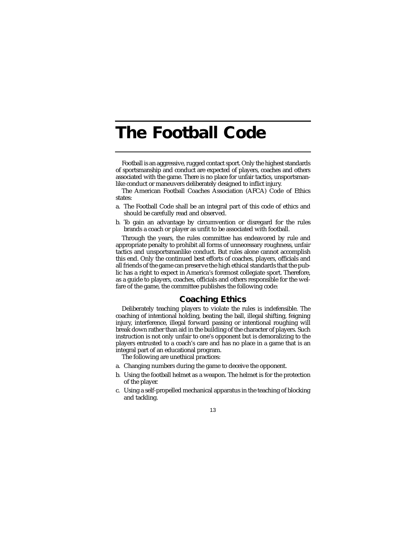# **The Football Code**

Football is an aggressive, rugged contact sport. Only the highest standards of sportsmanship and conduct are expected of players, coaches and others associated with the game. There is no place for unfair tactics, unsportsmanlike conduct or maneuvers deliberately designed to inflict injury.

The American Football Coaches Association (AFCA) Code of Ethics states:

- a. The Football Code shall be an integral part of this code of ethics and should be carefully read and observed.
- b. To gain an advantage by circumvention or disregard for the rules brands a coach or player as unfit to be associated with football.

Through the years, the rules committee has endeavored by rule and appropriate penalty to prohibit all forms of unnecessary roughness, unfair tactics and unsportsmanlike conduct. But rules alone cannot accomplish this end. Only the continued best efforts of coaches, players, officials and all friends of the game can preserve the high ethical standards that the public has a right to expect in America's foremost collegiate sport. Therefore, as a guide to players, coaches, officials and others responsible for the welfare of the game, the committee publishes the following code:

# **Coaching Ethics**

Deliberately teaching players to violate the rules is indefensible. The coaching of intentional holding, beating the ball, illegal shifting, feigning injury, interference, illegal forward passing or intentional roughing will break down rather than aid in the building of the character of players. Such instruction is not only unfair to one's opponent but is demoralizing to the players entrusted to a coach's care and has no place in a game that is an integral part of an educational program.

The following are unethical practices:

- a. Changing numbers during the game to deceive the opponent.
- b. Using the football helmet as a weapon. The helmet is for the protection of the player.
- c. Using a self-propelled mechanical apparatus in the teaching of blocking and tackling.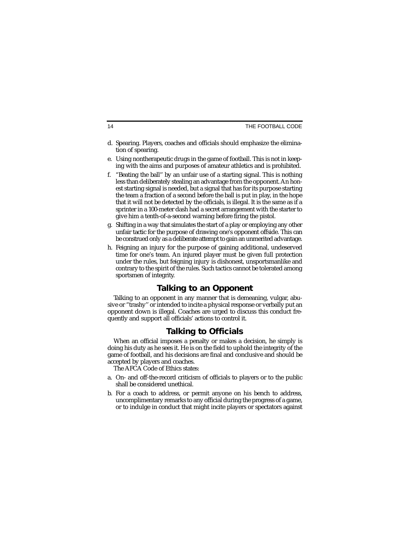- d. Spearing. Players, coaches and officials should emphasize the elimination of spearing.
- e. Using nontherapeutic drugs in the game of football. This is not in keeping with the aims and purposes of amateur athletics and is prohibited.
- f. "Beating the ball'' by an unfair use of a starting signal. This is nothing less than deliberately stealing an advantage from the opponent. An honest starting signal is needed, but a signal that has for its purpose starting the team a fraction of a second before the ball is put in play, in the hope that it will not be detected by the officials, is illegal. It is the same as if a sprinter in a 100-meter dash had a secret arrangement with the starter to give him a tenth-of-a-second warning before firing the pistol.
- g. Shifting in a way that simulates the start of a play or employing any other unfair tactic for the purpose of drawing one's opponent offside. This can be construed only as a deliberate attempt to gain an unmerited advantage.
- h. Feigning an injury for the purpose of gaining additional, undeserved time for one's team. An injured player must be given full protection under the rules, but feigning injury is dishonest, unsportsmanlike and contrary to the spirit of the rules. Such tactics cannot be tolerated among sportsmen of integrity.

# **Talking to an Opponent**

Talking to an opponent in any manner that is demeaning, vulgar, abusive or "trashy'' or intended to incite a physical response or verbally put an opponent down is illegal. Coaches are urged to discuss this conduct frequently and support all officials' actions to control it.

# **Talking to Officials**

When an official imposes a penalty or makes a decision, he simply is doing his duty as he sees it. He is on the field to uphold the integrity of the game of football, and his decisions are final and conclusive and should be accepted by players and coaches.

The AFCA Code of Ethics states:

- a. On- and off-the-record criticism of officials to players or to the public shall be considered unethical.
- b. For a coach to address, or permit anyone on his bench to address, uncomplimentary remarks to any official during the progress of a game, or to indulge in conduct that might incite players or spectators against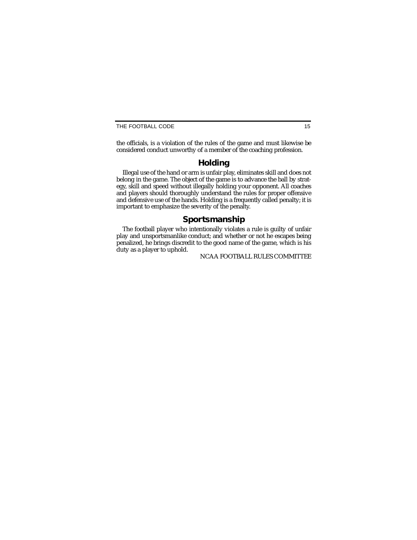THE FOOTBALL CODE 15

the officials, is a violation of the rules of the game and must likewise be considered conduct unworthy of a member of the coaching profession.

# **Holding**

Illegal use of the hand or arm is unfair play, eliminates skill and does not belong in the game. The object of the game is to advance the ball by strategy, skill and speed without illegally holding your opponent. All coaches and players should thoroughly understand the rules for proper offensive and defensive use of the hands. Holding is a frequently called penalty; it is important to emphasize the severity of the penalty.

# **Sportsmanship**

The football player who intentionally violates a rule is guilty of unfair play and unsportsmanlike conduct; and whether or not he escapes being penalized, he brings discredit to the good name of the game, which is his duty as a player to uphold.

NCAA FOOTBALL RULES COMMITTEE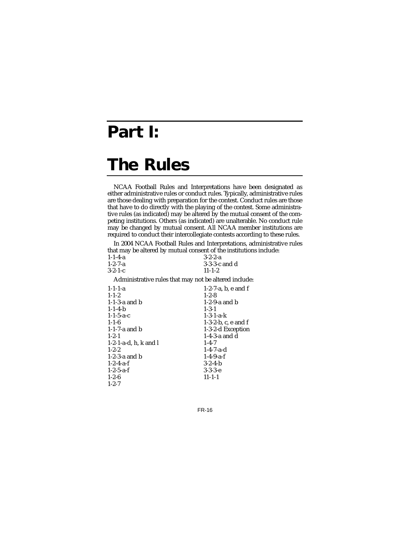# **Part I:**

# **The Rules**

NCAA Football Rules and Interpretations have been designated as either administrative rules or conduct rules. Typically, administrative rules are those dealing with preparation for the contest. Conduct rules are those that have to do directly with the playing of the contest. Some administrative rules (as indicated) may be altered by the mutual consent of the competing institutions. Others (as indicated) are unalterable. No conduct rule may be changed by mutual consent. All NCAA member institutions are required to conduct their intercollegiate contests according to these rules.

In 2004 NCAA Football Rules and Interpretations, administrative rules that may be altered by mutual consent of the institutions include:

| $1 - 1 - 4 - a$ | $3-2-2-a$       |
|-----------------|-----------------|
| $1 - 2 - 7 - a$ | $3-3-3-c$ and d |
| $3-2-1-c$       | $11 - 1 - 2$    |

Administrative rules that may not be altered include:

| $1-2-7-a$ , b, e and f |
|------------------------|
| $1 - 2 - 8$            |
| $1-2-9$ -a and b       |
| $1 - 3 - 1$            |
| $1 - 3 - 1 - a - k$    |
| $1-3-2-b$ , c, e and f |
| 1-3-2-d Exception      |
| 1-4-3-a and d          |
| $1 - 4 - 7$            |
| $1 - 4 - 7 - a - d$    |
| $1 - 4 - 9 - a - f$    |
| $3-2-4-h$              |
| $3-3-3-e$              |
| $11 - 1 - 1$           |
|                        |
|                        |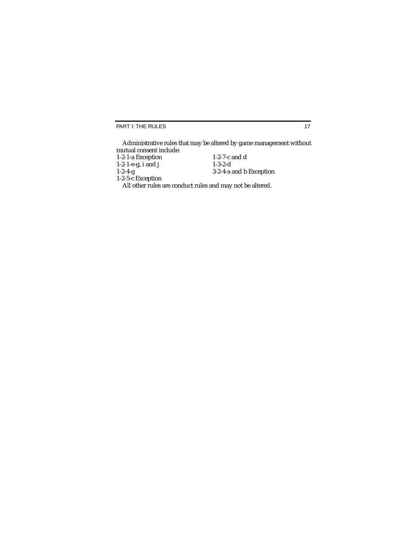PART I: THE RULES

Administrative rules that may be altered by game management without mutual consent include:

| 1-2-1-a Exception     | 1-2-7-c and $d$                                           |
|-----------------------|-----------------------------------------------------------|
| $1-2-1-e-g$ , i and j | $1-3-2-d$                                                 |
| $1 - 2 - 4 - g$       | 3-2-4-a and b Exception                                   |
| 1-2-5-c Exception     |                                                           |
|                       | All other rules are conduct rules and may not be altered. |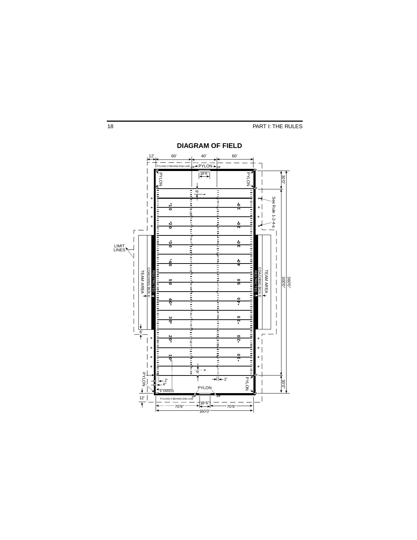18 **PART I: THE RULES** 

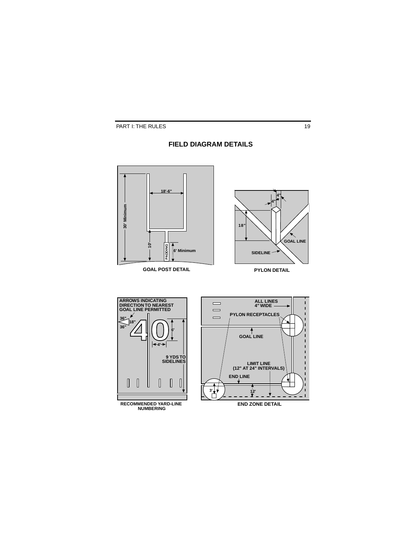# **FIELD DIAGRAM DETAILS**

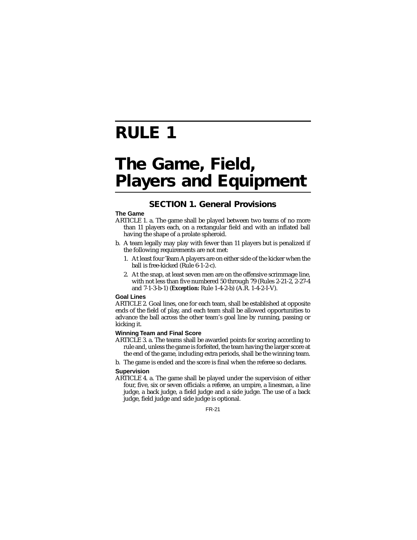# **RULE 1**

# **The Game, Field, Players and Equipment**

# **SECTION 1. General Provisions**

# **The Game**

- ARTICLE 1. a. The game shall be played between two teams of no more than 11 players each, on a rectangular field and with an inflated ball having the shape of a prolate spheroid.
- b. A team legally may play with fewer than 11 players but is penalized if the following requirements are not met:
	- 1. At least four Team A players are on either side of the kicker when the ball is free-kicked (Rule 6-1-2-c).
	- 2. At the snap, at least seven men are on the offensive scrimmage line, with not less than five numbered 50 through 79 (Rules 2-21-2, 2-27-4 and 7-1-3-b-1) (*Exception:* Rule 1-4-2-b) (A.R. 1-4-2-I-V).

# **Goal Lines**

ARTICLE 2. Goal lines, one for each team, shall be established at opposite ends of the field of play, and each team shall be allowed opportunities to advance the ball across the other team's goal line by running, passing or kicking it.

# **Winning Team and Final Score**

- ARTICLE 3. a. The teams shall be awarded points for scoring according to rule and, unless the game is forfeited, the team having the larger score at the end of the game, including extra periods, shall be the winning team.
- b. The game is ended and the score is final when the referee so declares.

# **Supervision**

ARTICLE 4. a. The game shall be played under the supervision of either four, five, six or seven officials: a referee, an umpire, a linesman, a line judge, a back judge, a field judge and a side judge. The use of a back judge, field judge and side judge is optional.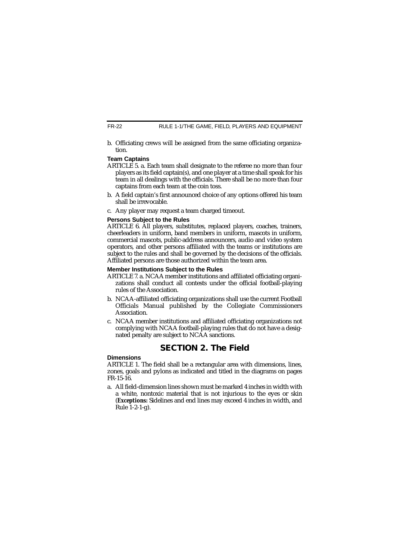b. Officiating crews will be assigned from the same officiating organization.

# **Team Captains**

- ARTICLE 5. a. Each team shall designate to the referee no more than four players as its field captain(s), and one player at a time shall speak for his team in all dealings with the officials. There shall be no more than four captains from each team at the coin toss.
- b. A field captain's first announced choice of any options offered his team shall be irrevocable.
- c. Any player may request a team charged timeout.

# **Persons Subject to the Rules**

ARTICLE 6. All players, substitutes, replaced players, coaches, trainers, cheerleaders in uniform, band members in uniform, mascots in uniform, commercial mascots, public-address announcers, audio and video system operators, and other persons affiliated with the teams or institutions are subject to the rules and shall be governed by the decisions of the officials. Affiliated persons are those authorized within the team area.

# **Member Institutions Subject to the Rules**

- ARTICLE 7. a. NCAA member institutions and affiliated officiating organizations shall conduct all contests under the official football-playing rules of the Association.
- b. NCAA-affiliated officiating organizations shall use the current Football Officials Manual published by the Collegiate Commissioners **Association**
- c. NCAA member institutions and affiliated officiating organizations not complying with NCAA football-playing rules that do not have a designated penalty are subject to NCAA sanctions.

# **SECTION 2. The Field**

# **Dimensions**

ARTICLE 1. The field shall be a rectangular area with dimensions, lines, zones, goals and pylons as indicated and titled in the diagrams on pages FR-15-16.

a. All field-dimension lines shown must be marked 4 inches in width with a white, nontoxic material that is not injurious to the eyes or skin (*Exceptions:* Sidelines and end lines may exceed 4 inches in width, and Rule 1-2-1-g).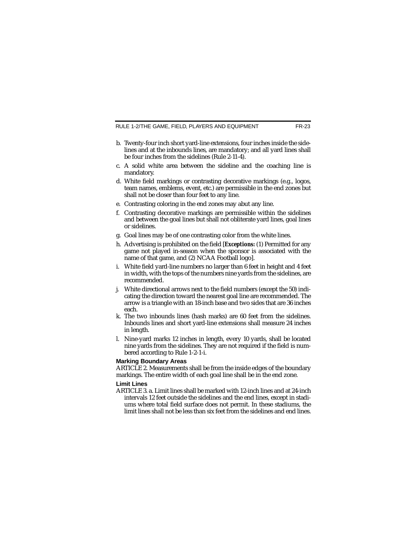RULE 1-2/THE GAME, FIELD, PLAYERS AND EQUIPMENT FR-23

- b. Twenty-four inch short yard-line extensions, four inches inside the sidelines and at the inbounds lines, are mandatory; and all yard lines shall be four inches from the sidelines (Rule 2-11-4).
- c. A solid white area between the sideline and the coaching line is mandatory.
- d. White field markings or contrasting decorative markings (e.g., logos, team names, emblems, event, etc.) are permissible in the end zones but shall not be closer than four feet to any line.
- e. Contrasting coloring in the end zones may abut any line.
- f. Contrasting decorative markings are permissible within the sidelines and between the goal lines but shall not obliterate yard lines, goal lines or sidelines.
- g. Goal lines may be of one contrasting color from the white lines.
- h. Advertising is prohibited on the field [*Exceptions:* (1) Permitted for any game not played in-season when the sponsor is associated with the name of that game, and (2) NCAA Football logo].
- i. White field yard-line numbers no larger than 6 feet in height and 4 feet in width, with the tops of the numbers nine yards from the sidelines, are recommended.
- j. White directional arrows next to the field numbers (except the 50) indicating the direction toward the nearest goal line are recommended. The arrow is a triangle with an 18-inch base and two sides that are 36 inches each.
- k. The two inbounds lines (hash marks) are 60 feet from the sidelines. Inbounds lines and short yard-line extensions shall measure 24 inches in length.
- l. Nine-yard marks 12 inches in length, every 10 yards, shall be located nine yards from the sidelines. They are not required if the field is numbered according to Rule 1-2-1-i.

### **Marking Boundary Areas**

ARTICLE 2. Measurements shall be from the inside edges of the boundary markings. The entire width of each goal line shall be in the end zone.

# **Limit Lines**

ARTICLE 3. a. Limit lines shall be marked with 12-inch lines and at 24-inch intervals 12 feet outside the sidelines and the end lines, except in stadiums where total field surface does not permit. In these stadiums, the limit lines shall not be less than six feet from the sidelines and end lines.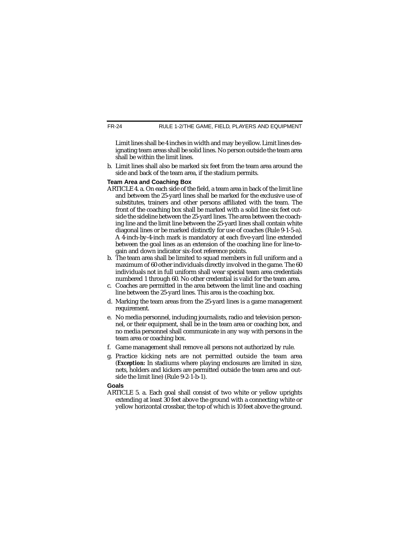Limit lines shall be 4 inches in width and may be yellow. Limit lines designating team areas shall be solid lines. No person outside the team area shall be within the limit lines.

b. Limit lines shall also be marked six feet from the team area around the side and back of the team area, if the stadium permits.

# **Team Area and Coaching Box**

- ARTICLE 4. a. On each side of the field, a team area in back of the limit line and between the 25-yard lines shall be marked for the exclusive use of substitutes, trainers and other persons affiliated with the team. The front of the coaching box shall be marked with a solid line six feet outside the sideline between the 25-yard lines. The area between the coaching line and the limit line between the 25-yard lines shall contain white diagonal lines or be marked distinctly for use of coaches (Rule 9-1-5-a). A 4-inch-by-4-inch mark is mandatory at each five-yard line extended between the goal lines as an extension of the coaching line for line-togain and down indicator six-foot reference points.
- b. The team area shall be limited to squad members in full uniform and a maximum of 60 other individuals directly involved in the game. The 60 individuals not in full uniform shall wear special team area credentials numbered 1 through 60. No other credential is valid for the team area.
- c. Coaches are permitted in the area between the limit line and coaching line between the 25-yard lines. This area is the coaching box.
- d. Marking the team areas from the 25-yard lines is a game management requirement.
- e. No media personnel, including journalists, radio and television personnel, or their equipment, shall be in the team area or coaching box, and no media personnel shall communicate in any way with persons in the team area or coaching box.
- f. Game management shall remove all persons not authorized by rule.
- g. Practice kicking nets are not permitted outside the team area (*Exception:* In stadiums where playing enclosures are limited in size, nets, holders and kickers are permitted outside the team area and outside the limit line) (Rule 9-2-1-b-1).

# **Goals**

ARTICLE 5. a. Each goal shall consist of two white or yellow uprights extending at least 30 feet above the ground with a connecting white or yellow horizontal crossbar, the top of which is 10 feet above the ground.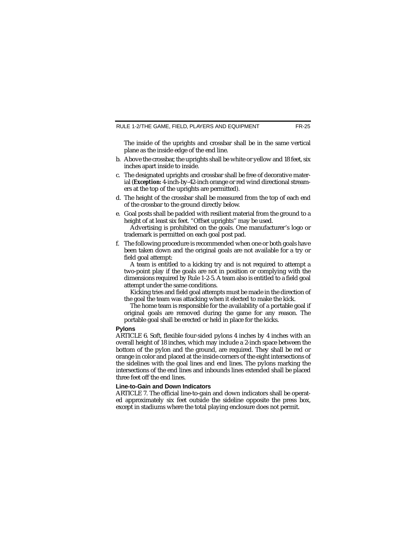The inside of the uprights and crossbar shall be in the same vertical plane as the inside edge of the end line.

- b. Above the crossbar, the uprights shall be white or yellow and 18 feet, six inches apart inside to inside.
- c. The designated uprights and crossbar shall be free of decorative material (*Exception:* 4-inch-by-42-inch orange or red wind directional streamers at the top of the uprights are permitted).
- d. The height of the crossbar shall be measured from the top of each end of the crossbar to the ground directly below.
- e. Goal posts shall be padded with resilient material from the ground to a height of at least six feet. "Offset uprights" may be used.

Advertising is prohibited on the goals. One manufacturer's logo or trademark is permitted on each goal post pad.

f. The following procedure is recommended when one or both goals have been taken down and the original goals are not available for a try or field goal attempt:

A team is entitled to a kicking try and is not required to attempt a two-point play if the goals are not in position or complying with the dimensions required by Rule 1-2-5. A team also is entitled to a field goal attempt under the same conditions.

Kicking tries and field goal attempts must be made in the direction of the goal the team was attacking when it elected to make the kick.

The home team is responsible for the availability of a portable goal if original goals are removed during the game for any reason. The portable goal shall be erected or held in place for the kicks.

### **Pylons**

ARTICLE 6. Soft, flexible four-sided pylons 4 inches by 4 inches with an overall height of 18 inches, which may include a 2-inch space between the bottom of the pylon and the ground, are required. They shall be red or orange in color and placed at the inside corners of the eight intersections of the sidelines with the goal lines and end lines. The pylons marking the intersections of the end lines and inbounds lines extended shall be placed three feet off the end lines.

#### **Line-to-Gain and Down Indicators**

ARTICLE 7. The official line-to-gain and down indicators shall be operated approximately six feet outside the sideline opposite the press box, except in stadiums where the total playing enclosure does not permit.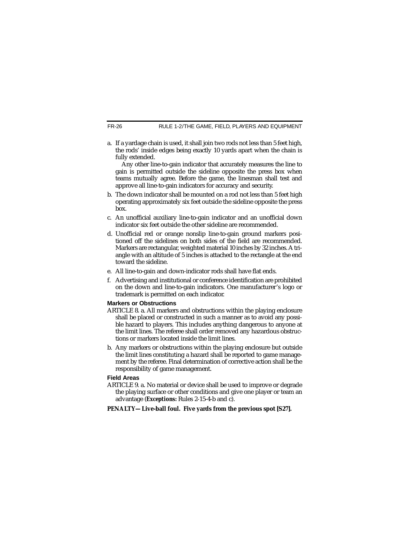FR-26 RULE 1-2/THE GAME, FIELD, PLAYERS AND EQUIPMENT

a. If a yardage chain is used, it shall join two rods not less than 5 feet high, the rods' inside edges being exactly 10 yards apart when the chain is fully extended.

Any other line-to-gain indicator that accurately measures the line to gain is permitted outside the sideline opposite the press box when teams mutually agree. Before the game, the linesman shall test and approve all line-to-gain indicators for accuracy and security.

- b. The down indicator shall be mounted on a rod not less than 5 feet high operating approximately six feet outside the sideline opposite the press box.
- c. An unofficial auxiliary line-to-gain indicator and an unofficial down indicator six feet outside the other sideline are recommended.
- d. Unofficial red or orange nonslip line-to-gain ground markers positioned off the sidelines on both sides of the field are recommended. Markers are rectangular, weighted material 10 inches by 32 inches. A triangle with an altitude of 5 inches is attached to the rectangle at the end toward the sideline.
- e. All line-to-gain and down-indicator rods shall have flat ends.
- f. Advertising and institutional or conference identification are prohibited on the down and line-to-gain indicators. One manufacturer's logo or trademark is permitted on each indicator.

# **Markers or Obstructions**

- ARTICLE 8. a. All markers and obstructions within the playing enclosure shall be placed or constructed in such a manner as to avoid any possible hazard to players. This includes anything dangerous to anyone at the limit lines. The referee shall order removed any hazardous obstructions or markers located inside the limit lines.
- b. Any markers or obstructions within the playing enclosure but outside the limit lines constituting a hazard shall be reported to game management by the referee. Final determination of corrective action shall be the responsibility of game management.

# **Field Areas**

ARTICLE 9. a. No material or device shall be used to improve or degrade the playing surface or other conditions and give one player or team an advantage (*Exceptions:* Rules 2-15-4-b and c).

**PENALTY—Live-ball foul. Five yards from the previous spot [S27].**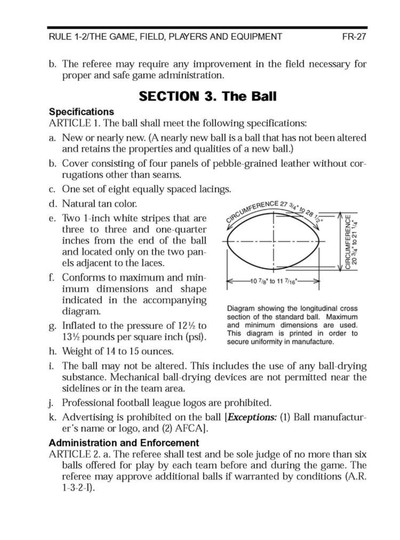RULE 1-2/THE GAME, FIELD, PLAYERS AND EQUIPMENT

b. The referee may require any improvement in the field necessary for proper and safe game administration.

# **SECTION 3. The Ball**

#### **Specifications**

ARTICLE 1. The ball shall meet the following specifications:

- a. New or nearly new. (A nearly new ball is a ball that has not been altered and retains the properties and qualities of a new ball.)
- b. Cover consisting of four panels of pebble-grained leather without corrugations other than seams.
- c. One set of eight equally spaced lacings.
- d. Natural tan color.
- e. Two 1-inch white stripes that are three to three and one-quarter inches from the end of the ball and located only on the two panels adjacent to the laces.
- f. Conforms to maximum and minimum dimensions and shape indicated in the accompanying diagram.
- g. Inflated to the pressure of  $12\frac{1}{2}$  to 13½ pounds per square inch (psi).
- h. Weight of 14 to 15 ounces.



Diagram showing the longitudinal cross section of the standard ball. Maximum and minimum dimensions are used. This diagram is printed in order to secure uniformity in manufacture.

- i. The ball may not be altered. This includes the use of any ball-drying substance. Mechanical ball-drying devices are not permitted near the sidelines or in the team area.
- j. Professional football league logos are prohibited.
- k. Advertising is prohibited on the ball [Exceptions: (1) Ball manufacturer's name or logo, and (2) AFCA].

#### **Administration and Enforcement**

ARTICLE 2. a. The referee shall test and be sole judge of no more than six balls offered for play by each team before and during the game. The referee may approve additional balls if warranted by conditions (A.R.  $1-3-2-I$ ).

FR-27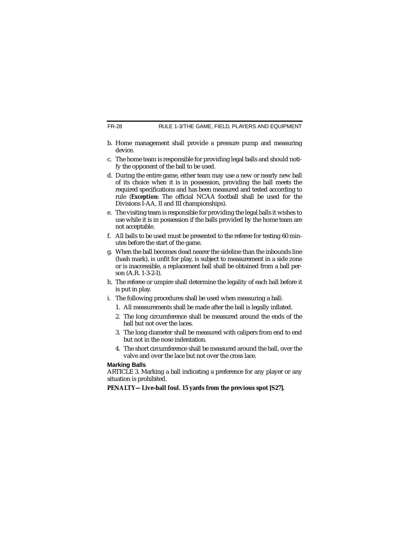#### FR-28 RULE 1-3/THE GAME, FIELD, PLAYERS AND EQUIPMENT

- b. Home management shall provide a pressure pump and measuring device.
- c. The home team is responsible for providing legal balls and should notify the opponent of the ball to be used.
- d. During the entire game, either team may use a new or nearly new ball of its choice when it is in possession, providing the ball meets the required specifications and has been measured and tested according to rule (*Exception:* The official NCAA football shall be used for the Divisions I-AA, II and III championships).
- e. The visiting team is responsible for providing the legal balls it wishes to use while it is in possession if the balls provided by the home team are not acceptable.
- f. All balls to be used must be presented to the referee for testing 60 minutes before the start of the game.
- g. When the ball becomes dead nearer the sideline than the inbounds line (hash mark), is unfit for play, is subject to measurement in a side zone or is inaccessible, a replacement ball shall be obtained from a ball person (A.R. 1-3-2-I).
- h. The referee or umpire shall determine the legality of each ball before it is put in play.
- i. The following procedures shall be used when measuring a ball:
	- 1. All measurements shall be made after the ball is legally inflated.
	- 2. The long circumference shall be measured around the ends of the ball but not over the laces.
	- 3. The long diameter shall be measured with calipers from end to end but not in the nose indentation.
	- 4. The short circumference shall be measured around the ball, over the valve and over the lace but not over the cross lace.

### **Marking Balls**

ARTICLE 3. Marking a ball indicating a preference for any player or any situation is prohibited.

**PENALTY—Live-ball foul. 15 yards from the previous spot [S27].**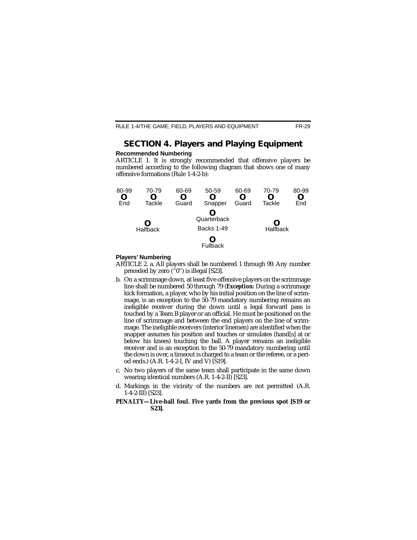# **SECTION 4. Players and Playing Equipment**

#### **Recommended Numbering**

ARTICLE 1. It is strongly recommended that offensive players be numbered according to the following diagram that shows one of many offensive formations (Rule 1-4-2-b):



#### **Players' Numbering**

- ARTICLE 2. a. All players shall be numbered 1 through 99. Any number preceded by zero  $(^{6}0"$ ) is illegal [S23].
- b. On a scrimmage down, at least five offensive players on the scrimmage line shall be numbered 50 through 79 (*Exception:* During a scrimmage kick formation, a player, who by his initial position on the line of scrimmage, is an exception to the 50-79 mandatory numbering remains an ineligible receiver during the down until a legal forward pass is touched by a Team B player or an official. He must be positioned on the line of scrimmage and between the end players on the line of scrimmage. The ineligible receivers (interior linemen) are identified when the snapper assumes his position and touches or simulates (hand[s] at or below his knees) touching the ball. A player remains an ineligible receiver and is an exception to the 50-79 mandatory numbering until the down is over, a timeout is charged to a team or the referee, or a period ends.) (A.R. 1-4-2-I, IV and V) [S19].
- c. No two players of the same team shall participate in the same down wearing identical numbers (A.R. 1-4-2-II) [S23].
- d. Markings in the vicinity of the numbers are not permitted (A.R. 1-4-2-III) [S23].
- **PENALTY—Live-ball foul. Five yards from the previous spot [S19 or S23].**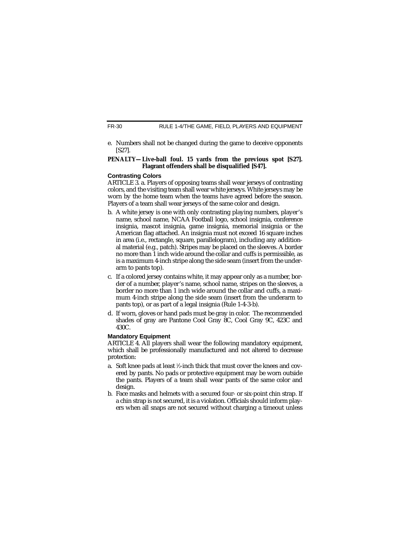RULE 1-4/THE GAME, FIELD, PLAYERS AND EQUIPMENT

e. Numbers shall not be changed during the game to deceive opponents [S27].

#### **PENALTY—Live-ball foul. 15 yards from the previous spot [S27]. Flagrant offenders shall be disqualified [S47].**

### **Contrasting Colors**

ARTICLE 3. a. Players of opposing teams shall wear jerseys of contrasting colors, and the visiting team shall wear white jerseys. White jerseys may be worn by the home team when the teams have agreed before the season. Players of a team shall wear jerseys of the same color and design.

- b. A white jersey is one with only contrasting playing numbers, player's name, school name, NCAA Football logo, school insignia, conference insignia, mascot insignia, game insignia, memorial insignia or the American flag attached. An insignia must not exceed 16 square inches in area (i.e., rectangle, square, parallelogram), including any additional material (e.g., patch). Stripes may be placed on the sleeves. A border no more than 1 inch wide around the collar and cuffs is permissible, as is a maximum 4-inch stripe along the side seam (insert from the underarm to pants top).
- c. If a colored jersey contains white, it may appear only as a number, border of a number, player's name, school name, stripes on the sleeves, a border no more than 1 inch wide around the collar and cuffs, a maximum 4-inch stripe along the side seam (insert from the underarm to pants top), or as part of a legal insignia (Rule 1-4-3-b).
- d. If worn, gloves or hand pads must be gray in color. The recommended shades of gray are Pantone Cool Gray 8C, Cool Gray 9C, 423C and 430C.

# **Mandatory Equipment**

ARTICLE 4. All players shall wear the following mandatory equipment, which shall be professionally manufactured and not altered to decrease protection:

- a. Soft knee pads at least 1 ⁄2-inch thick that must cover the knees and covered by pants. No pads or protective equipment may be worn outside the pants. Players of a team shall wear pants of the same color and design.
- b. Face masks and helmets with a secured four- or six-point chin strap. If a chin strap is not secured, it is a violation. Officials should inform players when all snaps are not secured without charging a timeout unless

FR-30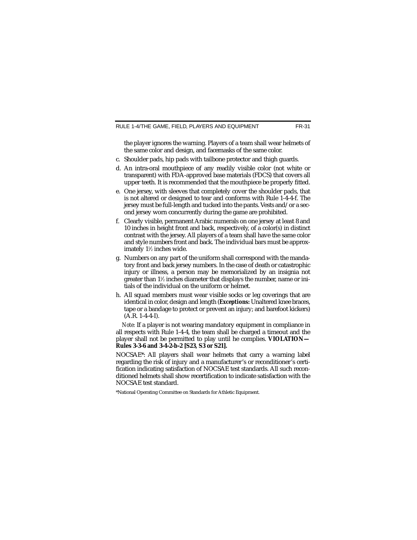the player ignores the warning. Players of a team shall wear helmets of the same color and design, and facemasks of the same color.

- c. Shoulder pads, hip pads with tailbone protector and thigh guards.
- d. An intra-oral mouthpiece of any readily visible color (not white or transparent) with FDA-approved base materials (FDCS) that covers all upper teeth. It is recommended that the mouthpiece be properly fitted.
- e. One jersey, with sleeves that completely cover the shoulder pads, that is not altered or designed to tear and conforms with Rule 1-4-4-f. The jersey must be full-length and tucked into the pants. Vests and/or a second jersey worn concurrently during the game are prohibited.
- f. Clearly visible, permanent Arabic numerals on one jersey at least 8 and 10 inches in height front and back, respectively, of a color(s) in distinct contrast with the jersey. All players of a team shall have the same color and style numbers front and back. The individual bars must be approximately 11 ⁄2 inches wide.
- g. Numbers on any part of the uniform shall correspond with the mandatory front and back jersey numbers. In the case of death or catastrophic injury or illness, a person may be memorialized by an insignia not greater than 1½ inches diameter that displays the number, name or initials of the individual on the uniform or helmet.
- h. All squad members must wear visible socks or leg coverings that are identical in color, design and length (*Exceptions:* Unaltered knee braces, tape or a bandage to protect or prevent an injury; and barefoot kickers) (A.R. 1-4-4-I).

*Note:* If a player is not wearing mandatory equipment in compliance in all respects with Rule 1-4-4, the team shall be charged a timeout and the player shall not be permitted to play until he complies. **VIOLATION— Rules 3-3-6 and 3-4-2-b-2 [S23, S3 or S21].**

NOCSAE\*: All players shall wear helmets that carry a warning label regarding the risk of injury and a manufacturer's or reconditioner's certification indicating satisfaction of NOCSAE test standards. All such reconditioned helmets shall show recertification to indicate satisfaction with the NOCSAE test standard.

\*National Operating Committee on Standards for Athletic Equipment.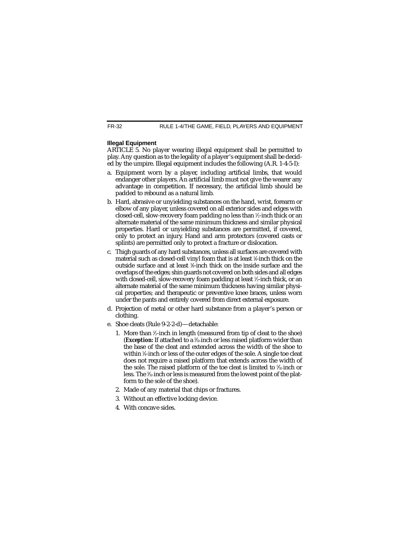### **Illegal Equipment**

ARTICLE 5. No player wearing illegal equipment shall be permitted to play. Any question as to the legality of a player's equipment shall be decided by the umpire. Illegal equipment includes the following (A.R. 1-4-5-I):

- a. Equipment worn by a player, including artificial limbs, that would endanger other players. An artificial limb must not give the wearer any advantage in competition. If necessary, the artificial limb should be padded to rebound as a natural limb.
- b. Hard, abrasive or unyielding substances on the hand, wrist, forearm or elbow of any player, unless covered on all exterior sides and edges with closed-cell, slow-recovery foam padding no less than 1 ⁄2-inch thick or an alternate material of the same minimum thickness and similar physical properties. Hard or unyielding substances are permitted, if covered, only to protect an injury. Hand and arm protectors (covered casts or splints) are permitted only to protect a fracture or dislocation.
- c. Thigh guards of any hard substances, unless all surfaces are covered with material such as closed-cell vinyl foam that is at least 1 ⁄4-inch thick on the outside surface and at least 3 ⁄8-inch thick on the inside surface and the overlaps of the edges; shin guards not covered on both sides and all edges with closed-cell, slow-recovery foam padding at least 1 ⁄2-inch thick, or an alternate material of the same minimum thickness having similar physical properties; and therapeutic or preventive knee braces, unless worn under the pants and entirely covered from direct external exposure.
- d. Projection of metal or other hard substance from a player's person or clothing.
- e. Shoe cleats (Rule 9-2-2-d)—detachable:
	- 1. More than  $\frac{1}{2}$ -inch in length (measured from tip of cleat to the shoe) (*Exception:* If attached to a 5 ⁄32-inch or less raised platform wider than the base of the cleat and extended across the width of the shoe to within <sup>1</sup> ⁄4-inch or less of the outer edges of the sole. A single toe cleat does not require a raised platform that extends across the width of the sole. The raised platform of the toe cleat is limited to ½:inch or less. The 5 ⁄32-inch or less is measured from the lowest point of the platform to the sole of the shoe).
	- 2. Made of any material that chips or fractures.
	- 3. Without an effective locking device.
	- 4. With concave sides.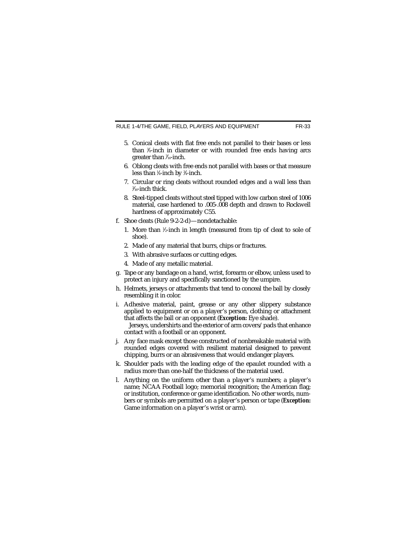RULE 1-4/THE GAME, FIELD, PLAYERS AND EQUIPMENT FR-33

- 5. Conical cleats with flat free ends not parallel to their bases or less than <sup>3</sup> ⁄8-inch in diameter or with rounded free ends having arcs greater than 7 ⁄16-inch.
- 6. Oblong cleats with free ends not parallel with bases or that measure less than 1 ⁄4-inch by 3 ⁄4-inch.
- 7. Circular or ring cleats without rounded edges and a wall less than 3 ⁄16-inch thick.
- 8. Steel-tipped cleats without steel tipped with low carbon steel of 1006 material, case hardened to .005-.008 depth and drawn to Rockwell hardness of approximately C55.
- f. Shoe cleats (Rule 9-2-2-d)—nondetachable:
	- 1. More than 1 ⁄2-inch in length (measured from tip of cleat to sole of shoe).
	- 2. Made of any material that burrs, chips or fractures.
	- 3. With abrasive surfaces or cutting edges.
	- 4. Made of any metallic material.
- g. Tape or any bandage on a hand, wrist, forearm or elbow, unless used to protect an injury and specifically sanctioned by the umpire.
- h. Helmets, jerseys or attachments that tend to conceal the ball by closely resembling it in color.
- i. Adhesive material, paint, grease or any other slippery substance applied to equipment or on a player's person, clothing or attachment that affects the ball or an opponent (*Exception:* Eye shade).

Jerseys, undershirts and the exterior of arm covers/pads that enhance contact with a football or an opponent.

- j. Any face mask except those constructed of nonbreakable material with rounded edges covered with resilient material designed to prevent chipping, burrs or an abrasiveness that would endanger players.
- k. Shoulder pads with the leading edge of the epaulet rounded with a radius more than one-half the thickness of the material used.
- l. Anything on the uniform other than a player's numbers; a player's name; NCAA Football logo; memorial recognition; the American flag; or institution, conference or game identification. No other words, numbers or symbols are permitted on a player's person or tape (*Exception:* Game information on a player's wrist or arm).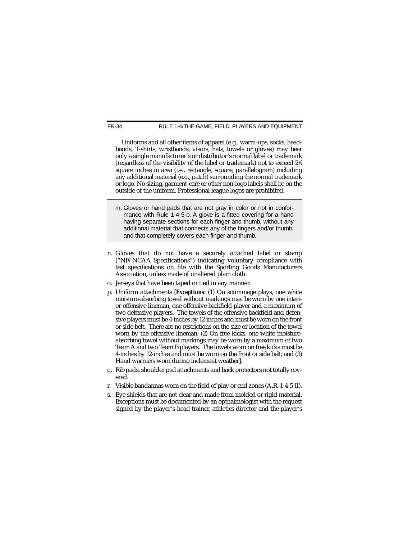Uniforms and all other items of apparel (e.g., warm-ups, socks, headbands, T-shirts, wristbands, visors, hats, towels or gloves) may bear only a single manufacturer's or distributor's normal label or trademark (regardless of the visibility of the label or trademark) not to exceed 21 ⁄4 square inches in area (i.e., rectangle, square, parallelogram) including any additional material (e.g., patch) surrounding the normal trademark or logo. No sizing, garment-care or other non-logo labels shall be on the outside of the uniform. Professional league logos are prohibited.

- m. Gloves or hand pads that are not gray in color or not in conformance with Rule 1-4-5-b. A glove is a fitted covering for a hand having separate sections for each finger and thumb, without any additional material that connects any of the fingers and/or thumb, and that completely covers each finger and thumb.
- n. Gloves that do not have a securely attached label or stamp ("NF/NCAA Specifications") indicating voluntary compliance with test specifications on file with the Sporting Goods Manufacturers Association, unless made of unaltered plain cloth.
- o. Jerseys that have been taped or tied in any manner.
- p. Uniform attachments [*Exceptions:* (1) On scrimmage plays, one white moisture-absorbing towel without markings may be worn by one interior offensive lineman, one offensive backfield player and a maximum of two defensive players. The towels of the offensive backfield and defensive players must be 4-inches by 12-inches and must be worn on the front or side belt. There are no restrictions on the size or location of the towel worn by the offensive lineman; (2) On free kicks, one white moistureabsorbing towel without markings may be worn by a maximum of two Team A and two Team B players. The towels worn on free kicks must be 4-inches by 12-inches and must be worn on the front or side belt; and (3) Hand warmers worn during inclement weather].
- q. Rib pads, shoulder pad attachments and back protectors not totally covered.
- r. Visible bandannas worn on the field of play or end zones (A.R. 1-4-5-II).
- s. Eye shields that are not clear and made from molded or rigid material. Exceptions must be documented by an opthalmologist with the request signed by the player's head trainer, athletics director and the player's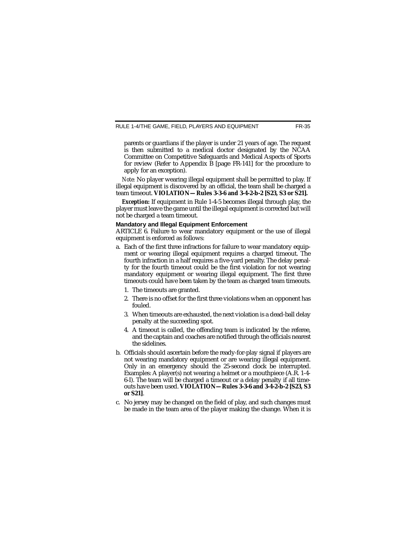parents or guardians if the player is under 21 years of age. The request is then submitted to a medical doctor designated by the NCAA Committee on Competitive Safeguards and Medical Aspects of Sports for review (Refer to Appendix  $\overline{B}$  [page FR-141] for the procedure to apply for an exception).

*Note:* No player wearing illegal equipment shall be permitted to play. If illegal equipment is discovered by an official, the team shall be charged a team timeout. **VIOLATION—Rules 3-3-6 and 3-4-2-b-2 [S23, S3 or S21].**

*Exception:* If equipment in Rule 1-4-5 becomes illegal through play, the player must leave the game until the illegal equipment is corrected but will not be charged a team timeout.

#### **Mandatory and Illegal Equipment Enforcement**

ARTICLE 6. Failure to wear mandatory equipment or the use of illegal equipment is enforced as follows:

- a. Each of the first three infractions for failure to wear mandatory equipment or wearing illegal equipment requires a charged timeout. The fourth infraction in a half requires a five-yard penalty. The delay penalty for the fourth timeout could be the first violation for not wearing mandatory equipment or wearing illegal equipment. The first three timeouts could have been taken by the team as charged team timeouts.
	- 1. The timeouts are granted.
	- 2. There is no offset for the first three violations when an opponent has fouled.
	- 3. When timeouts are exhausted, the next violation is a dead-ball delay penalty at the succeeding spot.
	- 4. A timeout is called, the offending team is indicated by the referee, and the captain and coaches are notified through the officials nearest the sidelines.
- b. Officials should ascertain before the ready-for-play signal if players are not wearing mandatory equipment or are wearing illegal equipment. Only in an emergency should the 25-second clock be interrupted. Examples: A player(s) not wearing a helmet or a mouthpiece (A.R. 1-4- 6-I). The team will be charged a timeout or a delay penalty if all timeouts have been used. **VIOLATION—Rules 3-3-6 and 3-4-2-b-2 [S23, S3 or S21]**.
- c. No jersey may be changed on the field of play, and such changes must be made in the team area of the player making the change. When it is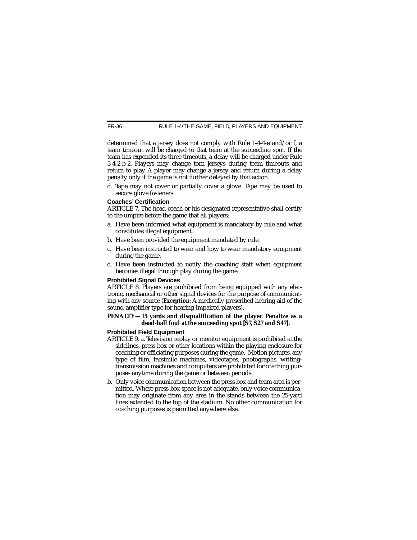determined that a jersey does not comply with Rule 1-4-4-e and/or f, a team timeout will be charged to that team at the succeeding spot. If the team has expended its three timeouts, a delay will be charged under Rule 3-4-2-b-2. Players may change torn jerseys during team timeouts and return to play. A player may change a jersey and return during a delay penalty only if the game is not further delayed by that action.

d. Tape may not cover or partially cover a glove. Tape may be used to secure glove fasteners.

#### **Coaches' Certification**

ARTICLE 7. The head coach or his designated representative shall certify to the umpire before the game that all players:

- a. Have been informed what equipment is mandatory by rule and what constitutes illegal equipment.
- b. Have been provided the equipment mandated by rule.
- c. Have been instructed to wear and how to wear mandatory equipment during the game.
- d. Have been instructed to notify the coaching staff when equipment becomes illegal through play during the game.

#### **Prohibited Signal Devices**

ARTICLE 8. Players are prohibited from being equipped with any electronic, mechanical or other signal devices for the purpose of communicating with any source (*Exception:* A medically prescribed hearing aid of the sound-amplifier type for hearing-impaired players).

#### **PENALTY—15 yards and disqualification of the player. Penalize as a dead-ball foul at the succeeding spot [S7, S27 and S47].**

#### **Prohibited Field Equipment**

- ARTICLE 9. a. Television replay or monitor equipment is prohibited at the sidelines, press box or other locations within the playing enclosure for coaching or officiating purposes during the game. Motion pictures, any type of film, facsimile machines, videotapes, photographs, writingtransmission machines and computers are prohibited for coaching purposes anytime during the game or between periods.
- b. Only voice communication between the press box and team area is permitted. Where press-box space is not adequate, only voice communication may originate from any area in the stands between the 25-yard lines extended to the top of the stadium. No other communication for coaching purposes is permitted anywhere else.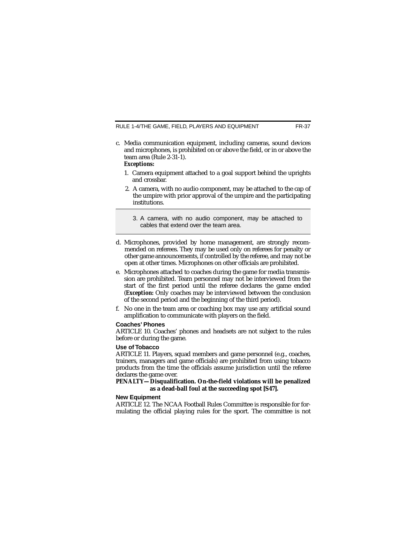RULE 1-4/THE GAME, FIELD, PLAYERS AND EQUIPMENT FR-37

c. Media communication equipment, including cameras, sound devices and microphones, is prohibited on or above the field, or in or above the team area (Rule 2-31-1).

### *Exceptions:*

- 1. Camera equipment attached to a goal support behind the uprights and crossbar.
- 2. A camera, with no audio component, may be attached to the cap of the umpire with prior approval of the umpire and the participating institutions.
	- 3. A camera, with no audio component, may be attached to cables that extend over the team area.
- d. Microphones, provided by home management, are strongly recommended on referees. They may be used only on referees for penalty or other game announcements, if controlled by the referee, and may not be open at other times. Microphones on other officials are prohibited.
- e. Microphones attached to coaches during the game for media transmission are prohibited. Team personnel may not be interviewed from the start of the first period until the referee declares the game ended (*Exception:* Only coaches may be interviewed between the conclusion of the second period and the beginning of the third period).
- f. No one in the team area or coaching box may use any artificial sound amplification to communicate with players on the field.

#### **Coaches' Phones**

ARTICLE 10. Coaches' phones and headsets are not subject to the rules before or during the game.

#### **Use of Tobacco**

ARTICLE 11. Players, squad members and game personnel (e.g., coaches, trainers, managers and game officials) are prohibited from using tobacco products from the time the officials assume jurisdiction until the referee declares the game over.

#### **PENALTY—Disqualification. On-the-field violations will be penalized as a dead-ball foul at the succeeding spot [S47].**

#### **New Equipment**

ARTICLE 12. The NCAA Football Rules Committee is responsible for formulating the official playing rules for the sport. The committee is not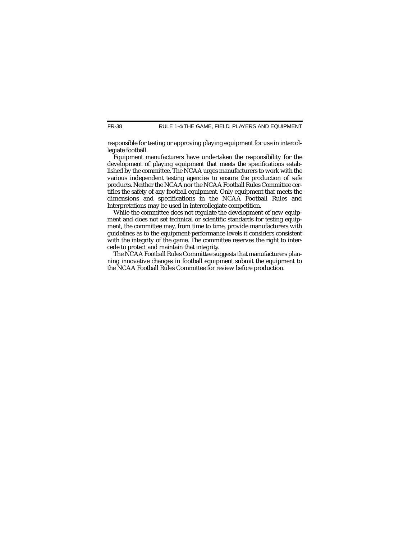RULE 1-4/THE GAME, FIELD, PLAYERS AND EQUIPMENT

responsible for testing or approving playing equipment for use in intercollegiate football.

Equipment manufacturers have undertaken the responsibility for the development of playing equipment that meets the specifications established by the committee. The NCAA urges manufacturers to work with the various independent testing agencies to ensure the production of safe products. Neither the NCAA nor the NCAA Football Rules Committee certifies the safety of any football equipment. Only equipment that meets the dimensions and specifications in the NCAA Football Rules and Interpretations may be used in intercollegiate competition.

While the committee does not regulate the development of new equipment and does not set technical or scientific standards for testing equipment, the committee may, from time to time, provide manufacturers with guidelines as to the equipment-performance levels it considers consistent with the integrity of the game. The committee reserves the right to intercede to protect and maintain that integrity.

The NCAA Football Rules Committee suggests that manufacturers planning innovative changes in football equipment submit the equipment to the NCAA Football Rules Committee for review before production.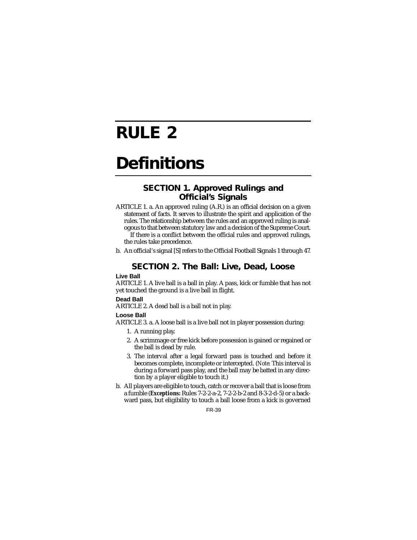# **RULE 2**

# **Definitions**

## **SECTION 1. Approved Rulings and Official's Signals**

- ARTICLE 1. a. An approved ruling (A.R.) is an official decision on a given statement of facts. It serves to illustrate the spirit and application of the rules. The relationship between the rules and an approved ruling is analogous to that between statutory law and a decision of the Supreme Court. If there is a conflict between the official rules and approved rulings, the rules take precedence.
- b. An official's signal [S] refers to the Official Football Signals 1 through 47.

## **SECTION 2. The Ball: Live, Dead, Loose**

#### **Live Ball**

ARTICLE 1. A live ball is a ball in play. A pass, kick or fumble that has not yet touched the ground is a live ball in flight.

#### **Dead Ball**

ARTICLE 2. A dead ball is a ball not in play.

#### **Loose Ball**

ARTICLE 3. a. A loose ball is a live ball not in player possession during:

- 1. A running play.
- 2. A scrimmage or free kick before possession is gained or regained or the ball is dead by rule.
- 3. The interval after a legal forward pass is touched and before it becomes complete, incomplete or intercepted. (*Note:* This interval is during a forward pass play, and the ball may be batted in any direction by a player eligible to touch it.)
- b. All players are eligible to touch, catch or recover a ball that is loose from a fumble (*Exceptions:* Rules 7-2-2-a-2, 7-2-2-b-2 and 8-3-2-d-5) or a backward pass, but eligibility to touch a ball loose from a kick is governed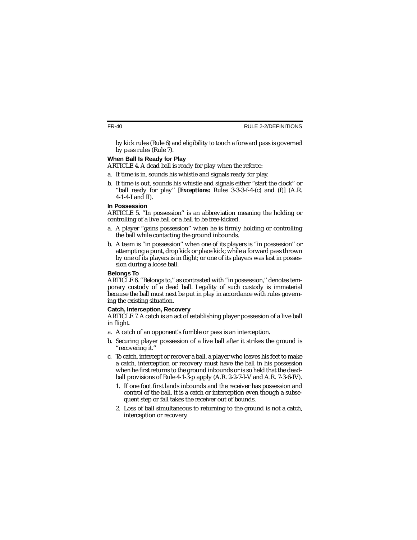by kick rules (Rule 6) and eligibility to touch a forward pass is governed by pass rules (Rule 7).

#### **When Ball Is Ready for Play**

ARTICLE 4. A dead ball is ready for play when the referee:

- a. If time is in, sounds his whistle and signals ready for play.
- b. If time is out, sounds his whistle and signals either "start the clock'' or "ball ready for play'' [*Exceptions:* Rules 3-3-3-f-4-(c) and (f)] (A.R. 4-1-4-I and II).

#### **In Possession**

ARTICLE 5. "In possession'' is an abbreviation meaning the holding or controlling of a live ball or a ball to be free-kicked.

- a. A player "gains possession'' when he is firmly holding or controlling the ball while contacting the ground inbounds.
- b. A team is "in possession'' when one of its players is "in possession'' or attempting a punt, drop kick or place kick; while a forward pass thrown by one of its players is in flight; or one of its players was last in possession during a loose ball.

#### **Belongs To**

ARTICLE 6. "Belongs to,'' as contrasted with "in possession,'' denotes temporary custody of a dead ball. Legality of such custody is immaterial because the ball must next be put in play in accordance with rules governing the existing situation.

#### **Catch, Interception, Recovery**

ARTICLE 7. A catch is an act of establishing player possession of a live ball in flight.

- a. A catch of an opponent's fumble or pass is an interception.
- b. Securing player possession of a live ball after it strikes the ground is "recovering it.''
- c. To catch, intercept or recover a ball, a player who leaves his feet to make a catch, interception or recovery must have the ball in his possession when he first returns to the ground inbounds or is so held that the deadball provisions of Rule 4-1-3-p apply (A.R. 2-2-7-I-V and A.R. 7-3-6-IV).
	- 1. If one foot first lands inbounds and the receiver has possession and control of the ball, it is a catch or interception even though a subsequent step or fall takes the receiver out of bounds.
	- 2. Loss of ball simultaneous to returning to the ground is not a catch, interception or recovery.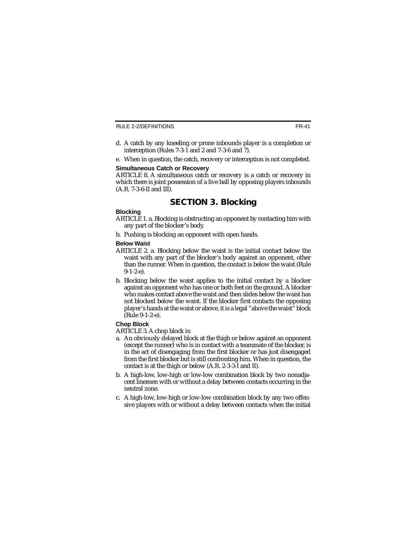- d. A catch by any kneeling or prone inbounds player is a completion or interception (Rules 7-3-1 and 2 and 7-3-6 and 7).
- e. When in question, the catch, recovery or interception is not completed.

#### **Simultaneous Catch or Recovery**

ARTICLE 8. A simultaneous catch or recovery is a catch or recovery in which there is joint possession of a live ball by opposing players inbounds (A.R. 7-3-6-II and III).

## **SECTION 3. Blocking**

#### **Blocking**

- ARTICLE 1. a. Blocking is obstructing an opponent by contacting him with any part of the blocker's body.
- b. Pushing is blocking an opponent with open hands.

#### **Below Waist**

- ARTICLE 2. a. Blocking below the waist is the initial contact below the waist with any part of the blocker's body against an opponent, other than the runner. When in question, the contact is below the waist (Rule  $9-1-2-e$ ).
- b. Blocking below the waist applies to the initial contact by a blocker against an opponent who has one or both feet on the ground. A blocker who makes contact above the waist and then slides below the waist has not blocked below the waist. If the blocker first contacts the opposing player's hands at the waist or above, it is a legal "above the waist'' block (Rule 9-1-2-e).

#### **Chop Block**

ARTICLE 3. A chop block is:

- a. An obviously delayed block at the thigh or below against an opponent (except the runner) who is in contact with a teammate of the blocker, is in the act of disengaging from the first blocker or has just disengaged from the first blocker but is still confronting him. When in question, the contact is at the thigh or below (A.R. 2-3-3-I and II).
- b. A high-low, low-high or low-low combination block by two nonadjacent linemen with or without a delay between contacts occurring in the neutral zone.
- c. A high-low, low-high or low-low combination block by any two offensive players with or without a delay between contacts when the initial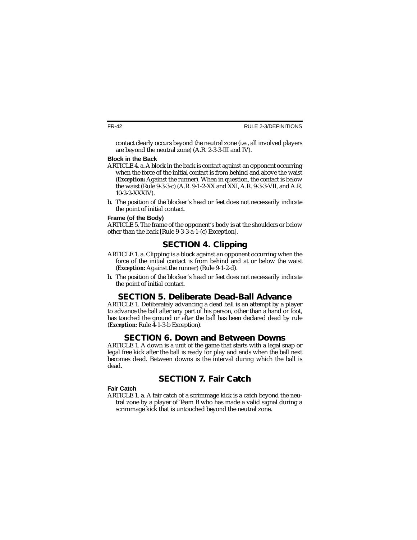contact clearly occurs beyond the neutral zone (i.e., all involved players are beyond the neutral zone) (A.R. 2-3-3-III and IV).

#### **Block in the Back**

- ARTICLE 4. a. A block in the back is contact against an opponent occurring when the force of the initial contact is from behind and above the waist (*Exception:* Against the runner). When in question, the contact is below the waist (Rule 9-3-3-c) (A.R. 9-1-2-XX and XXI, A.R. 9-3-3-VII, and A.R. 10-2-2-XXXIV).
- b. The position of the blocker's head or feet does not necessarily indicate the point of initial contact.

#### **Frame (of the Body)**

ARTICLE 5. The frame of the opponent's body is at the shoulders or below other than the back [Rule 9-3-3-a-1-(c) Exception].

# **SECTION 4. Clipping**

- ARTICLE 1. a. Clipping is a block against an opponent occurring when the force of the initial contact is from behind and at or below the waist (*Exception:* Against the runner) (Rule 9-1-2-d).
- b. The position of the blocker's head or feet does not necessarily indicate the point of initial contact.

# **SECTION 5. Deliberate Dead-Ball Advance**

ARTICLE 1. Deliberately advancing a dead ball is an attempt by a player to advance the ball after any part of his person, other than a hand or foot, has touched the ground or after the ball has been declared dead by rule (*Exception:* Rule 4-1-3-b Exception).

# **SECTION 6. Down and Between Downs**

ARTICLE 1. A down is a unit of the game that starts with a legal snap or legal free kick after the ball is ready for play and ends when the ball next becomes dead. Between downs is the interval during which the ball is dead.

# **SECTION 7. Fair Catch**

#### **Fair Catch**

ARTICLE 1. a. A fair catch of a scrimmage kick is a catch beyond the neutral zone by a player of Team B who has made a valid signal during a scrimmage kick that is untouched beyond the neutral zone.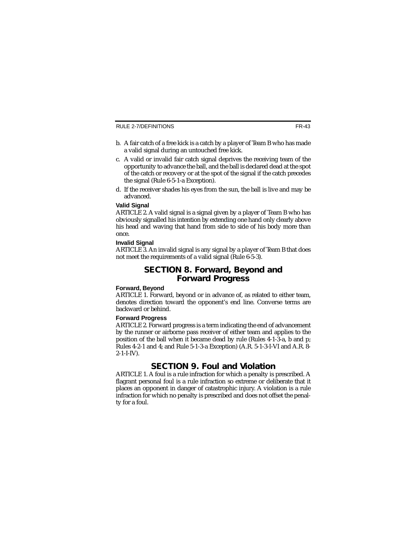- b. A fair catch of a free kick is a catch by a player of Team B who has made a valid signal during an untouched free kick.
- c. A valid or invalid fair catch signal deprives the receiving team of the opportunity to advance the ball, and the ball is declared dead at the spot of the catch or recovery or at the spot of the signal if the catch precedes the signal (Rule 6-5-1-a Exception).
- d. If the receiver shades his eyes from the sun, the ball is live and may be advanced.

#### **Valid Signal**

ARTICLE 2. A valid signal is a signal given by a player of Team B who has obviously signalled his intention by extending one hand only clearly above his head and waving that hand from side to side of his body more than once.

#### **Invalid Signal**

ARTICLE 3. An invalid signal is any signal by a player of Team B that does not meet the requirements of a valid signal (Rule 6-5-3).

### **SECTION 8. Forward, Beyond and Forward Progress**

#### **Forward, Beyond**

ARTICLE 1. Forward, beyond or in advance of, as related to either team, denotes direction toward the opponent's end line. Converse terms are backward or behind.

#### **Forward Progress**

ARTICLE 2. Forward progress is a term indicating the end of advancement by the runner or airborne pass receiver of either team and applies to the position of the ball when it became dead by rule (Rules 4-1-3-a, b and p; Rules 4-2-1 and 4; and Rule 5-1-3-a Exception) (A.R. 5-1-3-I-VI and A.R. 8-  $2 - 1 - I - IV$ ).

## **SECTION 9. Foul and Violation**

ARTICLE 1. A foul is a rule infraction for which a penalty is prescribed. A flagrant personal foul is a rule infraction so extreme or deliberate that it places an opponent in danger of catastrophic injury. A violation is a rule infraction for which no penalty is prescribed and does not offset the penalty for a foul.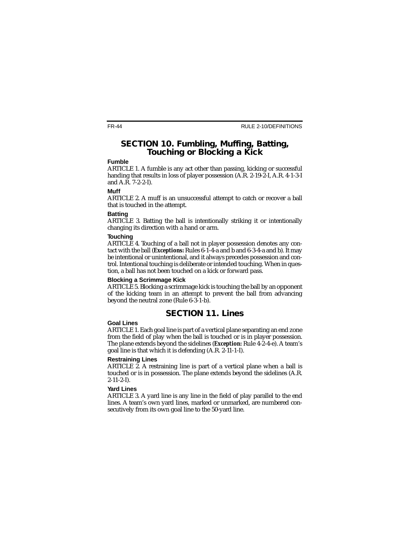### **SECTION 10. Fumbling, Muffing, Batting, Touching or Blocking a Kick**

#### **Fumble**

ARTICLE 1. A fumble is any act other than passing, kicking or successful handing that results in loss of player possession (A.R. 2-19-2-I, A.R. 4-1-3-I and A.R. 7-2-2-I).

#### **Muff**

ARTICLE 2. A muff is an unsuccessful attempt to catch or recover a ball that is touched in the attempt.

#### **Batting**

ARTICLE 3. Batting the ball is intentionally striking it or intentionally changing its direction with a hand or arm.

#### **Touching**

ARTICLE 4. Touching of a ball not in player possession denotes any contact with the ball (*Exceptions:* Rules 6-1-4-a and b and 6-3-4-a and b). It may be intentional or unintentional, and it always precedes possession and control. Intentional touching is deliberate or intended touching. When in question, a ball has not been touched on a kick or forward pass.

#### **Blocking a Scrimmage Kick**

ARTICLE 5. Blocking a scrimmage kick is touching the ball by an opponent of the kicking team in an attempt to prevent the ball from advancing beyond the neutral zone (Rule 6-3-1-b).

## **SECTION 11. Lines**

#### **Goal Lines**

ARTICLE 1. Each goal line is part of a vertical plane separating an end zone from the field of play when the ball is touched or is in player possession. The plane extends beyond the sidelines (*Exception:* Rule 4-2-4-e). A team's goal line is that which it is defending (A.R. 2-11-1-I).

#### **Restraining Lines**

ARTICLE 2. A restraining line is part of a vertical plane when a ball is touched or is in possession. The plane extends beyond the sidelines (A.R. 2-11-2-I).

#### **Yard Lines**

ARTICLE 3. A yard line is any line in the field of play parallel to the end lines. A team's own yard lines, marked or unmarked, are numbered consecutively from its own goal line to the 50-yard line.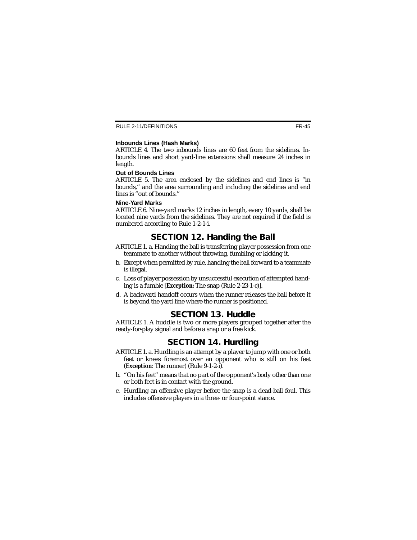#### **Inbounds Lines (Hash Marks)**

ARTICLE 4. The two inbounds lines are  $60$  feet from the sidelines. Inbounds lines and short yard-line extensions shall measure 24 inches in length.

#### **Out of Bounds Lines**

ARTICLE 5. The area enclosed by the sidelines and end lines is "in bounds,'' and the area surrounding and including the sidelines and end lines is "out of bounds."

#### **Nine-Yard Marks**

ARTICLE 6. Nine-yard marks 12 inches in length, every 10 yards, shall be located nine yards from the sidelines. They are not required if the field is numbered according to Rule 1-2-1-i.

# **SECTION 12. Handing the Ball**

- ARTICLE 1. a. Handing the ball is transferring player possession from one teammate to another without throwing, fumbling or kicking it.
- b. Except when permitted by rule, handing the ball forward to a teammate is illegal.
- c. Loss of player possession by unsuccessful execution of attempted handing is a fumble [*Exception:* The snap (Rule 2-23-1-c)].
- d. A backward handoff occurs when the runner releases the ball before it is beyond the yard line where the runner is positioned.

# **SECTION 13. Huddle**

ARTICLE 1. A huddle is two or more players grouped together after the ready-for-play signal and before a snap or a free kick.

# **SECTION 14. Hurdling**

- ARTICLE 1. a. Hurdling is an attempt by a player to jump with one or both feet or knees foremost over an opponent who is still on his feet (*Exception*: The runner) (Rule 9-1-2-i).
- b. "On his feet'' means that no part of the opponent's body other than one or both feet is in contact with the ground.
- c. Hurdling an offensive player before the snap is a dead-ball foul. This includes offensive players in a three- or four-point stance.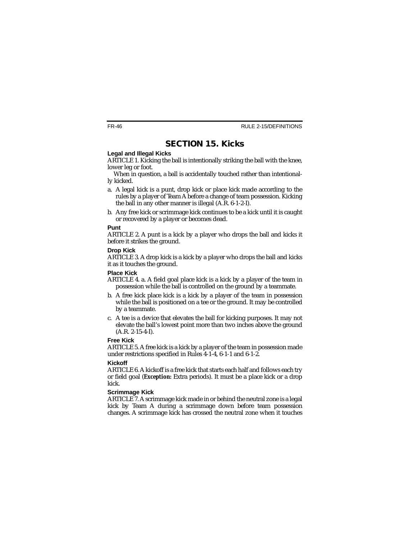# **SECTION 15. Kicks**

#### **Legal and Illegal Kicks**

ARTICLE 1. Kicking the ball is intentionally striking the ball with the knee, lower leg or foot.

When in question, a ball is accidentally touched rather than intentionally kicked.

- a. A legal kick is a punt, drop kick or place kick made according to the rules by a player of Team A before a change of team possession. Kicking the ball in any other manner is illegal (A.R. 6-1-2-I).
- b. Any free kick or scrimmage kick continues to be a kick until it is caught or recovered by a player or becomes dead.

#### **Punt**

ARTICLE 2. A punt is a kick by a player who drops the ball and kicks it before it strikes the ground.

#### **Drop Kick**

ARTICLE 3. A drop kick is a kick by a player who drops the ball and kicks it as it touches the ground.

#### **Place Kick**

- ARTICLE 4. a. A field goal place kick is a kick by a player of the team in possession while the ball is controlled on the ground by a teammate.
- b. A free kick place kick is a kick by a player of the team in possession while the ball is positioned on a tee or the ground. It may be controlled by a teammate.
- c. A tee is a device that elevates the ball for kicking purposes. It may not elevate the ball's lowest point more than two inches above the ground (A.R. 2-15-4-I).

#### **Free Kick**

ARTICLE 5. A free kick is a kick by a player of the team in possession made under restrictions specified in Rules 4-1-4, 6-1-1 and 6-1-2.

#### **Kickoff**

ARTICLE 6. A kickoff is a free kick that starts each half and follows each try or field goal (*Exception:* Extra periods). It must be a place kick or a drop kick.

#### **Scrimmage Kick**

ARTICLE 7. A scrimmage kick made in or behind the neutral zone is a legal kick by Team A during a scrimmage down before team possession changes. A scrimmage kick has crossed the neutral zone when it touches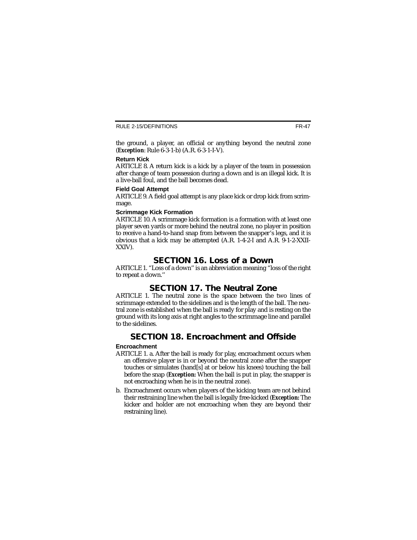the ground, a player, an official or anything beyond the neutral zone (*Exception*: Rule 6-3-1-b) (A.R. 6-3-1-I-V).

#### **Return Kick**

ARTICLE 8. A return kick is a kick by a player of the team in possession after change of team possession during a down and is an illegal kick. It is a live-ball foul, and the ball becomes dead.

#### **Field Goal Attempt**

ARTICLE 9. A field goal attempt is any place kick or drop kick from scrimmage.

#### **Scrimmage Kick Formation**

ARTICLE 10. A scrimmage kick formation is a formation with at least one player seven yards or more behind the neutral zone, no player in position to receive a hand-to-hand snap from between the snapper's legs, and it is obvious that a kick may be attempted (A.R. 1-4-2-I and A.R. 9-1-2-XXII-XXIV).

# **SECTION 16. Loss of a Down**

ARTICLE 1. "Loss of a down'' is an abbreviation meaning "loss of the right to repeat a down.''

# **SECTION 17. The Neutral Zone**

ARTICLE 1. The neutral zone is the space between the two lines of scrimmage extended to the sidelines and is the length of the ball. The neutral zone is established when the ball is ready for play and is resting on the ground with its long axis at right angles to the scrimmage line and parallel to the sidelines.

# **SECTION 18. Encroachment and Offside**

#### **Encroachment**

- ARTICLE 1. a. After the ball is ready for play, encroachment occurs when an offensive player is in or beyond the neutral zone after the snapper touches or simulates (hand[s] at or below his knees) touching the ball before the snap (*Exception:* When the ball is put in play, the snapper is not encroaching when he is in the neutral zone).
- b. Encroachment occurs when players of the kicking team are not behind their restraining line when the ball is legally free-kicked (*Exception:* The kicker and holder are not encroaching when they are beyond their restraining line).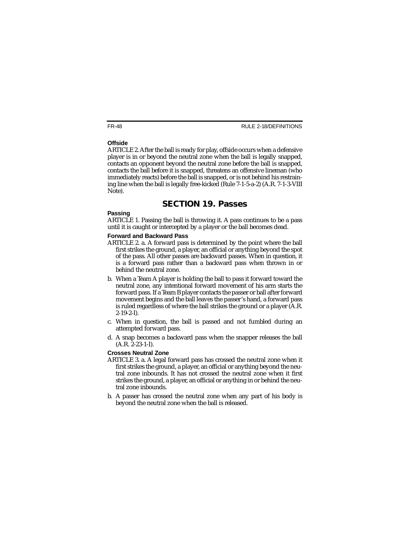#### **Offside**

ARTICLE 2. After the ball is ready for play, offside occurs when a defensive player is in or beyond the neutral zone when the ball is legally snapped, contacts an opponent beyond the neutral zone before the ball is snapped, contacts the ball before it is snapped, threatens an offensive lineman (who immediately reacts) before the ball is snapped, or is not behind his restraining line when the ball is legally free-kicked (Rule 7-1-5-a-2) (A.R. 7-1-3-VIII Note).

## **SECTION 19. Passes**

#### **Passing**

ARTICLE 1. Passing the ball is throwing it. A pass continues to be a pass until it is caught or intercepted by a player or the ball becomes dead.

#### **Forward and Backward Pass**

- ARTICLE 2. a. A forward pass is determined by the point where the ball first strikes the ground, a player, an official or anything beyond the spot of the pass. All other passes are backward passes. When in question, it is a forward pass rather than a backward pass when thrown in or behind the neutral zone.
- b. When a Team A player is holding the ball to pass it forward toward the neutral zone, any intentional forward movement of his arm starts the forward pass. If a Team B player contacts the passer or ball after forward movement begins and the ball leaves the passer's hand, a forward pass is ruled regardless of where the ball strikes the ground or a player (A.R. 2-19-2-I).
- c. When in question, the ball is passed and not fumbled during an attempted forward pass.
- d. A snap becomes a backward pass when the snapper releases the ball (A.R. 2-23-1-I).

#### **Crosses Neutral Zone**

- ARTICLE 3. a. A legal forward pass has crossed the neutral zone when it first strikes the ground, a player, an official or anything beyond the neutral zone inbounds. It has not crossed the neutral zone when it first strikes the ground, a player, an official or anything in or behind the neutral zone inbounds.
- b. A passer has crossed the neutral zone when any part of his body is beyond the neutral zone when the ball is released.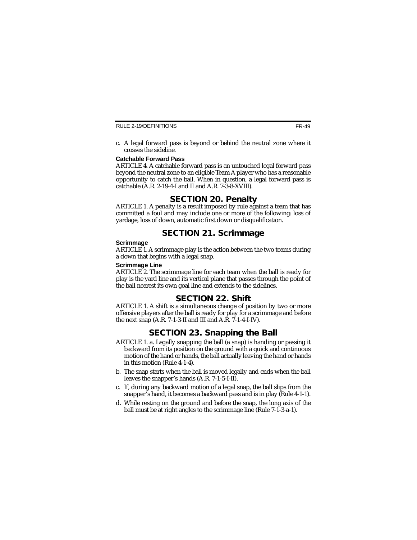c. A legal forward pass is beyond or behind the neutral zone where it crosses the sideline.

#### **Catchable Forward Pass**

ARTICLE 4. A catchable forward pass is an untouched legal forward pass beyond the neutral zone to an eligible Team A player who has a reasonable opportunity to catch the ball. When in question, a legal forward pass is catchable (A.R. 2-19-4-I and II and A.R. 7-3-8-XVIII).

## **SECTION 20. Penalty**

ARTICLE 1. A penalty is a result imposed by rule against a team that has committed a foul and may include one or more of the following: loss of yardage, loss of down, automatic first down or disqualification.

## **SECTION 21. Scrimmage**

#### **Scrimmage**

ARTICLE 1. A scrimmage play is the action between the two teams during a down that begins with a legal snap.

#### **Scrimmage Line**

ARTICLE 2. The scrimmage line for each team when the ball is ready for play is the yard line and its vertical plane that passes through the point of the ball nearest its own goal line and extends to the sidelines.

## **SECTION 22. Shift**

ARTICLE 1. A shift is a simultaneous change of position by two or more offensive players after the ball is ready for play for a scrimmage and before the next snap (A.R. 7-1-3-II and III and A.R. 7-1-4-I-IV).

## **SECTION 23. Snapping the Ball**

- ARTICLE 1. a. Legally snapping the ball (a snap) is handing or passing it backward from its position on the ground with a quick and continuous motion of the hand or hands, the ball actually leaving the hand or hands in this motion (Rule 4-1-4).
- b. The snap starts when the ball is moved legally and ends when the ball leaves the snapper's hands (A.R. 7-1-5-I-II).
- c. If, during any backward motion of a legal snap, the ball slips from the snapper's hand, it becomes a backward pass and is in play (Rule 4-1-1).
- d. While resting on the ground and before the snap, the long axis of the ball must be at right angles to the scrimmage line (Rule 7-1-3-a-1).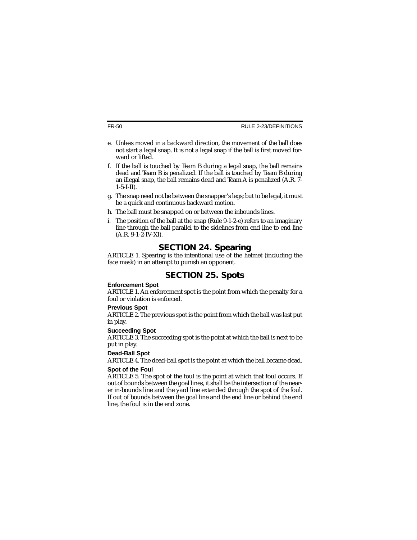- e. Unless moved in a backward direction, the movement of the ball does not start a legal snap. It is not a legal snap if the ball is first moved forward or lifted.
- f. If the ball is touched by Team B during a legal snap, the ball remains dead and Team B is penalized. If the ball is touched by Team B during an illegal snap, the ball remains dead and Team A is penalized (A.R. 7-  $1 - 5 - I - II$ ).
- g. The snap need not be between the snapper's legs; but to be legal, it must be a quick and continuous backward motion.
- h. The ball must be snapped on or between the inbounds lines.
- i. The position of the ball at the snap (Rule 9-1-2-e) refers to an imaginary line through the ball parallel to the sidelines from end line to end line (A.R. 9-1-2-IV-XI).

## **SECTION 24. Spearing**

ARTICLE 1. Spearing is the intentional use of the helmet (including the face mask) in an attempt to punish an opponent.

# **SECTION 25. Spots**

#### **Enforcement Spot**

ARTICLE 1. An enforcement spot is the point from which the penalty for a foul or violation is enforced.

#### **Previous Spot**

ARTICLE 2. The previous spot is the point from which the ball was last put in play.

#### **Succeeding Spot**

ARTICLE 3. The succeeding spot is the point at which the ball is next to be put in play.

#### **Dead-Ball Spot**

ARTICLE 4. The dead-ball spot is the point at which the ball became dead.

#### **Spot of the Foul**

ARTICLE 5. The spot of the foul is the point at which that foul occurs. If out of bounds between the goal lines, it shall be the intersection of the nearer in-bounds line and the yard line extended through the spot of the foul. If out of bounds between the goal line and the end line or behind the end line, the foul is in the end zone.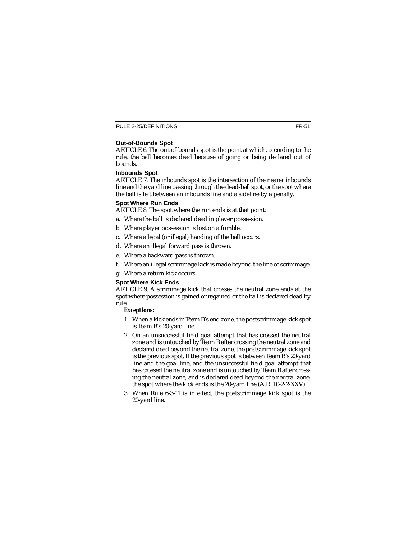#### RULE 2-25/DEFINITIONS

#### **Out-of-Bounds Spot**

ARTICLE 6. The out-of-bounds spot is the point at which, according to the rule, the ball becomes dead because of going or being declared out of bounds.

#### **Inbounds Spot**

ARTICLE 7. The inbounds spot is the intersection of the nearer inbounds line and the yard line passing through the dead-ball spot, or the spot where the ball is left between an inbounds line and a sideline by a penalty.

#### **Spot Where Run Ends**

ARTICLE 8. The spot where the run ends is at that point:

- a. Where the ball is declared dead in player possession.
- b. Where player possession is lost on a fumble.
- c. Where a legal (or illegal) handing of the ball occurs.
- d. Where an illegal forward pass is thrown.
- e. Where a backward pass is thrown.
- f. Where an illegal scrimmage kick is made beyond the line of scrimmage.
- g. Where a return kick occurs.

#### **Spot Where Kick Ends**

ARTICLE 9. A scrimmage kick that crosses the neutral zone ends at the spot where possession is gained or regained or the ball is declared dead by rule.

#### *Exceptions:*

- 1. When a kick ends in Team B's end zone, the postscrimmage kick spot is Team B's 20-yard line.
- 2. On an unsuccessful field goal attempt that has crossed the neutral zone and is untouched by Team B after crossing the neutral zone and declared dead beyond the neutral zone, the postscrimmage kick spot is the previous spot. If the previous spot is between Team B's 20-yard line and the goal line, and the unsuccessful field goal attempt that has crossed the neutral zone and is untouched by Team B after crossing the neutral zone, and is declared dead beyond the neutral zone, the spot where the kick ends is the 20-yard line (A.R. 10-2-2-XXV).
- 3. When Rule 6-3-11 is in effect, the postscrimmage kick spot is the 20-yard line.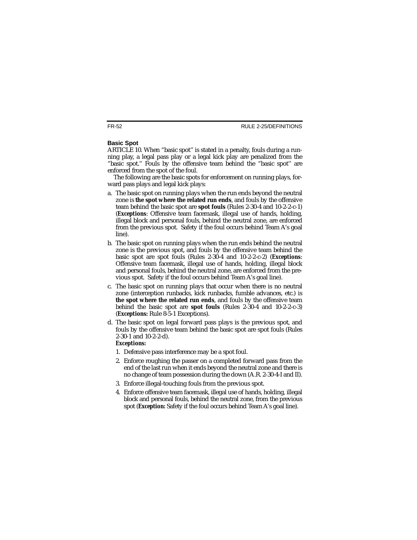#### **Basic Spot**

ARTICLE 10. When "basic spot'' is stated in a penalty, fouls during a running play, a legal pass play or a legal kick play are penalized from the "basic spot.'' Fouls by the offensive team behind the "basic spot'' are enforced from the spot of the foul.

The following are the basic spots for enforcement on running plays, forward pass plays and legal kick plays:

- a. The basic spot on running plays when the run ends beyond the neutral zone is **the spot where the related run ends**, and fouls by the offensive team behind the basic spot are **spot fouls** (Rules 2-30-4 and 10-2-2-c-1) (*Exceptions*: Offensive team facemask, illegal use of hands, holding, illegal block and personal fouls, behind the neutral zone, are enforced from the previous spot. Safety if the foul occurs behind Team A's goal line).
- b. The basic spot on running plays when the run ends behind the neutral zone is the previous spot, and fouls by the offensive team behind the basic spot are spot fouls (Rules 2-30-4 and 10-2-2-c-2) (*Exceptions*: Offensive team facemask, illegal use of hands, holding, illegal block and personal fouls, behind the neutral zone, are enforced from the previous spot. Safety if the foul occurs behind Team A's goal line).
- c. The basic spot on running plays that occur when there is no neutral zone (interception runbacks, kick runbacks, fumble advances, etc.) is **the spot where the related run ends**, and fouls by the offensive team behind the basic spot are **spot fouls** (Rules 2-30-4 and 10-2-2-c-3) (*Exceptions:* Rule 8-5-1 Exceptions).
- d. The basic spot on legal forward pass plays is the previous spot, and fouls by the offensive team behind the basic spot are spot fouls (Rules 2-30-1 and 10-2-2-d).

#### *Exceptions:*

- 1. Defensive pass interference may be a spot foul.
- 2. Enforce roughing the passer on a completed forward pass from the end of the last run when it ends beyond the neutral zone and there is no change of team possession during the down (A.R. 2-30-4-I and II).
- 3. Enforce illegal-touching fouls from the previous spot.
- 4. Enforce offensive team facemask, illegal use of hands, holding, illegal block and personal fouls, behind the neutral zone, from the previous spot (*Exception:* Safety if the foul occurs behind Team A's goal line).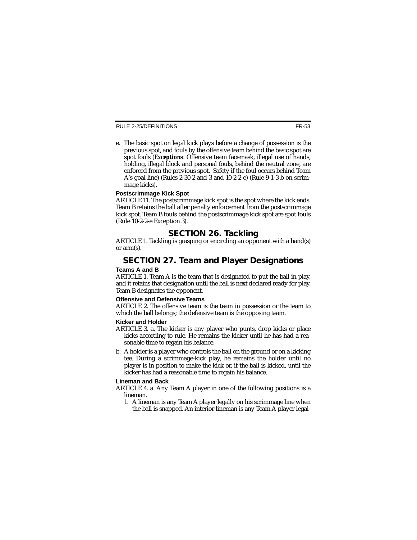e. The basic spot on legal kick plays before a change of possession is the previous spot, and fouls by the offensive team behind the basic spot are spot fouls (*Exceptions*: Offensive team facemask, illegal use of hands, holding, illegal block and personal fouls, behind the neutral zone, are enforced from the previous spot. Safety if the foul occurs behind Team A's goal line) (Rules 2-30-2 and 3 and 10-2-2-e) (Rule 9-1-3-b on scrimmage kicks).

#### **Postscrimmage Kick Spot**

ARTICLE 11. The postscrimmage kick spot is the spot where the kick ends. Team B retains the ball after penalty enforcement from the postscrimmage kick spot. Team B fouls behind the postscrimmage kick spot are spot fouls (Rule 10-2-2-e Exception 3).

## **SECTION 26. Tackling**

ARTICLE 1. Tackling is grasping or encircling an opponent with a hand(s) or arm(s).

# **SECTION 27. Team and Player Designations**

#### **Teams A and B**

ARTICLE 1. Team A is the team that is designated to put the ball in play, and it retains that designation until the ball is next declared ready for play. Team B designates the opponent.

#### **Offensive and Defensive Teams**

ARTICLE 2. The offensive team is the team in possession or the team to which the ball belongs; the defensive team is the opposing team.

#### **Kicker and Holder**

- ARTICLE 3. a. The kicker is any player who punts, drop kicks or place kicks according to rule. He remains the kicker until he has had a reasonable time to regain his balance.
- b. A holder is a player who controls the ball on the ground or on a kicking tee. During a scrimmage-kick play, he remains the holder until no player is in position to make the kick or, if the ball is kicked, until the kicker has had a reasonable time to regain his balance.

#### **Lineman and Back**

- ARTICLE 4. a. Any Team A player in one of the following positions is a lineman.
	- 1. A lineman is any Team A player legally on his scrimmage line when the ball is snapped. An interior lineman is any Team A player legal-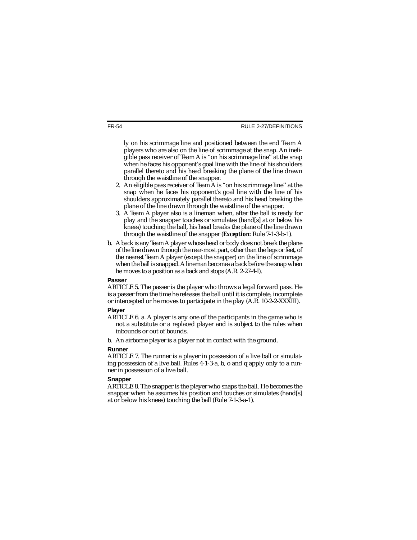ly on his scrimmage line and positioned between the end Team A players who are also on the line of scrimmage at the snap. An ineligible pass receiver of Team A is "on his scrimmage line'' at the snap when he faces his opponent's goal line with the line of his shoulders parallel thereto and his head breaking the plane of the line drawn through the waistline of the snapper.

- 2. An eligible pass receiver of Team A is "on his scrimmage line'' at the snap when he faces his opponent's goal line with the line of his shoulders approximately parallel thereto and his head breaking the plane of the line drawn through the waistline of the snapper.
- 3. A Team A player also is a lineman when, after the ball is ready for play and the snapper touches or simulates (hand[s] at or below his knees) touching the ball, his head breaks the plane of the line drawn through the waistline of the snapper (*Exception:* Rule 7-1-3-b-1).
- b. Aback is any Team Aplayer whose head or body does not break the plane of the line drawn through the rear-most part, other than the legs or feet, of the nearest Team A player (except the snapper) on the line of scrimmage when the ball is snapped. Alineman becomes a back before the snap when he moves to a position as a back and stops (A.R. 2-27-4-I).

#### **Passer**

ARTICLE 5. The passer is the player who throws a legal forward pass. He is a passer from the time he releases the ball until it is complete, incomplete or intercepted or he moves to participate in the play (A.R. 10-2-2-XXXIII).

#### **Player**

- ARTICLE 6. a. A player is any one of the participants in the game who is not a substitute or a replaced player and is subject to the rules when inbounds or out of bounds.
- b. An airborne player is a player not in contact with the ground.

#### **Runner**

ARTICLE 7. The runner is a player in possession of a live ball or simulating possession of a live ball. Rules 4-1-3-a, b, o and q apply only to a runner in possession of a live ball.

#### **Snapper**

ARTICLE 8. The snapper is the player who snaps the ball. He becomes the snapper when he assumes his position and touches or simulates (hand[s] at or below his knees) touching the ball (Rule 7-1-3-a-1).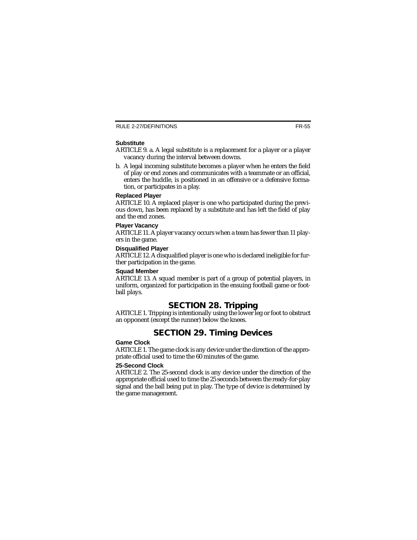#### **Substitute**

- ARTICLE 9. a. A legal substitute is a replacement for a player or a player vacancy during the interval between downs.
- b. A legal incoming substitute becomes a player when he enters the field of play or end zones and communicates with a teammate or an official, enters the huddle, is positioned in an offensive or a defensive formation, or participates in a play.

#### **Replaced Player**

ARTICLE 10. A replaced player is one who participated during the previous down, has been replaced by a substitute and has left the field of play and the end zones.

#### **Player Vacancy**

ARTICLE 11. A player vacancy occurs when a team has fewer than 11 players in the game.

#### **Disqualified Player**

ARTICLE 12. A disqualified player is one who is declared ineligible for further participation in the game.

#### **Squad Member**

ARTICLE 13. A squad member is part of a group of potential players, in uniform, organized for participation in the ensuing football game or football plays.

# **SECTION 28. Tripping**

ARTICLE 1. Tripping is intentionally using the lower leg or foot to obstruct an opponent (except the runner) below the knees.

# **SECTION 29. Timing Devices**

#### **Game Clock**

ARTICLE 1. The game clock is any device under the direction of the appropriate official used to time the 60 minutes of the game.

#### **25-Second Clock**

ARTICLE 2. The 25-second clock is any device under the direction of the appropriate official used to time the 25 seconds between the ready-for-play signal and the ball being put in play. The type of device is determined by the game management.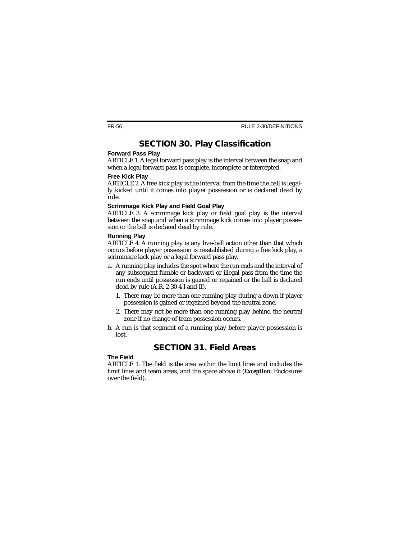# **SECTION 30. Play Classification**

#### **Forward Pass Play**

ARTICLE 1. A legal forward pass play is the interval between the snap and when a legal forward pass is complete, incomplete or intercepted.

#### **Free Kick Play**

ARTICLE 2. A free kick play is the interval from the time the ball is legally kicked until it comes into player possession or is declared dead by rule.

#### **Scrimmage Kick Play and Field Goal Play**

ARTICLE 3. A scrimmage kick play or field goal play is the interval between the snap and when a scrimmage kick comes into player possession or the ball is declared dead by rule.

#### **Running Play**

ARTICLE 4. A running play is any live-ball action other than that which occurs before player possession is reestablished during a free kick play, a scrimmage kick play or a legal forward pass play.

- a. A running play includes the spot where the run ends and the interval of any subsequent fumble or backward or illegal pass from the time the run ends until possession is gained or regained or the ball is declared dead by rule (A.R. 2-30-4-I and II).
	- 1. There may be more than one running play during a down if player possession is gained or regained beyond the neutral zone.
	- 2. There may not be more than one running play behind the neutral zone if no change of team possession occurs.
- b. A run is that segment of a running play before player possession is lost.

# **SECTION 31. Field Areas**

#### **The Field**

ARTICLE 1. The field is the area within the limit lines and includes the limit lines and team areas, and the space above it (*Exception:* Enclosures over the field).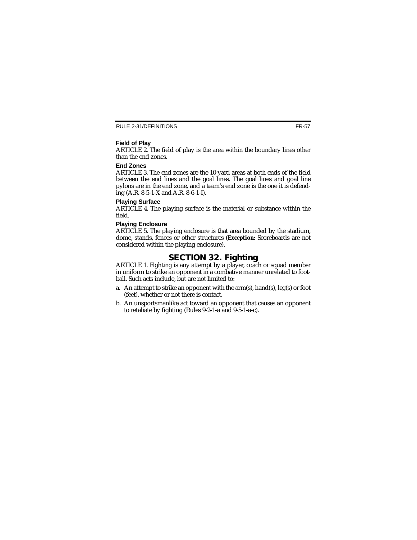#### **Field of Play**

ARTICLE 2. The field of play is the area within the boundary lines other than the end zones.

#### **End Zones**

ARTICLE 3. The end zones are the 10-yard areas at both ends of the field between the end lines and the goal lines. The goal lines and goal line pylons are in the end zone, and a team's end zone is the one it is defending  $(A.R. 8-5-1-X$  and  $A.R. 8-6-1-I$ ).

#### **Playing Surface**

ARTICLE 4. The playing surface is the material or substance within the field.

#### **Playing Enclosure**

ARTICLE 5. The playing enclosure is that area bounded by the stadium, dome, stands, fences or other structures (*Exception:* Scoreboards are not considered within the playing enclosure).

## **SECTION 32. Fighting**

ARTICLE 1. Fighting is any attempt by a player, coach or squad member in uniform to strike an opponent in a combative manner unrelated to football. Such acts include, but are not limited to:

- a. An attempt to strike an opponent with the arm(s), hand(s), leg(s) or foot (feet), whether or not there is contact.
- b. An unsportsmanlike act toward an opponent that causes an opponent to retaliate by fighting (Rules 9-2-1-a and 9-5-1-a-c).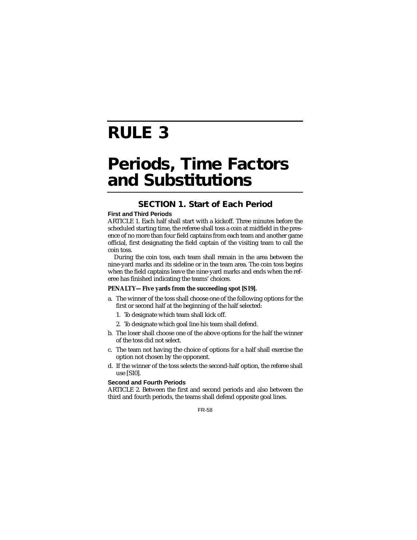# **RULE 3**

# **Periods, Time Factors and Substitutions**

## **SECTION 1. Start of Each Period**

#### **First and Third Periods**

ARTICLE 1. Each half shall start with a kickoff. Three minutes before the scheduled starting time, the referee shall toss a coin at midfield in the presence of no more than four field captains from each team and another game official, first designating the field captain of the visiting team to call the coin toss.

During the coin toss, each team shall remain in the area between the nine-yard marks and its sideline or in the team area. The coin toss begins when the field captains leave the nine-yard marks and ends when the referee has finished indicating the teams' choices.

#### **PENALTY—Five yards from the succeeding spot [S19].**

- a. The winner of the toss shall choose one of the following options for the first or second half at the beginning of the half selected:
	- 1. To designate which team shall kick off.
	- 2. To designate which goal line his team shall defend.
- b. The loser shall choose one of the above options for the half the winner of the toss did not select.
- c. The team not having the choice of options for a half shall exercise the option not chosen by the opponent.
- d. If the winner of the toss selects the second-half option, the referee shall use [S10].

#### **Second and Fourth Periods**

ARTICLE 2. Between the first and second periods and also between the third and fourth periods, the teams shall defend opposite goal lines.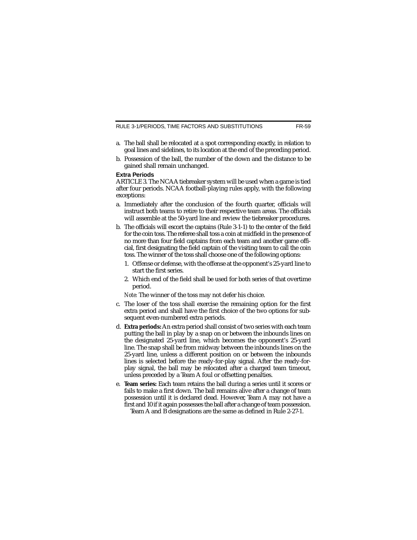RULE 3-1/PERIODS, TIME FACTORS AND SUBSTITUTIONS

- a. The ball shall be relocated at a spot corresponding exactly, in relation to goal lines and sidelines, to its location at the end of the preceding period.
- b. Possession of the ball, the number of the down and the distance to be gained shall remain unchanged.

#### **Extra Periods**

ARTICLE 3. The NCAA tiebreaker system will be used when a game is tied after four periods. NCAA football-playing rules apply, with the following exceptions:

- a. Immediately after the conclusion of the fourth quarter, officials will instruct both teams to retire to their respective team areas. The officials will assemble at the 50-yard line and review the tiebreaker procedures.
- b. The officials will escort the captains (Rule 3-1-1) to the center of the field for the coin toss. The referee shall toss a coin at midfield in the presence of no more than four field captains from each team and another game official, first designating the field captain of the visiting team to call the coin toss. The winner of the toss shall choose one of the following options:
	- 1. Offense or defense, with the offense at the opponent's 25-yard line to start the first series.
	- 2. Which end of the field shall be used for both series of that overtime period.

*Note:* The winner of the toss may not defer his choice.

- c. The loser of the toss shall exercise the remaining option for the first extra period and shall have the first choice of the two options for subsequent even-numbered extra periods.
- d. **Extra periods:**An extra period shall consist of two series with each team putting the ball in play by a snap on or between the inbounds lines on the designated 25-yard line, which becomes the opponent's 25-yard line. The snap shall be from midway between the inbounds lines on the 25-yard line, unless a different position on or between the inbounds lines is selected before the ready-for-play signal. After the ready-forplay signal, the ball may be relocated after a charged team timeout, unless preceded by a Team A foul or offsetting penalties.
- e. **Team series:** Each team retains the ball during a series until it scores or fails to make a first down. The ball remains alive after a change of team possession until it is declared dead. However, Team A may not have a first and 10 if it again possesses the ball after a change of team possession. Team A and B designations are the same as defined in Rule 2-27-1.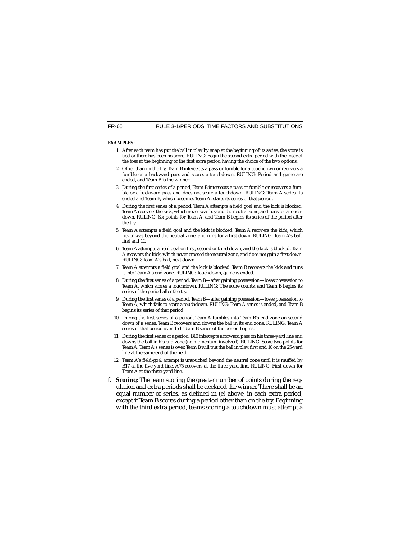#### **EXAMPLES:**

- 1. After each team has put the ball in play by snap at the beginning of its series, the score is tied or there has been no score. RULING: Begin the second extra period with the loser of the toss at the beginning of the first extra period having the choice of the two options.
- 2. Other than on the try, Team B intercepts a pass or fumble for a touchdown or recovers a fumble or a backward pass and scores a touchdown. RULING: Period and game are ended, and Team B is the winner.
- 3. During the first series of a period, Team B intercepts a pass or fumble or recovers a fumble or a backward pass and does not score a touchdown. RULING: Team A series is ended and Team B, which becomes Team A, starts its series of that period.
- 4. During the first series of a period, Team A attempts a field goal and the kick is blocked. Team A recovers the kick, which never was beyond the neutral zone, and runs for a touchdown. RULING: Six points for Team A, and Team B begins its series of the period after the try.
- 5. Team A attempts a field goal and the kick is blocked. Team A recovers the kick, which never was beyond the neutral zone, and runs for a first down. RULING: Team A's ball, first and 10.
- 6. Team A attempts a field goal on first, second or third down, and the kick is blocked. Team A recovers the kick, which never crossed the neutral zone, and does not gain a first down. RULING: Team A's ball, next down.
- 7. Team A attempts a field goal and the kick is blocked. Team B recovers the kick and runs it into Team A's end zone. RULING: Touchdown, game is ended.
- 8. During the first series of a period, Team B—after gaining possession—loses possession to Team A, which scores a touchdown. RULING: The score counts, and Team B begins its series of the period after the try.
- 9. During the first series of a period, Team B—after gaining possession—loses possession to Team A, which fails to score a touchdown. RULING: Team A series is ended, and Team B begins its series of that period.
- 10. During the first series of a period, Team A fumbles into Team B's end zone on second down of a series. Team B recovers and downs the ball in its end zone. RULING: Team A series of that period is ended. Team B series of the period begins.
- 11. During the first series of a period, B10 intercepts a forward pass on his three-yard line and downs the ball in his end zone (no momentum involved). RULING: Score two points for Team A. Team A's series is over. Team B will put the ball in play, first and 10 on the 25-yard line at the same end of the field.
- 12. Team A's field-goal attempt is untouched beyond the neutral zone until it is muffed by B17 at the five-yard line. A75 recovers at the three-yard line. RULING: First down for Team A at the three-yard line.
- f. **Scoring:** The team scoring the greater number of points during the regulation and extra periods shall be declared the winner. There shall be an equal number of series, as defined in (e) above, in each extra period, except if Team B scores during a period other than on the try. Beginning with the third extra period, teams scoring a touchdown must attempt a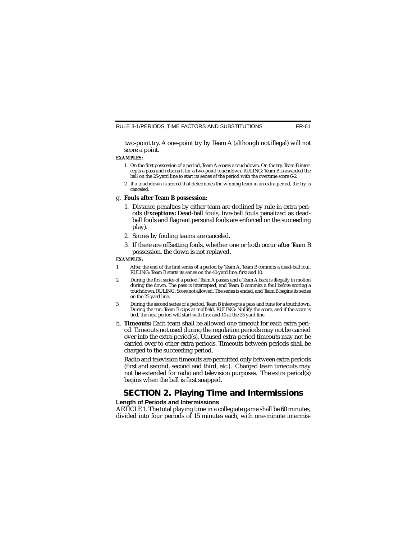two-point try. A one-point try by Team A (although not illegal) will not score a point.

#### **EXAMPLES:**

- 1. On the first possession of a period, Team A scores a touchdown. On the try, Team B intercepts a pass and returns it for a two-point touchdown. RULING: Team B is awarded the ball on the 25-yard line to start its series of the period with the overtime score 6-2.
- 2. If a touchdown is scored that determines the winning team in an extra period, the try is canceled.

#### g. **Fouls after Team B possession:**

- 1. Distance penalties by either team are declined by rule in extra periods (*Exceptions:* Dead-ball fouls, live-ball fouls penalized as deadball fouls and flagrant personal fouls are enforced on the succeeding play).
- 2. Scores by fouling teams are canceled.
- 3. If there are offsetting fouls, whether one or both occur after Team B possession, the down is not replayed.

#### **EXAMPLES:**

- 1. After the end of the first series of a period by Team A, Team B commits a dead-ball foul. RULING: Team B starts its series on the 40-yard line, first and 10.
- 2. During the first series of a period, Team A passes and a Team A back is illegally in motion during the down. The pass is intercepted, and Team B commits a foul before scoring a touchdown. RULING: Score not allowed. The series is ended, and Team B begins its series on the 25-yard line.
- 3. During the second series of a period, Team B intercepts a pass and runs for a touchdown. During the run, Team B clips at midfield. RULING: Nullify the score, and if the score is tied, the next period will start with first and 10 at the 25-yard line.
- h. **Timeouts:** Each team shall be allowed one timeout for each extra period. Timeouts not used during the regulation periods may not be carried over into the extra period(s). Unused extra-period timeouts may not be carried over to other extra periods. Timeouts between periods shall be charged to the succeeding period.

Radio and television timeouts are permitted only between extra periods (first and second, second and third, etc.). Charged team timeouts may not be extended for radio and television purposes. The extra period(s) begins when the ball is first snapped.

## **SECTION 2. Playing Time and Intermissions**

#### **Length of Periods and Intermissions**

ARTICLE 1. The total playing time in a collegiate game shall be 60 minutes, divided into four periods of 15 minutes each, with one-minute intermis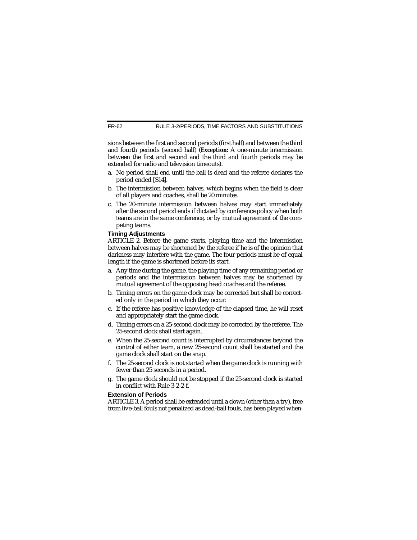sions between the first and second periods (first half) and between the third and fourth periods (second half) (*Exception:* A one-minute intermission between the first and second and the third and fourth periods may be extended for radio and television timeouts).

- a. No period shall end until the ball is dead and the referee declares the period ended [S14].
- b. The intermission between halves, which begins when the field is clear of all players and coaches, shall be 20 minutes.
- c. The 20-minute intermission between halves may start immediately after the second period ends if dictated by conference policy when both teams are in the same conference, or by mutual agreement of the competing teams.

#### **Timing Adjustments**

ARTICLE 2. Before the game starts, playing time and the intermission between halves may be shortened by the referee if he is of the opinion that darkness may interfere with the game. The four periods must be of equal length if the game is shortened before its start.

- a. Any time during the game, the playing time of any remaining period or periods and the intermission between halves may be shortened by mutual agreement of the opposing head coaches and the referee.
- b. Timing errors on the game clock may be corrected but shall be corrected only in the period in which they occur.
- c. If the referee has positive knowledge of the elapsed time, he will reset and appropriately start the game clock.
- d. Timing errors on a 25-second clock may be corrected by the referee. The 25-second clock shall start again.
- e. When the 25-second count is interrupted by circumstances beyond the control of either team, a new 25-second count shall be started and the game clock shall start on the snap.
- f. The 25-second clock is not started when the game clock is running with fewer than 25 seconds in a period.
- g. The game clock should not be stopped if the 25-second clock is started in conflict with Rule 3-2-2-f.

#### **Extension of Periods**

ARTICLE 3. A period shall be extended until a down (other than a try), free from live-ball fouls not penalized as dead-ball fouls, has been played when: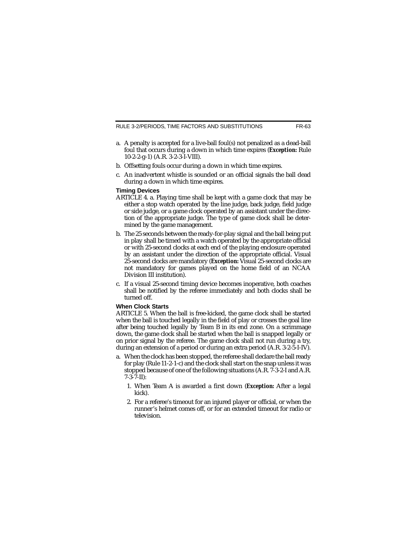RULE 3-2/PERIODS, TIME FACTORS AND SUBSTITUTIONS

- a. A penalty is accepted for a live-ball foul(s) not penalized as a dead-ball foul that occurs during a down in which time expires (*Exception:* Rule 10-2-2-g-1) (A.R. 3-2-3-I-VIII).
- b. Offsetting fouls occur during a down in which time expires.
- c. An inadvertent whistle is sounded or an official signals the ball dead during a down in which time expires.

#### **Timing Devices**

- ARTICLE 4. a. Playing time shall be kept with a game clock that may be either a stop watch operated by the line judge, back judge, field judge or side judge, or a game clock operated by an assistant under the direction of the appropriate judge. The type of game clock shall be determined by the game management.
- b. The 25 seconds between the ready-for-play signal and the ball being put in play shall be timed with a watch operated by the appropriate official or with 25-second clocks at each end of the playing enclosure operated by an assistant under the direction of the appropriate official. Visual 25-second clocks are mandatory (*Exception:* Visual 25-second clocks are not mandatory for games played on the home field of an NCAA Division III institution).
- c. If a visual 25-second timing device becomes inoperative, both coaches shall be notified by the referee immediately and both clocks shall be turned off.

#### **When Clock Starts**

ARTICLE 5. When the ball is free-kicked, the game clock shall be started when the ball is touched legally in the field of play or crosses the goal line after being touched legally by Team B in its end zone. On a scrimmage down, the game clock shall be started when the ball is snapped legally or on prior signal by the referee. The game clock shall not run during a try, during an extension of a period or during an extra period (A.R. 3-2-5-I-IV).

- a. When the clock has been stopped, the referee shall declare the ball ready for play (Rule 11-2-1-c) and the clock shall start on the snap unless it was stopped because of one of the following situations (A.R. 7-3-2-I and A.R. 7-3-7-II):
	- 1. When Team A is awarded a first down (*Exception:* After a legal kick).
	- 2. For a referee's timeout for an injured player or official, or when the runner's helmet comes off, or for an extended timeout for radio or television.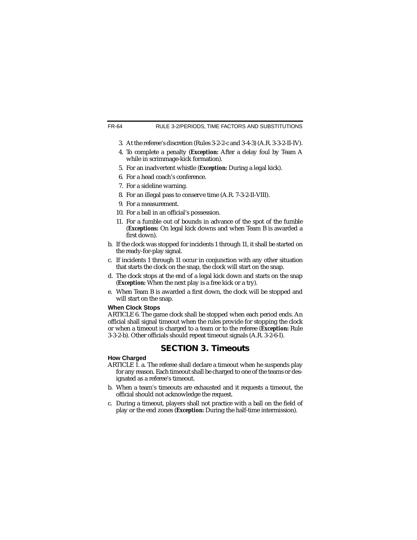#### FR-64 RULE 3-2/PERIODS, TIME FACTORS AND SUBSTITUTIONS

- 3. At the referee's discretion (Rules 3-2-2-c and 3-4-3) (A.R. 3-3-2-II-IV).
- 4. To complete a penalty (*Exception:* After a delay foul by Team A while in scrimmage-kick formation).
- 5. For an inadvertent whistle (*Exception:* During a legal kick).
- 6. For a head coach's conference.
- 7. For a sideline warning.
- 8. For an illegal pass to conserve time (A.R. 7-3-2-II-VIII).
- 9. For a measurement.
- 10. For a ball in an official's possession.
- 11. For a fumble out of bounds in advance of the spot of the fumble (*Exceptions:* On legal kick downs and when Team B is awarded a first down).
- b. If the clock was stopped for incidents 1 through 11, it shall be started on the ready-for-play signal.
- c. If incidents 1 through 11 occur in conjunction with any other situation that starts the clock on the snap, the clock will start on the snap.
- d. The clock stops at the end of a legal kick down and starts on the snap (*Exception:* When the next play is a free kick or a try).
- e. When Team B is awarded a first down, the clock will be stopped and will start on the snap.

#### **When Clock Stops**

ARTICLE 6. The game clock shall be stopped when each period ends. An official shall signal timeout when the rules provide for stopping the clock or when a timeout is charged to a team or to the referee (*Exception:* Rule 3-3-2-b). Other officials should repeat timeout signals (A.R. 3-2-6-I).

# **SECTION 3. Timeouts**

#### **How Charged**

- ARTICLE 1. a. The referee shall declare a timeout when he suspends play for any reason. Each timeout shall be charged to one of the teams or designated as a referee's timeout.
- b. When a team's timeouts are exhausted and it requests a timeout, the official should not acknowledge the request.
- c. During a timeout, players shall not practice with a ball on the field of play or the end zones (*Exception:* During the half-time intermission).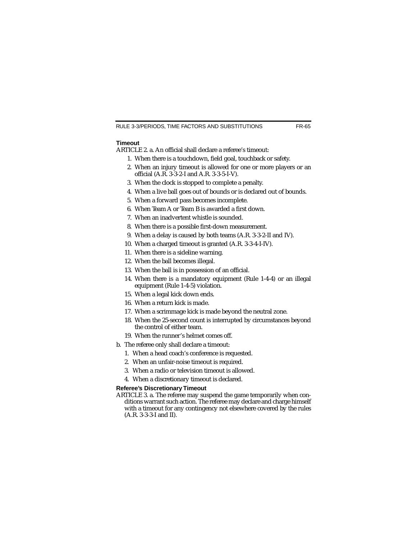#### **Timeout**

ARTICLE 2. a. An official shall declare a referee's timeout:

- 1. When there is a touchdown, field goal, touchback or safety.
- 2. When an injury timeout is allowed for one or more players or an official (A.R. 3-3-2-I and A.R. 3-3-5-I-V).
- 3. When the clock is stopped to complete a penalty.
- 4. When a live ball goes out of bounds or is declared out of bounds.
- 5. When a forward pass becomes incomplete.
- 6. When Team A or Team B is awarded a first down.
- 7. When an inadvertent whistle is sounded.
- 8. When there is a possible first-down measurement.
- 9. When a delay is caused by both teams (A.R. 3-3-2-II and IV).
- 10. When a charged timeout is granted (A.R. 3-3-4-I-IV).
- 11. When there is a sideline warning.
- 12. When the ball becomes illegal.
- 13. When the ball is in possession of an official.
- 14. When there is a mandatory equipment (Rule 1-4-4) or an illegal equipment (Rule 1-4-5) violation.
- 15. When a legal kick down ends.
- 16. When a return kick is made.
- 17. When a scrimmage kick is made beyond the neutral zone.
- 18. When the 25-second count is interrupted by circumstances beyond the control of either team.
- 19. When the runner's helmet comes off.
- b. The referee only shall declare a timeout:
	- 1. When a head coach's conference is requested.
	- 2. When an unfair-noise timeout is required.
	- 3. When a radio or television timeout is allowed.
	- 4. When a discretionary timeout is declared.

#### **Referee's Discretionary Timeout**

ARTICLE 3. a. The referee may suspend the game temporarily when conditions warrant such action. The referee may declare and charge himself with a timeout for any contingency not elsewhere covered by the rules (A.R. 3-3-3-I and II).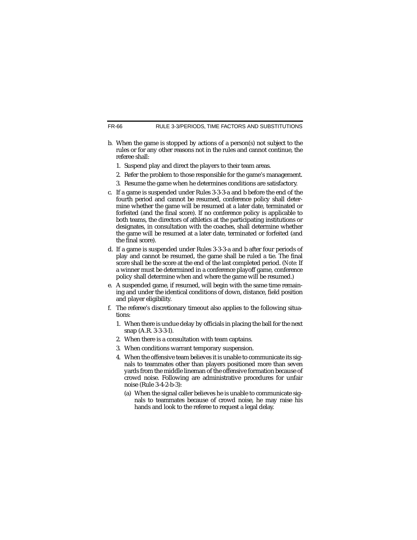- b. When the game is stopped by actions of a person(s) not subject to the rules or for any other reasons not in the rules and cannot continue, the referee shall:
	- 1. Suspend play and direct the players to their team areas.
	- 2. Refer the problem to those responsible for the game's management.
	- 3. Resume the game when he determines conditions are satisfactory.
- c. If a game is suspended under Rules 3-3-3-a and b before the end of the fourth period and cannot be resumed, conference policy shall determine whether the game will be resumed at a later date, terminated or forfeited (and the final score). If no conference policy is applicable to both teams, the directors of athletics at the participating institutions or designates, in consultation with the coaches, shall determine whether the game will be resumed at a later date, terminated or forfeited (and the final score).
- d. If a game is suspended under Rules 3-3-3-a and b after four periods of play and cannot be resumed, the game shall be ruled a tie. The final score shall be the score at the end of the last completed period. (*Note:* If a winner must be determined in a conference playoff game, conference policy shall determine when and where the game will be resumed.)
- e. A suspended game, if resumed, will begin with the same time remaining and under the identical conditions of down, distance, field position and player eligibility.
- f. The referee's discretionary timeout also applies to the following situations:
	- 1. When there is undue delay by officials in placing the ball for the next snap (A.R. 3-3-3-I).
	- 2. When there is a consultation with team captains.
	- 3. When conditions warrant temporary suspension.
	- 4. When the offensive team believes it is unable to communicate its signals to teammates other than players positioned more than seven yards from the middle lineman of the offensive formation because of crowd noise. Following are administrative procedures for unfair noise (Rule 3-4-2-b-3):
		- (a) When the signal caller believes he is unable to communicate signals to teammates because of crowd noise, he may raise his hands and look to the referee to request a legal delay.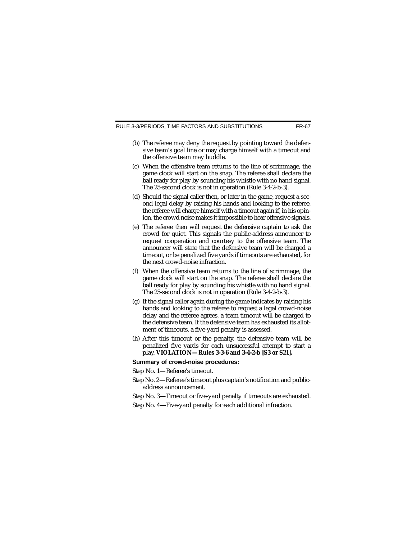RULE 3-3/PERIODS, TIME FACTORS AND SUBSTITUTIONS

- (b) The referee may deny the request by pointing toward the defensive team's goal line or may charge himself with a timeout and the offensive team may huddle.
- (c) When the offensive team returns to the line of scrimmage, the game clock will start on the snap. The referee shall declare the ball ready for play by sounding his whistle with no hand signal. The 25-second clock is not in operation (Rule 3-4-2-b-3).
- (d) Should the signal caller then, or later in the game, request a second legal delay by raising his hands and looking to the referee, the referee will charge himself with a timeout again if, in his opinion, the crowd noise makes it impossible to hear offensive signals.
- (e) The referee then will request the defensive captain to ask the crowd for quiet. This signals the public-address announcer to request cooperation and courtesy to the offensive team. The announcer will state that the defensive team will be charged a timeout, or be penalized five yards if timeouts are exhausted, for the next crowd-noise infraction.
- (f) When the offensive team returns to the line of scrimmage, the game clock will start on the snap. The referee shall declare the ball ready for play by sounding his whistle with no hand signal. The 25-second clock is not in operation (Rule 3-4-2-b-3).
- (g) If the signal caller again during the game indicates by raising his hands and looking to the referee to request a legal crowd-noise delay and the referee agrees, a team timeout will be charged to the defensive team. If the defensive team has exhausted its allotment of timeouts, a five-yard penalty is assessed.
- (h) After this timeout or the penalty, the defensive team will be penalized five yards for each unsuccessful attempt to start a play. **VIOLATION—Rules 3-3-6 and 3-4-2-b [S3 or S21].**

#### **Summary of crowd-noise procedures:**

Step No. 1—Referee's timeout.

- Step No. 2—Referee's timeout plus captain's notification and publicaddress announcement.
- Step No. 3—Timeout or five-yard penalty if timeouts are exhausted.
- Step No. 4—Five-yard penalty for each additional infraction.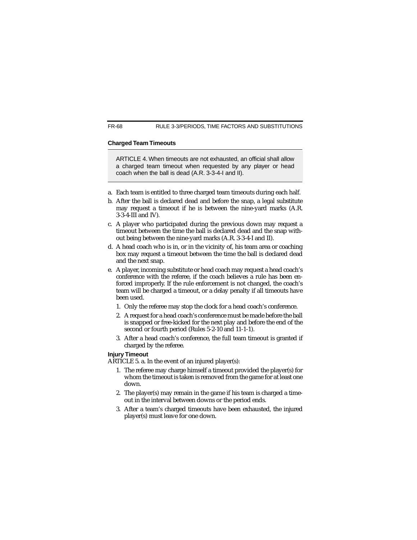#### **Charged Team Timeouts**

ARTICLE 4. When timeouts are not exhausted, an official shall allow a charged team timeout when requested by any player or head coach when the ball is dead (A.R. 3-3-4-I and II).

- a. Each team is entitled to three charged team timeouts during each half.
- b. After the ball is declared dead and before the snap, a legal substitute may request a timeout if he is between the nine-yard marks (A.R. 3-3-4-III and IV).
- c. A player who participated during the previous down may request a timeout between the time the ball is declared dead and the snap without being between the nine-yard marks (A.R. 3-3-4-I and II).
- d. A head coach who is in, or in the vicinity of, his team area or coaching box may request a timeout between the time the ball is declared dead and the next snap.
- e. A player, incoming substitute or head coach may request a head coach's conference with the referee, if the coach believes a rule has been enforced improperly. If the rule enforcement is not changed, the coach's team will be charged a timeout, or a delay penalty if all timeouts have been used.
	- 1. Only the referee may stop the clock for a head coach's conference.
	- 2. A request for a head coach's conference must be made before the ball is snapped or free-kicked for the next play and before the end of the second or fourth period (Rules 5-2-10 and 11-1-1).
	- 3. After a head coach's conference, the full team timeout is granted if charged by the referee.

#### **Injury Timeout**

ARTICLE 5. a. In the event of an injured player(s):

- 1. The referee may charge himself a timeout provided the player(s) for whom the timeout is taken is removed from the game for at least one down.
- 2. The player(s) may remain in the game if his team is charged a timeout in the interval between downs or the period ends.
- 3. After a team's charged timeouts have been exhausted, the injured player(s) must leave for one down.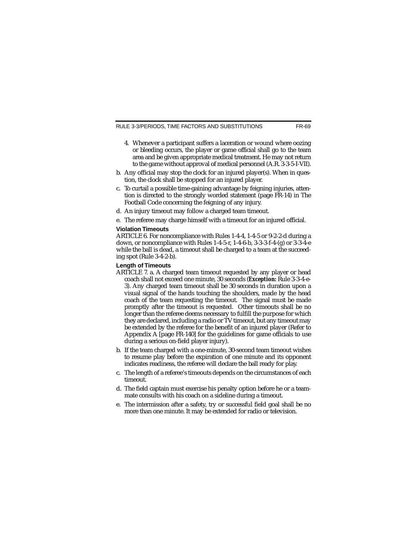RULE 3-3/PERIODS, TIME FACTORS AND SUBSTITUTIONS

- 4. Whenever a participant suffers a laceration or wound where oozing or bleeding occurs, the player or game official shall go to the team area and be given appropriate medical treatment. He may not return to the game without approval of medical personnel (A.R. 3-3-5-I-VII).
- b. Any official may stop the clock for an injured player(s). When in question, the clock shall be stopped for an injured player.
- c. To curtail a possible time-gaining advantage by feigning injuries, attention is directed to the strongly worded statement (page FR-14) in The Football Code concerning the feigning of any injury.
- d. An injury timeout may follow a charged team timeout.
- e. The referee may charge himself with a timeout for an injured official.

#### **Violation Timeouts**

ARTICLE 6. For noncompliance with Rules 1-4-4, 1-4-5 or 9-2-2-d during a down, or noncompliance with Rules 1-4-5-r, 1-4-6-b, 3-3-3-f-4-(g) or 3-3-4-e while the ball is dead, a timeout shall be charged to a team at the succeeding spot (Rule 3-4-2-b).

#### **Length of Timeouts**

- ARTICLE 7. a. A charged team timeout requested by any player or head coach shall not exceed one minute, 30 seconds (*Exception:* Rule 3-3-4-e-3). Any charged team timeout shall be 30 seconds in duration upon a visual signal of the hands touching the shoulders, made by the head coach of the team requesting the timeout. The signal must be made promptly after the timeout is requested. Other timeouts shall be no longer than the referee deems necessary to fulfill the purpose for which they are declared, including a radio or TV timeout, but any timeout may be extended by the referee for the benefit of an injured player (Refer to Appendix A [page FR-140] for the guidelines for game officials to use during a serious on-field player injury).
- b. If the team charged with a one-minute, 30-second team timeout wishes to resume play before the expiration of one minute and its opponent indicates readiness, the referee will declare the ball ready for play.
- c. The length of a referee's timeouts depends on the circumstances of each timeout.
- d. The field captain must exercise his penalty option before he or a teammate consults with his coach on a sideline during a timeout.
- e. The intermission after a safety, try or successful field goal shall be no more than one minute. It may be extended for radio or television.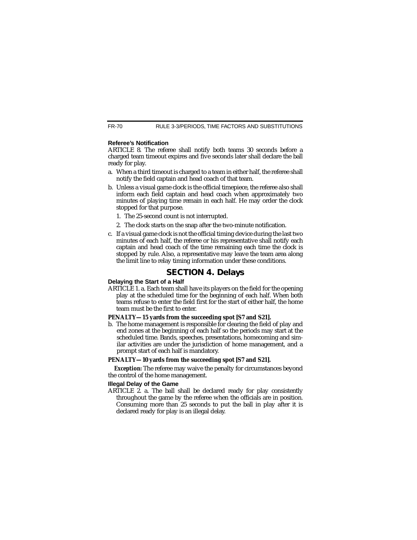#### **Referee's Notification**

ARTICLE 8. The referee shall notify both teams 30 seconds before a charged team timeout expires and five seconds later shall declare the ball ready for play.

- a. When a third timeout is charged to a team in either half, the referee shall notify the field captain and head coach of that team.
- b. Unless a visual game clock is the official timepiece, the referee also shall inform each field captain and head coach when approximately two minutes of playing time remain in each half. He may order the clock stopped for that purpose.
	- 1. The 25-second count is not interrupted.
	- 2. The clock starts on the snap after the two-minute notification.
- c. If a visual game clock is not the official timing device during the last two minutes of each half, the referee or his representative shall notify each captain and head coach of the time remaining each time the clock is stopped by rule. Also, a representative may leave the team area along the limit line to relay timing information under these conditions.

# **SECTION 4. Delays**

#### **Delaying the Start of a Half**

ARTICLE 1. a. Each team shall have its players on the field for the opening play at the scheduled time for the beginning of each half. When both teams refuse to enter the field first for the start of either half, the home team must be the first to enter.

#### **PENALTY—15 yards from the succeeding spot [S7 and S21].**

b. The home management is responsible for clearing the field of play and end zones at the beginning of each half so the periods may start at the scheduled time. Bands, speeches, presentations, homecoming and similar activities are under the jurisdiction of home management, and a prompt start of each half is mandatory.

#### **PENALTY—10 yards from the succeeding spot [S7 and S21].**

*Exception:* The referee may waive the penalty for circumstances beyond the control of the home management.

#### **Illegal Delay of the Game**

ARTICLE 2. a. The ball shall be declared ready for play consistently throughout the game by the referee when the officials are in position. Consuming more than 25 seconds to put the ball in play after it is declared ready for play is an illegal delay.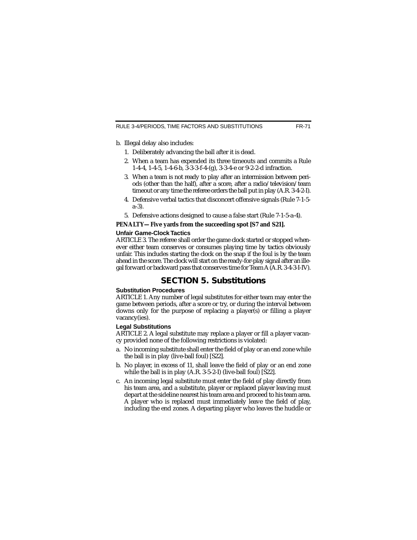- b. Illegal delay also includes:
	- 1. Deliberately advancing the ball after it is dead.
	- 2. When a team has expended its three timeouts and commits a Rule 1-4-4, 1-4-5, 1-4-6-b, 3-3-3-f-4-(g), 3-3-4-e or 9-2-2-d infraction.
	- 3. When a team is not ready to play after an intermission between periods (other than the half), after a score, after a radio/television/team timeout or any time the referee orders the ball put in play (A.R. 3-4-2-I).
	- 4. Defensive verbal tactics that disconcert offensive signals (Rule 7-1-5 a-3).
	- 5. Defensive actions designed to cause a false start (Rule 7-1-5-a-4).

#### **PENALTY—Five yards from the succeeding spot [S7 and S21].**

#### **Unfair Game-Clock Tactics**

ARTICLE 3. The referee shall order the game clock started or stopped whenever either team conserves or consumes playing time by tactics obviously unfair. This includes starting the clock on the snap if the foul is by the team ahead in the score. The clock will start on the ready-for-play signal after an illegal forward or backward pass that conserves time for Team A(A.R. 3-4-3-I-IV).

## **SECTION 5. Substitutions**

#### **Substitution Procedures**

ARTICLE 1. Any number of legal substitutes for either team may enter the game between periods, after a score or try, or during the interval between downs only for the purpose of replacing a player(s) or filling a player vacancy(ies).

#### **Legal Substitutions**

ARTICLE 2. A legal substitute may replace a player or fill a player vacancy provided none of the following restrictions is violated:

- a. No incoming substitute shall enter the field of play or an end zone while the ball is in play (live-ball foul) [S22].
- b. No player, in excess of 11, shall leave the field of play or an end zone while the ball is in play (A.R. 3-5-2-I) (live-ball foul) [S22].
- c. An incoming legal substitute must enter the field of play directly from his team area, and a substitute, player or replaced player leaving must depart at the sideline nearest his team area and proceed to his team area. A player who is replaced must immediately leave the field of play, including the end zones. A departing player who leaves the huddle or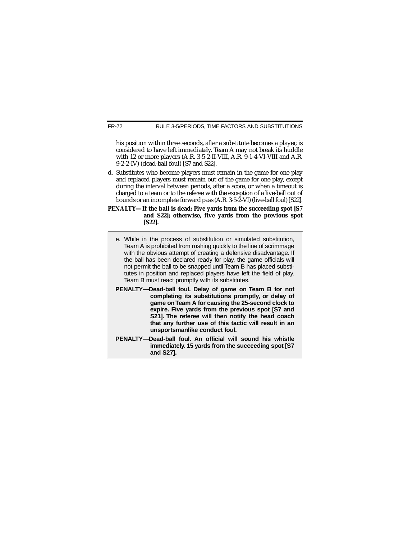his position within three seconds, after a substitute becomes a player, is considered to have left immediately. Team A may not break its huddle with 12 or more players (A.R. 3-5-2-II-VIII, A.R. 9-1-4-VI-VIII and A.R. 9-2-2-IV) (dead-ball foul) [S7 and S22].

- d. Substitutes who become players must remain in the game for one play and replaced players must remain out of the game for one play, except during the interval between periods, after a score, or when a timeout is charged to a team or to the referee with the exception of a live-ball out of bounds or an incomplete forward pass (A.R. 3-5-2-VI) (live-ball foul) [S22].
- **PENALTY—If the ball is dead: Five yards from the succeeding spot [S7 and S22]; otherwise, five yards from the previous spot [S22].**
	- e. While in the process of substitution or simulated substitution, Team A is prohibited from rushing quickly to the line of scrimmage with the obvious attempt of creating a defensive disadvantage. If the ball has been declared ready for play, the game officials will not permit the ball to be snapped until Team B has placed substitutes in position and replaced players have left the field of play. Team B must react promptly with its substitutes.
	- **PENALTY—Dead-ball foul. Delay of game on Team B for not completing its substitutions promptly, or delay of game on Team A for causing the 25-second clock to expire. Five yards from the previous spot [S7 and S21]. The referee will then notify the head coach that any further use of this tactic will result in an unsportsmanlike conduct foul.**
	- **PENALTY—Dead-ball foul. An official will sound his whistle immediately. 15 yards from the succeeding spot [S7 and S27].**

FR-72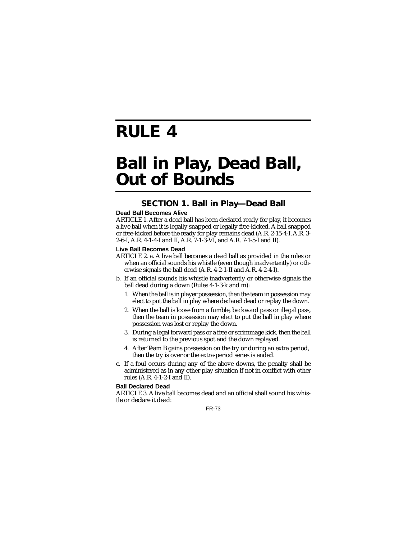## **RULE 4**

## **Ball in Play, Dead Ball, Out of Bounds**

## **SECTION 1. Ball in Play—Dead Ball**

#### **Dead Ball Becomes Alive**

ARTICLE 1. After a dead ball has been declared ready for play, it becomes a live ball when it is legally snapped or legally free-kicked. A ball snapped or free-kicked before the ready for play remains dead (A.R. 2-15-4-I, A.R. 3- 2-6-I, A.R. 4-1-4-I and II, A.R. 7-1-3-VI, and A.R. 7-1-5-I and II).

#### **Live Ball Becomes Dead**

- ARTICLE 2. a. A live ball becomes a dead ball as provided in the rules or when an official sounds his whistle (even though inadvertently) or otherwise signals the ball dead (A.R. 4-2-1-II and A.R. 4-2-4-I).
- b. If an official sounds his whistle inadvertently or otherwise signals the ball dead during a down (Rules 4-1-3-k and m):
	- 1. When the ball is in player possession, then the team in possession may elect to put the ball in play where declared dead or replay the down.
	- 2. When the ball is loose from a fumble, backward pass or illegal pass, then the team in possession may elect to put the ball in play where possession was lost or replay the down.
	- 3. During a legal forward pass or a free or scrimmage kick, then the ball is returned to the previous spot and the down replayed.
	- 4. After Team B gains possession on the try or during an extra period, then the try is over or the extra-period series is ended.
- c. If a foul occurs during any of the above downs, the penalty shall be administered as in any other play situation if not in conflict with other rules (A.R. 4-1-2-I and II).

#### **Ball Declared Dead**

ARTICLE 3. A live ball becomes dead and an official shall sound his whistle or declare it dead: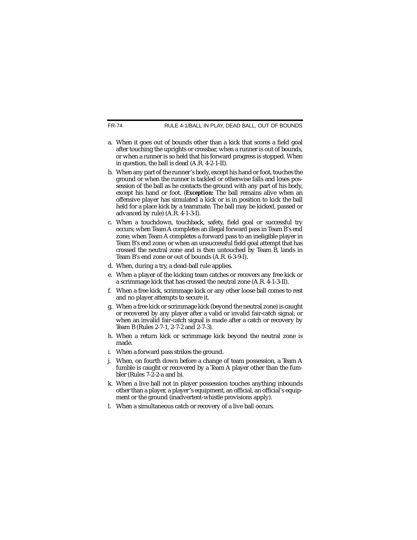RULE 4-1/BALL IN PLAY, DEAD BALL, OUT OF BOUNDS

- a. When it goes out of bounds other than a kick that scores a field goal after touching the uprights or crossbar, when a runner is out of bounds, or when a runner is so held that his forward progress is stopped. When in question, the ball is dead (A.R. 4-2-1-II).
- b. When any part of the runner's body, except his hand or foot, touches the ground or when the runner is tackled or otherwise falls and loses possession of the ball as he contacts the ground with any part of his body. except his hand or foot. (*Exception:* The ball remains alive when an offensive player has simulated a kick or is in position to kick the ball held for a place kick by a teammate. The ball may be kicked, passed or advanced by rule) (A.R. 4-1-3-I).
- c. When a touchdown, touchback, safety, field goal or successful try occurs; when Team A completes an illegal forward pass in Team B's end zone; when Team A completes a forward pass to an ineligible player in Team B's end zone; or when an unsuccessful field goal attempt that has crossed the neutral zone and is then untouched by Team B, lands in Team B's end zone or out of bounds (A.R. 6-3-9-I).
- d. When, during a try, a dead-ball rule applies.
- e. When a player of the kicking team catches or recovers any free kick or a scrimmage kick that has crossed the neutral zone (A.R. 4-1-3-II).
- f. When a free kick, scrimmage kick or any other loose ball comes to rest and no player attempts to secure it.
- g. When a free kick or scrimmage kick (beyond the neutral zone) is caught or recovered by any player after a valid or invalid fair-catch signal; or when an invalid fair-catch signal is made after a catch or recovery by Team B (Rules 2-7-1, 2-7-2 and 2-7-3).
- h. When a return kick or scrimmage kick beyond the neutral zone is made.
- i. When a forward pass strikes the ground.
- j. When, on fourth down before a change of team possession, a Team A fumble is caught or recovered by a Team A player other than the fumbler (Rules 7-2-2-a and b).
- k. When a live ball not in player possession touches anything inbounds other than a player, a player's equipment, an official, an official's equipment or the ground (inadvertent-whistle provisions apply).
- l. When a simultaneous catch or recovery of a live ball occurs.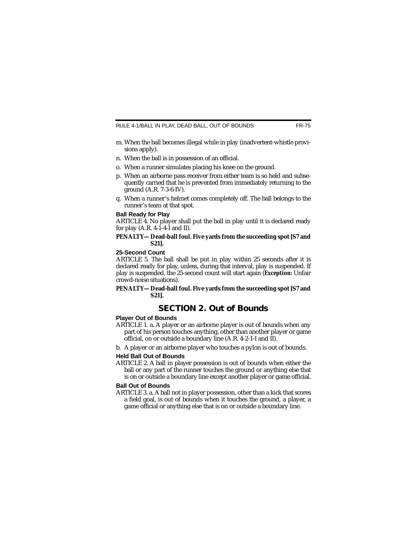- m. When the ball becomes illegal while in play (inadvertent-whistle provisions apply).
- n. When the ball is in possession of an official.
- o. When a runner simulates placing his knee on the ground.
- p. When an airborne pass receiver from either team is so held and subsequently carried that he is prevented from immediately returning to the ground (A.R. 7-3-6-IV).
- q. When a runner's helmet comes completely off. The ball belongs to the runner's team at that spot.

#### **Ball Ready for Play**

ARTICLE 4. No player shall put the ball in play until it is declared ready for play  $(A.R. 4-1-4-1$  and II).

#### **PENALTY—Dead-ball foul. Five yards from the succeeding spot [S7 and S21].**

#### **25-Second Count**

ARTICLE 5. The ball shall be put in play within 25 seconds after it is declared ready for play, unless, during that interval, play is suspended. If play is suspended, the 25-second count will start again (*Exception:* Unfair crowd-noise situations).

#### **PENALTY—Dead-ball foul. Five yards from the succeeding spot [S7 and S21].**

## **SECTION 2. Out of Bounds**

#### **Player Out of Bounds**

- ARTICLE 1. a. A player or an airborne player is out of bounds when any part of his person touches anything, other than another player or game official, on or outside a boundary line (A.R. 4-2-1-I and II).
- b. A player or an airborne player who touches a pylon is out of bounds.

#### **Held Ball Out of Bounds**

ARTICLE 2. A ball in player possession is out of bounds when either the ball or any part of the runner touches the ground or anything else that is on or outside a boundary line except another player or game official.

#### **Ball Out of Bounds**

ARTICLE 3. a. A ball not in player possession, other than a kick that scores a field goal, is out of bounds when it touches the ground, a player, a game official or anything else that is on or outside a boundary line.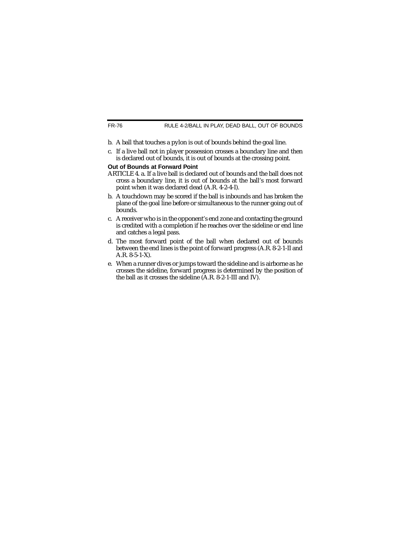- b. A ball that touches a pylon is out of bounds behind the goal line.
- c. If a live ball not in player possession crosses a boundary line and then is declared out of bounds, it is out of bounds at the crossing point.

#### **Out of Bounds at Forward Point**

- ARTICLE 4. a. If a live ball is declared out of bounds and the ball does not cross a boundary line, it is out of bounds at the ball's most forward point when it was declared dead (A.R. 4-2-4-I).
- b. A touchdown may be scored if the ball is inbounds and has broken the plane of the goal line before or simultaneous to the runner going out of bounds.
- c. A receiver who is in the opponent's end zone and contacting the ground is credited with a completion if he reaches over the sideline or end line and catches a legal pass.
- d. The most forward point of the ball when declared out of bounds between the end lines is the point of forward progress (A.R. 8-2-1-II and A.R. 8-5-1-X).
- e. When a runner dives or jumps toward the sideline and is airborne as he crosses the sideline, forward progress is determined by the position of the ball as it crosses the sideline (A.R. 8-2-1-III and IV).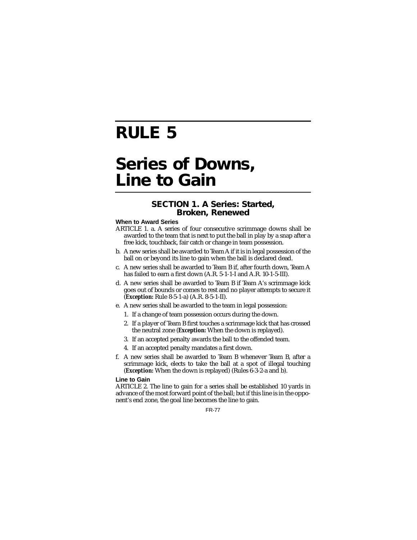## **RULE 5**

## **Series of Downs, Line to Gain**

### **SECTION 1. A Series: Started, Broken, Renewed**

#### **When to Award Series**

- ARTICLE 1. a. A series of four consecutive scrimmage downs shall be awarded to the team that is next to put the ball in play by a snap after a free kick, touchback, fair catch or change in team possession.
- b. A new series shall be awarded to Team A if it is in legal possession of the ball on or beyond its line to gain when the ball is declared dead.
- c. A new series shall be awarded to Team B if, after fourth down, Team A has failed to earn a first down (A.R. 5-1-1-I and A.R. 10-1-5-III).
- d. A new series shall be awarded to Team B if Team A's scrimmage kick goes out of bounds or comes to rest and no player attempts to secure it (*Exception:* Rule 8-5-1-a) (A.R. 8-5-1-II).
- e. A new series shall be awarded to the team in legal possession:
	- 1. If a change of team possession occurs during the down.
	- 2. If a player of Team B first touches a scrimmage kick that has crossed the neutral zone (*Exception:* When the down is replayed).
	- 3. If an accepted penalty awards the ball to the offended team.
	- 4. If an accepted penalty mandates a first down.
- f. A new series shall be awarded to Team B whenever Team B, after a scrimmage kick, elects to take the ball at a spot of illegal touching (*Exception:* When the down is replayed) (Rules 6-3-2-a and b).

#### **Line to Gain**

ARTICLE 2. The line to gain for a series shall be established 10 yards in advance of the most forward point of the ball; but if this line is in the opponent's end zone, the goal line becomes the line to gain.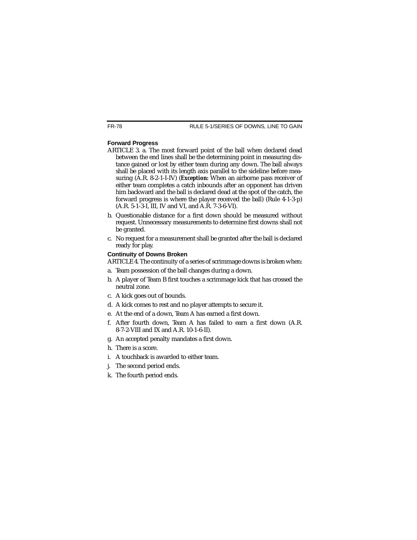#### **Forward Progress**

- ARTICLE 3. a. The most forward point of the ball when declared dead between the end lines shall be the determining point in measuring distance gained or lost by either team during any down. The ball always shall be placed with its length axis parallel to the sideline before measuring (A.R. 8-2-1-I-IV) (*Exception:* When an airborne pass receiver of either team completes a catch inbounds after an opponent has driven him backward and the ball is declared dead at the spot of the catch, the forward progress is where the player received the ball) (Rule 4-1-3-p) (A.R. 5-1-3-I, III, IV and VI, and A.R. 7-3-6-VI).
- b. Questionable distance for a first down should be measured without request. Unnecessary measurements to determine first downs shall not be granted.
- c. No request for a measurement shall be granted after the ball is declared ready for play.

#### **Continuity of Downs Broken**

ARTICLE 4. The continuity of a series of scrimmage downs is broken when:

- a. Team possession of the ball changes during a down.
- b. A player of Team B first touches a scrimmage kick that has crossed the neutral zone.
- c. A kick goes out of bounds.
- d. A kick comes to rest and no player attempts to secure it.
- e. At the end of a down, Team A has earned a first down.
- f. After fourth down, Team A has failed to earn a first down (A.R. 8-7-2-VIII and IX and A.R. 10-1-6-II).
- g. An accepted penalty mandates a first down.
- h. There is a score.
- i. A touchback is awarded to either team.
- j. The second period ends.
- k. The fourth period ends.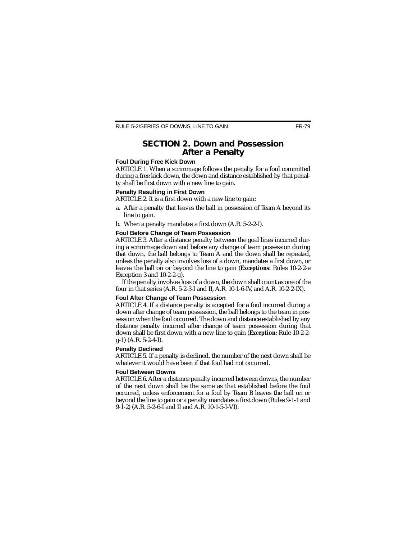### **SECTION 2. Down and Possession After a Penalty**

#### **Foul During Free Kick Down**

ARTICLE 1. When a scrimmage follows the penalty for a foul committed during a free kick down, the down and distance established by that penalty shall be first down with a new line to gain.

#### **Penalty Resulting in First Down**

ARTICLE 2. It is a first down with a new line to gain:

- a. After a penalty that leaves the ball in possession of Team A beyond its line to gain.
- b. When a penalty mandates a first down (A.R. 5-2-2-I).

#### **Foul Before Change of Team Possession**

ARTICLE 3. After a distance penalty between the goal lines incurred during a scrimmage down and before any change of team possession during that down, the ball belongs to Team A and the down shall be repeated, unless the penalty also involves loss of a down, mandates a first down, or leaves the ball on or beyond the line to gain (*Exceptions:* Rules 10-2-2-e Exception 3 and 10-2-2-g).

If the penalty involves loss of a down, the down shall count as one of the four in that series (A.R. 5-2-3-I and II, A.R. 10-1-6-IV, and A.R. 10-2-2-IX).

#### **Foul After Change of Team Possession**

ARTICLE 4. If a distance penalty is accepted for a foul incurred during a down after change of team possession, the ball belongs to the team in possession when the foul occurred. The down and distance established by any distance penalty incurred after change of team possession during that down shall be first down with a new line to gain (*Exception:* Rule 10-2-2 g-1) (A.R. 5-2-4-I).

#### **Penalty Declined**

ARTICLE 5. If a penalty is declined, the number of the next down shall be whatever it would have been if that foul had not occurred.

#### **Foul Between Downs**

ARTICLE 6. After a distance penalty incurred between downs, the number of the next down shall be the same as that established before the foul occurred, unless enforcement for a foul by Team B leaves the ball on or beyond the line to gain or a penalty mandates a first down (Rules 9-1-1 and 9-1-2) (A.R. 5-2-6-I and II and A.R. 10-1-5-I-VI).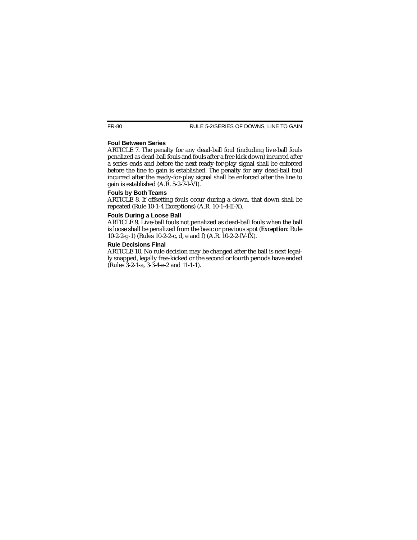#### **Foul Between Series**

ARTICLE 7. The penalty for any dead-ball foul (including live-ball fouls penalized as dead-ball fouls and fouls after a free kick down) incurred after a series ends and before the next ready-for-play signal shall be enforced before the line to gain is established. The penalty for any dead-ball foul incurred after the ready-for-play signal shall be enforced after the line to gain is established (A.R. 5-2-7-I-VI).

#### **Fouls by Both Teams**

ARTICLE 8. If offsetting fouls occur during a down, that down shall be repeated (Rule 10-1-4 Exceptions) (A.R. 10-1-4-II-X).

#### **Fouls During a Loose Ball**

ARTICLE 9. Live-ball fouls not penalized as dead-ball fouls when the ball is loose shall be penalized from the basic or previous spot (*Exception:* Rule 10-2-2-g-1) (Rules 10-2-2-c, d, e and f) (A.R. 10-2-2-IV-IX).

#### **Rule Decisions Final**

ARTICLE 10. No rule decision may be changed after the ball is next legally snapped, legally free-kicked or the second or fourth periods have ended (Rules 3-2-1-a, 3-3-4-e-2 and 11-1-1).

FR-80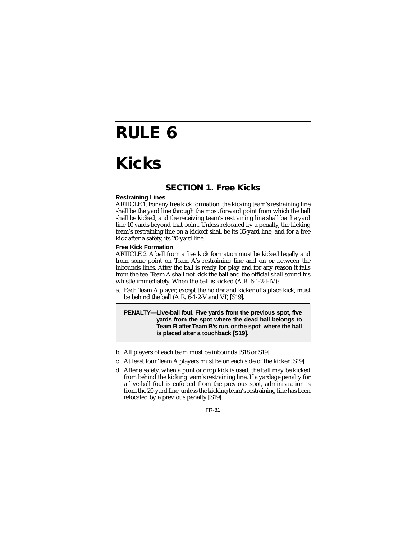## **RULE 6**

## **Kicks**

## **SECTION 1. Free Kicks**

#### **Restraining Lines**

ARTICLE 1. For any free kick formation, the kicking team's restraining line shall be the yard line through the most forward point from which the ball shall be kicked, and the receiving team's restraining line shall be the yard line 10 yards beyond that point. Unless relocated by a penalty, the kicking team's restraining line on a kickoff shall be its 35-yard line, and for a free kick after a safety, its 20-yard line.

#### **Free Kick Formation**

ARTICLE 2. A ball from a free kick formation must be kicked legally and from some point on Team A's restraining line and on or between the inbounds lines. After the ball is ready for play and for any reason it falls from the tee, Team A shall not kick the ball and the official shall sound his whistle immediately. When the ball is kicked (A.R. 6-1-2-I-IV):

a. Each Team A player, except the holder and kicker of a place kick, must be behind the ball (A.R. 6-1-2-V and VI) [S19].

**PENALTY—Live-ball foul. Five yards from the previous spot, five yards from the spot where the dead ball belongs to Team B after Team B's run, or the spot where the ball is placed after a touchback [S19].**

- b. All players of each team must be inbounds [S18 or S19].
- c. At least four Team A players must be on each side of the kicker [S19].
- d. After a safety, when a punt or drop kick is used, the ball may be kicked from behind the kicking team's restraining line. If a yardage penalty for a live-ball foul is enforced from the previous spot, administration is from the 20-yard line, unless the kicking team's restraining line has been relocated by a previous penalty [S19].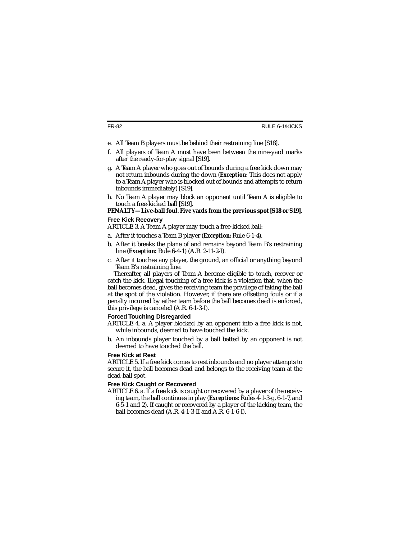- e. All Team B players must be behind their restraining line [S18].
- f. All players of Team A must have been between the nine-yard marks after the ready-for-play signal [S19].
- g. A Team A player who goes out of bounds during a free kick down may not return inbounds during the down (*Exception:* This does not apply to a Team A player who is blocked out of bounds and attempts to return inbounds immediately) [S19].
- h. No Team A player may block an opponent until Team A is eligible to touch a free-kicked ball [S19].

#### **PENALTY—Live-ball foul. Five yards from the previous spot [S18 or S19].**

#### **Free Kick Recovery**

ARTICLE 3. A Team A player may touch a free-kicked ball:

- a. After it touches a Team B player (*Exception:* Rule 6-1-4).
- b. After it breaks the plane of and remains beyond Team B's restraining line (*Exception:* Rule 6-4-1) (A.R. 2-11-2-I).
- c. After it touches any player, the ground, an official or anything beyond Team B's restraining line.

Thereafter, all players of Team A become eligible to touch, recover or catch the kick. Illegal touching of a free kick is a violation that, when the ball becomes dead, gives the receiving team the privilege of taking the ball at the spot of the violation. However, if there are offsetting fouls or if a penalty incurred by either team before the ball becomes dead is enforced, this privilege is canceled (A.R. 6-1-3-I).

#### **Forced Touching Disregarded**

- ARTICLE 4. a. A player blocked by an opponent into a free kick is not, while inbounds, deemed to have touched the kick.
- b. An inbounds player touched by a ball batted by an opponent is not deemed to have touched the ball.

#### **Free Kick at Rest**

ARTICLE 5. If a free kick comes to rest inbounds and no player attempts to secure it, the ball becomes dead and belongs to the receiving team at the dead-ball spot.

#### **Free Kick Caught or Recovered**

ARTICLE 6. a. If a free kick is caught or recovered by a player of the receiving team, the ball continues in play (*Exceptions:* Rules 4-1-3-g, 6-1-7, and 6-5-1 and 2). If caught or recovered by a player of the kicking team, the ball becomes dead (A.R. 4-1-3-II and A.R. 6-1-6-I).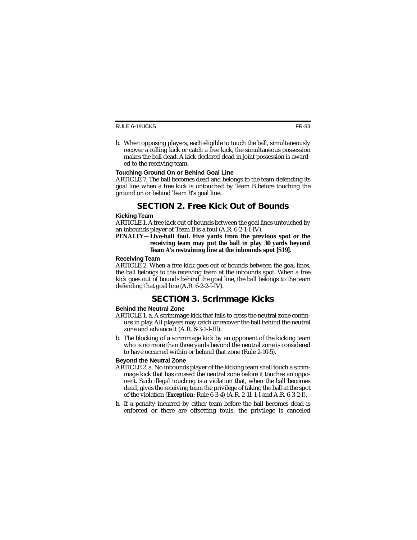b. When opposing players, each eligible to touch the ball, simultaneously recover a rolling kick or catch a free kick, the simultaneous possession makes the ball dead. A kick declared dead in joint possession is awarded to the receiving team.

#### **Touching Ground On or Behind Goal Line**

ARTICLE 7. The ball becomes dead and belongs to the team defending its goal line when a free kick is untouched by Team B before touching the ground on or behind Team B's goal line.

## **SECTION 2. Free Kick Out of Bounds**

#### **Kicking Team**

ARTICLE 1. A free kick out of bounds between the goal lines untouched by an inbounds player of Team B is a foul (A.R. 6-2-1-I-IV).

#### **PENALTY—Live-ball foul. Five yards from the previous spot or the receiving team may put the ball in play 30 yards beyond Team A's restraining line at the inbounds spot [S19].**

#### **Receiving Team**

ARTICLE 2. When a free kick goes out of bounds between the goal lines, the ball belongs to the receiving team at the inbounds spot. When a free kick goes out of bounds behind the goal line, the ball belongs to the team defending that goal line (A.R. 6-2-2-I-IV).

## **SECTION 3. Scrimmage Kicks**

#### **Behind the Neutral Zone**

- ARTICLE 1. a. A scrimmage kick that fails to cross the neutral zone continues in play. All players may catch or recover the ball behind the neutral zone and advance it (A.R. 6-3-1-I-III).
- b. The blocking of a scrimmage kick by an opponent of the kicking team who is no more than three yards beyond the neutral zone is considered to have occurred within or behind that zone (Rule 2-10-5).

#### **Beyond the Neutral Zone**

- ARTICLE 2. a. No inbounds player of the kicking team shall touch a scrimmage kick that has crossed the neutral zone before it touches an opponent. Such illegal touching is a violation that, when the ball becomes dead, gives the receiving team the privilege of taking the ball at the spot of the violation (*Exception:* Rule 6-3-4) (A.R. 2-11-1-I and A.R. 6-3-2-I).
- b. If a penalty incurred by either team before the ball becomes dead is enforced or there are offsetting fouls, the privilege is canceled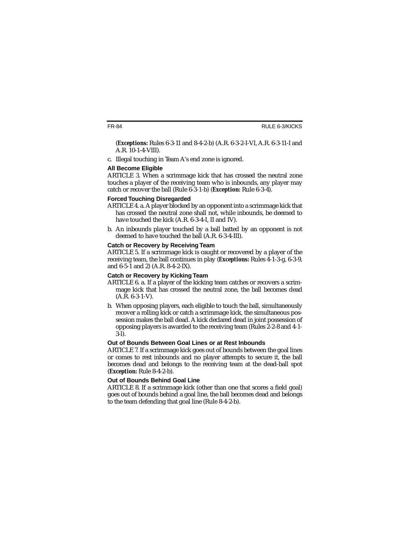(*Exceptions:* Rules 6-3-11 and 8-4-2-b) (A.R. 6-3-2-I-VI, A.R. 6-3-11-I and A.R. 10-1-4-VIII).

c. Illegal touching in Team A's end zone is ignored.

#### **All Become Eligible**

ARTICLE 3. When a scrimmage kick that has crossed the neutral zone touches a player of the receiving team who is inbounds, any player may catch or recover the ball (Rule 6-3-1-b) (*Exception:* Rule 6-3-4).

#### **Forced Touching Disregarded**

- ARTICLE 4. a. A player blocked by an opponent into a scrimmage kick that has crossed the neutral zone shall not, while inbounds, be deemed to have touched the kick (A.R. 6-3-4-I, II and IV).
- b. An inbounds player touched by a ball batted by an opponent is not deemed to have touched the ball (A.R. 6-3-4-III).

#### **Catch or Recovery by Receiving Team**

ARTICLE 5. If a scrimmage kick is caught or recovered by a player of the receiving team, the ball continues in play (*Exceptions:* Rules 4-1-3-g, 6-3-9, and 6-5-1 and 2) (A.R. 8-4-2-IX).

#### **Catch or Recovery by Kicking Team**

- ARTICLE 6. a. If a player of the kicking team catches or recovers a scrimmage kick that has crossed the neutral zone, the ball becomes dead  $(A.R. 6-3-1-V).$
- b. When opposing players, each eligible to touch the ball, simultaneously recover a rolling kick or catch a scrimmage kick, the simultaneous possession makes the ball dead. A kick declared dead in joint possession of opposing players is awarded to the receiving team (Rules 2-2-8 and 4-1- 3-l).

#### **Out of Bounds Between Goal Lines or at Rest Inbounds**

ARTICLE 7. If a scrimmage kick goes out of bounds between the goal lines or comes to rest inbounds and no player attempts to secure it, the ball becomes dead and belongs to the receiving team at the dead-ball spot (*Exception:* Rule 8-4-2-b).

#### **Out of Bounds Behind Goal Line**

ARTICLE 8. If a scrimmage kick (other than one that scores a field goal) goes out of bounds behind a goal line, the ball becomes dead and belongs to the team defending that goal line (Rule 8-4-2-b).

FR-84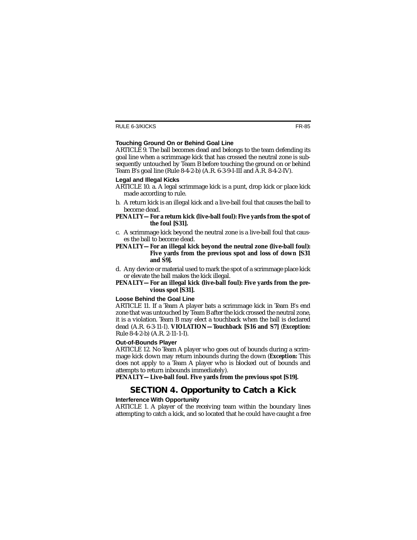#### **Touching Ground On or Behind Goal Line**

ARTICLE 9. The ball becomes dead and belongs to the team defending its goal line when a scrimmage kick that has crossed the neutral zone is subsequently untouched by Team B before touching the ground on or behind Team B's goal line (Rule 8-4-2-b) (A.R. 6-3-9-I-III and A.R. 8-4-2-IV).

#### **Legal and Illegal Kicks**

ARTICLE 10. a. A legal scrimmage kick is a punt, drop kick or place kick made according to rule.

b. A return kick is an illegal kick and a live-ball foul that causes the ball to become dead.

#### **PENALTY—For a return kick (live-ball foul): Five yards from the spot of the foul [S31].**

- c. A scrimmage kick beyond the neutral zone is a live-ball foul that causes the ball to become dead.
- **PENALTY—For an illegal kick beyond the neutral zone (live-ball foul): Five yards from the previous spot and loss of down [S31 and S9].**
- d. Any device or material used to mark the spot of a scrimmage place kick or elevate the ball makes the kick illegal.

#### **PENALTY—For an illegal kick (live-ball foul): Five yards from the previous spot [S31].**

#### **Loose Behind the Goal Line**

ARTICLE 11. If a Team A player bats a scrimmage kick in Team B's end zone that was untouched by Team B after the kick crossed the neutral zone, it is a violation. Team B may elect a touchback when the ball is declared dead (A.R. 6-3-11-I). **VIOLATION—Touchback [S16 and S7]** (*Exception:* Rule 8-4-2-b) (A.R. 2-11-1-I).

#### **Out-of-Bounds Player**

ARTICLE 12. No Team A player who goes out of bounds during a scrimmage kick down may return inbounds during the down (*Exception:* This does not apply to a Team A player who is blocked out of bounds and attempts to return inbounds immediately).

**PENALTY—Live-ball foul. Five yards from the previous spot [S19].**

## **SECTION 4. Opportunity to Catch a Kick**

#### **Interference With Opportunity**

ARTICLE 1. A player of the receiving team within the boundary lines attempting to catch a kick, and so located that he could have caught a free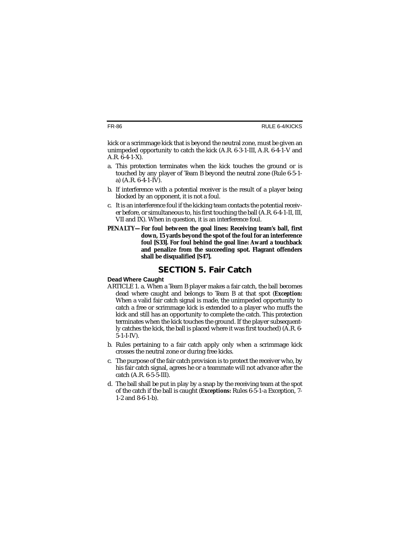kick or a scrimmage kick that is beyond the neutral zone, must be given an unimpeded opportunity to catch the kick (A.R. 6-3-1-III, A.R. 6-4-1-V and A.R. 6-4-1-X).

- a. This protection terminates when the kick touches the ground or is touched by any player of Team B beyond the neutral zone (Rule 6-5-1 a) (A.R. 6-4-1-IV).
- b. If interference with a potential receiver is the result of a player being blocked by an opponent, it is not a foul.
- c. It is an interference foul if the kicking team contacts the potential receiver before, or simultaneous to, his first touching the ball (A.R. 6-4-1-II, III, VII and IX). When in question, it is an interference foul.
- **PENALTY—For foul between the goal lines: Receiving team's ball, first down, 15 yards beyond the spot of the foul for an interference foul [S33]. For foul behind the goal line: Award a touchback and penalize from the succeeding spot. Flagrant offenders shall be disqualified [S47].**

### **SECTION 5. Fair Catch**

#### **Dead Where Caught**

- ARTICLE 1. a. When a Team B player makes a fair catch, the ball becomes dead where caught and belongs to Team B at that spot (*Exception:* When a valid fair catch signal is made, the unimpeded opportunity to catch a free or scrimmage kick is extended to a player who muffs the kick and still has an opportunity to complete the catch. This protection terminates when the kick touches the ground. If the player subsequently catches the kick, the ball is placed where it was first touched) (A.R. 6-  $5-1-I-IV$ ).
- b. Rules pertaining to a fair catch apply only when a scrimmage kick crosses the neutral zone or during free kicks.
- c. The purpose of the fair catch provision is to protect the receiver who, by his fair catch signal, agrees he or a teammate will not advance after the catch (A.R. 6-5-5-III).
- d. The ball shall be put in play by a snap by the receiving team at the spot of the catch if the ball is caught (*Exceptions:* Rules 6-5-1-a Exception, 7- 1-2 and 8-6-1-b).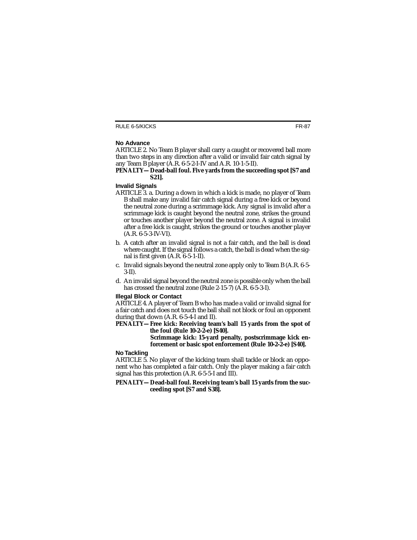#### **No Advance**

ARTICLE 2. No Team B player shall carry a caught or recovered ball more than two steps in any direction after a valid or invalid fair catch signal by any Team B player (A.R. 6-5-2-I-IV and A.R. 10-1-5-II).

#### **PENALTY—Dead-ball foul. Five yards from the succeeding spot [S7 and S21].**

#### **Invalid Signals**

- ARTICLE 3. a. During a down in which a kick is made, no player of Team B shall make any invalid fair catch signal during a free kick or beyond the neutral zone during a scrimmage kick. Any signal is invalid after a scrimmage kick is caught beyond the neutral zone, strikes the ground or touches another player beyond the neutral zone. A signal is invalid after a free kick is caught, strikes the ground or touches another player (A.R. 6-5-3-IV-VI).
- b. A catch after an invalid signal is not a fair catch, and the ball is dead where caught. If the signal follows a catch, the ball is dead when the signal is first given (A.R. 6-5-1-II).
- c. Invalid signals beyond the neutral zone apply only to Team B (A.R. 6-5- 3-II).
- d. An invalid signal beyond the neutral zone is possible only when the ball has crossed the neutral zone (Rule 2-15-7) (A.R. 6-5-3-I).

#### **Illegal Block or Contact**

ARTICLE 4. A player of Team B who has made a valid or invalid signal for a fair catch and does not touch the ball shall not block or foul an opponent during that down (A.R. 6-5-4-I and II).

**PENALTY—Free kick: Receiving team's ball 15 yards from the spot of the foul (Rule 10-2-2-e) [S40]. Scrimmage kick: 15-yard penalty, postscrimmage kick enforcement or basic spot enforcement (Rule 10-2-2-e) [S40].**

#### **No Tackling**

ARTICLE 5. No player of the kicking team shall tackle or block an opponent who has completed a fair catch. Only the player making a fair catch signal has this protection (A.R. 6-5-5-I and III).

#### **PENALTY—Dead-ball foul. Receiving team's ball 15 yards from the succeeding spot [S7 and S38].**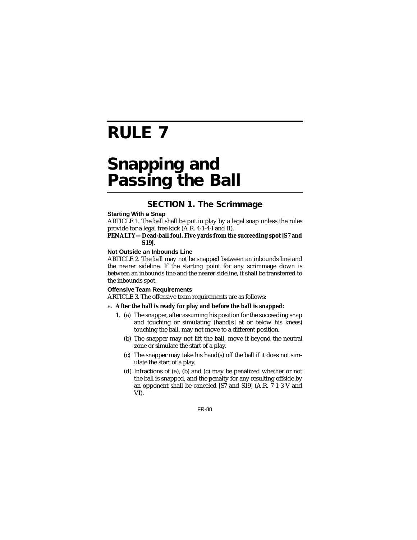# **RULE 7**

## **Snapping and Passing the Ball**

## **SECTION 1. The Scrimmage**

#### **Starting With a Snap**

ARTICLE 1. The ball shall be put in play by a legal snap unless the rules provide for a legal free kick (A.R. 4-1-4-I and II).

#### **PENALTY—Dead-ball foul. Five yards from the succeeding spot [S7 and S19].**

#### **Not Outside an Inbounds Line**

ARTICLE 2. The ball may not be snapped between an inbounds line and the nearer sideline. If the starting point for any scrimmage down is between an inbounds line and the nearer sideline, it shall be transferred to the inbounds spot.

#### **Offensive Team Requirements**

ARTICLE 3. The offensive team requirements are as follows:

#### a. **After the ball is ready for play and before the ball is snapped:**

- 1. (a) The snapper, after assuming his position for the succeeding snap and touching or simulating (hand[s] at or below his knees) touching the ball, may not move to a different position.
	- (b) The snapper may not lift the ball, move it beyond the neutral zone or simulate the start of a play.
	- (c) The snapper may take his hand(s) off the ball if it does not simulate the start of a play.
	- (d) Infractions of (a), (b) and (c) may be penalized whether or not the ball is snapped, and the penalty for any resulting offside by an opponent shall be canceled [S7 and S19] (A.R. 7-1-3-V and VI).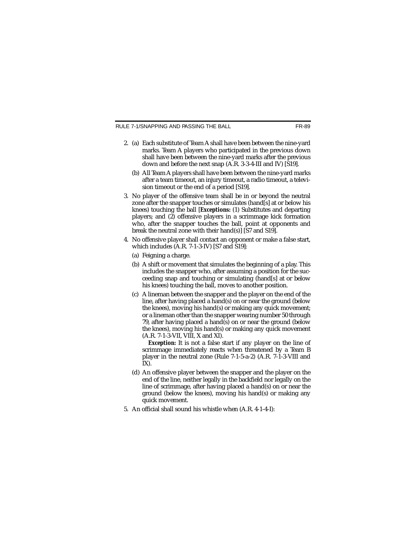RULE 7-1/SNAPPING AND PASSING THE BALL

- 2. (a) Each substitute of Team A shall have been between the nine-yard marks. Team A players who participated in the previous down shall have been between the nine-yard marks after the previous down and before the next snap (A.R. 3-3-4-III and IV) [S19].
	- (b) All Team A players shall have been between the nine-yard marks after a team timeout, an injury timeout, a radio timeout, a television timeout or the end of a period [S19].
- 3. No player of the offensive team shall be in or beyond the neutral zone after the snapper touches or simulates (hand[s] at or below his knees) touching the ball [*Exceptions:* (1) Substitutes and departing players; and (2) offensive players in a scrimmage kick formation who, after the snapper touches the ball, point at opponents and break the neutral zone with their hand(s)] [S7 and S19].
- 4. No offensive player shall contact an opponent or make a false start, which includes (A.R. 7-1-3-IV) [S7 and S19]:
	- (a) Feigning a charge.
	- (b) A shift or movement that simulates the beginning of a play. This includes the snapper who, after assuming a position for the succeeding snap and touching or simulating (hand[s] at or below his knees) touching the ball, moves to another position.
	- (c) A lineman between the snapper and the player on the end of the line, after having placed a hand(s) on or near the ground (below the knees), moving his hand(s) or making any quick movement; or a lineman other than the snapper wearing number 50 through 79, after having placed a hand(s) on or near the ground (below the knees), moving his hand(s) or making any quick movement (A.R. 7-1-3-VII, VIII, X and XI).

*Exception:* It is not a false start if any player on the line of scrimmage immediately reacts when threatened by a Team B player in the neutral zone (Rule 7-1-5-a-2) (A.R. 7-1-3-VIII and  $IX$ ).

- (d) An offensive player between the snapper and the player on the end of the line, neither legally in the backfield nor legally on the line of scrimmage, after having placed a hand(s) on or near the ground (below the knees), moving his hand(s) or making any quick movement.
- 5. An official shall sound his whistle when (A.R. 4-1-4-I):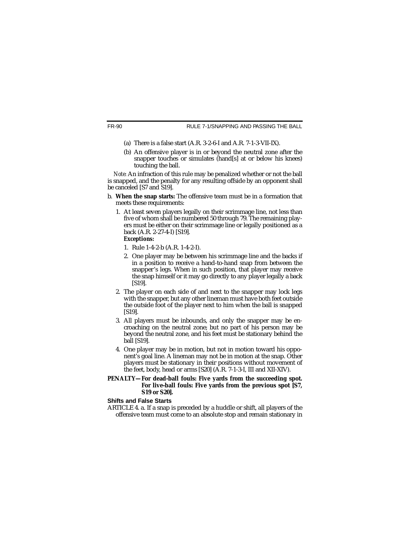- (a) There is a false start (A.R. 3-2-6-I and A.R. 7-1-3-VII-IX).
- (b) An offensive player is in or beyond the neutral zone after the snapper touches or simulates (hand[s] at or below his knees) touching the ball.

*Note:* An infraction of this rule may be penalized whether or not the ball is snapped, and the penalty for any resulting offside by an opponent shall be canceled [S7 and S19].

- b. **When the snap starts:** The offensive team must be in a formation that meets these requirements:
	- 1. At least seven players legally on their scrimmage line, not less than five of whom shall be numbered 50 through 79. The remaining players must be either on their scrimmage line or legally positioned as a back (A.R. 2-27-4-I) [S19].

#### *Exceptions:*

- 1. Rule 1-4-2-b (A.R. 1-4-2-I).
- 2. One player may be between his scrimmage line and the backs if in a position to receive a hand-to-hand snap from between the snapper's legs. When in such position, that player may receive the snap himself or it may go directly to any player legally a back [S19].
- 2. The player on each side of and next to the snapper may lock legs with the snapper, but any other lineman must have both feet outside the outside foot of the player next to him when the ball is snapped [S19].
- 3. All players must be inbounds, and only the snapper may be encroaching on the neutral zone; but no part of his person may be beyond the neutral zone, and his feet must be stationary behind the ball [S19].
- 4. One player may be in motion, but not in motion toward his opponent's goal line. A lineman may not be in motion at the snap. Other players must be stationary in their positions without movement of the feet, body, head or arms [S20] (A.R. 7-1-3-I, III and XII-XIV).

#### **PENALTY—For dead-ball fouls: Five yards from the succeeding spot. For live-ball fouls: Five yards from the previous spot [S7, S19 or S20].**

#### **Shifts and False Starts**

ARTICLE 4. a. If a snap is preceded by a huddle or shift, all players of the offensive team must come to an absolute stop and remain stationary in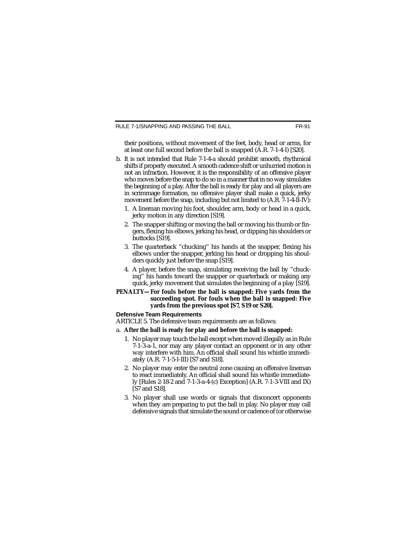their positions, without movement of the feet, body, head or arms, for at least one full second before the ball is snapped (A.R. 7-1-4-I) [S20].

- b. It is not intended that Rule 7-1-4-a should prohibit smooth, rhythmical shifts if properly executed. A smooth cadence shift or unhurried motion is not an infraction. However, it is the responsibility of an offensive player who moves before the snap to do so in a manner that in no way simulates the beginning of a play. After the ball is ready for play and all players are in scrimmage formation, no offensive player shall make a quick, jerky movement before the snap, including but not limited to  $(A.R. 7-1-4-II-IV)$ :
	- 1. A lineman moving his foot, shoulder, arm, body or head in a quick, jerky motion in any direction [S19].
	- 2. The snapper shifting or moving the ball or moving his thumb or fingers, flexing his elbows, jerking his head, or dipping his shoulders or buttocks [S19].
	- 3. The quarterback "chucking'' his hands at the snapper, flexing his elbows under the snapper, jerking his head or dropping his shoulders quickly just before the snap [S19].
	- 4. A player, before the snap, simulating receiving the ball by "chucking'' his hands toward the snapper or quarterback or making any quick, jerky movement that simulates the beginning of a play [S19].

#### **PENALTY—For fouls before the ball is snapped: Five yards from the succeeding spot. For fouls when the ball is snapped: Five yards from the previous spot [S7, S19 or S20].**

#### **Defensive Team Requirements**

ARTICLE 5. The defensive team requirements are as follows:

#### a. **After the ball is ready for play and before the ball is snapped:**

- 1. No player may touch the ball except when moved illegally as in Rule 7-1-3-a-1, nor may any player contact an opponent or in any other way interfere with him. An official shall sound his whistle immediately (A.R. 7-1-5-I-III) [S7 and S18].
- 2. No player may enter the neutral zone causing an offensive lineman to react immediately. An official shall sound his whistle immediately [Rules 2-18-2 and 7-1-3-a-4-(c) Exception] (A.R. 7-1-3-VIII and IX) [S7 and S18].
- 3. No player shall use words or signals that disconcert opponents when they are preparing to put the ball in play. No player may call defensive signals that simulate the sound or cadence of (or otherwise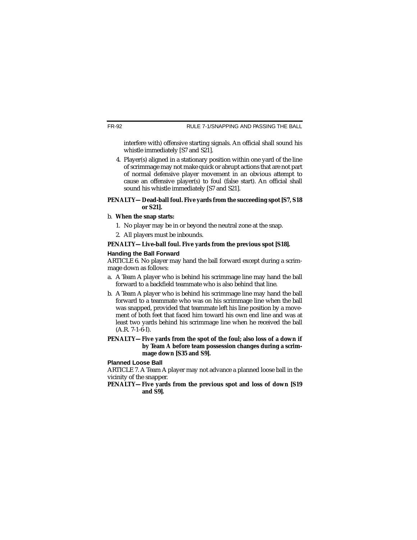interfere with) offensive starting signals. An official shall sound his whistle immediately [S7 and S21].

4. Player(s) aligned in a stationary position within one yard of the line of scrimmage may not make quick or abrupt actions that are not part of normal defensive player movement in an obvious attempt to cause an offensive player(s) to foul (false start). An official shall sound his whistle immediately [S7 and S21].

#### **PENALTY—Dead-ball foul. Five yards from the succeeding spot [S7, S18 or S21].**

#### b. **When the snap starts:**

- 1. No player may be in or beyond the neutral zone at the snap.
- 2. All players must be inbounds.

#### **PENALTY—Live-ball foul. Five yards from the previous spot [S18].**

#### **Handing the Ball Forward**

ARTICLE 6. No player may hand the ball forward except during a scrimmage down as follows:

- a. A Team A player who is behind his scrimmage line may hand the ball forward to a backfield teammate who is also behind that line.
- b. A Team A player who is behind his scrimmage line may hand the ball forward to a teammate who was on his scrimmage line when the ball was snapped, provided that teammate left his line position by a movement of both feet that faced him toward his own end line and was at least two yards behind his scrimmage line when he received the ball (A.R. 7-1-6-I).
- **PENALTY—Five yards from the spot of the foul; also loss of a down if by Team A before team possession changes during a scrimmage down [S35 and S9].**

#### **Planned Loose Ball**

ARTICLE 7. A Team A player may not advance a planned loose ball in the vicinity of the snapper.

**PENALTY—Five yards from the previous spot and loss of down [S19 and S9].**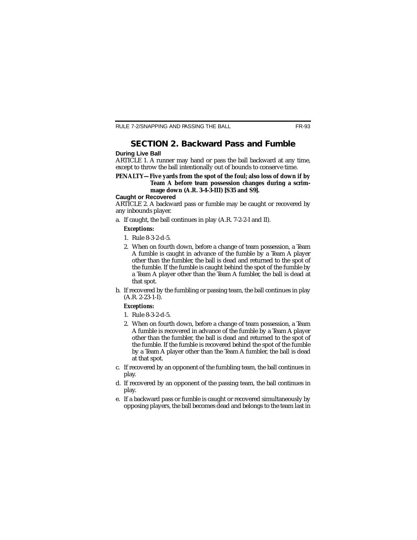## **SECTION 2. Backward Pass and Fumble**

#### **During Live Ball**

ARTICLE 1. A runner may hand or pass the ball backward at any time, except to throw the ball intentionally out of bounds to conserve time.

#### **PENALTY—Five yards from the spot of the foul; also loss of down if by Team A before team possession changes during a scrimmage down (A.R. 3-4-3-III) [S35 and S9].**

#### **Caught or Recovered**

ARTICLE 2. A backward pass or fumble may be caught or recovered by any inbounds player.

a. If caught, the ball continues in play (A.R. 7-2-2-I and II).

#### *Exceptions:*

- 1. Rule 8-3-2-d-5.
- 2. When on fourth down, before a change of team possession, a Team A fumble is caught in advance of the fumble by a Team A player other than the fumbler, the ball is dead and returned to the spot of the fumble. If the fumble is caught behind the spot of the fumble by a Team A player other than the Team A fumbler, the ball is dead at that spot.
- b. If recovered by the fumbling or passing team, the ball continues in play (A.R. 2-23-1-I).

#### *Exceptions:*

- 1. Rule 8-3-2-d-5.
- 2. When on fourth down, before a change of team possession, a Team A fumble is recovered in advance of the fumble by a Team A player other than the fumbler, the ball is dead and returned to the spot of the fumble. If the fumble is recovered behind the spot of the fumble by a Team A player other than the Team A fumbler, the ball is dead at that spot.
- c. If recovered by an opponent of the fumbling team, the ball continues in play.
- d. If recovered by an opponent of the passing team, the ball continues in play.
- e. If a backward pass or fumble is caught or recovered simultaneously by opposing players, the ball becomes dead and belongs to the team last in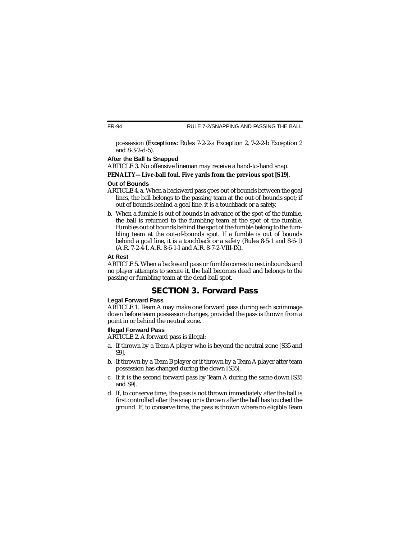possession (*Exceptions:* Rules 7-2-2-a Exception 2, 7-2-2-b Exception 2 and 8-3-2-d-5).

#### **After the Ball Is Snapped**

ARTICLE 3. No offensive lineman may receive a hand-to-hand snap.

#### **PENALTY—Live-ball foul. Five yards from the previous spot [S19].**

#### **Out of Bounds**

- ARTICLE 4. a. When a backward pass goes out of bounds between the goal lines, the ball belongs to the passing team at the out-of-bounds spot; if out of bounds behind a goal line, it is a touchback or a safety.
- b. When a fumble is out of bounds in advance of the spot of the fumble, the ball is returned to the fumbling team at the spot of the fumble. Fumbles out of bounds behind the spot of the fumble belong to the fumbling team at the out-of-bounds spot. If a fumble is out of bounds behind a goal line, it is a touchback or a safety (Rules 8-5-1 and 8-6-1) (A.R. 7-2-4-I, A.R. 8-6-1-I and A.R. 8-7-2-VIII-IX).

#### **At Rest**

ARTICLE 5. When a backward pass or fumble comes to rest inbounds and no player attempts to secure it, the ball becomes dead and belongs to the passing or fumbling team at the dead-ball spot.

## **SECTION 3. Forward Pass**

#### **Legal Forward Pass**

ARTICLE 1. Team A may make one forward pass during each scrimmage down before team possession changes, provided the pass is thrown from a point in or behind the neutral zone.

### **Illegal Forward Pass**

ARTICLE 2. A forward pass is illegal:

- a. If thrown by a Team A player who is beyond the neutral zone [S35 and S9].
- b. If thrown by a Team B player or if thrown by a Team A player after team possession has changed during the down [S35].
- c. If it is the second forward pass by Team A during the same down [S35 and S9].
- d. If, to conserve time, the pass is not thrown immediately after the ball is first controlled after the snap or is thrown after the ball has touched the ground. If, to conserve time, the pass is thrown where no eligible Team

FR-94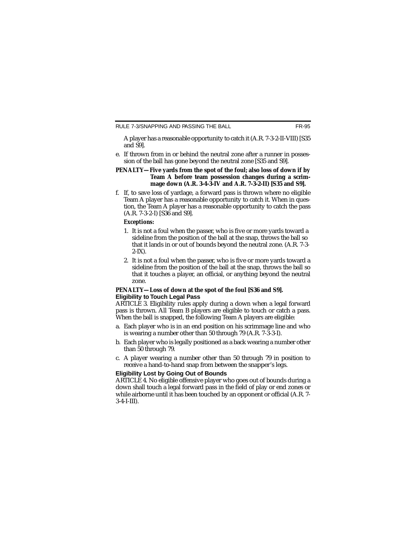A player has a reasonable opportunity to catch it (A.R. 7-3-2-II-VIII) [S35 and S9].

e. If thrown from in or behind the neutral zone after a runner in possession of the ball has gone beyond the neutral zone [S35 and S9].

#### **PENALTY—Five yards from the spot of the foul; also loss of down if by Team A before team possession changes during a scrimmage down (A.R. 3-4-3-IV and A.R. 7-3-2-II) [S35 and S9].**

f. If, to save loss of yardage, a forward pass is thrown where no eligible Team A player has a reasonable opportunity to catch it. When in question, the Team A player has a reasonable opportunity to catch the pass (A.R. 7-3-2-I) [S36 and S9].

#### *Exceptions:*

- 1. It is not a foul when the passer, who is five or more yards toward a sideline from the position of the ball at the snap, throws the ball so that it lands in or out of bounds beyond the neutral zone. (A.R. 7-3-  $2-IX$ ).
- 2. It is not a foul when the passer, who is five or more yards toward a sideline from the position of the ball at the snap, throws the ball so that it touches a player, an official, or anything beyond the neutral zone.

#### **PENALTY—Loss of down at the spot of the foul [S36 and S9]. Eligibility to Touch Legal Pass**

ARTICLE 3. Eligibility rules apply during a down when a legal forward pass is thrown. All Team B players are eligible to touch or catch a pass. When the ball is snapped, the following Team A players are eligible:

- a. Each player who is in an end position on his scrimmage line and who is wearing a number other than 50 through 79 (A.R. 7-3-3-I).
- b. Each player who is legally positioned as a back wearing a number other than 50 through 79.
- c. A player wearing a number other than 50 through 79 in position to receive a hand-to-hand snap from between the snapper's legs.

#### **Eligibility Lost by Going Out of Bounds**

ARTICLE 4. No eligible offensive player who goes out of bounds during a down shall touch a legal forward pass in the field of play or end zones or while airborne until it has been touched by an opponent or official (A.R. 7- 3-4-I-III).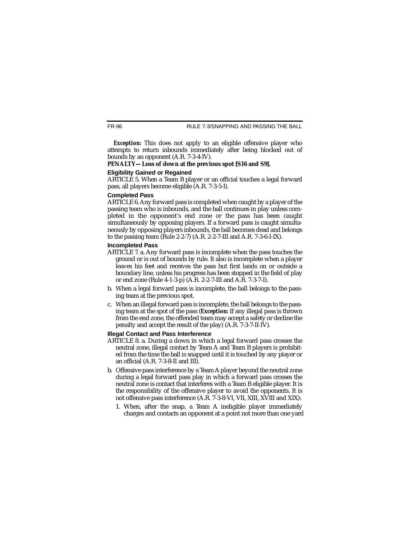FR-96 RULE 7-3/SNAPPING AND PASSING THE BALL

**Exception:** This does not apply to an eligible offensive player who attempts to return inbounds immediately after being blocked out of bounds by an opponent (A.R. 7-3-4-IV).

#### **PENALTY—Loss of down at the previous spot [S16 and S9].**

#### **Eligibility Gained or Regained**

ARTICLE 5. When a Team B player or an official touches a legal forward pass, all players become eligible (A.R. 7-3-5-I).

#### **Completed Pass**

ARTICLE 6. Any forward pass is completed when caught by a player of the passing team who is inbounds, and the ball continues in play unless completed in the opponent's end zone or the pass has been caught simultaneously by opposing players. If a forward pass is caught simultaneously by opposing players inbounds, the ball becomes dead and belongs to the passing team (Rule 2-2-7) (A.R. 2-2-7-III and A.R. 7-3-6-I-IX).

#### **Incompleted Pass**

- ARTICLE 7. a. Any forward pass is incomplete when the pass touches the ground or is out of bounds by rule. It also is incomplete when a player leaves his feet and receives the pass but first lands on or outside a boundary line, unless his progress has been stopped in the field of play or end zone (Rule 4-1-3-p) (A.R. 2-2-7-III and A.R. 7-3-7-I).
- b. When a legal forward pass is incomplete, the ball belongs to the passing team at the previous spot.
- c. When an illegal forward pass is incomplete, the ball belongs to the passing team at the spot of the pass (*Exception:* If any illegal pass is thrown from the end zone, the offended team may accept a safety or decline the penalty and accept the result of the play) (A.R. 7-3-7-II-IV).

#### **Illegal Contact and Pass Interference**

- ARTICLE 8. a. During a down in which a legal forward pass crosses the neutral zone, illegal contact by Team A and Team B players is prohibited from the time the ball is snapped until it is touched by any player or an official (A.R. 7-3-8-II and III).
- b. Offensive pass interference by a Team A player beyond the neutral zone during a legal forward pass play in which a forward pass crosses the neutral zone is contact that interferes with a Team B eligible player. It is the responsibility of the offensive player to avoid the opponents. It is not offensive pass interference (A.R. 7-3-8-VI, VII, XIII, XVIII and XIX):
	- 1. When, after the snap, a Team A ineligible player immediately charges and contacts an opponent at a point not more than one yard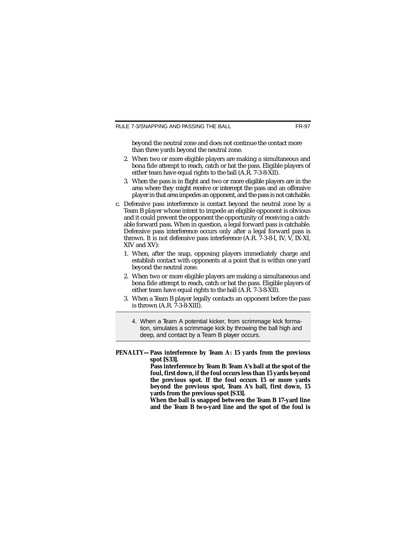beyond the neutral zone and does not continue the contact more than three yards beyond the neutral zone.

- 2. When two or more eligible players are making a simultaneous and bona fide attempt to reach, catch or bat the pass. Eligible players of either team have equal rights to the ball (A.R. 7-3-8-XII).
- 3. When the pass is in flight and two or more eligible players are in the area where they might receive or intercept the pass and an offensive player in that area impedes an opponent, and the pass is not catchable.
- c. Defensive pass interference is contact beyond the neutral zone by a Team B player whose intent to impede an eligible opponent is obvious and it could prevent the opponent the opportunity of receiving a catchable forward pass. When in question, a legal forward pass is catchable. Defensive pass interference occurs only after a legal forward pass is thrown. It is not defensive pass interference (A.R. 7-3-8-I, IV, V, IX-XI, XIV and XV):
	- 1. When, after the snap, opposing players immediately charge and establish contact with opponents at a point that is within one yard beyond the neutral zone.
	- 2. When two or more eligible players are making a simultaneous and bona fide attempt to reach, catch or bat the pass. Eligible players of either team have equal rights to the ball (A.R. 7-3-8-XII).
	- 3. When a Team B player legally contacts an opponent before the pass is thrown (A.R. 7-3-8-XIII).
		- 4. When a Team A potential kicker, from scrimmage kick formation, simulates a scrimmage kick by throwing the ball high and deep, and contact by a Team B player occurs.
- **PENALTY—Pass interference by Team A: 15 yards from the previous spot [S33].**

**Pass interference by Team B: Team A's ball at the spot of the foul, first down, if the foul occurs less than 15 yards beyond the previous spot. If the foul occurs 15 or more yards beyond the previous spot, Team A's ball, first down, 15 yards from the previous spot [S33].**

**When the ball is snapped between the Team B 17-yard line and the Team B two-yard line and the spot of the foul is**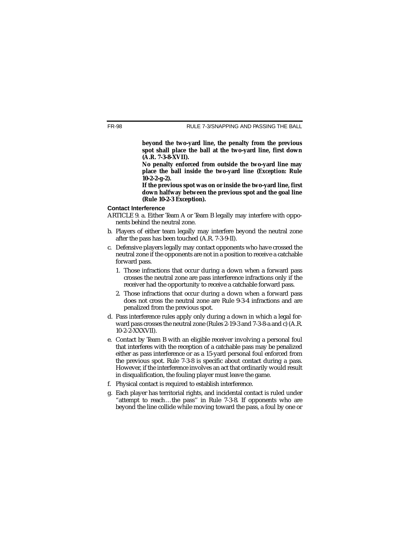**beyond the two-yard line, the penalty from the previous spot shall place the ball at the two-yard line, first down (A.R. 7-3-8-XVII).**

**No penalty enforced from outside the two-yard line may place the ball inside the two-yard line (***Exception:* **Rule 10-2-2-g-2).**

**If the previous spot was on or inside the two-yard line, first down halfway between the previous spot and the goal line (Rule 10-2-3 Exception).**

#### **Contact Interference**

- ARTICLE 9. a. Either Team A or Team B legally may interfere with opponents behind the neutral zone.
- b. Players of either team legally may interfere beyond the neutral zone after the pass has been touched (A.R. 7-3-9-II).
- c. Defensive players legally may contact opponents who have crossed the neutral zone if the opponents are not in a position to receive a catchable forward pass.
	- 1. Those infractions that occur during a down when a forward pass crosses the neutral zone are pass interference infractions only if the receiver had the opportunity to receive a catchable forward pass.
	- 2. Those infractions that occur during a down when a forward pass does not cross the neutral zone are Rule 9-3-4 infractions and are penalized from the previous spot.
- d. Pass interference rules apply only during a down in which a legal forward pass crosses the neutral zone (Rules 2-19-3 and 7-3-8-a and c) (A.R. 10-2-2-XXXVII).
- e. Contact by Team B with an eligible receiver involving a personal foul that interferes with the reception of a catchable pass may be penalized either as pass interference or as a 15-yard personal foul enforced from the previous spot. Rule 7-3-8 is specific about contact during a pass. However, if the interference involves an act that ordinarily would result in disqualification, the fouling player must leave the game.
- f. Physical contact is required to establish interference.
- g. Each player has territorial rights, and incidental contact is ruled under "attempt to reach…the pass'' in Rule 7-3-8. If opponents who are beyond the line collide while moving toward the pass, a foul by one or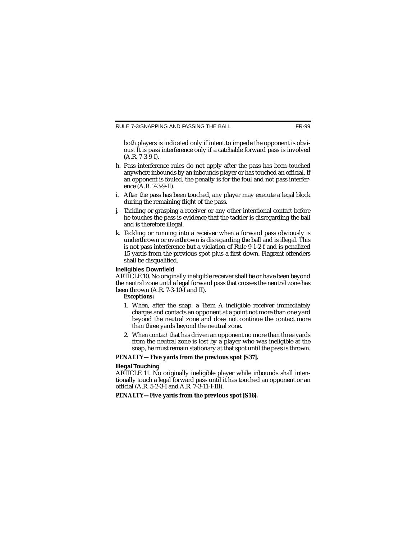both players is indicated only if intent to impede the opponent is obvious. It is pass interference only if a catchable forward pass is involved (A.R. 7-3-9-I).

- h. Pass interference rules do not apply after the pass has been touched anywhere inbounds by an inbounds player or has touched an official. If an opponent is fouled, the penalty is for the foul and not pass interference (A.R. 7-3-9-II).
- i. After the pass has been touched, any player may execute a legal block during the remaining flight of the pass.
- j. Tackling or grasping a receiver or any other intentional contact before he touches the pass is evidence that the tackler is disregarding the ball and is therefore illegal.
- k. Tackling or running into a receiver when a forward pass obviously is underthrown or overthrown is disregarding the ball and is illegal. This is not pass interference but a violation of Rule 9-1-2-f and is penalized 15 yards from the previous spot plus a first down. Flagrant offenders shall be disqualified.

#### **Ineligibles Downfield**

ARTICLE 10. No originally ineligible receiver shall be or have been beyond the neutral zone until a legal forward pass that crosses the neutral zone has been thrown (A.R. 7-3-10-I and II).

#### *Exceptions:*

- 1. When, after the snap, a Team A ineligible receiver immediately charges and contacts an opponent at a point not more than one yard beyond the neutral zone and does not continue the contact more than three yards beyond the neutral zone.
- 2. When contact that has driven an opponent no more than three yards from the neutral zone is lost by a player who was ineligible at the snap, he must remain stationary at that spot until the pass is thrown.

#### **PENALTY—Five yards from the previous spot [S37].**

#### **Illegal Touching**

ARTICLE 11. No originally ineligible player while inbounds shall intentionally touch a legal forward pass until it has touched an opponent or an official (A.R. 5-2-3-I and A.R. 7-3-11-I-III).

#### **PENALTY—Five yards from the previous spot [S16].**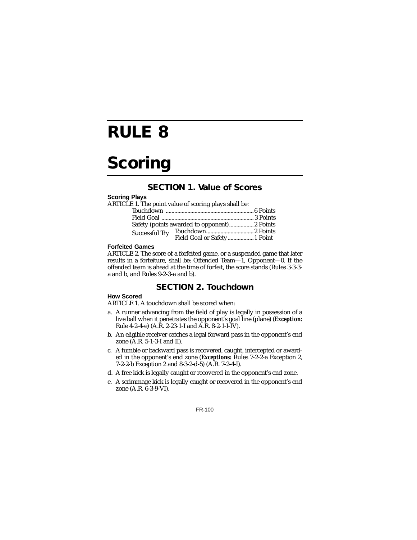## **RULE 8**

## **Scoring**

## **SECTION 1. Value of Scores**

#### **Scoring Plays**

| ARTICLE 1. The point value of scoring plays shall be: |                                              |
|-------------------------------------------------------|----------------------------------------------|
|                                                       |                                              |
|                                                       |                                              |
|                                                       |                                              |
|                                                       |                                              |
|                                                       |                                              |
|                                                       | Safety (points awarded to opponent) 2 Points |

#### **Forfeited Games**

ARTICLE 2. The score of a forfeited game, or a suspended game that later results in a forfeiture, shall be: Offended Team—1, Opponent—0. If the offended team is ahead at the time of forfeit, the score stands (Rules 3-3-3 a and b, and Rules 9-2-3-a and b).

### **SECTION 2. Touchdown**

#### **How Scored**

ARTICLE 1. A touchdown shall be scored when:

- a. A runner advancing from the field of play is legally in possession of a live ball when it penetrates the opponent's goal line (plane) (*Exception:* Rule 4-2-4-e) (A.R. 2-23-1-I and A.R. 8-2-1-I-IV).
- b. An eligible receiver catches a legal forward pass in the opponent's end zone (A.R. 5-1-3-I and II).
- c. A fumble or backward pass is recovered, caught, intercepted or awarded in the opponent's end zone (*Exceptions:* Rules 7-2-2-a Exception 2, 7-2-2-b Exception 2 and 8-3-2-d-5) (A.R. 7-2-4-I).
- d. A free kick is legally caught or recovered in the opponent's end zone.
- e. A scrimmage kick is legally caught or recovered in the opponent's end zone (A.R. 6-3-9-VI).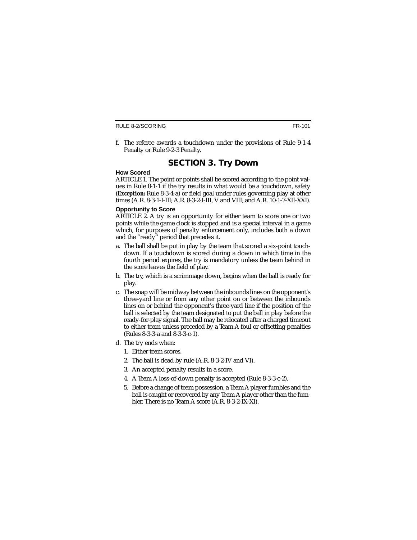RULE 8-2/SCORING

f. The referee awards a touchdown under the provisions of Rule 9-1-4 Penalty or Rule 9-2-3 Penalty.

### **SECTION 3. Try Down**

#### **How Scored**

ARTICLE 1. The point or points shall be scored according to the point values in Rule 8-1-1 if the try results in what would be a touchdown, safety (*Exception:* Rule 8-3-4-a) or field goal under rules governing play at other times (A.R. 8-3-1-I-III; A.R. 8-3-2-I-III, V and VIII; and A.R. 10-1-7-XII-XXI).

#### **Opportunity to Score**

ARTICLE 2. A try is an opportunity for either team to score one or two points while the game clock is stopped and is a special interval in a game which, for purposes of penalty enforcement only, includes both a down and the "ready'' period that precedes it.

- a. The ball shall be put in play by the team that scored a six-point touchdown. If a touchdown is scored during a down in which time in the fourth period expires, the try is mandatory unless the team behind in the score leaves the field of play.
- b. The try, which is a scrimmage down, begins when the ball is ready for play.
- c. The snap will be midway between the inbounds lines on the opponent's three-yard line or from any other point on or between the inbounds lines on or behind the opponent's three-yard line if the position of the ball is selected by the team designated to put the ball in play before the ready-for-play signal. The ball may be relocated after a charged timeout to either team unless preceded by a Team A foul or offsetting penalties (Rules 8-3-3-a and 8-3-3-c-1).
- d. The try ends when:
	- 1. Either team scores.
	- 2. The ball is dead by rule (A.R. 8-3-2-IV and VI).
	- 3. An accepted penalty results in a score.
	- 4. A Team A loss-of-down penalty is accepted (Rule 8-3-3-c-2).
	- 5. Before a change of team possession, a Team A player fumbles and the ball is caught or recovered by any Team A player other than the fumbler. There is no Team A score (A.R. 8-3-2-IX-XI).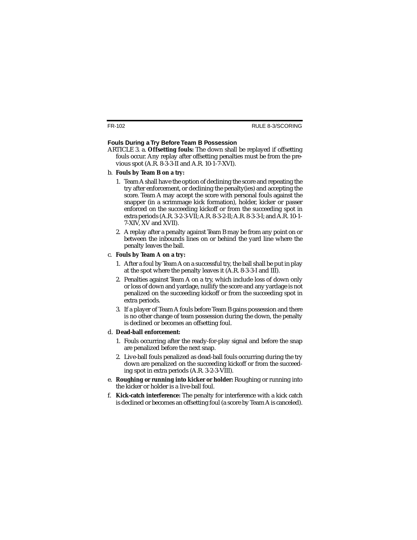#### **Fouls During a Try Before Team B Possession**

- ARTICLE 3. a. **Offsetting fouls:** The down shall be replayed if offsetting fouls occur. Any replay after offsetting penalties must be from the previous spot (A.R. 8-3-3-II and A.R. 10-1-7-XVI).
- b. **Fouls by Team B on a try:**
	- 1. Team A shall have the option of declining the score and repeating the try after enforcement, or declining the penalty(ies) and accepting the score. Team A may accept the score with personal fouls against the snapper (in a scrimmage kick formation), holder, kicker or passer enforced on the succeeding kickoff or from the succeeding spot in extra periods (A.R. 3-2-3-VII; A.R. 8-3-2-II; A.R. 8-3-3-I; and A.R. 10-1- 7-XIV, XV and XVII).
	- 2. A replay after a penalty against Team B may be from any point on or between the inbounds lines on or behind the yard line where the penalty leaves the ball.

#### c. **Fouls by Team A on a try:**

- 1. After a foul by Team A on a successful try, the ball shall be put in play at the spot where the penalty leaves it (A.R. 8-3-3-I and III).
- 2. Penalties against Team A on a try, which include loss of down only or loss of down and yardage, nullify the score and any yardage is not penalized on the succeeding kickoff or from the succeeding spot in extra periods.
- 3. If a player of Team A fouls before Team B gains possession and there is no other change of team possession during the down, the penalty is declined or becomes an offsetting foul.

#### d. **Dead-ball enforcement:**

- 1. Fouls occurring after the ready-for-play signal and before the snap are penalized before the next snap.
- 2. Live-ball fouls penalized as dead-ball fouls occurring during the try down are penalized on the succeeding kickoff or from the succeeding spot in extra periods (A.R. 3-2-3-VIII).
- e. **Roughing or running into kicker or holder:** Roughing or running into the kicker or holder is a live-ball foul.
- f. **Kick-catch interference:** The penalty for interference with a kick catch is declined or becomes an offsetting foul (a score by Team A is canceled).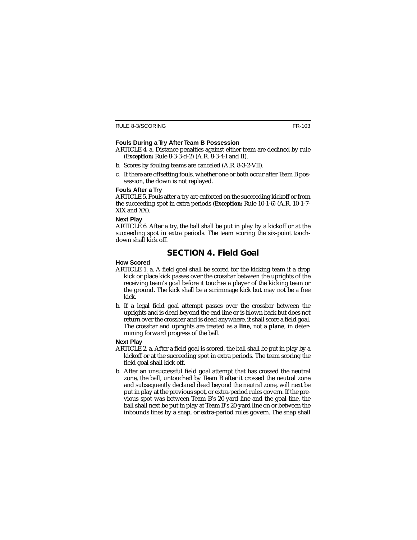#### **Fouls During a Try After Team B Possession**

- ARTICLE 4. a. Distance penalties against either team are declined by rule (*Exception:* Rule 8-3-3-d-2) (A.R. 8-3-4-I and II).
- b. Scores by fouling teams are canceled (A.R. 8-3-2-VII).
- c. If there are offsetting fouls, whether one or both occur after Team B possession, the down is not replayed.

#### **Fouls After a Try**

ARTICLE 5. Fouls after a try are enforced on the succeeding kickoff or from the succeeding spot in extra periods (*Exception:* Rule 10-1-6) (A.R. 10-1-7- XIX and XX).

#### **Next Play**

ARTICLE 6. After a try, the ball shall be put in play by a kickoff or at the succeeding spot in extra periods. The team scoring the six-point touchdown shall kick off.

## **SECTION 4. Field Goal**

#### **How Scored**

- ARTICLE 1. a. A field goal shall be scored for the kicking team if a drop kick or place kick passes over the crossbar between the uprights of the receiving team's goal before it touches a player of the kicking team or the ground. The kick shall be a scrimmage kick but may not be a free kick.
- b. If a legal field goal attempt passes over the crossbar between the uprights and is dead beyond the end line or is blown back but does not return over the crossbar and is dead anywhere, it shall score a field goal. The crossbar and uprights are treated as a **line**, not a **plane**, in determining forward progress of the ball.

#### **Next Play**

- ARTICLE 2. a. After a field goal is scored, the ball shall be put in play by a kickoff or at the succeeding spot in extra periods. The team scoring the field goal shall kick off.
- b. After an unsuccessful field goal attempt that has crossed the neutral zone, the ball, untouched by Team B after it crossed the neutral zone and subsequently declared dead beyond the neutral zone, will next be put in play at the previous spot, or extra-period rules govern. If the previous spot was between Team B's 20-yard line and the goal line, the ball shall next be put in play at Team B's 20-yard line on or between the inbounds lines by a snap, or extra-period rules govern. The snap shall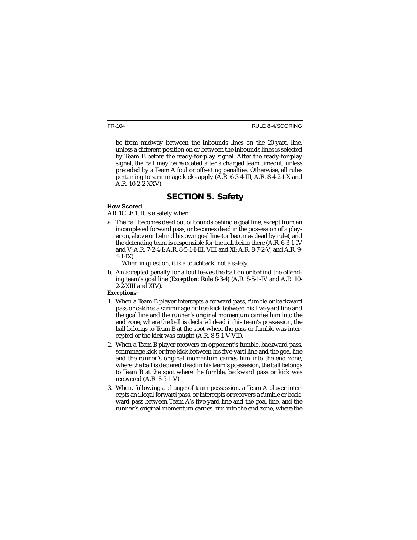RULE 8-4/SCORING

be from midway between the inbounds lines on the 20-yard line, unless a different position on or between the inbounds lines is selected by Team B before the ready-for-play signal. After the ready-for-play signal, the ball may be relocated after a charged team timeout, unless preceded by a Team A foul or offsetting penalties. Otherwise, all rules pertaining to scrimmage kicks apply  $(A.R. 6-3-4-III, A.R. 8-4-2-I-X)$  and A.R. 10-2-2-XXV).

## **SECTION 5. Safety**

#### **How Scored**

ARTICLE 1. It is a safety when:

a. The ball becomes dead out of bounds behind a goal line, except from an incompleted forward pass, or becomes dead in the possession of a player on, above or behind his own goal line (or becomes dead by rule), and the defending team is responsible for the ball being there (A.R. 6-3-1-IV and V; A.R. 7-2-4-I; A.R. 8-5-1-I-III, VIII and XI; A.R. 8-7-2-V; and A.R. 9-  $4 - 1 - IX$ ).

When in question, it is a touchback, not a safety.

b. An accepted penalty for a foul leaves the ball on or behind the offending team's goal line (*Exception:* Rule 8-3-4) (A.R. 8-5-1-IV and A.R. 10- 2-2-XIII and XIV).

#### *Exceptions:*

- 1. When a Team B player intercepts a forward pass, fumble or backward pass or catches a scrimmage or free kick between his five-yard line and the goal line and the runner's original momentum carries him into the end zone, where the ball is declared dead in his team's possession, the ball belongs to Team B at the spot where the pass or fumble was intercepted or the kick was caught (A.R. 8-5-1-V-VII).
- 2. When a Team B player recovers an opponent's fumble, backward pass, scrimmage kick or free kick between his five-yard line and the goal line and the runner's original momentum carries him into the end zone, where the ball is declared dead in his team's possession, the ball belongs to Team B at the spot where the fumble, backward pass or kick was recovered (A.R. 8-5-1-V).
- 3. When, following a change of team possession, a Team A player intercepts an illegal forward pass, or intercepts or recovers a fumble or backward pass between Team A's five-yard line and the goal line, and the runner's original momentum carries him into the end zone, where the

FR-104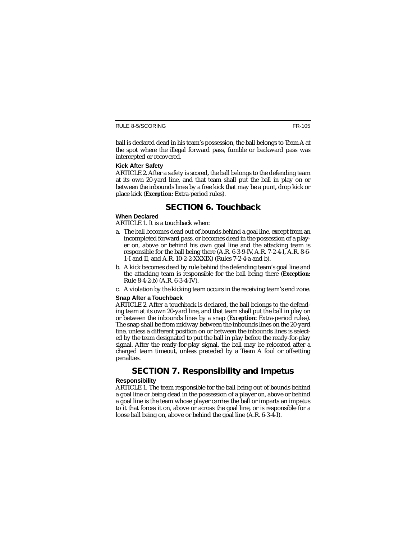FR-105

ball is declared dead in his team's possession, the ball belongs to Team A at the spot where the illegal forward pass, fumble or backward pass was intercepted or recovered.

#### **Kick After Safety**

ARTICLE 2. After a safety is scored, the ball belongs to the defending team at its own 20-yard line, and that team shall put the ball in play on or between the inbounds lines by a free kick that may be a punt, drop kick or place kick (*Exception:* Extra-period rules).

## **SECTION 6. Touchback**

#### **When Declared**

ARTICLE 1. It is a touchback when:

- a. The ball becomes dead out of bounds behind a goal line, except from an incompleted forward pass, or becomes dead in the possession of a player on, above or behind his own goal line and the attacking team is responsible for the ball being there (A.R. 6-3-9-IV, A.R. 7-2-4-I, A.R. 8-6- 1-I and II, and A.R. 10-2-2-XXXIX) (Rules 7-2-4-a and b).
- b. A kick becomes dead by rule behind the defending team's goal line and the attacking team is responsible for the ball being there (*Exception:* Rule 8-4-2-b) (A.R. 6-3-4-IV).
- c. A violation by the kicking team occurs in the receiving team's end zone.

#### **Snap After a Touchback**

ARTICLE 2. After a touchback is declared, the ball belongs to the defending team at its own 20-yard line, and that team shall put the ball in play on or between the inbounds lines by a snap (*Exception:* Extra-period rules). The snap shall be from midway between the inbounds lines on the 20-yard line, unless a different position on or between the inbounds lines is selected by the team designated to put the ball in play before the ready-for-play signal. After the ready-for-play signal, the ball may be relocated after a charged team timeout, unless preceded by a Team A foul or offsetting penalties.

### **SECTION 7. Responsibility and Impetus**

#### **Responsibility**

ARTICLE 1. The team responsible for the ball being out of bounds behind a goal line or being dead in the possession of a player on, above or behind a goal line is the team whose player carries the ball or imparts an impetus to it that forces it on, above or across the goal line, or is responsible for a loose ball being on, above or behind the goal line (A.R. 6-3-4-I).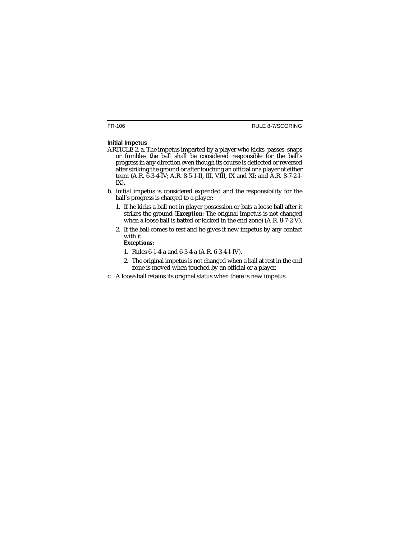#### **Initial Impetus**

- ARTICLE 2. a. The impetus imparted by a player who kicks, passes, snaps or fumbles the ball shall be considered responsible for the ball's progress in any direction even though its course is deflected or reversed after striking the ground or after touching an official or a player of either team (A.R. 6-3-4-IV; A.R. 8-5-1-II, III, VIII, IX and XI; and A.R. 8-7-2-I-IX).
- b. Initial impetus is considered expended and the responsibility for the ball's progress is charged to a player:
	- 1. If he kicks a ball not in player possession or bats a loose ball after it strikes the ground (*Exception:* The original impetus is not changed when a loose ball is batted or kicked in the end zone) (A.R. 8-7-2-V).
	- 2. If the ball comes to rest and he gives it new impetus by any contact with it.

#### *Exceptions:*

- 1. Rules 6-1-4-a and 6-3-4-a (A.R. 6-3-4-I-IV).
- 2. The original impetus is not changed when a ball at rest in the end zone is moved when touched by an official or a player.
- c. A loose ball retains its original status when there is new impetus.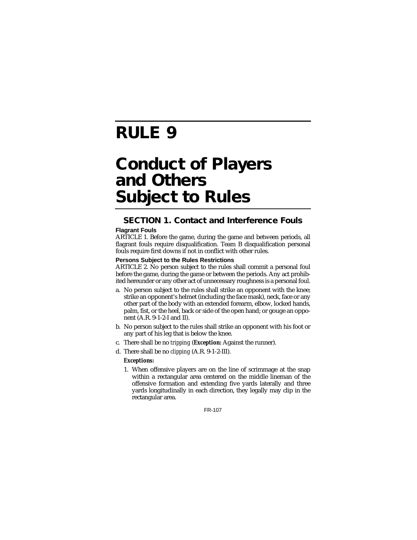## **RULE 9**

## **Conduct of Players and Others Subject to Rules**

## **SECTION 1. Contact and Interference Fouls**

#### **Flagrant Fouls**

ARTICLE 1. Before the game, during the game and between periods, all flagrant fouls require disqualification. Team B disqualification personal fouls require first downs if not in conflict with other rules.

#### **Persons Subject to the Rules Restrictions**

ARTICLE 2. No person subject to the rules shall commit a personal foul before the game, during the game or between the periods. Any act prohibited hereunder or any other act of unnecessary roughness is a personal foul.

- a. No person subject to the rules shall strike an opponent with the knee; strike an opponent's helmet (including the face mask), neck, face or any other part of the body with an extended forearm, elbow, locked hands, palm, fist, or the heel, back or side of the open hand; or gouge an opponent (A.R. 9-1-2-I and II).
- b. No person subject to the rules shall strike an opponent with his foot or any part of his leg that is below the knee.
- c. There shall be no *tripping* (*Exception:* Against the runner).
- d. There shall be no *clipping* (A.R. 9-1-2-III).

#### *Exceptions:*

1. When offensive players are on the line of scrimmage at the snap within a rectangular area centered on the middle lineman of the offensive formation and extending five yards laterally and three yards longitudinally in each direction, they legally may clip in the rectangular area.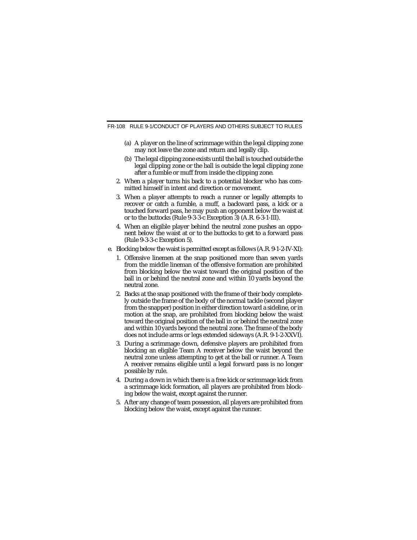- (a) A player on the line of scrimmage within the legal clipping zone may not leave the zone and return and legally clip.
- (b) The legal clipping zone exists until the ball is touched outside the legal clipping zone or the ball is outside the legal clipping zone after a fumble or muff from inside the clipping zone.
- 2. When a player turns his back to a potential blocker who has committed himself in intent and direction or movement.
- 3. When a player attempts to reach a runner or legally attempts to recover or catch a fumble, a muff, a backward pass, a kick or a touched forward pass, he may push an opponent below the waist at or to the buttocks (Rule 9-3-3-c Exception 3) (A.R. 6-3-1-III).
- 4. When an eligible player behind the neutral zone pushes an opponent below the waist at or to the buttocks to get to a forward pass (Rule 9-3-3-c Exception 5).
- e. Blocking below the waist is permitted except as follows (A.R. 9-1-2-IV-XI):
	- 1. Offensive linemen at the snap positioned more than seven yards from the middle lineman of the offensive formation are prohibited from blocking below the waist toward the original position of the ball in or behind the neutral zone and within 10 yards beyond the neutral zone.
	- 2. Backs at the snap positioned with the frame of their body completely outside the frame of the body of the normal tackle (second player from the snapper) position in either direction toward a sideline, or in motion at the snap, are prohibited from blocking below the waist toward the original position of the ball in or behind the neutral zone and within 10 yards beyond the neutral zone. The frame of the body does not include arms or legs extended sideways (A.R. 9-1-2-XXVI).
	- 3. During a scrimmage down, defensive players are prohibited from blocking an eligible Team A receiver below the waist beyond the neutral zone unless attempting to get at the ball or runner. A Team A receiver remains eligible until a legal forward pass is no longer possible by rule.
	- 4. During a down in which there is a free kick or scrimmage kick from a scrimmage kick formation, all players are prohibited from blocking below the waist, except against the runner.
	- 5. After any change of team possession, all players are prohibited from blocking below the waist, except against the runner.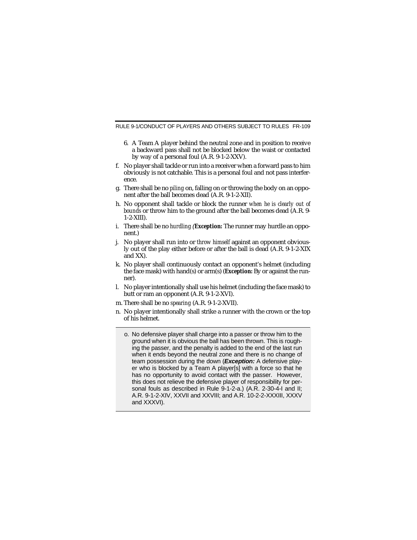- 6. A Team A player behind the neutral zone and in position to receive a backward pass shall not be blocked below the waist or contacted by way of a personal foul (A.R. 9-1-2-XXV).
- f. No player shall tackle or run into a receiver when a forward pass to him obviously is not catchable. This is a personal foul and not pass interference.
- g. There shall be no *piling* on, falling on or throwing the body on an opponent after the ball becomes dead (A.R. 9-1-2-XII).
- h. No opponent shall tackle or block the runner *when he is clearly out of bounds* or throw him to the ground after the ball becomes dead (A.R. 9- 1-2-XIII).
- i. There shall be no *hurdling* (*Exception:* The runner may hurdle an opponent.)
- j. No player shall run into or *throw himself* against an opponent obviously out of the play either before or after the ball is dead (A.R. 9-1-2-XIX and XX).
- k. No player shall continuously contact an opponent's helmet (including the face mask) with hand(s) or arm(s) (*Exception:* By or against the runner).
- l. No player intentionally shall use his helmet (including the face mask) to butt or ram an opponent (A.R. 9-1-2-XVI).
- m. There shall be no *spearing* (A.R. 9-1-2-XVII).
- n. No player intentionally shall strike a runner with the crown or the top of his helmet.
	- o. No defensive player shall charge into a passer or throw him to the ground when it is obvious the ball has been thrown. This is roughing the passer, and the penalty is added to the end of the last run when it ends beyond the neutral zone and there is no change of team possession during the down (**Exception:** A defensive player who is blocked by a Team A player[s] with a force so that he has no opportunity to avoid contact with the passer. However, this does not relieve the defensive player of responsibility for personal fouls as described in Rule 9-1-2-a.) (A.R. 2-30-4-I and II; A.R. 9-1-2-XIV, XXVII and XXVIII; and A.R. 10-2-2-XXXIII, XXXV and XXXVI).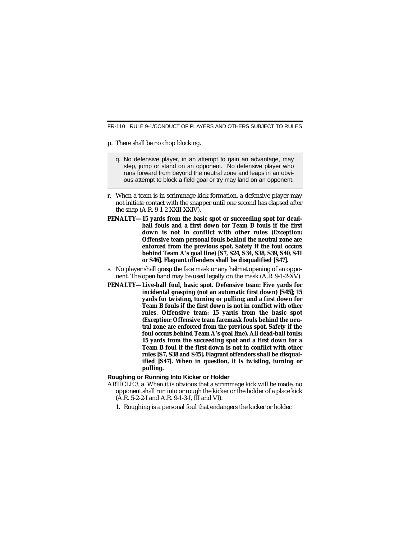- p. There shall be no chop blocking.
	- q. No defensive player, in an attempt to gain an advantage, may step, jump or stand on an opponent. No defensive player who runs forward from beyond the neutral zone and leaps in an obvious attempt to block a field goal or try may land on an opponent.
- r. When a team is in scrimmage kick formation, a defensive player may not initiate contact with the snapper until one second has elapsed after the snap (A.R. 9-1-2-XXII-XXIV).
- **PENALTY—15 yards from the basic spot or succeeding spot for deadball fouls and a first down for Team B fouls if the first down is not in conflict with other rules (***Exception:* **Offensive team personal fouls behind the neutral zone are enforced from the previous spot. Safety if the foul occurs behind Team A's goal line) [S7, S24, S34, S38, S39, S40, S41 or S46]. Flagrant offenders shall be disqualified [S47].**
- s. No player shall grasp the face mask or any helmet opening of an opponent. The open hand may be used legally on the mask (A.R. 9-1-2-XV).
- **PENALTY—Live-ball foul, basic spot. Defensive team: Five yards for incidental grasping (not an automatic first down) [S45]; 15 yards for twisting, turning or pulling; and a first down for Team B fouls if the first down is not in conflict with other rules. Offensive team: 15 yards from the basic spot (***Exception:* **Offensive team facemask fouls behind the neutral zone are enforced from the previous spot. Safety if the foul occurs behind Team A's goal line). All dead-ball fouls: 15 yards from the succeeding spot and a first down for a Team B foul if the first down is not in conflict with other rules [S7, S38 and S45]. Flagrant offenders shall be disqualified [S47]. When in question, it is twisting, turning or pulling.**

#### **Roughing or Running Into Kicker or Holder**

- ARTICLE 3. a. When it is obvious that a scrimmage kick will be made, no opponent shall run into or rough the kicker or the holder of a place kick (A.R. 5-2-2-I and A.R. 9-1-3-I, III and VI).
	- 1. Roughing is a personal foul that endangers the kicker or holder.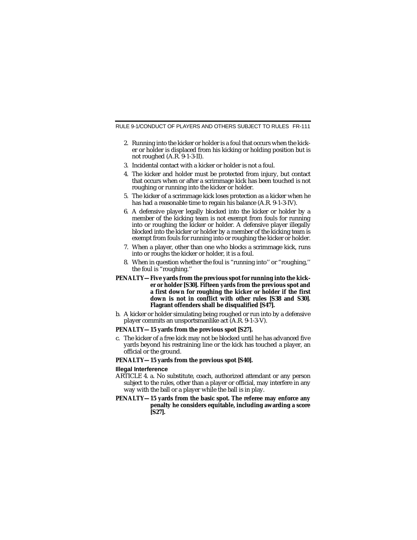- 2. Running into the kicker or holder is a foul that occurs when the kicker or holder is displaced from his kicking or holding position but is not roughed (A.R. 9-1-3-II).
- 3. Incidental contact with a kicker or holder is not a foul.
- 4. The kicker and holder must be protected from injury, but contact that occurs when or after a scrimmage kick has been touched is not roughing or running into the kicker or holder.
- 5. The kicker of a scrimmage kick loses protection as a kicker when he has had a reasonable time to regain his balance (A.R. 9-1-3-IV).
- 6. A defensive player legally blocked into the kicker or holder by a member of the kicking team is not exempt from fouls for running into or roughing the kicker or holder. A defensive player illegally blocked into the kicker or holder by a member of the kicking team is exempt from fouls for running into or roughing the kicker or holder.
- 7. When a player, other than one who blocks a scrimmage kick, runs into or roughs the kicker or holder, it is a foul.
- 8. When in question whether the foul is "running into'' or "roughing,'' the foul is "roughing.''

#### **PENALTY—Five yards from the previous spot for running into the kicker or holder [S30]. Fifteen yards from the previous spot and a first down for roughing the kicker or holder if the first down is not in conflict with other rules [S38 and S30]. Flagrant offenders shall be disqualified [S47].**

b. A kicker or holder simulating being roughed or run into by a defensive player commits an unsportsmanlike act (A.R. 9-1-3-V).

#### **PENALTY—15 yards from the previous spot [S27].**

c. The kicker of a free kick may not be blocked until he has advanced five yards beyond his restraining line or the kick has touched a player, an official or the ground.

#### **PENALTY—15 yards from the previous spot [S40].**

#### **Illegal Interference**

- ARTICLE 4. a. No substitute, coach, authorized attendant or any person subject to the rules, other than a player or official, may interfere in any way with the ball or a player while the ball is in play.
- **PENALTY—15 yards from the basic spot. The referee may enforce any penalty he considers equitable, including awarding a score [S27].**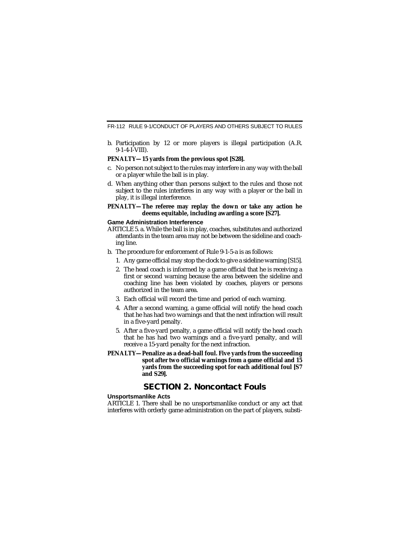b. Participation by 12 or more players is illegal participation (A.R. 9-1-4-I-VIII).

#### **PENALTY—15 yards from the previous spot [S28].**

- c. No person not subject to the rules may interfere in any way with the ball or a player while the ball is in play.
- d. When anything other than persons subject to the rules and those not subject to the rules interferes in any way with a player or the ball in play, it is illegal interference.

#### **PENALTY—The referee may replay the down or take any action he deems equitable, including awarding a score [S27].**

#### **Game Administration Interference**

- ARTICLE 5. a. While the ball is in play, coaches, substitutes and authorized attendants in the team area may not be between the sideline and coaching line.
- b. The procedure for enforcement of Rule 9-1-5-a is as follows:
	- 1. Any game official may stop the clock to give a sideline warning [S15].
	- 2. The head coach is informed by a game official that he is receiving a first or second warning because the area between the sideline and coaching line has been violated by coaches, players or persons authorized in the team area.
	- 3. Each official will record the time and period of each warning.
	- 4. After a second warning, a game official will notify the head coach that he has had two warnings and that the next infraction will result in a five-yard penalty.
	- 5. After a five-yard penalty, a game official will notify the head coach that he has had two warnings and a five-yard penalty, and will receive a 15-yard penalty for the next infraction.
- **PENALTY—Penalize as a dead-ball foul. Five yards from the succeeding spot after two official warnings from a game official and 15 yards from the succeeding spot for each additional foul [S7 and S29].**

### **SECTION 2. Noncontact Fouls**

#### **Unsportsmanlike Acts**

ARTICLE 1. There shall be no unsportsmanlike conduct or any act that interferes with orderly game administration on the part of players, substi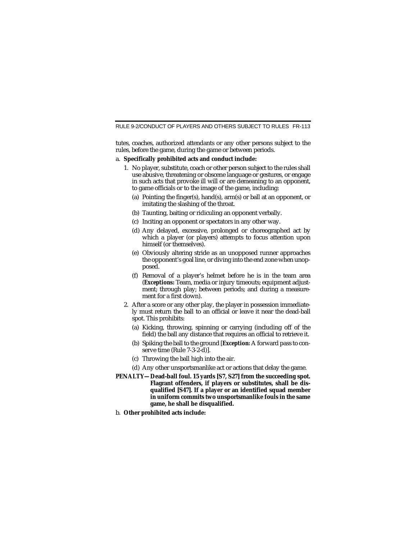tutes, coaches, authorized attendants or any other persons subject to the rules, before the game, during the game or between periods.

#### a. **Specifically prohibited acts and conduct include:**

- 1. No player, substitute, coach or other person subject to the rules shall use abusive, threatening or obscene language or gestures, or engage in such acts that provoke ill will or are demeaning to an opponent, to game officials or to the image of the game, including:
	- (a) Pointing the finger(s), hand(s), arm(s) or ball at an opponent, or imitating the slashing of the throat.
	- (b) Taunting, baiting or ridiculing an opponent verbally.
	- (c) Inciting an opponent or spectators in any other way.
	- (d) Any delayed, excessive, prolonged or choreographed act by which a player (or players) attempts to focus attention upon himself (or themselves).
	- (e) Obviously altering stride as an unopposed runner approaches the opponent's goal line, or diving into the end zone when unopposed.
	- (f) Removal of a player's helmet before he is in the team area (*Exceptions:* Team, media or injury timeouts; equipment adjustment; through play; between periods; and during a measurement for a first down).
- 2. After a score or any other play, the player in possession immediately must return the ball to an official or leave it near the dead-ball spot. This prohibits:
	- (a) Kicking, throwing, spinning or carrying (including off of the field) the ball any distance that requires an official to retrieve it.
	- (b) Spiking the ball to the ground [*Exception:* A forward pass to conserve time (Rule 7-3-2-d)].
	- (c) Throwing the ball high into the air.
	- (d) Any other unsportsmanlike act or actions that delay the game.
- **PENALTY—Dead-ball foul. 15 yards [S7, S27] from the succeeding spot. Flagrant offenders, if players or substitutes, shall be disqualified [S47]. If a player or an identified squad member in uniform commits two unsportsmanlike fouls in the same game, he shall be disqualified.**
- b. **Other prohibited acts include:**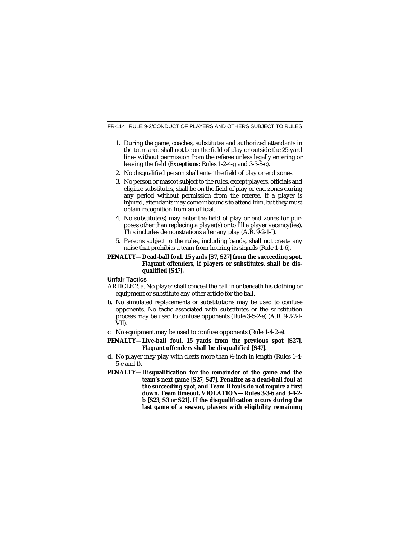- 1. During the game, coaches, substitutes and authorized attendants in the team area shall not be on the field of play or outside the 25-yard lines without permission from the referee unless legally entering or leaving the field (*Exceptions:* Rules 1-2-4-g and 3-3-8-c).
- 2. No disqualified person shall enter the field of play or end zones.
- 3. No person or mascot subject to the rules, except players, officials and eligible substitutes, shall be on the field of play or end zones during any period without permission from the referee. If a player is injured, attendants may come inbounds to attend him, but they must obtain recognition from an official.
- 4. No substitute(s) may enter the field of play or end zones for purposes other than replacing a player(s) or to fill a player vacancy(ies). This includes demonstrations after any play (A.R. 9-2-1-I).
- 5. Persons subject to the rules, including bands, shall not create any noise that prohibits a team from hearing its signals (Rule 1-1-6).

#### **PENALTY—Dead-ball foul. 15 yards [S7, S27] from the succeeding spot. Flagrant offenders, if players or substitutes, shall be disqualified [S47].**

#### **Unfair Tactics**

- ARTICLE 2. a. No player shall conceal the ball in or beneath his clothing or equipment or substitute any other article for the ball.
- b. No simulated replacements or substitutions may be used to confuse opponents. No tactic associated with substitutes or the substitution process may be used to confuse opponents (Rule 3-5-2-e) (A.R. 9-2-2-I-VII).
- c. No equipment may be used to confuse opponents (Rule 1-4-2-e).

#### **PENALTY—Live-ball foul. 15 yards from the previous spot [S27]. Flagrant offenders shall be disqualified [S47].**

- d. No player may play with cleats more than 1 ⁄2-inch in length (Rules 1-4- 5-e and f).
- **PENALTY—Disqualification for the remainder of the game and the team's next game [S27, S47]. Penalize as a dead-ball foul at the succeeding spot, and Team B fouls do not require a first down. Team timeout. VIOLATION—Rules 3-3-6 and 3-4-2 b [S23, S3 or S21]. If the disqualification occurs during the last game of a season, players with eligibility remaining**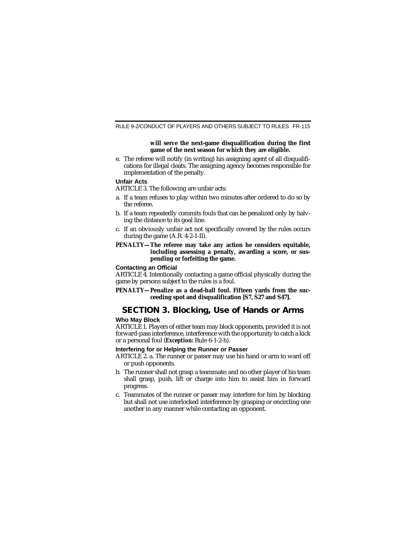#### **will serve the next-game disqualification during the first game of the next season for which they are eligible.**

e. The referee will notify (in writing) his assigning agent of all disqualifications for illegal cleats. The assigning agency becomes responsible for implementation of the penalty.

#### **Unfair Acts**

ARTICLE 3. The following are unfair acts:

- a. If a team refuses to play within two minutes after ordered to do so by the referee.
- b. If a team repeatedly commits fouls that can be penalized only by halving the distance to its goal line.
- c. If an obviously unfair act not specifically covered by the rules occurs during the game (A.R. 4-2-1-II).
- **PENALTY—The referee may take any action he considers equitable, including assessing a penalty, awarding a score, or suspending or forfeiting the game.**

#### **Contacting an Official**

ARTICLE 4. Intentionally contacting a game official physically during the game by persons subject to the rules is a foul.

**PENALTY—Penalize as a dead-ball foul. Fifteen yards from the succeeding spot and disqualification [S7, S27 and S47].**

## **SECTION 3. Blocking, Use of Hands or Arms**

#### **Who May Block**

ARTICLE 1. Players of either team may block opponents, provided it is not forward-pass interference, interference with the opportunity to catch a kick or a personal foul (*Exception:* Rule 6-1-2-h).

#### **Interfering for or Helping the Runner or Passer**

ARTICLE 2. a. The runner or passer may use his hand or arm to ward off or push opponents.

- b. The runner shall not grasp a teammate; and no other player of his team shall grasp, push, lift or charge into him to assist him in forward progress.
- c. Teammates of the runner or passer may interfere for him by blocking but shall not use interlocked interference by grasping or encircling one another in any manner while contacting an opponent.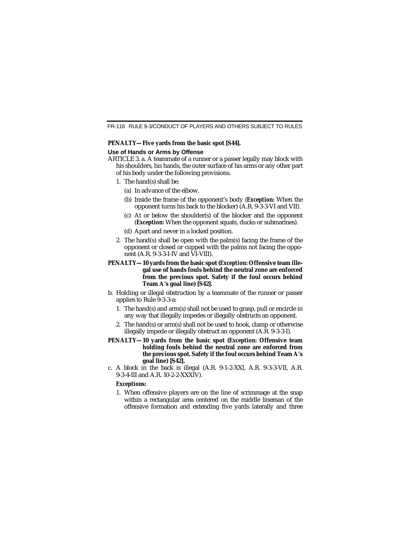#### **PENALTY—Five yards from the basic spot [S44].**

#### **Use of Hands or Arms by Offense**

- ARTICLE 3. a. A teammate of a runner or a passer legally may block with his shoulders, his hands, the outer surface of his arms or any other part of his body under the following provisions.
	- 1. The hand(s) shall be:
		- (a) In advance of the elbow.
		- (b) Inside the frame of the opponent's body (*Exception:* When the opponent turns his back to the blocker) (A.R. 9-3-3-VI and VII).
		- (c) At or below the shoulder(s) of the blocker and the opponent (*Exception:* When the opponent squats, ducks or submarines).
		- (d) Apart and never in a locked position.
	- 2. The hand(s) shall be open with the palm(s) facing the frame of the opponent or closed or cupped with the palms not facing the opponent (A.R. 9-3-3-I-IV and VI-VIII).

#### **PENALTY—10 yards from the basic spot (***Exception:* **Offensive team illegal use of hands fouls behind the neutral zone are enforced from the previous spot. Safety if the foul occurs behind Team A's goal line) [S42].**

- b. Holding or illegal obstruction by a teammate of the runner or passer applies to Rule 9-3-3-a:
	- 1. The hand(s) and arm(s) shall not be used to grasp, pull or encircle in any way that illegally impedes or illegally obstructs an opponent.
	- 2. The hand(s) or arm(s) shall not be used to hook, clamp or otherwise illegally impede or illegally obstruct an opponent (A.R. 9-3-3-I).
- **PENALTY—10 yards from the basic spot (***Exception:* **Offensive team holding fouls behind the neutral zone are enforced from the previous spot. Safety if the foul occurs behind Team A's goal line) [S42].**
- c. A block in the back is illegal (A.R. 9-1-2-XXI, A.R. 9-3-3-VII, A.R. 9-3-4-III and A.R. 10-2-2-XXXIV).

#### *Exceptions:*

1. When offensive players are on the line of scrimmage at the snap within a rectangular area centered on the middle lineman of the offensive formation and extending five yards laterally and three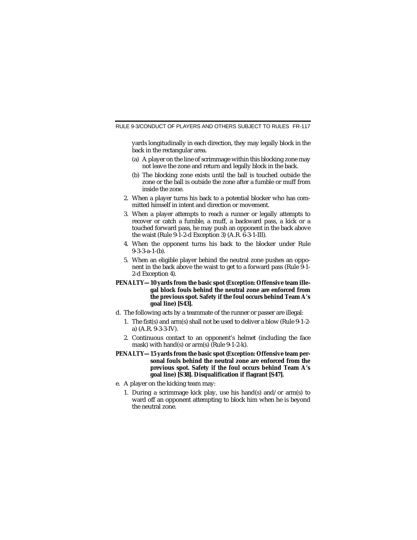yards longitudinally in each direction, they may legally block in the back in the rectangular area.

- (a) A player on the line of scrimmage within this blocking zone may not leave the zone and return and legally block in the back.
- (b) The blocking zone exists until the ball is touched outside the zone or the ball is outside the zone after a fumble or muff from inside the zone.
- 2. When a player turns his back to a potential blocker who has committed himself in intent and direction or movement.
- 3. When a player attempts to reach a runner or legally attempts to recover or catch a fumble, a muff, a backward pass, a kick or a touched forward pass, he may push an opponent in the back above the waist (Rule 9-1-2-d Exception 3) (A.R. 6-3-1-III).
- 4. When the opponent turns his back to the blocker under Rule 9-3-3-a-1-(b).
- 5. When an eligible player behind the neutral zone pushes an opponent in the back above the waist to get to a forward pass (Rule 9-1- 2-d Exception 4).

#### **PENALTY—10 yards from the basic spot (***Exception:* **Offensive team illegal block fouls behind the neutral zone are enforced from the previous spot. Safety if the foul occurs behind Team A's goal line) [S43].**

- d. The following acts by a teammate of the runner or passer are illegal:
	- 1. The fist(s) and arm(s) shall not be used to deliver a blow (Rule 9-1-2 a) (A.R. 9-3-3-IV).
	- 2. Continuous contact to an opponent's helmet (including the face mask) with hand(s) or arm(s) (Rule 9-1-2-k).

#### **PENALTY—15 yards from the basic spot (***Exception:* **Offensive team personal fouls behind the neutral zone are enforced from the previous spot. Safety if the foul occurs behind Team A's goal line) [S38]. Disqualification if flagrant [S47].**

- e. A player on the kicking team may:
	- 1. During a scrimmage kick play, use his hand(s) and/or arm(s) to ward off an opponent attempting to block him when he is beyond the neutral zone.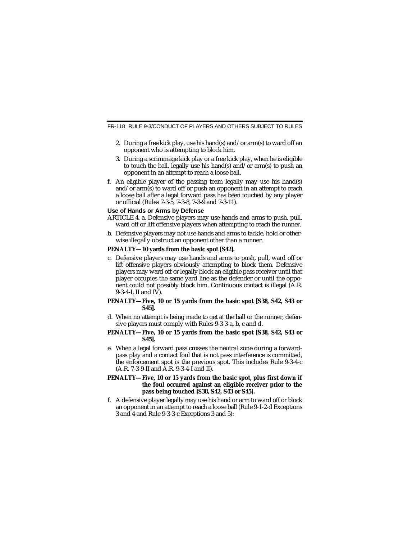- 2. During a free kick play, use his hand(s) and/or arm(s) to ward off an opponent who is attempting to block him.
- 3. During a scrimmage kick play or a free kick play, when he is eligible to touch the ball, legally use his hand(s) and/or arm(s) to push an opponent in an attempt to reach a loose ball.
- f. An eligible player of the passing team legally may use his hand(s) and/or arm(s) to ward off or push an opponent in an attempt to reach a loose ball after a legal forward pass has been touched by any player or official (Rules 7-3-5, 7-3-8, 7-3-9 and 7-3-11).

#### **Use of Hands or Arms by Defense**

- ARTICLE 4. a. Defensive players may use hands and arms to push, pull, ward off or lift offensive players when attempting to reach the runner.
- b. Defensive players may not use hands and arms to tackle, hold or otherwise illegally obstruct an opponent other than a runner.

#### **PENALTY—10 yards from the basic spot [S42].**

c. Defensive players may use hands and arms to push, pull, ward off or lift offensive players obviously attempting to block them. Defensive players may ward off or legally block an eligible pass receiver until that player occupies the same yard line as the defender or until the opponent could not possibly block him. Continuous contact is illegal (A.R. 9-3-4-I, II and IV).

#### **PENALTY—Five, 10 or 15 yards from the basic spot [S38, S42, S43 or S45].**

d. When no attempt is being made to get at the ball or the runner, defensive players must comply with Rules 9-3-3-a, b, c and d.

#### **PENALTY—Five, 10 or 15 yards from the basic spot [S38, S42, S43 or S45].**

e. When a legal forward pass crosses the neutral zone during a forwardpass play and a contact foul that is not pass interference is committed, the enforcement spot is the previous spot. This includes Rule 9-3-4-c (A.R. 7-3-9-II and A.R. 9-3-4-I and II).

#### **PENALTY—Five, 10 or 15 yards from the basic spot, plus first down if the foul occurred against an eligible receiver prior to the pass being touched [S38, S42, S43 or S45].**

f. A defensive player legally may use his hand or arm to ward off or block an opponent in an attempt to reach a loose ball (Rule 9-1-2-d Exceptions 3 and 4 and Rule 9-3-3-c Exceptions 3 and 5):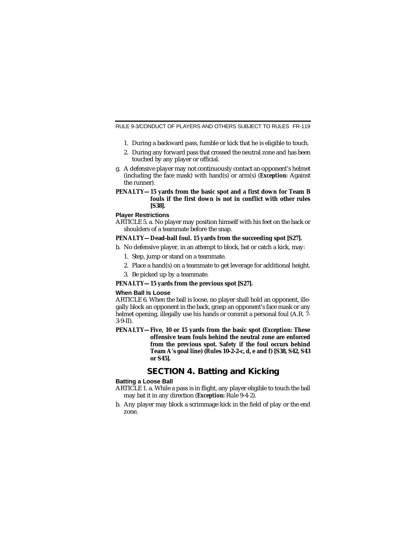- 1. During a backward pass, fumble or kick that he is eligible to touch.
- 2. During any forward pass that crossed the neutral zone and has been touched by any player or official.
- g. A defensive player may not continuously contact an opponent's helmet (including the face mask) with hand(s) or arm(s) (*Exception:* Against the runner).

#### **PENALTY—15 yards from the basic spot and a first down for Team B fouls if the first down is not in conflict with other rules [S38].**

#### **Player Restrictions**

ARTICLE 5. a. No player may position himself with his feet on the back or shoulders of a teammate before the snap.

#### **PENALTY—Dead-ball foul. 15 yards from the succeeding spot [S27].**

- b. No defensive player, in an attempt to block, bat or catch a kick, may:
	- 1. Step, jump or stand on a teammate.
	- 2. Place a hand(s) on a teammate to get leverage for additional height.
	- 3. Be picked up by a teammate.

#### **PENALTY—15 yards from the previous spot [S27].**

#### **When Ball Is Loose**

ARTICLE 6. When the ball is loose, no player shall hold an opponent, illegally block an opponent in the back, grasp an opponent's face mask or any helmet opening, illegally use his hands or commit a personal foul (A.R. 7- 3-9-II).

**PENALTY—Five, 10 or 15 yards from the basic spot (***Exception:* **These offensive team fouls behind the neutral zone are enforced from the previous spot. Safety if the foul occurs behind Team A's goal line) (Rules 10-2-2-c, d, e and f) [S38, S42, S43 or S45].**

## **SECTION 4. Batting and Kicking**

#### **Batting a Loose Ball**

- ARTICLE 1. a. While a pass is in flight, any player eligible to touch the ball may bat it in any direction (*Exception:* Rule 9-4-2).
- b. Any player may block a scrimmage kick in the field of play or the end zone.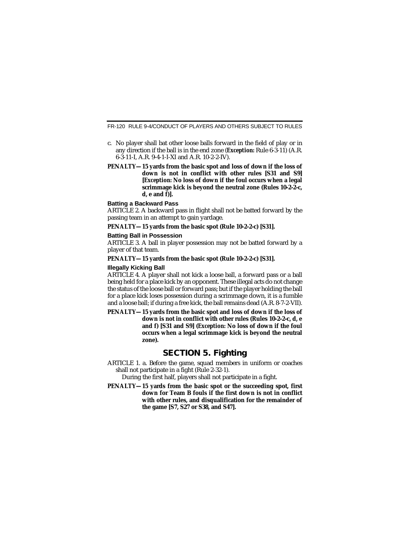FR-120 RULE 9-4/CONDUCT OF PLAYERS AND OTHERS SUBJECT TO RULES

- c. No player shall bat other loose balls forward in the field of play or in any direction if the ball is in the end zone (*Exception:* Rule 6-3-11) (A.R. 6-3-11-I, A.R. 9-4-1-I-XI and A.R. 10-2-2-IV).
- **PENALTY—15 yards from the basic spot and loss of down if the loss of down is not in conflict with other rules [S31 and S9] [***Exception:* **No loss of down if the foul occurs when a legal scrimmage kick is beyond the neutral zone (Rules 10-2-2-c, d, e and f)].**

#### **Batting a Backward Pass**

ARTICLE 2. A backward pass in flight shall not be batted forward by the passing team in an attempt to gain yardage.

**PENALTY—15 yards from the basic spot (Rule 10-2-2-c) [S31].**

#### **Batting Ball in Possession**

ARTICLE 3. A ball in player possession may not be batted forward by a player of that team.

**PENALTY—15 yards from the basic spot (Rule 10-2-2-c) [S31].**

#### **Illegally Kicking Ball**

ARTICLE 4. A player shall not kick a loose ball, a forward pass or a ball being held for a place kick by an opponent. These illegal acts do not change the status of the loose ball or forward pass; but if the player holding the ball for a place kick loses possession during a scrimmage down, it is a fumble and a loose ball; if during a free kick, the ball remains dead (A.R. 8-7-2-VII).

**PENALTY—15 yards from the basic spot and loss of down if the loss of down is not in conflict with other rules (Rules 10-2-2-c, d, e and f) [S31 and S9] (***Exception:* **No loss of down if the foul occurs when a legal scrimmage kick is beyond the neutral zone).**

### **SECTION 5. Fighting**

ARTICLE 1. a. Before the game, squad members in uniform or coaches shall not participate in a fight (Rule 2-32-1).

During the first half, players shall not participate in a fight.

**PENALTY—15 yards from the basic spot or the succeeding spot, first down for Team B fouls if the first down is not in conflict with other rules, and disqualification for the remainder of the game [S7, S27 or S38, and S47].**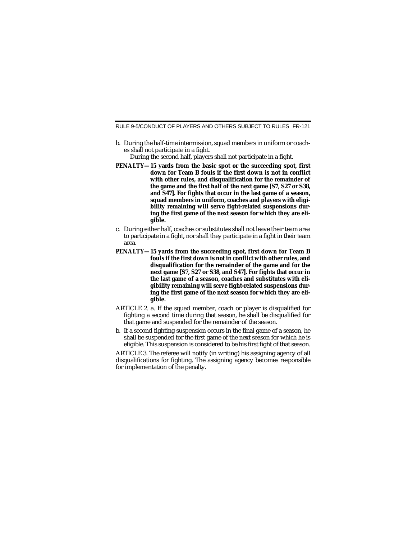RULE 9-5/CONDUCT OF PLAYERS AND OTHERS SUBJECT TO RULES FR-121

b. During the half-time intermission, squad members in uniform or coaches shall not participate in a fight.

During the second half, players shall not participate in a fight.

- **PENALTY—15 yards from the basic spot or the succeeding spot, first down for Team B fouls if the first down is not in conflict with other rules, and disqualification for the remainder of the game and the first half of the next game [S7, S27 or S38, and S47]. For fights that occur in the last game of a season, squad members in uniform, coaches and players with eligibility remaining will serve fight-related suspensions during the first game of the next season for which they are eligible.**
- c. During either half, coaches or substitutes shall not leave their team area to participate in a fight, nor shall they participate in a fight in their team area.
- **PENALTY—15 yards from the succeeding spot, first down for Team B fouls if the first down is not in conflict with other rules, and disqualification for the remainder of the game and for the next game [S7, S27 or S38, and S47]. For fights that occur in the last game of a season, coaches and substitutes with eligibility remaining will serve fight-related suspensions during the first game of the next season for which they are eligible.**
- ARTICLE 2. a. If the squad member, coach or player is disqualified for fighting a second time during that season, he shall be disqualified for that game and suspended for the remainder of the season.
- b. If a second fighting suspension occurs in the final game of a season, he shall be suspended for the first game of the next season for which he is eligible. This suspension is considered to be his first fight of that season.

ARTICLE 3. The referee will notify (in writing) his assigning agency of all disqualifications for fighting. The assigning agency becomes responsible for implementation of the penalty.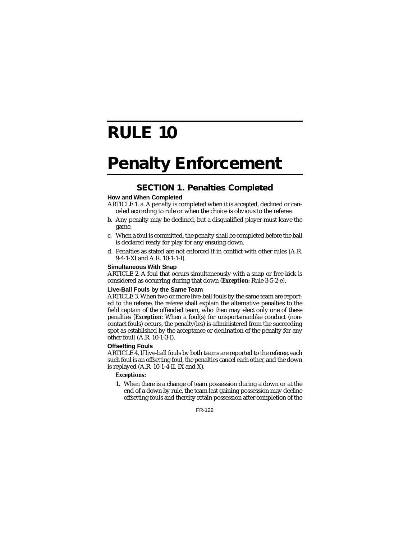## **RULE 10**

# **Penalty Enforcement**

## **SECTION 1. Penalties Completed**

#### **How and When Completed**

- ARTICLE 1. a. A penalty is completed when it is accepted, declined or canceled according to rule or when the choice is obvious to the referee.
- b. Any penalty may be declined, but a disqualified player must leave the game.
- c. When a foul is committed, the penalty shall be completed before the ball is declared ready for play for any ensuing down.
- d. Penalties as stated are not enforced if in conflict with other rules (A.R. 9-4-1-XI and A.R. 10-1-1-I).

#### **Simultaneous With Snap**

ARTICLE 2. A foul that occurs simultaneously with a snap or free kick is considered as occurring during that down (*Exception:* Rule 3-5-2-e).

#### **Live-Ball Fouls by the Same Team**

ARTICLE 3. When two or more live-ball fouls by the same team are reported to the referee, the referee shall explain the alternative penalties to the field captain of the offended team, who then may elect only one of these penalties [*Exception:* When a foul(s) for unsportsmanlike conduct (noncontact fouls) occurs, the penalty(ies) is administered from the succeeding spot as established by the acceptance or declination of the penalty for any other foul] (A.R. 10-1-3-I).

#### **Offsetting Fouls**

ARTICLE 4. If live-ball fouls by both teams are reported to the referee, each such foul is an offsetting foul, the penalties cancel each other, and the down is replayed  $(A.R. 10-1-4-II, IX and X)$ .

#### *Exceptions:*

1. When there is a change of team possession during a down or at the end of a down by rule, the team last gaining possession may decline offsetting fouls and thereby retain possession after completion of the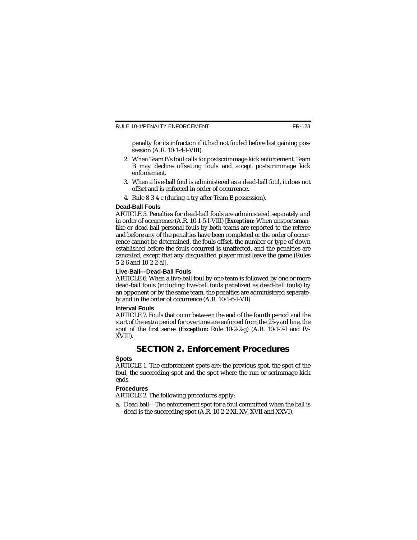penalty for its infraction if it had not fouled before last gaining possession (A.R. 10-1-4-I-VIII).

- 2. When Team B's foul calls for postscrimmage kick enforcement, Team B may decline offsetting fouls and accept postscrimmage kick enforcement.
- 3. When a live-ball foul is administered as a dead-ball foul, it does not offset and is enforced in order of occurrence.
- 4. Rule 8-3-4-c (during a try after Team B possession).

#### **Dead-Ball Fouls**

ARTICLE 5. Penalties for dead-ball fouls are administered separately and in order of occurrence (A.R. 10-1-5-I-VIII) [*Exception:* When unsportsmanlike or dead-ball personal fouls by both teams are reported to the referee and before any of the penalties have been completed or the order of occurrence cannot be determined, the fouls offset, the number or type of down established before the fouls occurred is unaffected, and the penalties are cancelled, except that any disqualified player must leave the game (Rules 5-2-6 and 10-2-2-a)].

#### **Live-Ball—Dead-Ball Fouls**

ARTICLE 6. When a live-ball foul by one team is followed by one or more dead-ball fouls (including live-ball fouls penalized as dead-ball fouls) by an opponent or by the same team, the penalties are administered separately and in the order of occurrence (A.R. 10-1-6-I-VII).

#### **Interval Fouls**

ARTICLE 7. Fouls that occur between the end of the fourth period and the start of the extra period for overtime are enforced from the 25-yard line, the spot of the first series (*Exception:* Rule 10-2-2-g) (A.R. 10-1-7-I and IV-XVIII).

### **SECTION 2. Enforcement Procedures**

#### **Spots**

ARTICLE 1. The enforcement spots are: the previous spot, the spot of the foul, the succeeding spot and the spot where the run or scrimmage kick ends.

#### **Procedures**

ARTICLE 2. The following procedures apply:

a. Dead ball—The enforcement spot for a foul committed when the ball is dead is the succeeding spot (A.R. 10-2-2-XI, XV, XVII and XXVI).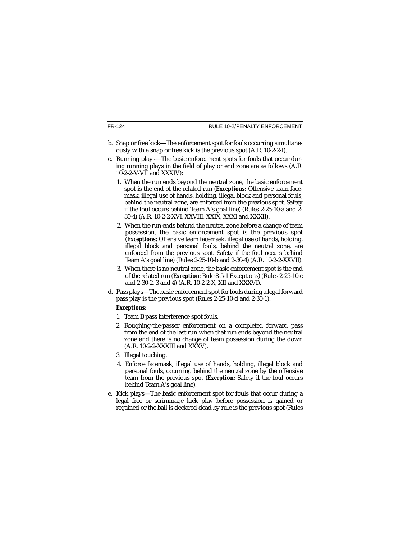FR-124

- b. Snap or free kick—The enforcement spot for fouls occurring simultaneously with a snap or free kick is the previous spot (A.R. 10-2-2-I).
- c. Running plays—The basic enforcement spots for fouls that occur during running plays in the field of play or end zone are as follows (A.R. 10-2-2-V-VII and XXXIV):
	- 1. When the run ends beyond the neutral zone, the basic enforcement spot is the end of the related run (*Exceptions:* Offensive team facemask, illegal use of hands, holding, illegal block and personal fouls, behind the neutral zone, are enforced from the previous spot. Safety if the foul occurs behind Team A's goal line) (Rules 2-25-10-a and 2- 30-4) (A.R. 10-2-2-XVI, XXVIII, XXIX, XXXI and XXXII).
	- 2. When the run ends behind the neutral zone before a change of team possession, the basic enforcement spot is the previous spot (*Exceptions:* Offensive team facemask, illegal use of hands, holding, illegal block and personal fouls, behind the neutral zone, are enforced from the previous spot. Safety if the foul occurs behind Team A's goal line) (Rules 2-25-10-b and 2-30-4) (A.R. 10-2-2-XXVII).
	- 3. When there is no neutral zone, the basic enforcement spot is the end of the related run (*Exception:* Rule 8-5-1 Exceptions) (Rules 2-25-10-c and 2-30-2, 3 and 4) (A.R. 10-2-2-X, XII and XXXVI).
- d. Pass plays—The basic enforcement spot for fouls during a legal forward pass play is the previous spot (Rules 2-25-10-d and 2-30-1).

#### *Exceptions:*

- 1. Team B pass interference spot fouls.
- 2. Roughing-the-passer enforcement on a completed forward pass from the end of the last run when that run ends beyond the neutral zone and there is no change of team possession during the down (A.R. 10-2-2-XXXIII and XXXV).
- 3. Illegal touching.
- 4. Enforce facemask, illegal use of hands, holding, illegal block and personal fouls, occurring behind the neutral zone by the offensive team from the previous spot (*Exception:* Safety if the foul occurs behind Team A's goal line).
- e. Kick plays—The basic enforcement spot for fouls that occur during a legal free or scrimmage kick play before possession is gained or regained or the ball is declared dead by rule is the previous spot (Rules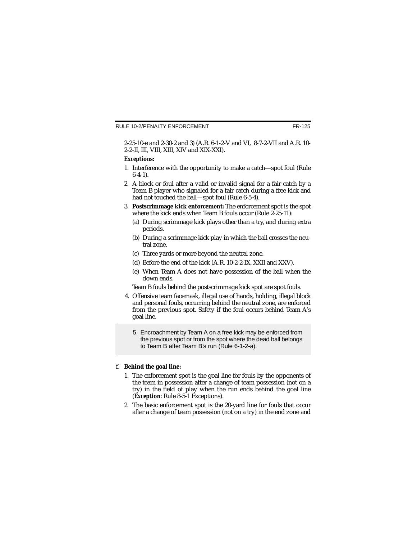2-25-10-e and 2-30-2 and 3) (A.R. 6-1-2-V and VI, 8-7-2-VII and A.R. 10- 2-2-II, III, VIII, XIII, XIV and XIX-XXI).

#### *Exceptions:*

- 1. Interference with the opportunity to make a catch—spot foul (Rule 6-4-1).
- 2. A block or foul after a valid or invalid signal for a fair catch by a Team B player who signaled for a fair catch during a free kick and had not touched the ball—spot foul (Rule 6-5-4).
- 3. **Postscrimmage kick enforcement:** The enforcement spot is the spot where the kick ends when Team B fouls occur (Rule 2-25-11):
	- (a) During scrimmage kick plays other than a try, and during extra periods.
	- (b) During a scrimmage kick play in which the ball crosses the neutral zone.
	- (c) Three yards or more beyond the neutral zone.
	- (d) Before the end of the kick (A.R. 10-2-2-IX, XXII and XXV).
	- (e) When Team A does not have possession of the ball when the down ends.

Team B fouls behind the postscrimmage kick spot are spot fouls.

- 4. Offensive team facemask, illegal use of hands, holding, illegal block and personal fouls, occurring behind the neutral zone, are enforced from the previous spot. Safety if the foul occurs behind Team A's goal line.
	- 5. Encroachment by Team A on a free kick may be enforced from the previous spot or from the spot where the dead ball belongs to Team B after Team B's run (Rule 6-1-2-a).

#### f. **Behind the goal line:**

- 1. The enforcement spot is the goal line for fouls by the opponents of the team in possession after a change of team possession (not on a try) in the field of play when the run ends behind the goal line (*Exception:* Rule 8-5-1 Exceptions).
- 2. The basic enforcement spot is the 20-yard line for fouls that occur after a change of team possession (not on a try) in the end zone and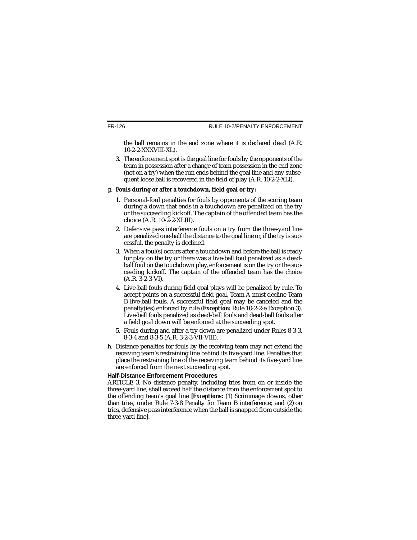the ball remains in the end zone where it is declared dead (A.R. 10-2-2-XXXVIII-XL).

3. The enforcement spot is the goal line for fouls by the opponents of the team in possession after a change of team possession in the end zone (not on a try) when the run ends behind the goal line and any subsequent loose ball is recovered in the field of play (A.R. 10-2-2-XLI).

#### g. **Fouls during or after a touchdown, field goal or try:**

- 1. Personal-foul penalties for fouls by opponents of the scoring team during a down that ends in a touchdown are penalized on the try or the succeeding kickoff. The captain of the offended team has the choice (A.R. 10-2-2-XLIII).
- 2. Defensive pass interference fouls on a try from the three-yard line are penalized one-half the distance to the goal line or, if the try is successful, the penalty is declined.
- 3. When a foul(s) occurs after a touchdown and before the ball is ready for play on the try or there was a live-ball foul penalized as a deadball foul on the touchdown play, enforcement is on the try or the succeeding kickoff. The captain of the offended team has the choice (A.R. 3-2-3-VI).
- 4. Live-ball fouls during field goal plays will be penalized by rule. To accept points on a successful field goal, Team A must decline Team B live-ball fouls. A successful field goal may be canceled and the penalty(ies) enforced by rule (*Exception:* Rule 10-2-2-e Exception 3). Live-ball fouls penalized as dead-ball fouls and dead-ball fouls after a field goal down will be enforced at the succeeding spot.
- 5. Fouls during and after a try down are penalized under Rules 8-3-3, 8-3-4 and 8-3-5 (A.R. 3-2-3-VII-VIII).
- h. Distance penalties for fouls by the receiving team may not extend the receiving team's restraining line behind its five-yard line. Penalties that place the restraining line of the receiving team behind its five-yard line are enforced from the next succeeding spot.

#### **Half-Distance Enforcement Procedures**

ARTICLE 3. No distance penalty, including tries from on or inside the three-yard line, shall exceed half the distance from the enforcement spot to the offending team's goal line *[Exceptions:* (1) Scrimmage downs, other than tries, under Rule 7-3-8 Penalty for Team B interference; and (2) on tries, defensive pass interference when the ball is snapped from outside the three-yard line].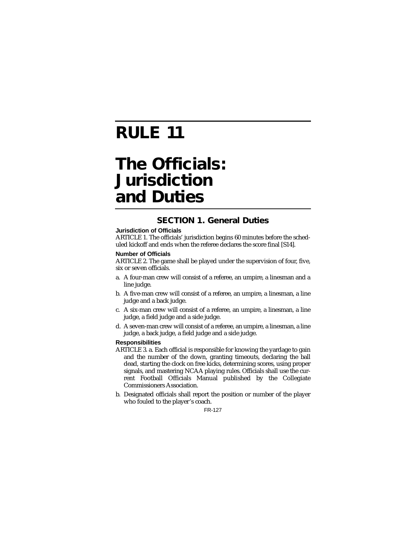# **RULE 11**

## **The Officials: Jurisdiction and Duties**

### **SECTION 1. General Duties**

#### **Jurisdiction of Officials**

ARTICLE 1. The officials' jurisdiction begins 60 minutes before the scheduled kickoff and ends when the referee declares the score final [S14].

#### **Number of Officials**

ARTICLE 2. The game shall be played under the supervision of four, five, six or seven officials.

- a. A four-man crew will consist of a referee, an umpire, a linesman and a line judge.
- b. A five-man crew will consist of a referee, an umpire, a linesman, a line judge and a back judge.
- c. A six-man crew will consist of a referee, an umpire, a linesman, a line judge, a field judge and a side judge.
- d. A seven-man crew will consist of a referee, an umpire, a linesman, a line judge, a back judge, a field judge and a side judge.

#### **Responsibilities**

- ARTICLE 3. a. Each official is responsible for knowing the yardage to gain and the number of the down, granting timeouts, declaring the ball dead, starting the clock on free kicks, determining scores, using proper signals, and mastering NCAA playing rules. Officials shall use the current Football Officials Manual published by the Collegiate Commissioners Association.
- b. Designated officials shall report the position or number of the player who fouled to the player's coach.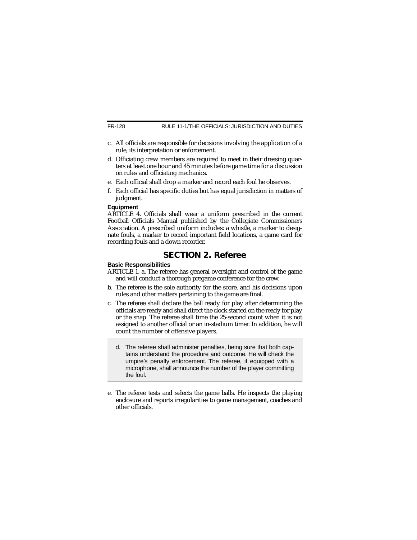RULE 11-1/THE OFFICIALS: JURISDICTION AND DUTIES

- c. All officials are responsible for decisions involving the application of a rule, its interpretation or enforcement.
- d. Officiating crew members are required to meet in their dressing quarters at least one hour and 45 minutes before game time for a discussion on rules and officiating mechanics.
- e. Each official shall drop a marker and record each foul he observes.
- f. Each official has specific duties but has equal jurisdiction in matters of judgment.

#### **Equipment**

ARTICLE 4. Officials shall wear a uniform prescribed in the current Football Officials Manual published by the Collegiate Commissioners Association. A prescribed uniform includes: a whistle, a marker to designate fouls, a marker to record important field locations, a game card for recording fouls and a down recorder.

## **SECTION 2. Referee**

#### **Basic Responsibilities**

- ARTICLE 1. a. The referee has general oversight and control of the game and will conduct a thorough pregame conference for the crew.
- b. The referee is the sole authority for the score, and his decisions upon rules and other matters pertaining to the game are final.
- c. The referee shall declare the ball ready for play after determining the officials are ready and shall direct the clock started on the ready for play or the snap. The referee shall time the 25-second count when it is not assigned to another official or an in-stadium timer. In addition, he will count the number of offensive players.
	- d. The referee shall administer penalties, being sure that both captains understand the procedure and outcome. He will check the umpire's penalty enforcement. The referee, if equipped with a microphone, shall announce the number of the player committing the foul.
- e. The referee tests and selects the game balls. He inspects the playing enclosure and reports irregularities to game management, coaches and other officials.

FR-128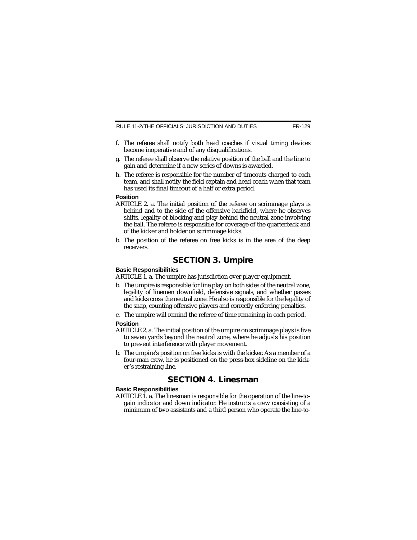RULE 11-2/THE OFFICIALS: JURISDICTION AND DUTIES

- f. The referee shall notify both head coaches if visual timing devices become inoperative and of any disqualifications.
- g. The referee shall observe the relative position of the ball and the line to gain and determine if a new series of downs is awarded.
- h. The referee is responsible for the number of timeouts charged to each team, and shall notify the field captain and head coach when that team has used its final timeout of a half or extra period.

#### **Position**

- ARTICLE 2. a. The initial position of the referee on scrimmage plays is behind and to the side of the offensive backfield, where he observes shifts, legality of blocking and play behind the neutral zone involving the ball. The referee is responsible for coverage of the quarterback and of the kicker and holder on scrimmage kicks.
- b. The position of the referee on free kicks is in the area of the deep receivers.

### **SECTION 3. Umpire**

#### **Basic Responsibilities**

ARTICLE 1. a. The umpire has jurisdiction over player equipment.

- b. The umpire is responsible for line play on both sides of the neutral zone, legality of linemen downfield, defensive signals, and whether passes and kicks cross the neutral zone. He also is responsible for the legality of the snap, counting offensive players and correctly enforcing penalties.
- c. The umpire will remind the referee of time remaining in each period.

#### **Position**

- ARTICLE 2. a. The initial position of the umpire on scrimmage plays is five to seven yards beyond the neutral zone, where he adjusts his position to prevent interference with player movement.
- b. The umpire's position on free kicks is with the kicker. As a member of a four-man crew, he is positioned on the press-box sideline on the kicker's restraining line.

### **SECTION 4. Linesman**

#### **Basic Responsibilities**

ARTICLE 1. a. The linesman is responsible for the operation of the line-togain indicator and down indicator. He instructs a crew consisting of a minimum of two assistants and a third person who operate the line-to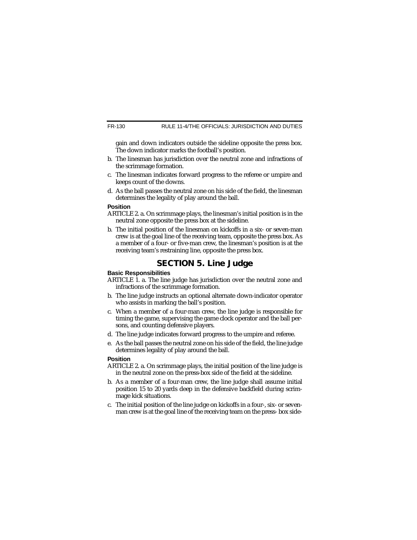gain and down indicators outside the sideline opposite the press box. The down indicator marks the football's position.

- b. The linesman has jurisdiction over the neutral zone and infractions of the scrimmage formation.
- c. The linesman indicates forward progress to the referee or umpire and keeps count of the downs.
- d. As the ball passes the neutral zone on his side of the field, the linesman determines the legality of play around the ball.

#### **Position**

- ARTICLE 2. a. On scrimmage plays, the linesman's initial position is in the neutral zone opposite the press box at the sideline.
- b. The initial position of the linesman on kickoffs in a six- or seven-man crew is at the goal line of the receiving team, opposite the press box. As a member of a four- or five-man crew, the linesman's position is at the receiving team's restraining line, opposite the press box.

## **SECTION 5. Line Judge**

#### **Basic Responsibilities**

- ARTICLE 1. a. The line judge has jurisdiction over the neutral zone and infractions of the scrimmage formation.
- b. The line judge instructs an optional alternate down-indicator operator who assists in marking the ball's position.
- c. When a member of a four-man crew, the line judge is responsible for timing the game, supervising the game clock operator and the ball persons, and counting defensive players.
- d. The line judge indicates forward progress to the umpire and referee.
- e. As the ball passes the neutral zone on his side of the field, the line judge determines legality of play around the ball.

#### **Position**

- ARTICLE 2. a. On scrimmage plays, the initial position of the line judge is in the neutral zone on the press-box side of the field at the sideline.
- b. As a member of a four-man crew, the line judge shall assume initial position 15 to 20 yards deep in the defensive backfield during scrimmage kick situations.
- c. The initial position of the line judge on kickoffs in a four-, six- or sevenman crew is at the goal line of the receiving team on the press- box side-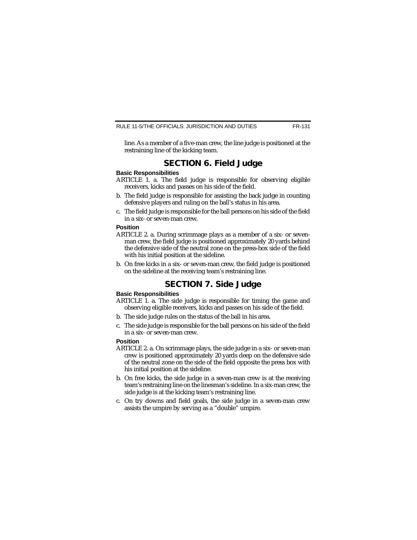line. As a member of a five-man crew, the line judge is positioned at the restraining line of the kicking team.

## **SECTION 6. Field Judge**

#### **Basic Responsibilities**

- ARTICLE 1. a. The field judge is responsible for observing eligible receivers, kicks and passes on his side of the field.
- b. The field judge is responsible for assisting the back judge in counting defensive players and ruling on the ball's status in his area.
- c. The field judge is responsible for the ball persons on his side of the field in a six- or seven-man crew.

#### **Position**

- ARTICLE 2. a. During scrimmage plays as a member of a six- or sevenman crew, the field judge is positioned approximately 20 yards behind the defensive side of the neutral zone on the press-box side of the field with his initial position at the sideline.
- b. On free kicks in a six- or seven-man crew, the field judge is positioned on the sideline at the receiving team's restraining line.

### **SECTION 7. Side Judge**

#### **Basic Responsibilities**

- ARTICLE 1. a. The side judge is responsible for timing the game and observing eligible receivers, kicks and passes on his side of the field.
- b. The side judge rules on the status of the ball in his area.
- c. The side judge is responsible for the ball persons on his side of the field in a six- or seven-man crew.

#### **Position**

- ARTICLE 2. a. On scrimmage plays, the side judge in a six- or seven-man crew is positioned approximately 20 yards deep on the defensive side of the neutral zone on the side of the field opposite the press box with his initial position at the sideline.
- b. On free kicks, the side judge in a seven-man crew is at the receiving team's restraining line on the linesman's sideline. In a six-man crew, the side judge is at the kicking team's restraining line.
- c. On try downs and field goals, the side judge in a seven-man crew assists the umpire by serving as a "double" umpire.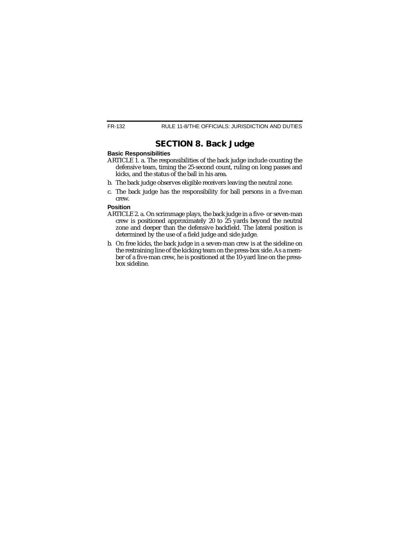## **SECTION 8. Back Judge**

#### **Basic Responsibilities**

- ARTICLE 1. a. The responsibilities of the back judge include counting the defensive team, timing the 25-second count, ruling on long passes and kicks, and the status of the ball in his area.
- b. The back judge observes eligible receivers leaving the neutral zone.
- c. The back judge has the responsibility for ball persons in a five-man crew.

#### **Position**

- ARTICLE 2. a. On scrimmage plays, the back judge in a five- or seven-man crew is positioned approximately 20 to 25 yards beyond the neutral zone and deeper than the defensive backfield. The lateral position is determined by the use of a field judge and side judge.
- b. On free kicks, the back judge in a seven-man crew is at the sideline on the restraining line of the kicking team on the press-box side. As a member of a five-man crew, he is positioned at the 10-yard line on the pressbox sideline.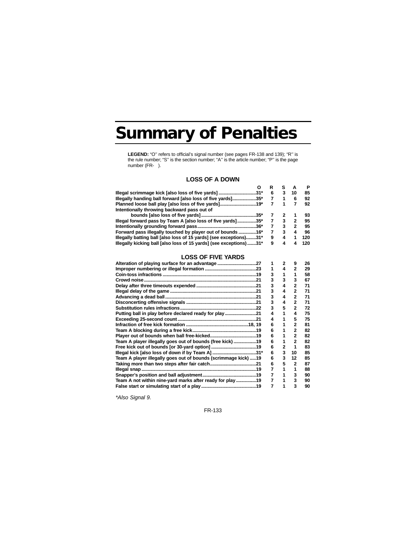## **Summary of Penalties**

**LEGEND:** "O'' refers to official's signal number (see pages FR-138 and 139); "R'' is the rule number; "S'' is the section number; "A'' is the article number; "P'' is the page number (FR- ).

#### **LOSS OF A DOWN**

|                                                                    |   |   |    | Р   |
|--------------------------------------------------------------------|---|---|----|-----|
| Illegal scrimmage kick [also loss of five yards]<br>.31*           | 6 |   | 10 | 85  |
| Illegally handing ball forward [also loss of five yards]<br>.35*   |   |   | 6  | 92  |
| Planned loose ball play [also loss of five yards]<br>.19*          |   |   |    | 92  |
| Intentionally throwing backward pass out of                        |   |   |    |     |
| .35*                                                               |   |   |    | 93  |
| lllegal forward pass by Team A [also loss of five yards]35*        |   |   |    | 95  |
| .36*                                                               |   | 3 |    | 95  |
| Forward pass illegally touched by player out of bounds 16*         |   | 3 |    | 96  |
| lllegally batting ball [also loss of 15 yards] (see exceptions)31* | 9 | 4 |    | 120 |
| lllegally kicking ball [also loss of 15 yards] (see exceptions)31* | 9 | 4 |    | 120 |

#### **LOSS OF FIVE YARDS**

|                                                                |   | 2 | 9              | 26 |
|----------------------------------------------------------------|---|---|----------------|----|
|                                                                |   |   |                | 29 |
|                                                                |   |   |                | 58 |
| Crowd noise                                                    | 3 | 3 | 3              | 67 |
|                                                                | 3 | 4 | 2              | 71 |
|                                                                | 3 |   |                | 71 |
|                                                                | 3 | 4 | $\mathbf{z}$   | 71 |
|                                                                | 3 | 4 | $\mathbf{z}$   | 71 |
|                                                                | 3 | 5 |                | 72 |
| Putting ball in play before declared ready for play21          |   |   | 4              | 75 |
|                                                                |   |   | 5              | 75 |
|                                                                | 6 |   |                | 81 |
|                                                                | 6 |   | 2              | 82 |
|                                                                | 6 |   | 2              | 82 |
| Team A player illegally goes out of bounds (free kick) 19      | 6 |   | 2              | 82 |
|                                                                | 6 | 2 |                | 83 |
| lllegal kick [also loss of down if by Team A] 31*              | 6 | 3 | 10             | 85 |
| Team A player illegally goes out of bounds (scrimmage kick) 19 | 6 | 3 | 12             | 85 |
|                                                                | 6 | 5 | $\overline{2}$ | 87 |
|                                                                |   |   |                | 88 |
|                                                                | 7 |   | 3              | 90 |
| Team A not within nine-yard marks after ready for play19       |   |   | 3              | 90 |
|                                                                | 7 |   | 3              | 90 |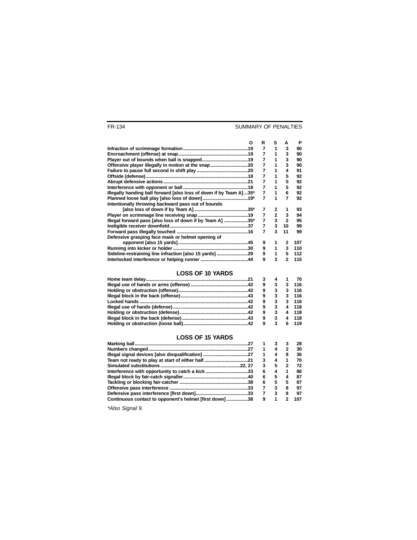#### SUMMARY OF PENALTIES

| О                                                                   | R | s           | А            | Р   |
|---------------------------------------------------------------------|---|-------------|--------------|-----|
|                                                                     | 7 |             | 3            | 90  |
|                                                                     | 7 |             | 3            | 90  |
|                                                                     | 7 |             | 3            | 90  |
|                                                                     | 7 | 1           | 3            | 90  |
|                                                                     | 7 |             | 4            | 91  |
|                                                                     | 7 |             | 5            | 92  |
|                                                                     | 7 | 1           | 5            | 92  |
|                                                                     | 7 | 1           | 5            | 92  |
| Illegally handing ball forward [also loss of down if by Team A] 35* | 7 |             | 6            | 92  |
|                                                                     | 7 |             | 7            | 92  |
| Intentionally throwing backward pass out of bounds                  |   |             |              |     |
|                                                                     | 7 | 2           | 1            | 93  |
|                                                                     | 7 | $2^{\circ}$ | 3            | 94  |
| Illegal forward pass [also loss of down if by Team A] 35*           | 7 | $3^{\circ}$ | $\mathbf{2}$ | 95  |
|                                                                     |   | 3           | 10           | 99  |
|                                                                     | 7 | 3           | 11           | 99  |
| Defensive grasping face mask or helmet opening of                   |   |             |              |     |
|                                                                     | 9 |             | 2            | 107 |
|                                                                     | 9 | 1           | 3            | 110 |
| Sideline-restraining line infraction [also 15 yards] 29             | 9 | 1           | 5            | 112 |
|                                                                     | 9 | 3           | 2            | 115 |
|                                                                     |   |             |              |     |

#### **LOSS OF 10 YARDS**

|   |              |    | 70    |
|---|--------------|----|-------|
| 9 | 3            | 3  | - 116 |
| 9 | 3            | з. | - 116 |
| 9 | 3            |    | 3 116 |
| 9 | 3            |    | 3 116 |
| 9 | 3            |    | 4 118 |
| 9 | $\mathbf{3}$ |    | 4 118 |
| 9 | $\mathbf{3}$ |    | 4 118 |
| 9 | 3            | -6 | 119   |

#### **LOSS OF 15 YARDS**

|                                                         |   |   | 28  |
|---------------------------------------------------------|---|---|-----|
|                                                         |   | 4 | 30  |
|                                                         |   | 4 | 36  |
|                                                         | з | 4 | 70  |
|                                                         | 3 | 5 | 72  |
|                                                         | 6 | 4 | 86  |
|                                                         | 6 | 5 | 87  |
|                                                         | 6 | 5 | 87  |
|                                                         |   | 3 | 97  |
|                                                         |   | 3 | 97  |
| Continuous contact to opponent's helmet [first down] 38 | 9 |   | 107 |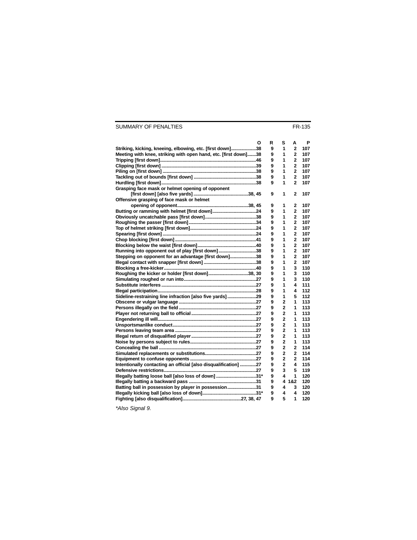#### SUMMARY OF PENALTIES

| O                                                               | R | s              | А                       | P   |
|-----------------------------------------------------------------|---|----------------|-------------------------|-----|
| Striking, kicking, kneeing, elbowing, etc. [first down]38       | 9 | 1              | $\mathbf{2}$            | 107 |
| Meeting with knee, striking with open hand, etc. [first down]38 | 9 | 1              | $\mathbf{2}$            | 107 |
|                                                                 | 9 | 1              | $\overline{2}$          | 107 |
|                                                                 | 9 | 1              | 2                       | 107 |
|                                                                 | 9 | 1              | $\overline{2}$          | 107 |
|                                                                 | 9 | 1              | $\overline{2}$          | 107 |
|                                                                 | 9 | 1              | $\mathbf{2}$            | 107 |
| Grasping face mask or helmet opening of opponent                |   |                |                         |     |
|                                                                 | 9 | 1              | $\mathbf 2$             | 107 |
| Offensive grasping of face mask or helmet                       |   |                |                         |     |
|                                                                 | 9 | 1              | 2                       | 107 |
|                                                                 | 9 | 1              | $\mathbf{2}$            | 107 |
|                                                                 | 9 | 1              | $\overline{2}$          | 107 |
|                                                                 | 9 | 1              | $\mathbf{2}$            | 107 |
|                                                                 | 9 | 1              | 2                       | 107 |
|                                                                 | 9 | 1              | $\overline{2}$          | 107 |
|                                                                 | 9 | 1              | $\overline{\mathbf{c}}$ | 107 |
|                                                                 | 9 | 1              | $\overline{2}$          | 107 |
| Running into opponent out of play [first down]38                | 9 | 1              | $\overline{2}$          | 107 |
| Stepping on opponent for an advantage [first down]38            | 9 | 1              | $\overline{\mathbf{c}}$ | 107 |
|                                                                 | 9 | 1              | $\overline{2}$          | 107 |
|                                                                 | 9 | 1              | 3                       | 110 |
| Roughing the kicker or holder [first down]38, 30                | 9 | 1              | 3                       | 110 |
|                                                                 | 9 | 1              | 3                       | 110 |
|                                                                 | 9 | 1              | 4                       | 111 |
|                                                                 | 9 | 1              | 4                       | 112 |
|                                                                 |   |                | 5                       |     |
| Sideline-restraining line infraction [also five yards]29        | 9 | 1              |                         | 112 |
|                                                                 | 9 | 2              | 1<br>1                  | 113 |
|                                                                 | 9 | $\mathbf 2$    |                         | 113 |
|                                                                 | 9 | $\overline{2}$ | 1                       | 113 |
|                                                                 | 9 | $\mathbf 2$    | 1                       | 113 |
|                                                                 | 9 | $\overline{2}$ | 1                       | 113 |
|                                                                 | 9 | $\mathbf 2$    | 1                       | 113 |
|                                                                 | 9 | $\overline{2}$ | 1                       | 113 |
|                                                                 | 9 | $\overline{2}$ | 1                       | 113 |
|                                                                 | 9 | $\mathbf 2$    | $\overline{2}$          | 114 |
|                                                                 | 9 | $\overline{2}$ | $\overline{2}$          | 114 |
|                                                                 | 9 | $\overline{2}$ | $\mathbf{2}$            | 114 |
| Intentionally contacting an official [also disqualification] 27 | 9 | $\overline{2}$ | 4                       | 115 |
|                                                                 | 9 | 3              | 5                       | 119 |
| lllegally batting loose ball [also loss of down] 31*            | 9 | 4              | 1                       | 120 |
|                                                                 | 9 |                | 4 1&2                   | 120 |
| Batting ball in possession by player in possession31            | 9 | 4              | 3                       | 120 |
|                                                                 | 9 | 4              | 4                       | 120 |
|                                                                 | 9 | 5              | 1                       | 120 |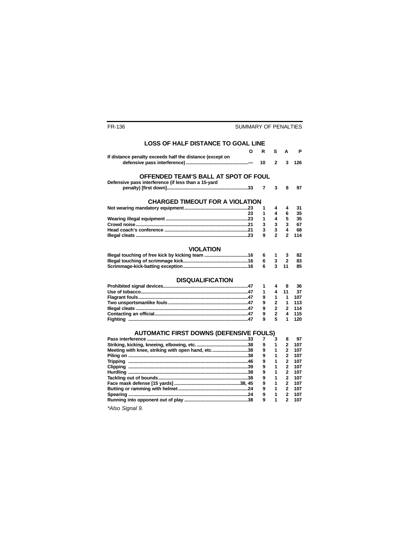#### **LOSS OF HALF DISTANCE TO GOAL LINE**

|                                                          | О  | R  | s              | А                       | Р   |
|----------------------------------------------------------|----|----|----------------|-------------------------|-----|
| If distance penalty exceeds half the distance (except on |    |    |                |                         |     |
|                                                          |    | 10 | $\overline{2}$ | 3                       | 126 |
|                                                          |    |    |                |                         |     |
|                                                          |    |    |                |                         |     |
| OFFENDED TEAM'S BALL AT SPOT OF FOUL                     |    |    |                |                         |     |
| Defensive pass interference (if less than a 15-yard      |    |    |                |                         |     |
|                                                          |    | 7  | 3              | 8                       | 97  |
|                                                          |    |    |                |                         |     |
|                                                          |    |    |                |                         |     |
| <b>CHARGED TIMEOUT FOR A VIOLATION</b>                   |    |    |                |                         |     |
|                                                          |    | 1  | 4              | 4                       | 31  |
|                                                          | 23 | 1  | 4              | 6                       | 35  |
|                                                          |    | 1  | 4              | 5                       | 35  |
|                                                          |    | 3  | 3              | 3                       | 67  |
|                                                          |    | 3  | 3              | 4                       | 68  |
|                                                          |    | 9  | $\overline{2}$ | $\overline{2}$          | 114 |
|                                                          |    |    |                |                         |     |
|                                                          |    |    |                |                         |     |
| <b>VIOLATION</b>                                         |    |    |                |                         |     |
|                                                          |    | 6  | 1              | 3                       | 82  |
|                                                          |    | 6  | 3              | $\overline{2}$          | 83  |
|                                                          |    | 6  | 3              | 11                      | 85  |
|                                                          |    |    |                |                         |     |
|                                                          |    |    |                |                         |     |
| <b>DISQUALIFICATION</b>                                  |    |    |                |                         |     |
|                                                          |    | 1  | 4              | 8                       | 36  |
|                                                          |    | 1  | 4              | 11                      | 37  |
|                                                          |    | 9  | 1              | 1                       | 107 |
|                                                          |    | 9  | $\overline{2}$ | 1                       | 113 |
|                                                          |    | 9  | $\overline{2}$ | $\mathbf{2}$            | 114 |
|                                                          |    | 9  | $\overline{2}$ | 4                       | 115 |
|                                                          |    | 9  | 5              | 1                       | 120 |
|                                                          |    |    |                |                         |     |
|                                                          |    |    |                |                         |     |
| <b>AUTOMATIC FIRST DOWNS (DEFENSIVE FOULS)</b>           |    |    |                |                         |     |
|                                                          |    | 7  | 3              | 8                       | 97  |
|                                                          |    | 9  | 1              | 2                       | 107 |
| Meeting with knee, striking with open hand, etc38        |    | 9  | 1              | $\overline{2}$          | 107 |
|                                                          |    | 9  | 1              | $\overline{2}$          | 107 |
|                                                          |    | 9  | 1              | $\overline{2}$          | 107 |
|                                                          |    | 9  | 1              | $\overline{2}$          | 107 |
|                                                          |    | 9  | 1              | 2                       | 107 |
|                                                          |    | 9  | 1              | $\mathbf{2}$            | 107 |
|                                                          |    | 9  | 1              | $\overline{2}$          | 107 |
|                                                          |    | 9  | 1              | $\overline{\mathbf{2}}$ | 107 |
|                                                          |    |    |                |                         |     |
|                                                          |    | 9  | 1              | $\overline{2}$          | 107 |
|                                                          |    | 9  | 1              | $\overline{2}$          | 107 |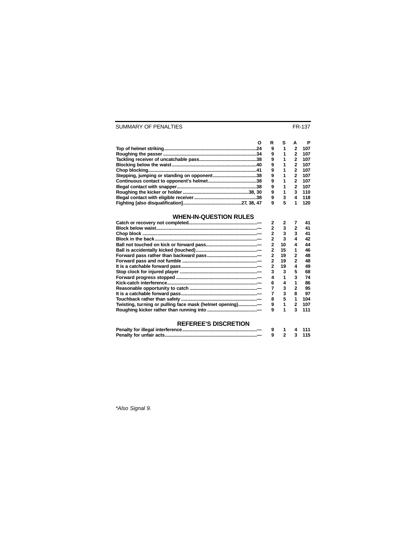#### SUMMARY OF PENALTIES FR-137

|     | R | s |   | Р   |
|-----|---|---|---|-----|
| .24 | 9 | 1 | 2 | 107 |
|     | 9 | 1 | 2 | 107 |
|     | 9 | 1 |   | 107 |
|     | 9 | 1 | 2 | 107 |
|     | 9 |   |   | 107 |
|     | 9 |   |   | 107 |
|     | 9 |   |   | 107 |
|     | 9 |   |   | 107 |
|     | 9 | 1 |   | 110 |
|     | 9 | 3 |   | 118 |
|     | 9 | 5 |   | 120 |

#### **WHEN-IN-QUESTION RULES**

|                                                          |   | 3  |   | 41  |
|----------------------------------------------------------|---|----|---|-----|
|                                                          |   | 3  | 3 | 41  |
|                                                          |   | 3  |   | 42  |
|                                                          |   | 10 |   | 44  |
|                                                          |   | 15 |   | 46  |
|                                                          |   | 19 | 2 | 48  |
|                                                          |   | 19 | 2 | 48  |
|                                                          |   | 19 |   | 49  |
|                                                          |   | 3  | 5 | 68  |
|                                                          |   |    | 3 | 74  |
|                                                          | 6 | 4  |   | 86  |
|                                                          |   | 3  |   | 95  |
|                                                          |   | з  | 8 | 97  |
|                                                          |   | 5  |   | 104 |
| Twisting, turning or pulling face mask (helmet opening)- |   |    |   | 107 |
|                                                          | 9 |    | з | 111 |
|                                                          |   |    |   |     |

#### **REFEREE'S DISCRETION**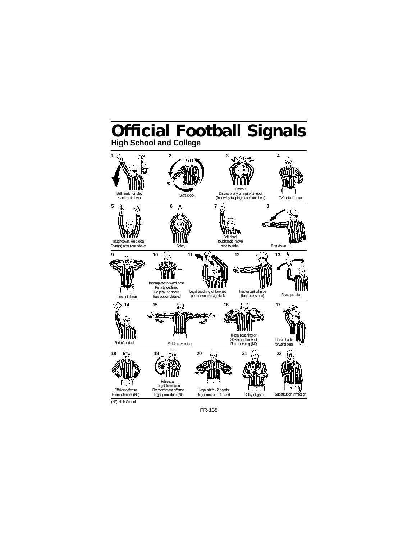## **Official Football Signals High School and College**



(NF) High School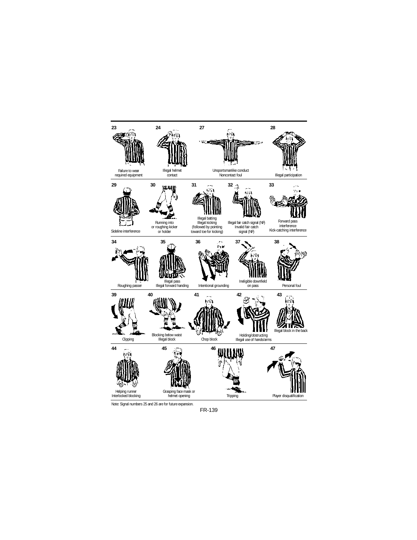

Note: Signal numbers 25 and 26 are for future expansion.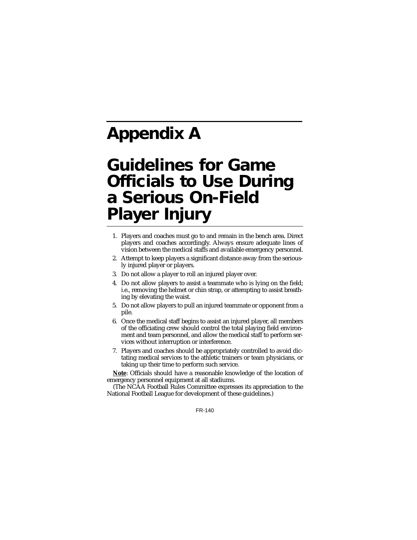# **Appendix A**

## **Guidelines for Game Officials to Use During a Serious On-Field Player Injury**

- 1. Players and coaches must go to and remain in the bench area. Direct players and coaches accordingly. Always ensure adequate lines of vision between the medical staffs and available emergency personnel.
- 2. Attempt to keep players a significant distance away from the seriously injured player or players.
- 3. Do not allow a player to roll an injured player over.
- 4. Do not allow players to assist a teammate who is lying on the field; i.e., removing the helmet or chin strap, or attempting to assist breathing by elevating the waist.
- 5. Do not allow players to pull an injured teammate or opponent from a pile.
- 6. Once the medical staff begins to assist an injured player, all members of the officiating crew should control the total playing field environment and team personnel, and allow the medical staff to perform services without interruption or interference.
- 7. Players and coaches should be appropriately controlled to avoid dictating medical services to the athletic trainers or team physicians, or taking up their time to perform such service.

**Note**: Officials should have a reasonable knowledge of the location of emergency personnel equipment at all stadiums.

(The NCAA Football Rules Committee expresses its appreciation to the National Football League for development of these guidelines.)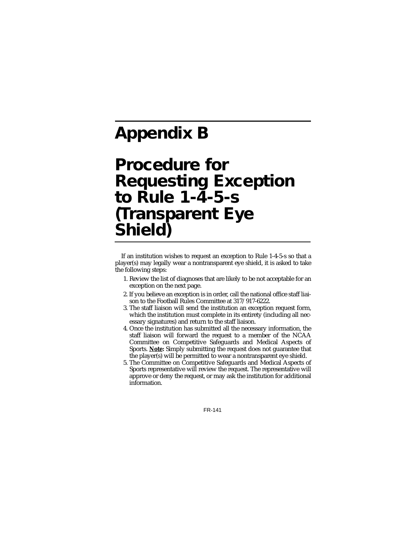# **Appendix B**

## **Procedure for Requesting Exception to Rule 1-4-5-s (Transparent Eye Shield)**

If an institution wishes to request an exception to Rule 1-4-5-s so that a player(s) may legally wear a nontransparent eye shield, it is asked to take the following steps:

- 1. Review the list of diagnoses that are likely to be not acceptable for an exception on the next page.
- 2. If you believe an exception is in order, call the national office staff liaison to the Football Rules Committee at 317/917-6222.
- 3. The staff liaison will send the institution an exception request form, which the institution must complete in its entirety (including all necessary signatures) and return to the staff liaison.
- 4. Once the institution has submitted all the necessary information, the staff liaison will forward the request to a member of the NCAA Committee on Competitive Safeguards and Medical Aspects of Sports. **Note:** Simply submitting the request does not guarantee that the player(s) will be permitted to wear a nontransparent eye shield.
- 5. The Committee on Competitive Safeguards and Medical Aspects of Sports representative will review the request. The representative will approve or deny the request, or may ask the institution for additional information.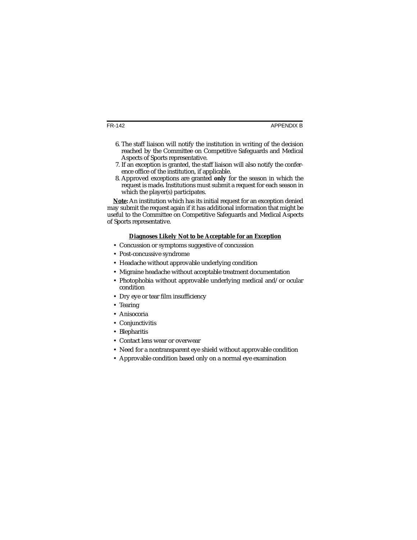- 6. The staff liaison will notify the institution in writing of the decision reached by the Committee on Competitive Safeguards and Medical Aspects of Sports representative.
- 7. If an exception is granted, the staff liaison will also notify the conference office of the institution, if applicable.
- 8. Approved exceptions are granted **only** for the season in which the request is made**.** Institutions must submit a request for each season in which the player(s) participates.

**Note:** An institution which has its initial request for an exception denied may submit the request again if it has additional information that might be useful to the Committee on Competitive Safeguards and Medical Aspects of Sports representative.

#### **Diagnoses Likely Not to be Acceptable for an Exception**

- Concussion or symptoms suggestive of concussion
- Post-concussive syndrome
- Headache without approvable underlying condition
- Migraine headache without acceptable treatment documentation
- Photophobia without approvable underlying medical and/or ocular condition
- Dry eye or tear film insufficiency
- Tearing
- Anisocoria
- Conjunctivitis
- Blepharitis
- Contact lens wear or overwear
- Need for a nontransparent eye shield without approvable condition
- Approvable condition based only on a normal eye examination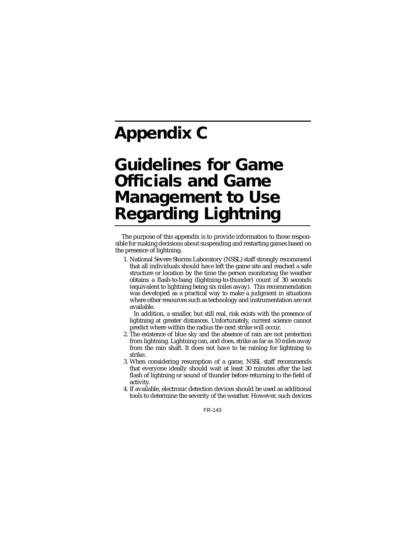# **Appendix C**

## **Guidelines for Game Officials and Game Management to Use Regarding Lightning**

The purpose of this appendix is to provide information to those responsible for making decisions about suspending and restarting games based on the presence of lightning.

1. National Severe Storms Laboratory (NSSL) staff strongly recommend that all individuals should have left the game site and reached a safe structure or location by the time the person monitoring the weather obtains a flash-to-bang (lightning-to-thunder) count of 30 seconds (equivalent to lightning being six miles away). This recommendation was developed as a practical way to make a judgment in situations where other resources such as technology and instrumentation are not available.

In addition, a smaller, but still real, risk exists with the presence of lightning at greater distances. Unfortunately, current science cannot predict where within the radius the next strike will occur.

- 2. The existence of blue sky and the absence of rain are not protection from lightning. Lightning can, and does, strike as far as 10 miles away from the rain shaft. It does not have to be raining for lightning to strike.
- 3. When considering resumption of a game, NSSL staff recommends that everyone ideally should wait at least 30 minutes after the last flash of lightning or sound of thunder before returning to the field of activity.
- 4. If available, electronic detection devices should be used as additional tools to determine the severity of the weather. However, such devices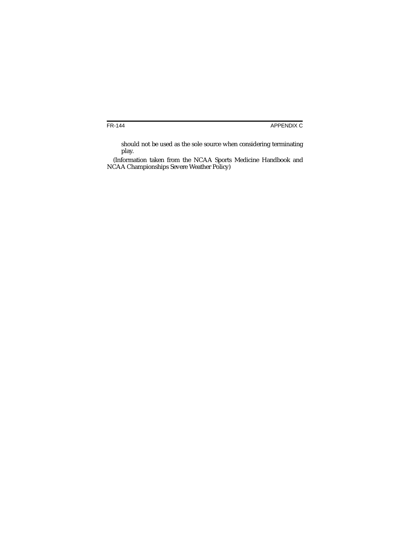should not be used as the sole source when considering terminating play.

(Information taken from the NCAA Sports Medicine Handbook and NCAA Championships Severe Weather Policy)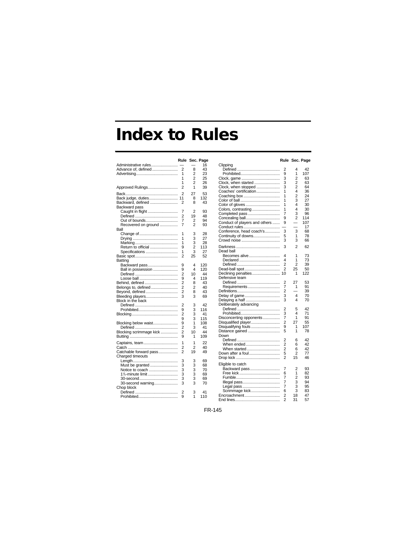## **Index to Rules**

|                                             | Rule           |                | Sec. Page |
|---------------------------------------------|----------------|----------------|-----------|
| Administrative rules                        |                |                | 16        |
| Advance of, defined                         | 2              | 8              | 43        |
|                                             | 1              | 2              | 23        |
|                                             | 1              | $\overline{2}$ | 25        |
|                                             |                |                |           |
|                                             | 1              | $\overline{2}$ | 26        |
| Approved Rulings                            | $\overline{2}$ | 1              | 39        |
|                                             | $\overline{2}$ | 27             | 53        |
| Back judge, duties                          | 11             | 8              | 132       |
|                                             |                |                |           |
| Backward, defined                           | 2              | 8              | 43        |
| Backward pass                               |                |                |           |
| Caught in flight                            | 7              | 2              | 93        |
|                                             | 2              | 19             | 48        |
| Out of bounds                               | 7              | 2              | 94        |
| Recovered on ground                         | 7              | $\overline{2}$ | 93        |
| Ball                                        |                |                |           |
|                                             | 1              |                | 28        |
|                                             |                | 3              |           |
|                                             | 1              | 3              | 27        |
|                                             | 1              | 3              | 28        |
| Return to official                          | 9              | 2              | 113       |
| Specifications                              | 1              | 3              | 27        |
|                                             | $\overline{2}$ | 25             | 52        |
| Batting                                     |                |                |           |
| Backward pass                               | 9              | 4              | 120       |
|                                             |                | 4              | 120       |
| Ball in possession                          | 9              |                |           |
|                                             | 2              | 10             | 44        |
|                                             | 9              | 4              | 119       |
| Behind, defined                             | 2              | 8              | 43        |
| Belongs to, defined                         | $\overline{2}$ | 2              | 40        |
| Beyond, defined                             | $\overline{2}$ | 8              | 43        |
| Bleeding players                            | 3              | 3              | 69        |
|                                             |                |                |           |
| Block in the back                           |                |                |           |
|                                             | 2              | 3              | 42        |
|                                             | 9              | 3              | 116       |
|                                             | 2              | 3              | 41        |
|                                             | 9              | 3              | 115       |
| Blocking below waist                        | 9              | 1              | 108       |
|                                             | 2              | 3              | 41        |
| Blocking scrimmage kick                     | 2              | 10             | 44        |
|                                             | 9              | 1              | 109       |
|                                             |                |                |           |
| Captains, team                              | 1              | 1              | 22        |
|                                             | 2              | 2              | 40        |
| Catchable forward pass                      | $\overline{c}$ | 19             | 49        |
|                                             |                |                |           |
| Charged timeouts                            |                |                |           |
|                                             | 3              | 3              | 69        |
| Must be granted                             | 3              | 3              | 68        |
| Notice to coach                             | 3              | 3              | 70        |
| 1 <sup>1</sup> / <sub>2</sub> -minute limit | 3              | 3              | 69        |
|                                             | 3              | 3              | 69        |
| 30-second warning                           | 3              | 3              | 70        |
|                                             |                |                |           |
| Chop block                                  |                |                |           |
|                                             | 2              | 3              | 41        |
|                                             | 9              | 1              | 110       |
|                                             |                |                |           |

|                                        | Rule           |                | Sec. Page |
|----------------------------------------|----------------|----------------|-----------|
| Clipping                               |                |                |           |
|                                        | 2              | 4              | 42        |
|                                        | 9              | 1              | 107       |
|                                        | 3              | 2              | 63        |
| Clock, when started                    | 3              | $\overline{c}$ | 63        |
| Clock, when stopped                    | 3              | $\overline{2}$ | 64        |
| Coaches' certification                 | 1              | 4              | 36        |
|                                        | 1              | $\overline{2}$ | 24        |
|                                        | 1              | 3              | 27        |
|                                        | 1              | 4              | 30        |
| Color of gloves<br>Colors, contrasting | 1              | 4              | 30        |
|                                        | 7              | 3              | 96        |
| Completed pass                         |                |                |           |
| Concealing ball                        | 9              | 2              | 114       |
| Conduct of players and others          | 9              |                | 107       |
|                                        |                |                | 17        |
| Conference, head coach's               | 3              | 3              | 68        |
| Continuity of downs                    | 5              | 1              | 78        |
|                                        | 3              | 3              | 66        |
|                                        | 3              | $\overline{c}$ | 62        |
| Dead ball                              |                |                |           |
| Becomes alive                          | 4              | 1              | 73        |
|                                        | 4              | 1              | 73        |
|                                        | 2              | $\overline{2}$ | 39        |
| Dead-ball spot                         | 2              | 25             | 50        |
| Declining penalties                    | 10             | 1              | 122       |
| Defensive team                         |                |                |           |
|                                        | 2              | 27             | 53        |
| Requirements                           | 7              | 1              | 91        |
|                                        | 2              |                | 39        |
| Delay of game                          | 3              | 4              | 70        |
| Delaying a half                        | 3              | 4              | 70        |
| Deliberately advancing                 |                |                |           |
|                                        | 2              | 5              | 42        |
|                                        | 3              | 4              | 71        |
|                                        | 7              | 1              | 91        |
| Disconcerting opponents                |                | 27             |           |
| Disqualified player                    | 2              | 1              | 55<br>107 |
| Disqualifying fouls                    | 9              | 1              |           |
| Distance gained                        | 5              |                | 78        |
| Down                                   |                |                |           |
|                                        | 2              | 6              | 42        |
|                                        | $\overline{2}$ | 6              | 42        |
| When started                           | 2              | 6              | 42        |
| Down after a foul                      | 5              | $\overline{2}$ | 77        |
|                                        | 2              | 15             | 46        |
| Eligible to catch                      |                |                |           |
| Backward pass                          | 7              | 2              | 93        |
|                                        | 6              | 1              | 82        |
|                                        | 7              | $\overline{2}$ | 93        |
|                                        | 7              | 3              | 94        |
|                                        | 7              | 3              | 95        |
| Scrimmage kick                         | 6              | 3              | 83        |
| Encroachment                           | $\overline{2}$ | 18             | 47        |
|                                        | 2              | 31             | 57        |
|                                        |                |                |           |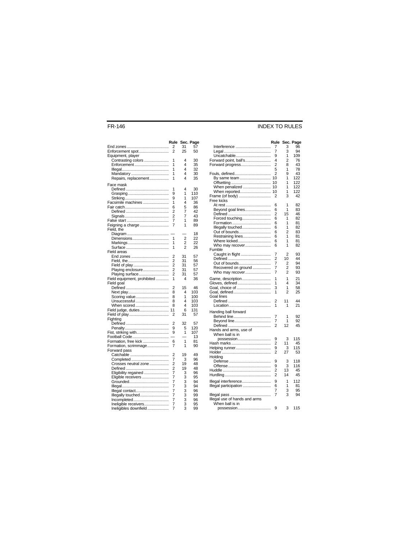#### FR-146 INDEX TO RULES

|                             | Rule                |                | Sec. Page |
|-----------------------------|---------------------|----------------|-----------|
|                             | 2                   | 31             | 57        |
| Enforcement spot            | $\overline{2}$      | 25             | 50        |
| Equipment, player           |                     |                |           |
| Contrasting colors          | 1                   | 4              | 30        |
| Enforcement                 | 1                   | 4              | 35        |
|                             | 1                   | 4              | 32        |
| Mandatory                   | 1                   | 4              | 30        |
| Repairs, replacement        | 1                   | 4              | 35        |
| Face mask                   |                     |                |           |
|                             | 1                   | 4              | 30        |
|                             | 9                   | 1              | 110       |
|                             | 9                   | 1              | 107       |
| Facsimile machines          | 1                   | 4              | 36        |
|                             | 6                   | 5              | 86        |
|                             | 2                   | 7              | 42        |
|                             | 2                   | 7              | 43        |
|                             | 7                   | 1              | 89        |
| Feigning a charge           | 7                   | 1              | 89        |
| Field, the                  |                     |                |           |
|                             |                     |                | 18        |
|                             | 1                   | $\overline{c}$ | 22        |
|                             | 1                   | 2              | 22        |
|                             | 1                   | $\overline{2}$ | 26        |
| Field areas                 |                     |                |           |
|                             | 2<br>2              | 31<br>31       | 57<br>56  |
|                             | 2                   | 31             | 57        |
| Playing enclosure           | $\overline{c}$      | 31             | 57        |
| Playing surface             | 2                   | 31             | 57        |
| Field equipment, prohibited | 1                   | 4              | 36        |
| Field goal                  |                     |                |           |
|                             | 2                   | 15             | 46        |
|                             | 8                   | 4              | 103       |
| Scoring value               | 8                   | 1              | 100       |
| Unsuccessful                | 8                   | 4              | 103       |
| When scored                 | 8                   | 4              | 103       |
| Field judge, duties         | 11                  | 6              | 131       |
|                             | 2                   | 31             | 57        |
| Fighting                    |                     |                |           |
|                             | 2                   | 32             | 57        |
|                             | 9                   | 5              | 120       |
| Fist, striking with         | 9                   | 1              | 107       |
| Football Code               |                     |                | 13        |
| Formation, free kick        | 6                   | 1              | 81        |
| Formation, scrimmage        | 7                   | 1              | 90        |
| Forward pass                |                     |                |           |
|                             | 2                   | 19             | 49        |
|                             | 7                   | 3              | 96        |
| Crosses neutral zone        | 2<br>$\overline{c}$ | 19<br>19       | 48<br>48  |
| Eligibility regained        | 7                   | 3              | 96        |
| Eligible receivers          | 7                   | 3              | 95        |
|                             | 7                   | 3              | 94        |
|                             | 7                   | 3              | 94        |
| Illegal contact             | 7                   | 3              | 96        |
| Illegally touched           | 7                   | 3              | 99        |
| Incompleted                 | 7                   | 3              | 96        |
| Ineligible receivers        | 7                   | 3              | 95        |
| Ineligibles downfield       | 7                   | 3              | 99        |
|                             |                     |                |           |

|                                      | Rule   |                | Sec. Page |
|--------------------------------------|--------|----------------|-----------|
| Interference                         | 7      | 3              | 96        |
|                                      | 7      | 3<br>1         | 94        |
| Uncatchable<br>Forward point, ball's | 9<br>4 | $\overline{2}$ | 109<br>76 |
| Forward progress                     | 2      | 8              | 43        |
|                                      | 5      | 1              | 78        |
| Fouls, defined                       | 2      | 9              | 43        |
| By same team                         | 10     | 1              | 122       |
|                                      | 10     | 1              | 122       |
| When penalized                       | 10     | 1              | 122       |
| When reported 10                     |        | 1              | 122       |
| Frame (of body)                      | 2      | 3              | 42        |
| Free kicks                           |        |                |           |
|                                      | 6      | 1              | 82        |
| Beyond goal lines                    | 6      | 1              | 83        |
|                                      | 2      | 15<br>1        | 46<br>82  |
| Forced touching                      | 6<br>6 | 1              | 81        |
| Illegally touched                    | 6      | 1              | 82        |
| Out of bounds                        | 6      | 2              | 83        |
| Restraining lines                    | 6      | 1              | 81        |
| Where kicked                         | 6      | 1              | 81        |
| Who may recover                      | 6      | 1              | 82        |
| Fumble                               |        |                |           |
| Caught in flight                     | 7      | 2              | 93        |
|                                      | 2      | 10             | 44        |
| Out of bounds                        | 7      | $\overline{2}$ | 94        |
| Recovered on ground                  | 7      | 2              | 93        |
| Who may recover                      | 7      | 2              | 93        |
| Game, description                    | 1      | 1              | 21        |
| Gloves, defined                      | 1      | 4              | 34        |
| Goal, choice of                      | 3      | 1              | 58        |
| Goal, defined                        | 1      | $\overline{2}$ | 25        |
| Goal lines                           |        |                |           |
|                                      | 2      | 11             | 44        |
|                                      | 1      | 1              | 21        |
| Handing ball forward                 |        |                |           |
|                                      | 7      | 1              | 92        |
| Beyond line                          | 7      | 1              | 92        |
|                                      | 2      | 12             | 45        |
| Hands and arms, use of               |        |                |           |
| When ball is in                      |        |                |           |
| possession                           | 9      | 3              | 115       |
|                                      | 2<br>9 | 11<br>3        | 45<br>115 |
|                                      | 2      | 27             | 53        |
| Holding                              |        |                |           |
|                                      | 9      | 3              | 118       |
|                                      | 9      | 3              | 116       |
|                                      | 2      | 13             | 45        |
|                                      | 2      | 14             | 45        |
| Illegal interference                 | 9      | 1              | 112       |
| Illegal participation                | 6      | 1              | 81        |
|                                      | 7      | 3              | 95        |
|                                      | 7      | 3              | 94        |
| Illegal use of hands and arms        |        |                |           |
| When ball is in                      |        |                |           |
| possession                           | 9      | 3              | 115       |
|                                      |        |                |           |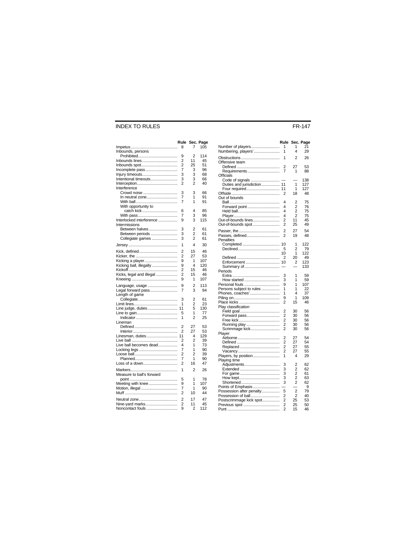#### INDEX TO RULES FR-147

|                           | Rule           |                     | Sec. Page |
|---------------------------|----------------|---------------------|-----------|
|                           | 8              | 7                   | 105       |
| Inbounds, persons         |                |                     |           |
|                           | 9              | 2                   | 114       |
| Inbounds lines            | 2              | 11                  | 45        |
| Inbounds spot             | 2              | 25                  | 51        |
| Incomplete pass           | 7              | 3                   | 96        |
| Injury timeouts           | 3              | 3                   | 68        |
| Intentional timeouts      | 3              | 3                   | 66        |
|                           | 2              | 2                   | 40        |
| Interference              |                |                     |           |
| Crowd noise               | 3              | 3                   | 66        |
| In neutral zone           | 7              | 1                   | 91        |
|                           | 7              | 1                   | 91        |
| With opportunity to       |                |                     |           |
|                           | 6              | 4                   | 85        |
|                           | 7              | 3                   | 96        |
| Interlocked interference  | 9              | 3                   | 115       |
| Intermissions             |                |                     |           |
|                           |                |                     |           |
| Between halves            | 3<br>3         | 2<br>$\overline{2}$ | 61<br>61  |
| Between periods           |                |                     |           |
| Collegiate games          | 3              | 2                   | 61        |
|                           | 1              | 4                   | 30        |
|                           | $\overline{c}$ | 15                  | 46        |
|                           | 2              | 27                  | 53        |
| Kicking a player          | 9              | 1                   | 107       |
| Kicking ball, illegally   | 9              | 4                   | 120       |
|                           | 2              | 15                  | 46        |
| Kicks, legal and illegal  | 2              | 15                  | 46        |
|                           | 9              | 1                   | 107       |
|                           |                |                     |           |
| Language, usage           | 9              | 2                   | 113       |
| Legal forward pass        | 7              | 3                   | 94        |
| Length of game            |                |                     |           |
|                           | 3              | 2                   | 61        |
|                           | 1              | 2                   | 23        |
| Line judge, duties        | 11             | 5                   | 130       |
|                           | 5              | 1                   | 77        |
|                           | 1              | $\overline{2}$      | 25        |
| Lineman                   |                |                     |           |
|                           | 2              | 27                  | 53        |
|                           | 2              | 27                  | 53        |
| Linesman, duties          | 11             | 4                   | 129       |
|                           | 2              | $\overline{2}$      | 39        |
| Live ball becomes dead    | 4              | 1                   | 73        |
|                           | 7              | 1                   | 90        |
|                           | 2              | $\overline{2}$      | 39        |
|                           | 7              | 1                   | 90        |
| Loss of a down            | 2              | 16                  | 47        |
|                           |                |                     |           |
|                           | 1              | 2                   | 26        |
| Measure to ball's forward |                |                     |           |
|                           | 5              | 1                   | 78        |
| Meeting with knee         | 9              | 1                   | 107       |
| Motion, illegal           | 7              | 1                   | 90        |
|                           | 2              | 10                  | 44        |
|                           | 2              | 17                  | 47        |
| Nine-yard marks           | 2              | 11                  | 45        |
| Noncontact fouls          | 9              | $\overline{c}$      | 112       |

|                                          | Rule                |                     | Sec. Page  |
|------------------------------------------|---------------------|---------------------|------------|
| Number of players<br>Numbering, players' | 1<br>1              | 1<br>4              | 21<br>29   |
| Offensive team                           | 1                   | 2                   | 26         |
| Requirements                             | 2<br>7              | 27<br>1             | 53<br>88   |
| <b>Officials</b><br>Code of signals      |                     |                     | 138        |
| Duties and jurisdiction                  | 11                  | 1<br>1              | 127<br>127 |
| Four required 11                         | 2                   | 18                  | 48         |
| Out of bounds                            | 4                   | 2                   | 75         |
| Forward point                            | 4                   | 2                   | 76         |
|                                          | 4<br>4              | $\overline{2}$<br>2 | 75<br>75   |
| Out-of-bounds lines                      | 2                   | 11                  | 45         |
| Out-of-bounds spot                       | 2                   | 25                  | 49         |
| Passes, defined                          | 2<br>2              | 27<br>19            | 54<br>48   |
| Penalties                                |                     |                     |            |
|                                          | 10                  | 1                   | 122        |
|                                          | 5<br>10             | $\overline{2}$<br>1 | 79<br>122  |
|                                          | 2                   | 20                  | 49         |
| Enforcement<br>Summary of                | 10                  | 2                   | 123<br>133 |
| Periods                                  |                     |                     |            |
|                                          | 3                   | 1                   | 59         |
| How started<br>Personal fouls            | 3<br>9              | 1<br>1              | 59<br>107  |
| Persons subject to rules                 | 1                   | 1                   | 22         |
| Phones, coaches'                         | 1<br>9              | 4<br>1              | 37<br>109  |
|                                          | 2                   | 15                  | 46         |
| Play classification                      |                     |                     |            |
| Forward pass                             | 2<br>$\overline{2}$ | 30<br>30            | 56<br>56   |
|                                          | 2                   | 30                  | 56         |
| Running play                             | 2                   | 30                  | 56         |
| Scrimmage kick<br>Player                 | 2                   | 30                  | 56         |
|                                          | 2                   | 27                  | 54         |
|                                          | $\overline{2}$      | 27                  | 54         |
|                                          | 2<br>2              | 27<br>27            | 55<br>55   |
| Players, by position                     | 1                   | 4                   | 29         |
| Playing time<br>Adjustments              | 3                   | 2                   | 62         |
|                                          | 3                   | $\overline{2}$      | 62         |
|                                          | 3                   | $\overline{2}$      | 61         |
|                                          | 3                   | 2                   | 63         |
| Points of Emphasis                       | 3                   | $\overline{2}$      | 62<br>9    |
| Possession after penalty                 | 5                   | $\overline{2}$      | 79         |
| Possession of ball                       | 2                   | 2                   | 40         |
| Postscrimmage kick spot<br>Previous spot | 2<br>2              | 25<br>25            | 53<br>50   |
|                                          | $\overline{c}$      | 15                  | 46         |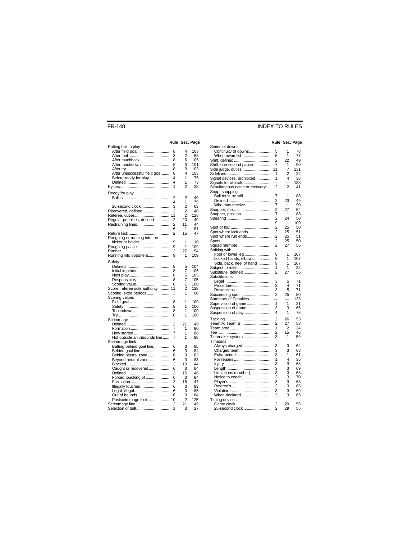#### FR-148 INDEX TO RULES

#### **Rule Sec. Page**

|                               |                |                | Rule Sec. Page |
|-------------------------------|----------------|----------------|----------------|
| Putting ball in play          |                |                |                |
| After field goal              | 8              | 4              | 103            |
|                               | 3              | 2              | 63             |
| After touchback               | 8              | 6              | 105            |
| After touchdown               | 8              | 3              | 101            |
|                               | 8              | 3              | 103            |
| After unsuccessful field goal | 8              | 4              | 103            |
| Before ready for play         | 4              | 1              | 75             |
|                               | 4              | 1              | 73             |
|                               | 1              | 2              | 25             |
| Ready for play                |                |                |                |
|                               | 2              | 2              | 40             |
|                               | 4              | 1              | 75             |
| 25-second clock               | 3              | 2              | 63             |
| Recovered, defined            | $\overline{c}$ | $\overline{c}$ | 40             |
| Referee, duties               | 11             | 2              | 128            |
| Regular penalties, defined    | 2              | 20             | 49             |
|                               | $\overline{2}$ | 11             | 44             |
|                               | 6              | 1              | 81             |
|                               | 2              | 15             | 47             |
| Roughing or running into the  |                |                |                |
| kicker or holder              | 9              | 1              | 110            |
| Roughing passer               | 9              | 1              | 109            |
|                               | $\overline{c}$ | 27             | 54             |
| Running into opponent         | 9              | 1              | 109            |
|                               |                |                |                |
| Safetv                        |                |                |                |
|                               | 8              | 5              | 104            |
| Initial impetus               | 8              | 7              | 106            |
|                               | 8              | 5              | 105            |
| Responsibility                | 8              | 7              | 105            |
| Scoring value                 | 8              | 1              | 100            |
| Score, referee sole authority | 11             | 2              | 128            |
| Scoring, extra periods        | 3              | 1              | 60             |
| Scoring values                |                |                |                |
|                               | 8              | 1              | 100            |
|                               | 8              | 1              | 100            |
| Touchdown                     | 8              | 1              | 100            |
|                               | 8              | 1              | 100            |
| Scrimmage                     |                |                |                |
|                               | $\overline{2}$ | 21             | 49             |
|                               | 7              | 1              | 90             |
| How started                   | 7              | 1              | 88             |
| Not outside an inbounds line  | 7              | 1              | 88             |
| Scrimmage kick                |                |                |                |
| Batting behind goal line      | 6              | 3              | 85             |
| Behind goal line              | 6              | 3              | 84             |
| Behind neutral zone           | 6              | 3              | 83             |
| Beyond neutral zone           | 6              | 3              | 83             |
|                               | $\overline{2}$ | 10             | 44             |
| Caught or recovered           | 6              | 3              | 84             |
|                               | 2              | 15             | 46             |
| Forced touching of            | 6              | 3              | 84             |
|                               | 2              | 15             | 47             |
| Illegally touched             | 6              | 3              | 83             |
|                               | 6              | 3              | 85             |
| Out of bounds                 | 6              | 3              | 84             |
| Postscrimmage kick            | 10             | $\overline{2}$ | 125            |
| Scrimmage line                | 2              | 21             | 49             |
| Selection of ball             | 1              | 3              | 27             |

| Series of downs                |                |          |          |
|--------------------------------|----------------|----------|----------|
| Continuity of downs            | 5              | 1        | 78       |
| When awarded                   | 5              | 1        | 77       |
| Shift, defined                 | 2              | 22       | 49       |
| Shift, one-second pause        | 7              | 1        | 90       |
| Side judge, duties             | 11             | 7        | 131      |
|                                | 1              | 2        | 22       |
| Signal devices, prohibited     | 1              | 4        | 36       |
| Signals for officials          |                |          | 138      |
|                                | 2              | 2        | 41       |
| Simultaneous catch or recovery |                |          |          |
| Snap; snapping                 |                |          |          |
| Ball must be still             | 7              | 1        | 88       |
|                                | 2              | 23       | 49       |
| Who may receive                | 7              | 1        | 90       |
|                                | 2              | 27       | 54       |
| Snapper, position              | 7              | 1        | 88       |
|                                | 2              | 24       | 50       |
|                                | 9              | 1        | 109      |
|                                | $\overline{2}$ | 25       | 50       |
| Spot where kick ends           | 2              | 25       | 51       |
|                                |                |          |          |
| Spot where run ends            | 2              | 25       | 51       |
|                                | $\overline{2}$ | 25       | 50       |
| Squad member                   | 2              | 27       | 55       |
| Striking with                  |                |          |          |
| Foot or lower leg              | 9              | 1        | 107      |
| Locked hands, elbows           | 9              | 1        | 107      |
| Side, back, heel of hand       | 9              | 1        | 107      |
|                                | 1              | 1        | 22       |
| Substitute, defined            | 2              | 27       | 55       |
|                                |                |          |          |
|                                |                |          |          |
| Substitutions                  |                |          |          |
|                                | 3              | 5        | 71       |
| Procedures                     | 3              | 4        | 71       |
|                                | 3              | 5        | 71       |
| Succeeding spot                | 2              | 25       | 50       |
| Summary of Penalties           |                |          | 133      |
|                                | 1              | 1        | 21       |
| Supervision of game            | 3              | 3        | 66       |
| Suspension of game             |                |          |          |
| Suspension of play             | 4              | 1        | 75       |
|                                | $\overline{2}$ | 26       | 53       |
| Team A: Team B                 | $\overline{2}$ | 27       | 53       |
|                                | 1              | 2        | 24       |
|                                | $\overline{2}$ | 15       | 46       |
|                                |                | 1        |          |
| Tiebreaker system              | 3              |          | 59       |
| Timeouts                       |                |          |          |
| Always charged                 | 3              | 3        | 64       |
| Charged team                   | 3              | 3        | 68       |
| Extra-period                   | 3              | 1        | 61       |
|                                | 1              | 4        | 35       |
|                                | 3              | 3        | 68       |
|                                | 3              | 3        | 69       |
|                                | 3              | 3        | 68       |
| Limitations (number)           | 3              |          | 70       |
| Notice to coach                |                | 3        |          |
|                                | 3              | 3        | 68       |
|                                | 3              | 3        | 65       |
|                                | 3              | 3        | 69       |
| When declared                  | 3              | 3        | 65       |
| Timing devices                 |                |          |          |
| Game clock<br>25-second clock  | 2<br>2         | 29<br>29 | 55<br>55 |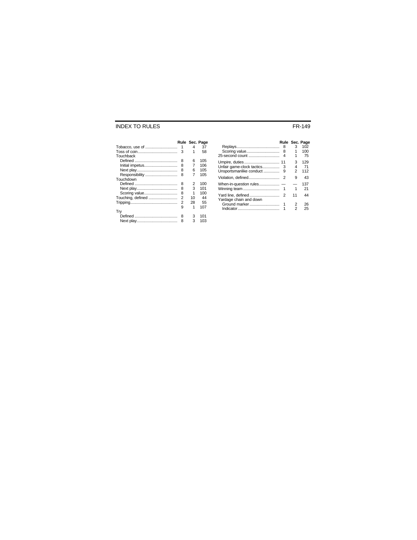#### INDEX TO RULES FR-149

|                   | Rule Sec. Page |                |     |
|-------------------|----------------|----------------|-----|
| Tobacco, use of   | 1              | 4              | 37  |
|                   | 3              | 1              | 58  |
| Touchback         |                |                |     |
|                   | 8              | 6              | 105 |
| Initial impetus   | 8              | 7              | 106 |
|                   | 8              | 6              | 105 |
| Responsibility    | 8              | $\overline{7}$ | 105 |
| Touchdown         |                |                |     |
|                   | 8              | 2              | 100 |
|                   | 8              | 3              | 101 |
| Scoring value     | 8              | 1              | 100 |
| Touching, defined | $\overline{2}$ | 10             | 44  |
|                   | $\overline{2}$ | 28             | 55  |
|                   | 9              | 1              | 107 |
| Try               |                |                |     |
|                   | 8              | 3              | 101 |
|                   | 8              | 3              | 103 |
|                   |                |                |     |

|                         |                | Rule Sec. Page |     |
|-------------------------|----------------|----------------|-----|
|                         | 8              | 3              | 102 |
| Scoring value           | 8              |                | 100 |
| 25-second count         | 4              | 1              | 75  |
|                         |                | 3              | 129 |
|                         |                | 4              | -71 |
| Unsportsmanlike conduct | 9              | 2              | 112 |
| Violation. defined      | $\overline{2}$ | 9              | 43  |
|                         |                |                | 137 |
|                         |                | 1              | 21  |
|                         |                | 11             | 44  |
| Yardage chain and down  |                |                |     |
| Ground marker           |                | $\overline{2}$ | 26  |
|                         |                | 2              | 25  |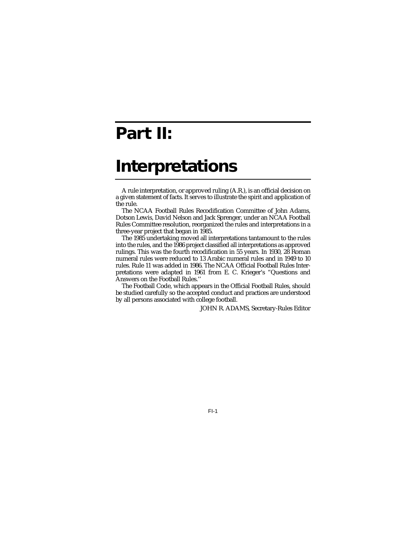## **Part II:**

## **Interpretations**

A rule interpretation, or approved ruling (A.R.), is an official decision on a given statement of facts. It serves to illustrate the spirit and application of the rule.

The NCAA Football Rules Recodification Committee of John Adams, Dotson Lewis, David Nelson and Jack Sprenger, under an NCAA Football Rules Committee resolution, reorganized the rules and interpretations in a three-year project that began in 1985.

The 1985 undertaking moved all interpretations tantamount to the rules into the rules, and the 1986 project classified all interpretations as approved rulings. This was the fourth recodification in 55 years. In 1930, 28 Roman numeral rules were reduced to 13 Arabic numeral rules and in 1949 to 10 rules. Rule 11 was added in 1986. The NCAA Official Football Rules Interpretations were adapted in 1961 from E. C. Krieger's "Questions and Answers on the Football Rules.''

The Football Code, which appears in the Official Football Rules, should be studied carefully so the accepted conduct and practices are understood by all persons associated with college football.

JOHN R. ADAMS, Secretary-Rules Editor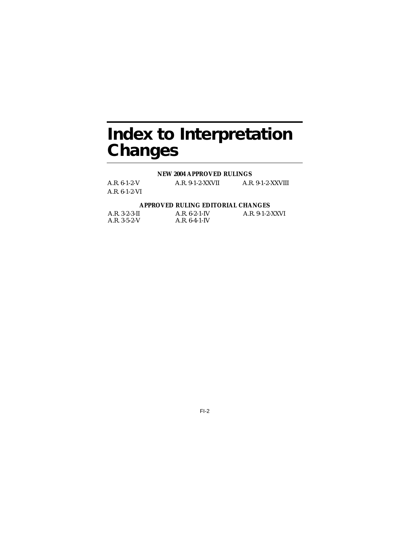## **Index to Interpretation Changes**

#### **NEW 2004 APPROVED RULINGS**

| $A.R. 6-1-2-V$ | $A.R. 9-1-2-XXVII$ | $A.R. 9-1-2-XXVIII$ |
|----------------|--------------------|---------------------|
| A.R. 6-1-2-VI  |                    |                     |

#### **APPROVED RULING EDITORIAL CHANGES**

| $A.R. 3-2-3-II$ | $A.R. 6-2-1-IV$ | A.R. 9-1-2-XXVI |
|-----------------|-----------------|-----------------|
| $A.R. 3-5-2-V$  | $A.R. 6-4-1-IV$ |                 |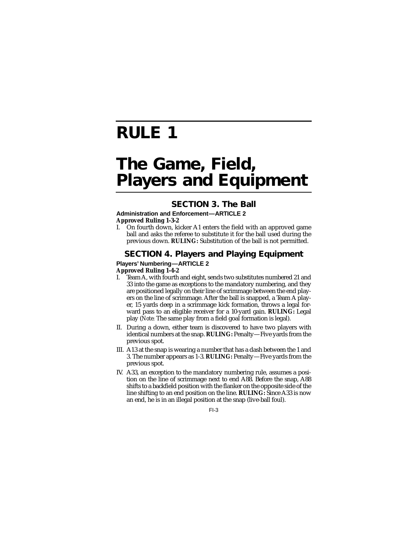# **RULE 1**

## **The Game, Field, Players and Equipment**

## **SECTION 3. The Ball**

#### **Administration and Enforcement—ARTICLE 2 Approved Ruling 1-3-2**

I. On fourth down, kicker A1 enters the field with an approved game ball and asks the referee to substitute it for the ball used during the previous down. **RULING:** Substitution of the ball is not permitted.

## **SECTION 4. Players and Playing Equipment**

#### **Players' Numbering—ARTICLE 2 Approved Ruling 1-4-2**

- I. Team A, with fourth and eight, sends two substitutes numbered 21 and 33 into the game as exceptions to the mandatory numbering, and they are positioned legally on their line of scrimmage between the end players on the line of scrimmage. After the ball is snapped, a Team A player, 15 yards deep in a scrimmage kick formation, throws a legal forward pass to an eligible receiver for a 10-yard gain. **RULING:** Legal play (*Note:* The same play from a field goal formation is legal).
- II. During a down, either team is discovered to have two players with identical numbers at the snap. **RULING:** Penalty—Five yards from the previous spot.
- III. A13 at the snap is wearing a number that has a dash between the 1 and 3. The number appears as 1-3. **RULING:** Penalty—Five yards from the previous spot.
- IV. A33, an exception to the mandatory numbering rule, assumes a position on the line of scrimmage next to end A88. Before the snap, A88 shifts to a backfield position with the flanker on the opposite side of the line shifting to an end position on the line. **RULING:** Since A33 is now an end, he is in an illegal position at the snap (live-ball foul).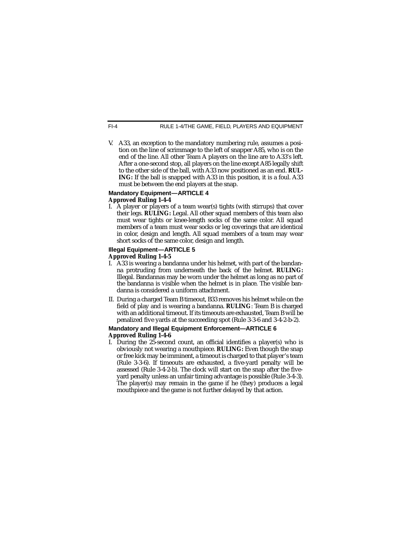V. A33, an exception to the mandatory numbering rule, assumes a position on the line of scrimmage to the left of snapper A85, who is on the end of the line. All other Team A players on the line are to A33's left. After a one-second stop, all players on the line except A85 legally shift to the other side of the ball, with A33 now positioned as an end. **RUL-ING:** If the ball is snapped with A33 in this position, it is a foul. A33 must be between the end players at the snap.

#### **Mandatory Equipment—ARTICLE 4 Approved Ruling 1-4-4**

I. A player or players of a team wear(s) tights (with stirrups) that cover their legs. **RULING:** Legal. All other squad members of this team also must wear tights or knee-length socks of the same color. All squad members of a team must wear socks or leg coverings that are identical in color, design and length. All squad members of a team may wear short socks of the same color, design and length.

## **Illegal Equipment—ARTICLE 5**

#### **Approved Ruling 1-4-5**

- I. A33 is wearing a bandanna under his helmet, with part of the bandanna protruding from underneath the back of the helmet. **RULING:** Illegal. Bandannas may be worn under the helmet as long as no part of the bandanna is visible when the helmet is in place. The visible bandanna is considered a uniform attachment.
- II. During a charged Team B timeout, B33 removes his helmet while on the field of play and is wearing a bandanna. **RULING**: Team B is charged with an additional timeout. If its timeouts are exhausted, Team B will be penalized five yards at the succeeding spot (Rule 3-3-6 and 3-4-2-b-2).

#### **Mandatory and Illegal Equipment Enforcement—ARTICLE 6 Approved Ruling 1-4-6**

I. During the 25-second count, an official identifies a player(s) who is obviously not wearing a mouthpiece. **RULING:** Even though the snap or free kick may be imminent, a timeout is charged to that player's team (Rule 3-3-6). If timeouts are exhausted, a five-yard penalty will be assessed (Rule 3-4-2-b). The clock will start on the snap after the fiveyard penalty unless an unfair timing advantage is possible (Rule 3-4-3). The player(s) may remain in the game if he (they) produces a legal mouthpiece and the game is not further delayed by that action.

 $FI-4$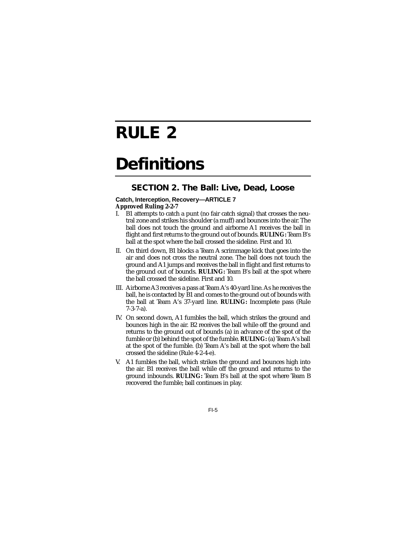# **RULE 2**

# **Definitions**

## **SECTION 2. The Ball: Live, Dead, Loose**

#### **Catch, Interception, Recovery—ARTICLE 7 Approved Ruling 2-2-7**

- I. B1 attempts to catch a punt (no fair catch signal) that crosses the neutral zone and strikes his shoulder (a muff) and bounces into the air. The ball does not touch the ground and airborne A1 receives the ball in flight and first returns to the ground out of bounds. **RULING:** Team B's ball at the spot where the ball crossed the sideline. First and 10.
- II. On third down, B1 blocks a Team A scrimmage kick that goes into the air and does not cross the neutral zone. The ball does not touch the ground and A1 jumps and receives the ball in flight and first returns to the ground out of bounds. **RULING:** Team B's ball at the spot where the ball crossed the sideline. First and 10.
- III. Airborne A3 receives a pass at Team A's 40-yard line. As he receives the ball, he is contacted by B1 and comes to the ground out of bounds with the ball at Team A's 37-yard line. **RULING:** Incomplete pass (Rule 7-3-7-a).
- IV. On second down, A1 fumbles the ball, which strikes the ground and bounces high in the air. B2 receives the ball while off the ground and returns to the ground out of bounds (a) in advance of the spot of the fumble or (b) behind the spot of the fumble. **RULING:** (a) Team A's ball at the spot of the fumble. (b) Team A's ball at the spot where the ball crossed the sideline (Rule 4-2-4-e).
- V. A1 fumbles the ball, which strikes the ground and bounces high into the air. B1 receives the ball while off the ground and returns to the ground inbounds. **RULING:** Team B's ball at the spot where Team B recovered the fumble; ball continues in play.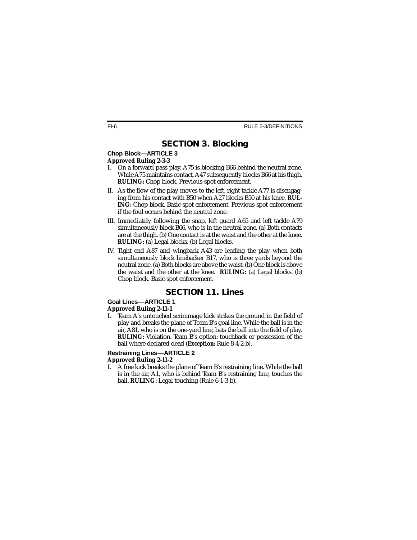## **SECTION 3. Blocking**

#### **Chop Block—ARTICLE 3 Approved Ruling 2-3-3**

I. On a forward pass play, A75 is blocking B66 behind the neutral zone. While A75 maintains contact, A47 subsequently blocks B66 at his thigh. **RULING:** Chop block. Previous-spot enforcement.

#### II. As the flow of the play moves to the left, right tackle A77 is disengaging from his contact with B50 when A27 blocks B50 at his knee. **RUL-ING:** Chop block. Basic-spot enforcement. Previous-spot enforcement if the foul occurs behind the neutral zone.

- III. Immediately following the snap, left guard A65 and left tackle A79 simultaneously block B66, who is in the neutral zone. (a) Both contacts are at the thigh. (b) One contact is at the waist and the other at the knee. **RULING:** (a) Legal blocks. (b) Legal blocks.
- IV. Tight end A87 and wingback A43 are leading the play when both simultaneously block linebacker B17, who is three yards beyond the neutral zone. (a) Both blocks are above the waist. (b) One block is above the waist and the other at the knee. **RULING:** (a) Legal blocks. (b) Chop block. Basic-spot enforcement.

## **SECTION 11. Lines**

### **Goal Lines—ARTICLE 1**

### **Approved Ruling 2-11-1**

I. Team A's untouched scrimmage kick strikes the ground in the field of play and breaks the plane of Team B's goal line. While the ball is in the air, A81, who is on the one-yard line, bats the ball into the field of play. **RULING:** Violation. Team B's option: touchback or possession of the ball where declared dead (*Exception:* Rule 8-4-2-b).

#### **Restraining Lines—ARTICLE 2 Approved Ruling 2-11-2**

I. A free kick breaks the plane of Team B's restraining line. While the ball is in the air, A1, who is behind Team B's restraining line, touches the ball. **RULING:** Legal touching (Rule 6-1-3-b).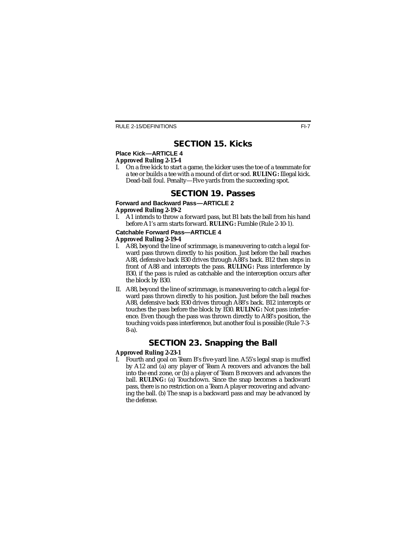## **SECTION 15. Kicks**

#### **Place Kick—ARTICLE 4 Approved Ruling 2-15-4**

I. On a free kick to start a game, the kicker uses the toe of a teammate for a tee or builds a tee with a mound of dirt or sod. **RULING:** Illegal kick. Dead-ball foul. Penalty—Five yards from the succeeding spot.

### **SECTION 19. Passes**

#### **Forward and Backward Pass-ARTICLE 2 Approved Ruling 2-19-2**

I. A1 intends to throw a forward pass, but B1 bats the ball from his hand before A1's arm starts forward. **RULING:** Fumble (Rule 2-10-1).

#### **Catchable Forward Pass—ARTICLE 4 Approved Ruling 2-19-4**

- I. A88, beyond the line of scrimmage, is maneuvering to catch a legal forward pass thrown directly to his position. Just before the ball reaches A88, defensive back B30 drives through A88's back. B12 then steps in front of A88 and intercepts the pass. **RULING:** Pass interference by B30, if the pass is ruled as catchable and the interception occurs after the block by B30.
- II. A88, beyond the line of scrimmage, is maneuvering to catch a legal forward pass thrown directly to his position. Just before the ball reaches A88, defensive back B30 drives through A88's back. B12 intercepts or touches the pass before the block by B30. **RULING:** Not pass interference. Even though the pass was thrown directly to A88's position, the touching voids pass interference, but another foul is possible (Rule 7-3- 8-a).

## **SECTION 23. Snapping the Ball**

#### **Approved Ruling 2-23-1**

I. Fourth and goal on Team B's five-yard line. A55's legal snap is muffed by A12 and (a) any player of Team A recovers and advances the ball into the end zone, or (b) a player of Team B recovers and advances the ball. **RULING:** (a) Touchdown. Since the snap becomes a backward pass, there is no restriction on a Team A player recovering and advancing the ball. (b) The snap is a backward pass and may be advanced by the defense.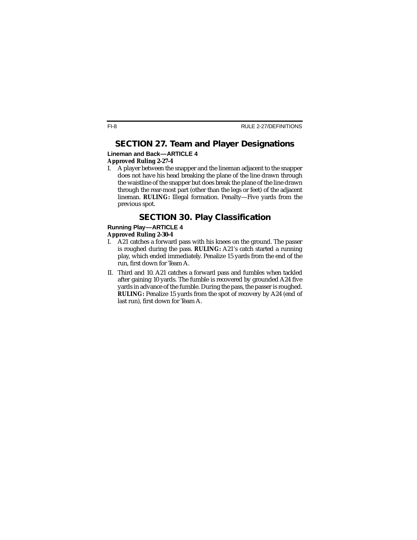## **SECTION 27. Team and Player Designations**

#### **Lineman and Back—ARTICLE 4 Approved Ruling 2-27-4**

I. A player between the snapper and the lineman adjacent to the snapper does not have his head breaking the plane of the line drawn through the waistline of the snapper but does break the plane of the line drawn through the rear-most part (other than the legs or feet) of the adjacent lineman. **RULING:** Illegal formation. Penalty—Five yards from the previous spot.

## **SECTION 30. Play Classification**

### **Running Play—ARTICLE 4**

#### **Approved Ruling 2-30-4**

- I. A21 catches a forward pass with his knees on the ground. The passer is roughed during the pass. **RULING:** A21's catch started a running play, which ended immediately. Penalize 15 yards from the end of the run, first down for Team A.
- II. Third and 10. A21 catches a forward pass and fumbles when tackled after gaining 10 yards. The fumble is recovered by grounded A24 five yards in advance of the fumble. During the pass, the passer is roughed. **RULING:** Penalize 15 yards from the spot of recovery by A24 (end of last run), first down for Team A.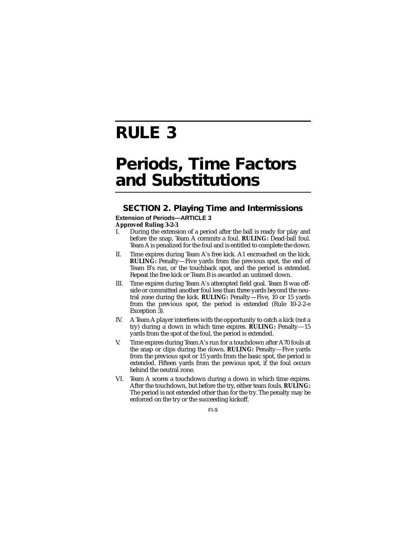## **RULE 3**

## **Periods, Time Factors and Substitutions**

### **SECTION 2. Playing Time and Intermissions Extension of Periods—ARTICLE 3**

#### **Approved Ruling 3-2-3**

- I. During the extension of a period after the ball is ready for play and before the snap, Team A commits a foul. **RULING:** Dead-ball foul. Team A is penalized for the foul and is entitled to complete the down.
- II. Time expires during Team A's free kick. A1 encroached on the kick. **RULING:** Penalty—Five yards from the previous spot, the end of Team B's run, or the touchback spot, and the period is extended. Repeat the free kick or Team B is awarded an untimed down.
- III. Time expires during Team A's attempted field goal. Team B was offside or committed another foul less than three yards beyond the neutral zone during the kick. **RULING:** Penalty—Five, 10 or 15 yards from the previous spot, the period is extended (Rule 10-2-2-e Exception 3).
- IV. A Team A player interferes with the opportunity to catch a kick (not a try) during a down in which time expires. **RULING:** Penalty—15 yards from the spot of the foul, the period is extended.
- V. Time expires during Team A's run for a touchdown after A70 fouls at the snap or clips during the down. **RULING:** Penalty—Five yards from the previous spot or 15 yards from the basic spot, the period is extended. Fifteen yards from the previous spot, if the foul occurs behind the neutral zone.
- VI. Team A scores a touchdown during a down in which time expires. After the touchdown, but before the try, either team fouls. **RULING:** The period is not extended other than for the try. The penalty may be enforced on the try or the succeeding kickoff.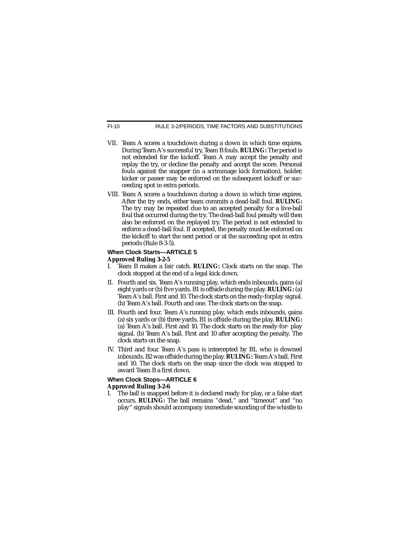RULE 3-2/PERIODS, TIME FACTORS AND SUBSTITUTIONS

- VII. Team A scores a touchdown during a down in which time expires. During Team A's successful try, Team B fouls. **RULING:** The period is not extended for the kickoff. Team A may accept the penalty and replay the try, or decline the penalty and accept the score. Personal fouls against the snapper (in a scrimmage kick formation), holder, kicker or passer may be enforced on the subsequent kickoff or succeeding spot in extra periods.
- VIII. Team A scores a touchdown during a down in which time expires. After the try ends, either team commits a dead-ball foul. **RULING:** The try may be repeated due to an accepted penalty for a live-ball foul that occurred during the try. The dead-ball foul penalty will then also be enforced on the replayed try. The period is not extended to enforce a dead-ball foul. If accepted, the penalty must be enforced on the kickoff to start the next period or at the succeeding spot in extra periods (Rule 8-3-5).

#### **When Clock Starts—ARTICLE 5 Approved Ruling 3-2-5**

- I. Team B makes a fair catch. **RULING:** Clock starts on the snap. The clock stopped at the end of a legal kick down.
- II. Fourth and six. Team A's running play, which ends inbounds, gains (a) eight yards or (b) five yards. B1 is offside during the play. **RULING:** (a) Team A's ball. First and 10. The clock starts on the ready-forplay signal. (b) Team A's ball. Fourth and one. The clock starts on the snap.
- III. Fourth and four. Team A's running play, which ends inbounds, gains (a) six yards or (b) three yards. B1 is offside during the play. **RULING:** (a) Team A's ball. First and 10. The clock starts on the ready-for- play signal. (b) Team A's ball. First and 10 after accepting the penalty. The clock starts on the snap.
- IV. Third and four. Team A's pass is intercepted by B1, who is downed inbounds. B2 was offside during the play. **RULING:** Team A's ball. First and 10. The clock starts on the snap since the clock was stopped to award Team B a first down.

#### **When Clock Stops—ARTICLE 6 Approved Ruling 3-2-6**

I. The ball is snapped before it is declared ready for play, or a false start occurs. **RULING:** The ball remains "dead,'' and "timeout'' and "no play'' signals should accompany immediate sounding of the whistle to

FI-10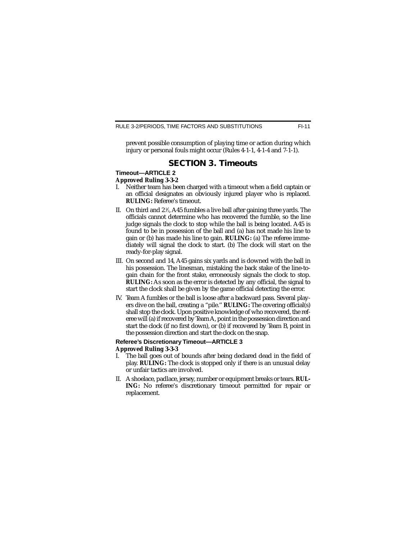prevent possible consumption of playing time or action during which injury or personal fouls might occur (Rules 4-1-1, 4-1-4 and 7-1-1).

### **SECTION 3. Timeouts**

#### **Timeout—ARTICLE 2 Approved Ruling 3-3-2**

- I. Neither team has been charged with a timeout when a field captain or an official designates an obviously injured player who is replaced. **RULING:** Referee's timeout.
- II.  $\,$  On third and 2  $\%$ , A45 fumbles a live ball after gaining three yards. The officials cannot determine who has recovered the fumble, so the line judge signals the clock to stop while the ball is being located. A45 is found to be in possession of the ball and (a) has not made his line to gain or (b) has made his line to gain. **RULING:** (a) The referee immediately will signal the clock to start. (b) The clock will start on the ready-for-play signal.
- III. On second and 14, A45 gains six yards and is downed with the ball in his possession. The linesman, mistaking the back stake of the line-togain chain for the front stake, erroneously signals the clock to stop. **RULING:** As soon as the error is detected by any official, the signal to start the clock shall be given by the game official detecting the error.
- IV. Team A fumbles or the ball is loose after a backward pass. Several players dive on the ball, creating a "pile.'' **RULING:** The covering official(s) shall stop the clock. Upon positive knowledge of who recovered, the referee will (a) if recovered by Team A, point in the possession direction and start the clock (if no first down), or (b) if recovered by Team B, point in the possession direction and start the clock on the snap.

#### **Referee's Discretionary Timeout—ARTICLE 3 Approved Ruling 3-3-3**

- I. The ball goes out of bounds after being declared dead in the field of play. **RULING:** The clock is stopped only if there is an unusual delay or unfair tactics are involved.
- II. A shoelace, padlace, jersey, number or equipment breaks or tears. **RUL-ING:** No referee's discretionary timeout permitted for repair or replacement.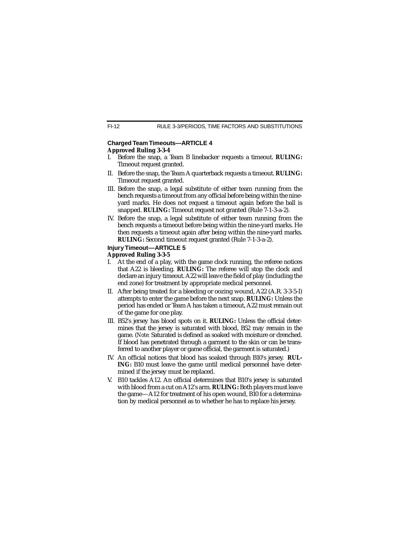#### **Charged Team Timeouts—ARTICLE 4 Approved Ruling 3-3-4**

- I. Before the snap, a Team B linebacker requests a timeout. **RULING:** Timeout request granted.
- II. Before the snap, the Team A quarterback requests a timeout. **RULING:** Timeout request granted.
- III. Before the snap, a legal substitute of either team running from the bench requests a timeout from any official before being within the nineyard marks. He does not request a timeout again before the ball is snapped. **RULING:** Timeout request not granted (Rule 7-1-3-a-2).
- IV. Before the snap, a legal substitute of either team running from the bench requests a timeout before being within the nine-yard marks. He then requests a timeout again after being within the nine-yard marks. **RULING:** Second timeout request granted (Rule 7-1-3-a-2).

### **Injury Timeout—ARTICLE 5**

#### **Approved Ruling 3-3-5**

- I. At the end of a play, with the game clock running, the referee notices that A22 is bleeding. **RULING:** The referee will stop the clock and declare an injury timeout. A22 will leave the field of play (including the end zone) for treatment by appropriate medical personnel.
- II. After being treated for a bleeding or oozing wound, A22 (A.R. 3-3-5-I) attempts to enter the game before the next snap. **RULING:** Unless the period has ended or Team A has taken a timeout, A22 must remain out of the game for one play.
- III. B52's jersey has blood spots on it. **RULING:** Unless the official determines that the jersey is saturated with blood, B52 may remain in the game. (*Note:* Saturated is defined as soaked with moisture or drenched. If blood has penetrated through a garment to the skin or can be transferred to another player or game official, the garment is saturated.)
- IV. An official notices that blood has soaked through B10's jersey. **RUL-ING:** B10 must leave the game until medical personnel have determined if the jersey must be replaced.
- V. B10 tackles A12. An official determines that B10's jersey is saturated with blood from a cut on A12's arm. **RULING:** Both players must leave the game—A12 for treatment of his open wound, B10 for a determination by medical personnel as to whether he has to replace his jersey.

FI-12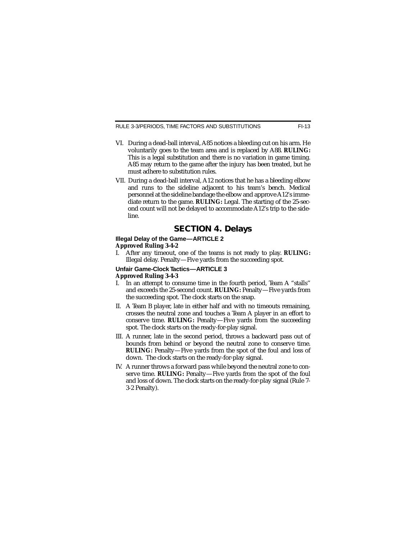RULE 3-3/PERIODS, TIME FACTORS AND SUBSTITUTIONS

- VI. During a dead-ball interval, A85 notices a bleeding cut on his arm. He voluntarily goes to the team area and is replaced by A88. **RULING:** This is a legal substitution and there is no variation in game timing. A85 may return to the game after the injury has been treated, but he must adhere to substitution rules.
- VII. During a dead-ball interval, A12 notices that he has a bleeding elbow and runs to the sideline adjacent to his team's bench. Medical personnel at the sideline bandage the elbow and approve A12's immediate return to the game. **RULING:** Legal. The starting of the 25-second count will not be delayed to accommodate A12's trip to the sideline.

### **SECTION 4. Delays**

#### **Illegal Delay of the Game—ARTICLE 2 Approved Ruling 3-4-2**

I. After any timeout, one of the teams is not ready to play. **RULING:** Illegal delay. Penalty—Five yards from the succeeding spot.

#### **Unfair Game-Clock Tactics—ARTICLE 3 Approved Ruling 3-4-3**

- I. In an attempt to consume time in the fourth period, Team A "stalls'' and exceeds the 25-second count. **RULING:** Penalty—Five yards from the succeeding spot. The clock starts on the snap.
- II. A Team B player, late in either half and with no timeouts remaining, crosses the neutral zone and touches a Team A player in an effort to conserve time. **RULING:** Penalty—Five yards from the succeeding spot. The clock starts on the ready-for-play signal.
- III. A runner, late in the second period, throws a backward pass out of bounds from behind or beyond the neutral zone to conserve time. **RULING:** Penalty—Five yards from the spot of the foul and loss of down. The clock starts on the ready-for-play signal.
- IV. A runner throws a forward pass while beyond the neutral zone to conserve time. **RULING:** Penalty—Five yards from the spot of the foul and loss of down. The clock starts on the ready-for-play signal (Rule 7- 3-2 Penalty).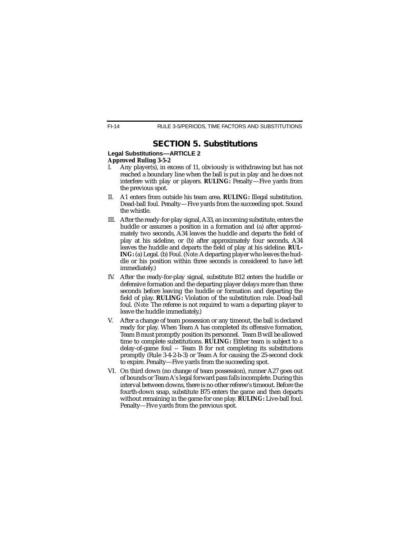## **SECTION 5. Substitutions**

#### **Legal Substitutions—ARTICLE 2 Approved Ruling 3-5-2**

- I. Any player(s), in excess of 11, obviously is withdrawing but has not reached a boundary line when the ball is put in play and he does not interfere with play or players. **RULING:** Penalty—Five yards from the previous spot.
- II. A1 enters from outside his team area. **RULING:** Illegal substitution. Dead-ball foul. Penalty—Five yards from the succeeding spot. Sound the whistle.
- III. After the ready-for-play signal, A33, an incoming substitute, enters the huddle or assumes a position in a formation and (a) after approximately two seconds, A34 leaves the huddle and departs the field of play at his sideline, or (b) after approximately four seconds, A34 leaves the huddle and departs the field of play at his sideline. **RUL-ING:** (a) Legal. (b) Foul. (*Note:*A departing player who leaves the huddle or his position within three seconds is considered to have left immediately.)
- IV. After the ready-for-play signal, substitute B12 enters the huddle or defensive formation and the departing player delays more than three seconds before leaving the huddle or formation and departing the field of play. **RULING:** Violation of the substitution rule. Dead-ball foul. (*Note:* The referee is not required to warn a departing player to leave the huddle immediately.)
- V. After a change of team possession or any timeout, the ball is declared ready for play. When Team A has completed its offensive formation, Team B must promptly position its personnel. Team B will be allowed time to complete substitutions. **RULING:** Either team is subject to a delay-of-game foul -- Team B for not completing its substitutions promptly (Rule 3-4-2-b-3) or Team A for causing the 25-second clock to expire. Penalty—Five yards from the succeeding spot.
- VI. On third down (no change of team possession), runner A27 goes out of bounds or Team A's legal forward pass falls incomplete. During this interval between downs, there is no other referee's timeout. Before the fourth-down snap, substitute B75 enters the game and then departs without remaining in the game for one play. **RULING:** Live-ball foul. Penalty—Five yards from the previous spot.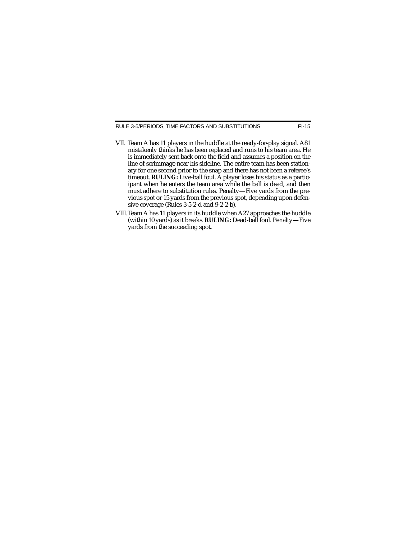RULE 3-5/PERIODS, TIME FACTORS AND SUBSTITUTIONS FI-15

- VII. Team A has 11 players in the huddle at the ready-for-play signal. A81 mistakenly thinks he has been replaced and runs to his team area. He is immediately sent back onto the field and assumes a position on the line of scrimmage near his sideline. The entire team has been stationary for one second prior to the snap and there has not been a referee's timeout. **RULING:** Live-ball foul. A player loses his status as a participant when he enters the team area while the ball is dead, and then must adhere to substitution rules. Penalty—Five yards from the previous spot or 15 yards from the previous spot, depending upon defensive coverage (Rules 3-5-2-d and 9-2-2-b).
- VIII.Team A has 11 players in its huddle when A27 approaches the huddle (within 10 yards) as it breaks. **RULING:** Dead-ball foul. Penalty—Five yards from the succeeding spot.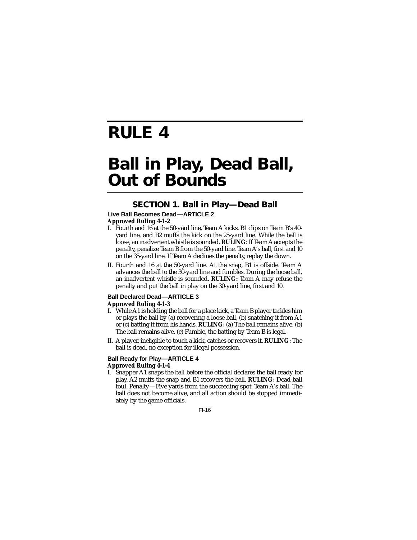# **RULE 4**

## **Ball in Play, Dead Ball, Out of Bounds**

## **SECTION 1. Ball in Play—Dead Ball**

### **Live Ball Becomes Dead—ARTICLE 2**

#### **Approved Ruling 4-1-2**

- I. Fourth and 16 at the 50-yard line, Team A kicks. B1 clips on Team B's 40 yard line, and B2 muffs the kick on the 25-yard line. While the ball is loose, an inadvertent whistle is sounded. **RULING:** If Team A accepts the penalty, penalize Team B from the 50-yard line. Team A's ball, first and 10 on the 35-yard line. If Team A declines the penalty, replay the down.
- II. Fourth and 16 at the 50-yard line. At the snap, B1 is offside. Team A advances the ball to the 30-yard line and fumbles. During the loose ball, an inadvertent whistle is sounded. **RULING:** Team A may refuse the penalty and put the ball in play on the 30-yard line, first and 10.

## **Ball Declared Dead—ARTICLE 3**

#### **Approved Ruling 4-1-3**

- I. While A1 is holding the ball for a place kick, a Team B player tackles him or plays the ball by (a) recovering a loose ball, (b) snatching it from A1 or (c) batting it from his hands. **RULING:** (a) The ball remains alive. (b) The ball remains alive. (c) Fumble, the batting by Team B is legal.
- II. A player, ineligible to touch a kick, catches or recovers it. **RULING:** The ball is dead, no exception for illegal possession.

#### **Ball Ready for Play—ARTICLE 4 Approved Ruling 4-1-4**

I. Snapper A1 snaps the ball before the official declares the ball ready for play. A2 muffs the snap and B1 recovers the ball. **RULING:** Dead-ball foul. Penalty—Five yards from the succeeding spot, Team A's ball. The ball does not become alive, and all action should be stopped immediately by the game officials.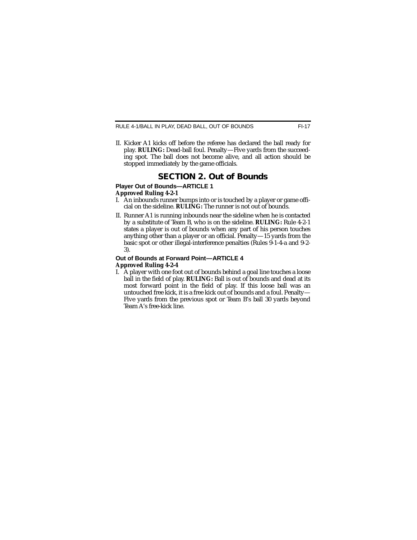II. Kicker A1 kicks off before the referee has declared the ball ready for play. **RULING:** Dead-ball foul. Penalty—Five yards from the succeeding spot. The ball does not become alive, and all action should be stopped immediately by the game officials.

### **SECTION 2. Out of Bounds**

#### **Player Out of Bounds—ARTICLE 1 Approved Ruling 4-2-1**

- I. An inbounds runner bumps into or is touched by a player or game official on the sideline. **RULING:** The runner is not out of bounds.
- II. Runner A1 is running inbounds near the sideline when he is contacted by a substitute of Team B, who is on the sideline. **RULING:** Rule 4-2-1 states a player is out of bounds when any part of his person touches anything other than a player or an official. Penalty—15 yards from the basic spot or other illegal-interference penalties (Rules 9-1-4-a and 9-2- 3).

#### **Out of Bounds at Forward Point—ARTICLE 4 Approved Ruling 4-2-4**

I. A player with one foot out of bounds behind a goal line touches a loose ball in the field of play. **RULING:** Ball is out of bounds and dead at its most forward point in the field of play. If this loose ball was an untouched free kick, it is a free kick out of bounds and a foul. Penalty— Five yards from the previous spot or Team B's ball 30 yards beyond Team A's free-kick line.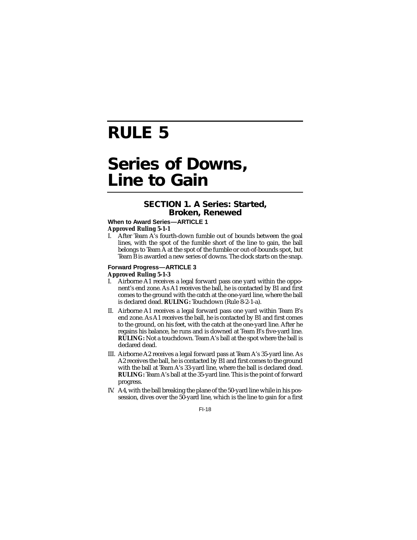# **RULE 5**

## **Series of Downs, Line to Gain**

### **SECTION 1. A Series: Started, Broken, Renewed**

#### **When to Award Series-ARTICLE 1 Approved Ruling 5-1-1**

After Team A's fourth-down fumble out of bounds between the goal lines, with the spot of the fumble short of the line to gain, the ball belongs to Team A at the spot of the fumble or out-of-bounds spot, but Team B is awarded a new series of downs. The clock starts on the snap.

#### **Forward Progress—ARTICLE 3 Approved Ruling 5-1-3**

- I. Airborne A1 receives a legal forward pass one yard within the opponent's end zone. As A1 receives the ball, he is contacted by B1 and first comes to the ground with the catch at the one-yard line, where the ball is declared dead. **RULING:** Touchdown (Rule 8-2-1-a).
- II. Airborne A1 receives a legal forward pass one yard within Team B's end zone. As A1 receives the ball, he is contacted by B1 and first comes to the ground, on his feet, with the catch at the one-yard line. After he regains his balance, he runs and is downed at Team B's five-yard line. **RULING:** Not a touchdown. Team A's ball at the spot where the ball is declared dead.
- III. Airborne A2 receives a legal forward pass at Team A's 35-yard line. As A2 receives the ball, he is contacted by B1 and first comes to the ground with the ball at Team A's 33-yard line, where the ball is declared dead. **RULING:** Team A's ball at the 35-yard line. This is the point of forward progress.
- IV. A4, with the ball breaking the plane of the 50-yard line while in his possession, dives over the 50-yard line, which is the line to gain for a first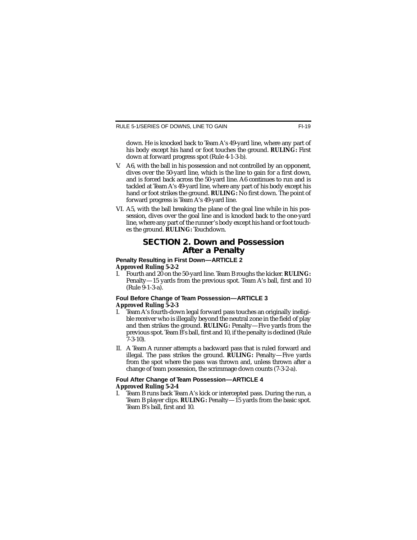down. He is knocked back to Team A's 49-yard line, where any part of his body except his hand or foot touches the ground. **RULING:** First down at forward progress spot (Rule 4-1-3-b).

- V. A6, with the ball in his possession and not controlled by an opponent, dives over the 50-yard line, which is the line to gain for a first down, and is forced back across the 50-yard line. A6 continues to run and is tackled at Team A's 49-yard line, where any part of his body except his hand or foot strikes the ground. **RULING:** No first down. The point of forward progress is Team A's 49-yard line.
- VI. A5, with the ball breaking the plane of the goal line while in his possession, dives over the goal line and is knocked back to the one-yard line, where any part of the runner's body except his hand or foot touches the ground. **RULING:** Touchdown.

### **SECTION 2. Down and Possession After a Penalty**

#### **Penalty Resulting in First Down—ARTICLE 2 Approved Ruling 5-2-2**

I. Fourth and 20 on the 50-yard line. Team B roughs the kicker. **RULING:** Penalty—15 yards from the previous spot. Team A's ball, first and 10 (Rule 9-1-3-a).

#### **Foul Before Change of Team Possession—ARTICLE 3 Approved Ruling 5-2-3**

- I. Team A's fourth-down legal forward pass touches an originally ineligible receiver who is illegally beyond the neutral zone in the field of play and then strikes the ground. **RULING:** Penalty—Five yards from the previous spot. Team B's ball, first and 10, if the penalty is declined (Rule 7-3-10).
- II. A Team A runner attempts a backward pass that is ruled forward and illegal. The pass strikes the ground. **RULING:** Penalty—Five yards from the spot where the pass was thrown and, unless thrown after a change of team possession, the scrimmage down counts (7-3-2-a).

#### **Foul After Change of Team Possession—ARTICLE 4 Approved Ruling 5-2-4**

I. Team B runs back Team A's kick or intercepted pass. During the run, a Team B player clips. **RULING:** Penalty—15 yards from the basic spot. Team B's ball, first and 10.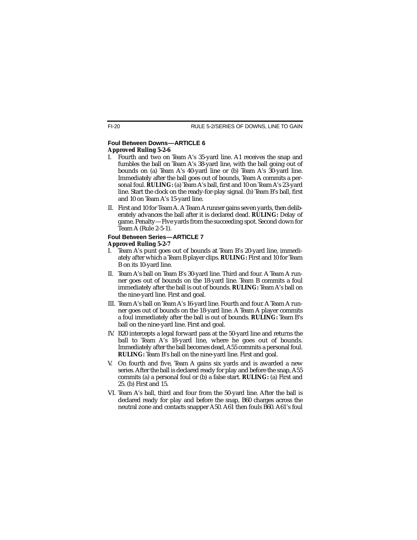### **Foul Between Downs—ARTICLE 6**

#### **Approved Ruling 5-2-6**

- I. Fourth and two on Team A's 35-yard line. A1 receives the snap and fumbles the ball on Team A's 38-yard line, with the ball going out of bounds on (a) Team A's 40-yard line or (b) Team A's 30-yard line. Immediately after the ball goes out of bounds, Team A commits a personal foul. **RULING:** (a) Team A's ball, first and 10 on Team A's 23-yard line. Start the clock on the ready-for-play signal. (b) Team B's ball, first and 10 on Team A's 15-yard line.
- II. First and 10 for Team A. A Team A runner gains seven yards, then deliberately advances the ball after it is declared dead. **RULING:** Delay of game. Penalty—Five yards from the succeeding spot. Second down for Team A (Rule 2-5-1).

#### **Foul Between Series-ARTICLE 7 Approved Ruling 5-2-7**

- I. Team A's punt goes out of bounds at Team B's 20-yard line, immediately after which a Team B player clips. **RULING:** First and 10 for Team B on its 10-yard line.
- II. Team A's ball on Team B's 30-yard line. Third and four. A Team A runner goes out of bounds on the 18-yard line. Team B commits a foul immediately after the ball is out of bounds. **RULING:** Team A's ball on the nine-yard line. First and goal.
- III. Team A's ball on Team A's 16-yard line. Fourth and four. A Team A runner goes out of bounds on the 18-yard line. A Team A player commits a foul immediately after the ball is out of bounds. **RULING:** Team B's ball on the nine-yard line. First and goal.
- IV. B20 intercepts a legal forward pass at the 50-yard line and returns the ball to Team A's 18-yard line, where he goes out of bounds. Immediately after the ball becomes dead, A55 commits a personal foul. **RULING:** Team B's ball on the nine-yard line. First and goal.
- V. On fourth and five, Team A gains six yards and is awarded a new series. After the ball is declared ready for play and before the snap, A55 commits (a) a personal foul or (b) a false start. **RULING:** (a) First and 25. (b) First and 15.
- VI. Team A's ball, third and four from the 50-yard line. After the ball is declared ready for play and before the snap, B60 charges across the neutral zone and contacts snapper A50. A61 then fouls B60. A61's foul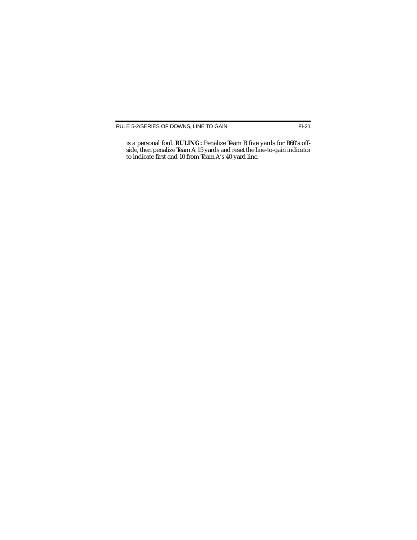is a personal foul. **RULING:** Penalize Team B five yards for B60's offside, then penalize Team A 15 yards and reset the line-to-gain indicator to indicate first and 10 from Team A's 40-yard line.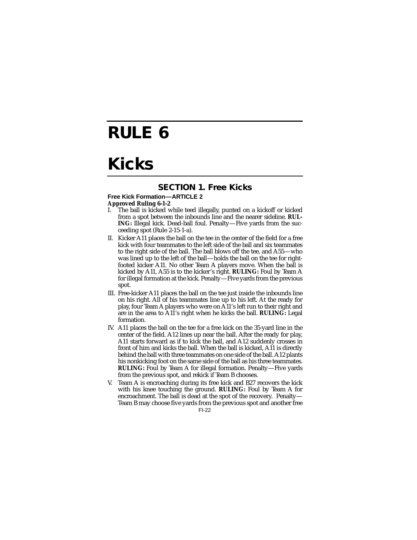## **RULE 6**

## **Kicks**

### **SECTION 1. Free Kicks**

### **Free Kick Formation—ARTICLE 2**

#### **Approved Ruling 6-1-2**

- I. The ball is kicked while teed illegally, punted on a kickoff or kicked from a spot between the inbounds line and the nearer sideline. **RUL-ING:** Illegal kick. Dead-ball foul. Penalty—Five yards from the succeeding spot (Rule 2-15-1-a).
- II. Kicker A11 places the ball on the tee in the center of the field for a free kick with four teammates to the left side of the ball and six teammates to the right side of the ball. The ball blows off the tee, and A55—who was lined up to the left of the ball—holds the ball on the tee for rightfooted kicker A11. No other Team A players move. When the ball is kicked by A11, A55 is to the kicker's right. **RULING:** Foul by Team A for illegal formation at the kick. Penalty—Five yards from the previous spot.
- III. Free-kicker A11 places the ball on the tee just inside the inbounds line on his right. All of his teammates line up to his left. At the ready for play, four Team A players who were on A11's left run to their right and are in the area to A11's right when he kicks the ball. **RULING:** Legal formation.
- IV. A11 places the ball on the tee for a free kick on the 35-yard line in the center of the field. A12 lines up near the ball. After the ready for play, A11 starts forward as if to kick the ball, and A12 suddenly crosses in front of him and kicks the ball. When the ball is kicked, A11 is directly behind the ball with three teammates on one side of the ball. A12 plants his nonkicking foot on the same side of the ball as his three teammates. **RULING:** Foul by Team A for illegal formation. Penalty—Five yards from the previous spot, and rekick if Team B chooses.
- V. Team A is encroaching during its free kick and B27 recovers the kick with his knee touching the ground. **RULING:** Foul by Team A for encroachment. The ball is dead at the spot of the recovery. Penalty— Team B may choose five yards from the previous spot and another free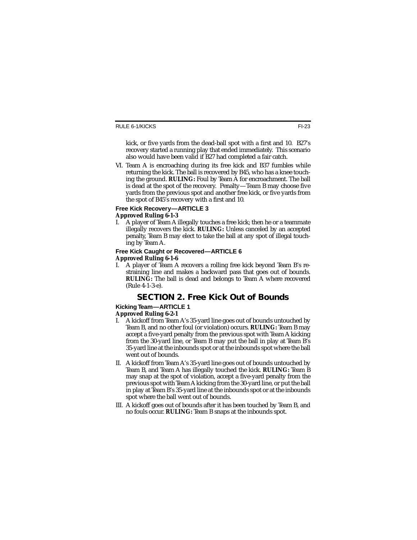kick, or five yards from the dead-ball spot with a first and 10. B27's recovery started a running play that ended immediately. This scenario also would have been valid if B27 had completed a fair catch.

VI. Team A is encroaching during its free kick and B37 fumbles while returning the kick. The ball is recovered by B45, who has a knee touching the ground. **RULING:** Foul by Team A for encroachment. The ball is dead at the spot of the recovery. Penalty—Team B may choose five yards from the previous spot and another free kick, or five yards from the spot of B45's recovery with a first and 10.

#### **Free Kick Recovery—ARTICLE 3 Approved Ruling 6-1-3**

I. A player of Team A illegally touches a free kick; then he or a teammate illegally recovers the kick. **RULING:** Unless canceled by an accepted penalty, Team B may elect to take the ball at any spot of illegal touching by Team A.

#### **Free Kick Caught or Recovered—ARTICLE 6 Approved Ruling 6-1-6**

I. A player of Team A recovers a rolling free kick beyond Team B's restraining line and makes a backward pass that goes out of bounds. **RULING:** The ball is dead and belongs to Team A where recovered (Rule 4-1-3-e).

## **SECTION 2. Free Kick Out of Bounds**

#### **Kicking Team—ARTICLE 1**

#### **Approved Ruling 6-2-1**

- I. A kickoff from Team A's 35-yard line goes out of bounds untouched by Team B, and no other foul (or violation) occurs. **RULING:** Team B may accept a five-yard penalty from the previous spot with Team A kicking from the 30-yard line, or Team B may put the ball in play at Team B's 35-yard line at the inbounds spot or at the inbounds spot where the ball went out of bounds.
- II. A kickoff from Team A's 35-yard line goes out of bounds untouched by Team B, and Team A has illegally touched the kick. **RULING:** Team B may snap at the spot of violation, accept a five-yard penalty from the previous spot with Team A kicking from the 30-yard line, or put the ball in play at Team B's 35-yard line at the inbounds spot or at the inbounds spot where the ball went out of bounds.
- III. A kickoff goes out of bounds after it has been touched by Team B, and no fouls occur. **RULING:** Team B snaps at the inbounds spot.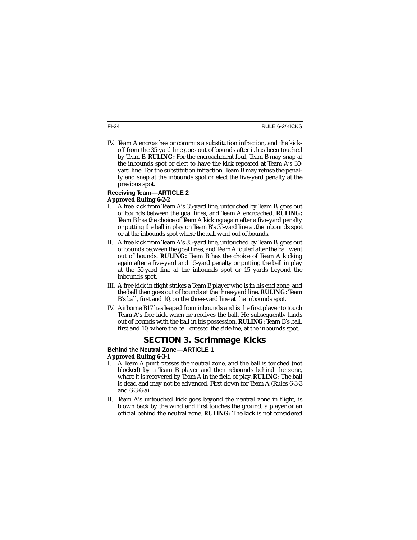IV. Team A encroaches or commits a substitution infraction, and the kickoff from the 35-yard line goes out of bounds after it has been touched by Team B. **RULING:** For the encroachment foul, Team B may snap at the inbounds spot or elect to have the kick repeated at Team A's 30 yard line. For the substitution infraction, Team B may refuse the penalty and snap at the inbounds spot or elect the five-yard penalty at the previous spot.

#### **Receiving Team—ARTICLE 2 Approved Ruling 6-2-2**

- I. A free kick from Team A's 35-yard line, untouched by Team B, goes out of bounds between the goal lines, and Team A encroached. **RULING:** Team B has the choice of Team A kicking again after a five-yard penalty or putting the ball in play on Team B's 35-yard line at the inbounds spot or at the inbounds spot where the ball went out of bounds.
- II. A free kick from Team A's 35-yard line, untouched by Team B, goes out of bounds between the goal lines, and Team A fouled after the ball went out of bounds. **RULING:** Team B has the choice of Team A kicking again after a five-yard and 15-yard penalty or putting the ball in play at the 50-yard line at the inbounds spot or 15 yards beyond the inbounds spot.
- III. A free kick in flight strikes a Team B player who is in his end zone, and the ball then goes out of bounds at the three-yard line. **RULING:** Team B's ball, first and 10, on the three-yard line at the inbounds spot.
- IV. Airborne B17 has leaped from inbounds and is the first player to touch Team A's free kick when he receives the ball. He subsequently lands out of bounds with the ball in his possession. **RULING:** Team B's ball, first and 10, where the ball crossed the sideline, at the inbounds spot.

## **SECTION 3. Scrimmage Kicks**

#### **Behind the Neutral Zone—ARTICLE 1 Approved Ruling 6-3-1**

- I. A Team A punt crosses the neutral zone, and the ball is touched (not blocked) by a Team B player and then rebounds behind the zone, where it is recovered by Team A in the field of play. **RULING:** The ball is dead and may not be advanced. First down for Team A (Rules 6-3-3 and 6-3-6-a).
- II. Team A's untouched kick goes beyond the neutral zone in flight, is blown back by the wind and first touches the ground, a player or an official behind the neutral zone. **RULING:** The kick is not considered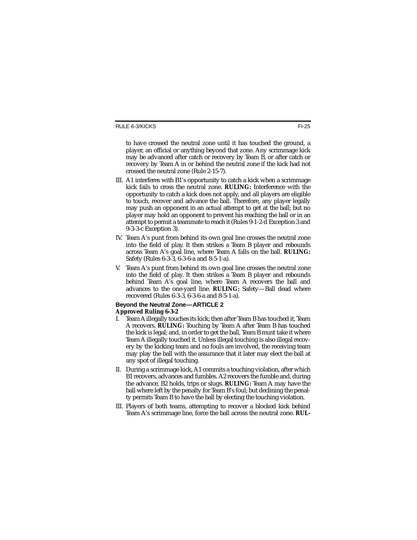to have crossed the neutral zone until it has touched the ground, a player, an official or anything beyond that zone. Any scrimmage kick may be advanced after catch or recovery by Team B, or after catch or recovery by Team A in or behind the neutral zone if the kick had not crossed the neutral zone (Rule 2-15-7).

- III. A1 interferes with B1's opportunity to catch a kick when a scrimmage kick fails to cross the neutral zone. **RULING:** Interference with the opportunity to catch a kick does not apply, and all players are eligible to touch, recover and advance the ball. Therefore, any player legally may push an opponent in an actual attempt to get at the ball; but no player may hold an opponent to prevent his reaching the ball or in an attempt to permit a teammate to reach it (Rules 9-1-2-d Exception 3 and 9-3-3-c Exception 3).
- IV. Team A's punt from behind its own goal line crosses the neutral zone into the field of play. It then strikes a Team B player and rebounds across Team A's goal line, where Team A falls on the ball. **RULING:** Safety (Rules 6-3-3, 6-3-6-a and 8-5-1-a).
- V. Team A's punt from behind its own goal line crosses the neutral zone into the field of play. It then strikes a Team B player and rebounds behind Team A's goal line, where Team A recovers the ball and advances to the one-yard line. **RULING:** Safety—Ball dead where recovered (Rules 6-3-3, 6-3-6-a and 8-5-1-a).

## **Beyond the Neutral Zone—ARTICLE 2**

#### **Approved Ruling 6-3-2**

- I. Team A illegally touches its kick; then after Team B has touched it, Team A recovers. **RULING:** Touching by Team A after Team B has touched the kick is legal; and, in order to get the ball, Team B must take it where Team A illegally touched it. Unless illegal touching is also illegal recovery by the kicking team and no fouls are involved, the receiving team may play the ball with the assurance that it later may elect the ball at any spot of illegal touching.
- II. During a scrimmage kick, A1 commits a touching violation, after which B1 recovers, advances and fumbles. A2 recovers the fumble and, during the advance, B2 holds, trips or slugs. **RULING:** Team A may have the ball where left by the penalty for Team B's foul; but declining the penalty permits Team B to have the ball by electing the touching violation.
- III. Players of both teams, attempting to recover a blocked kick behind Team A's scrimmage line, force the ball across the neutral zone. **RUL-**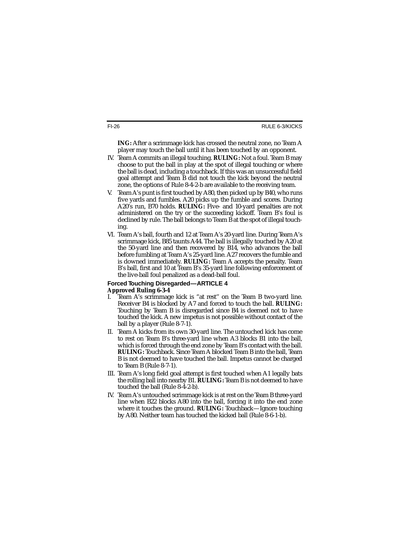RULE 6-3/KICKS

**ING:** After a scrimmage kick has crossed the neutral zone, no Team A player may touch the ball until it has been touched by an opponent.

- IV. Team A commits an illegal touching. **RULING:** Not a foul. Team B may choose to put the ball in play at the spot of illegal touching or where the ball is dead, including a touchback. If this was an unsuccessful field goal attempt and Team B did not touch the kick beyond the neutral zone, the options of Rule 8-4-2-b are available to the receiving team.
- V. Team A's punt is first touched by A80, then picked up by B40, who runs five yards and fumbles. A20 picks up the fumble and scores. During A20's run, B70 holds. **RULING:** Five- and 10-yard penalties are not administered on the try or the succeeding kickoff. Team B's foul is declined by rule. The ball belongs to Team B at the spot of illegal touching.
- VI. Team A's ball, fourth and 12 at Team A's 20-yard line. During Team A's scrimmage kick, B85 taunts A44. The ball is illegally touched by A20 at the 50-yard line and then recovered by B14, who advances the ball before fumbling at Team A's 25-yard line. A27 recovers the fumble and is downed immediately. **RULING:** Team A accepts the penalty. Team B's ball, first and 10 at Team B's 35-yard line following enforcement of the live-ball foul penalized as a dead-ball foul.

#### **Forced Touching Disregarded—ARTICLE 4 Approved Ruling 6-3-4**

- I. Team A's scrimmage kick is "at rest'' on the Team B two-yard line. Receiver B4 is blocked by A7 and forced to touch the ball. **RULING:** Touching by Team B is disregarded since B4 is deemed not to have touched the kick. A new impetus is not possible without contact of the ball by a player (Rule 8-7-1).
- II. Team A kicks from its own 30-yard line. The untouched kick has come to rest on Team B's three-yard line when A3 blocks B1 into the ball, which is forced through the end zone by Team B's contact with the ball. **RULING:** Touchback. Since Team A blocked Team B into the ball, Team B is not deemed to have touched the ball. Impetus cannot be charged to Team B (Rule 8-7-1).
- III. Team A's long field goal attempt is first touched when A1 legally bats the rolling ball into nearby B1. **RULING:** Team B is not deemed to have touched the ball (Rule 8-4-2-b).
- IV. Team A's untouched scrimmage kick is at rest on the Team B three-yard line when B22 blocks A80 into the ball, forcing it into the end zone where it touches the ground. **RULING:** Touchback—Ignore touching by A80. Neither team has touched the kicked ball (Rule 8-6-1-b).

FI-26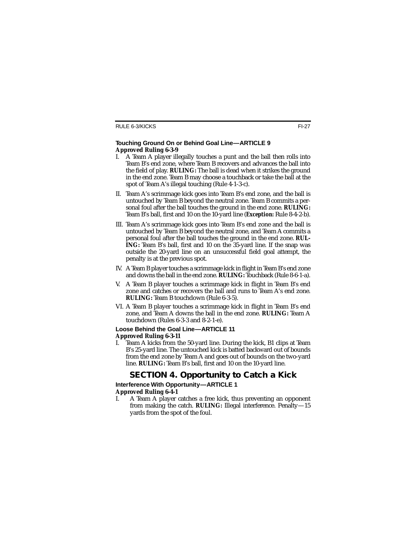#### **Touching Ground On or Behind Goal Line—ARTICLE 9 Approved Ruling 6-3-9**

- I. A Team A player illegally touches a punt and the ball then rolls into Team B's end zone, where Team B recovers and advances the ball into the field of play. **RULING:** The ball is dead when it strikes the ground in the end zone. Team B may choose a touchback or take the ball at the spot of Team A's illegal touching (Rule 4-1-3-c).
- II. Team A's scrimmage kick goes into Team B's end zone, and the ball is untouched by Team B beyond the neutral zone. Team B commits a personal foul after the ball touches the ground in the end zone. **RULING:** Team B's ball, first and 10 on the 10-yard line (*Exception:* Rule 8-4-2-b).
- III. Team A's scrimmage kick goes into Team B's end zone and the ball is untouched by Team B beyond the neutral zone, and Team A commits a personal foul after the ball touches the ground in the end zone. **RUL-ING:** Team B's ball, first and 10 on the 35-yard line. If the snap was outside the 20-yard line on an unsuccessful field goal attempt, the penalty is at the previous spot.
- IV. A Team B player touches a scrimmage kick in flight in Team B's end zone and downs the ball in the end zone. **RULING:** Touchback (Rule 8-6-1-a).
- V. A Team B player touches a scrimmage kick in flight in Team B's end zone and catches or recovers the ball and runs to Team A's end zone. **RULING:** Team B touchdown (Rule 6-3-5).
- VI. A Team B player touches a scrimmage kick in flight in Team B's end zone, and Team A downs the ball in the end zone. **RULING:** Team A touchdown (Rules 6-3-3 and 8-2-1-e).

#### **Loose Behind the Goal Line—ARTICLE 11 Approved Ruling 6-3-11**

I. Team A kicks from the 50-yard line. During the kick, B1 clips at Team B's 25-yard line. The untouched kick is batted backward out of bounds from the end zone by Team A and goes out of bounds on the two-yard line. **RULING:** Team B's ball, first and 10 on the 10-yard line.

## **SECTION 4. Opportunity to Catch a Kick**

## **Interference With Opportunity—ARTICLE 1**

### **Approved Ruling 6-4-1**

I. A Team A player catches a free kick, thus preventing an opponent from making the catch. **RULING:** Illegal interference. Penalty—15 yards from the spot of the foul.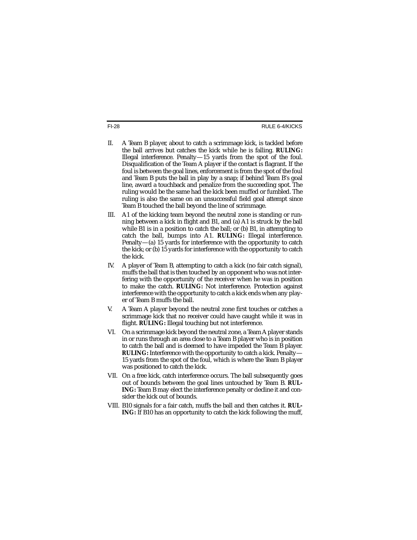FI-28 RULE 6-4/KICKS

- II. A Team B player, about to catch a scrimmage kick, is tackled before the ball arrives but catches the kick while he is falling. **RULING:** Illegal interference. Penalty—15 yards from the spot of the foul. Disqualification of the Team A player if the contact is flagrant. If the foul is between the goal lines, enforcement is from the spot of the foul and Team B puts the ball in play by a snap; if behind Team B's goal line, award a touchback and penalize from the succeeding spot. The ruling would be the same had the kick been muffed or fumbled. The ruling is also the same on an unsuccessful field goal attempt since Team B touched the ball beyond the line of scrimmage.
- III. A1 of the kicking team beyond the neutral zone is standing or running between a kick in flight and B1, and (a) A1 is struck by the ball while B1 is in a position to catch the ball; or (b) B1, in attempting to catch the ball, bumps into A1. **RULING:** Illegal interference. Penalty—(a) 15 yards for interference with the opportunity to catch the kick; or (b) 15 yards for interference with the opportunity to catch the kick.
- IV. A player of Team B, attempting to catch a kick (no fair catch signal), muffs the ball that is then touched by an opponent who was not interfering with the opportunity of the receiver when he was in position to make the catch. **RULING:** Not interference. Protection against interference with the opportunity to catch a kick ends when any player of Team B muffs the ball.
- V. A Team A player beyond the neutral zone first touches or catches a scrimmage kick that no receiver could have caught while it was in flight. **RULING:** Illegal touching but not interference.
- VI. On a scrimmage kick beyond the neutral zone, a Team A player stands in or runs through an area close to a Team B player who is in position to catch the ball and is deemed to have impeded the Team B player. **RULING:** Interference with the opportunity to catch a kick. Penalty— 15 yards from the spot of the foul, which is where the Team B player was positioned to catch the kick.
- VII. On a free kick, catch interference occurs. The ball subsequently goes out of bounds between the goal lines untouched by Team B. **RUL-ING:** Team B may elect the interference penalty or decline it and consider the kick out of bounds.
- VIII. B10 signals for a fair catch, muffs the ball and then catches it. **RUL-ING:** If B10 has an opportunity to catch the kick following the muff,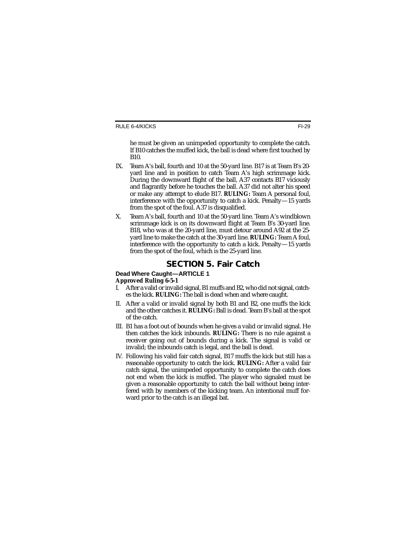he must be given an unimpeded opportunity to complete the catch. If B10 catches the muffed kick, the ball is dead where first touched by B10.

- IX. Team A's ball, fourth and 10 at the 50-yard line. B17 is at Team B's 20 yard line and in position to catch Team A's high scrimmage kick. During the downward flight of the ball, A37 contacts B17 viciously and flagrantly before he touches the ball. A37 did not alter his speed or make any attempt to elude B17. **RULING:** Team A personal foul, interference with the opportunity to catch a kick. Penalty—15 yards from the spot of the foul. A37 is disqualified.
- X. Team A's ball, fourth and 10 at the 50-yard line. Team A's windblown scrimmage kick is on its downward flight at Team B's 30-yard line. B18, who was at the 20-yard line, must detour around A92 at the 25 yard line to make the catch at the 30-yard line. **RULING:** Team A foul, interference with the opportunity to catch a kick. Penalty—15 yards from the spot of the foul, which is the 25-yard line.

## **SECTION 5. Fair Catch**

### **Dead Where Caught—ARTICLE 1**

## **Approved Ruling 6-5-1**

- After a valid or invalid signal, B1 muffs and B2, who did not signal, catches the kick. **RULING:** The ball is dead when and where caught.
- II. After a valid or invalid signal by both B1 and B2, one muffs the kick and the other catches it. **RULING:** Ball is dead. Team B's ball at the spot of the catch.
- III. B1 has a foot out of bounds when he gives a valid or invalid signal. He then catches the kick inbounds. **RULING:** There is no rule against a receiver going out of bounds during a kick. The signal is valid or invalid; the inbounds catch is legal, and the ball is dead.
- IV. Following his valid fair catch signal, B17 muffs the kick but still has a reasonable opportunity to catch the kick. **RULING:** After a valid fair catch signal, the unimpeded opportunity to complete the catch does not end when the kick is muffed. The player who signaled must be given a reasonable opportunity to catch the ball without being interfered with by members of the kicking team. An intentional muff forward prior to the catch is an illegal bat.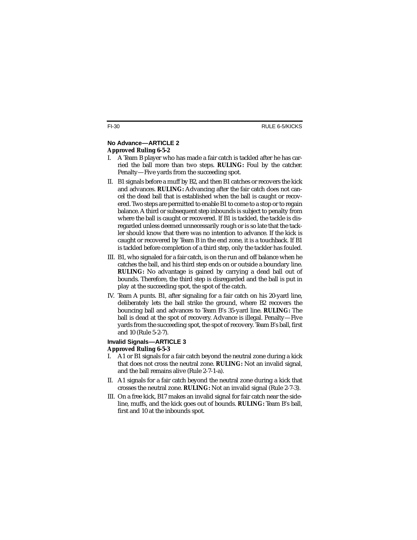## **No Advance—ARTICLE 2**

#### **Approved Ruling 6-5-2**

- I. A Team B player who has made a fair catch is tackled after he has carried the ball more than two steps. **RULING:** Foul by the catcher. Penalty—Five yards from the succeeding spot.
- II. B1 signals before a muff by B2, and then B1 catches or recovers the kick and advances. **RULING:** Advancing after the fair catch does not cancel the dead ball that is established when the ball is caught or recovered. Two steps are permitted to enable B1 to come to a stop or to regain balance. A third or subsequent step inbounds is subject to penalty from where the ball is caught or recovered. If B1 is tackled, the tackle is disregarded unless deemed unnecessarily rough or is so late that the tackler should know that there was no intention to advance. If the kick is caught or recovered by Team B in the end zone, it is a touchback. If B1 is tackled before completion of a third step, only the tackler has fouled.
- III. B1, who signaled for a fair catch, is on the run and off balance when he catches the ball, and his third step ends on or outside a boundary line. **RULING:** No advantage is gained by carrying a dead ball out of bounds. Therefore, the third step is disregarded and the ball is put in play at the succeeding spot, the spot of the catch.
- IV. Team A punts. B1, after signaling for a fair catch on his 20-yard line, deliberately lets the ball strike the ground, where B2 recovers the bouncing ball and advances to Team B's 35-yard line. **RULING:** The ball is dead at the spot of recovery. Advance is illegal. Penalty—Five yards from the succeeding spot, the spot of recovery. Team B's ball, first and 10 (Rule 5-2-7).

#### **Invalid Signals—ARTICLE 3 Approved Ruling 6-5-3**

- I. A1 or B1 signals for a fair catch beyond the neutral zone during a kick that does not cross the neutral zone. **RULING:** Not an invalid signal, and the ball remains alive (Rule 2-7-1-a).
- II. A1 signals for a fair catch beyond the neutral zone during a kick that crosses the neutral zone. **RULING:** Not an invalid signal (Rule 2-7-3).
- III. On a free kick, B17 makes an invalid signal for fair catch near the sideline, muffs, and the kick goes out of bounds. **RULING:** Team B's ball, first and 10 at the inbounds spot.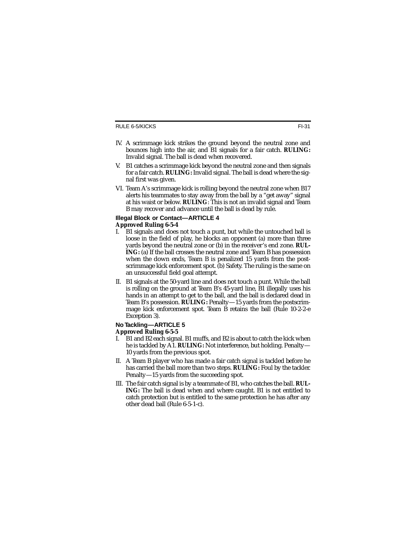#### RULE 6-5/KICKS

- IV. A scrimmage kick strikes the ground beyond the neutral zone and bounces high into the air, and B1 signals for a fair catch. **RULING:** Invalid signal. The ball is dead when recovered.
- V. B1 catches a scrimmage kick beyond the neutral zone and then signals for a fair catch. **RULING:** Invalid signal. The ball is dead where the signal first was given.
- VI. Team A's scrimmage kick is rolling beyond the neutral zone when B17 alerts his teammates to stay away from the ball by a "get away" signal at his waist or below. **RULING**: This is not an invalid signal and Team B may recover and advance until the ball is dead by rule.

#### **Illegal Block or Contact—ARTICLE 4**

#### **Approved Ruling 6-5-4**

- I. B1 signals and does not touch a punt, but while the untouched ball is loose in the field of play, he blocks an opponent (a) more than three yards beyond the neutral zone or (b) in the receiver's end zone. **RUL-ING:** (a) If the ball crosses the neutral zone and Team B has possession when the down ends, Team B is penalized 15 yards from the postscrimmage kick enforcement spot. (b) Safety. The ruling is the same on an unsuccessful field goal attempt.
- II. B1 signals at the 50-yard line and does not touch a punt. While the ball is rolling on the ground at Team B's 45-yard line, B1 illegally uses his hands in an attempt to get to the ball, and the ball is declared dead in Team B's possession. **RULING:** Penalty—15 yards from the postscrimmage kick enforcement spot. Team B retains the ball (Rule 10-2-2-e Exception 3).

#### **No Tackling—ARTICLE 5**

#### **Approved Ruling 6-5-5**

- I. B1 and B2 each signal. B1 muffs, and B2 is about to catch the kick when he is tackled by A1. **RULING:** Not interference, but holding. Penalty— 10 yards from the previous spot.
- II. A Team B player who has made a fair catch signal is tackled before he has carried the ball more than two steps. **RULING:** Foul by the tackler. Penalty—15 yards from the succeeding spot.
- III. The fair catch signal is by a teammate of B1, who catches the ball. **RUL-ING:** The ball is dead when and where caught. B1 is not entitled to catch protection but is entitled to the same protection he has after any other dead ball (Rule 6-5-1-c).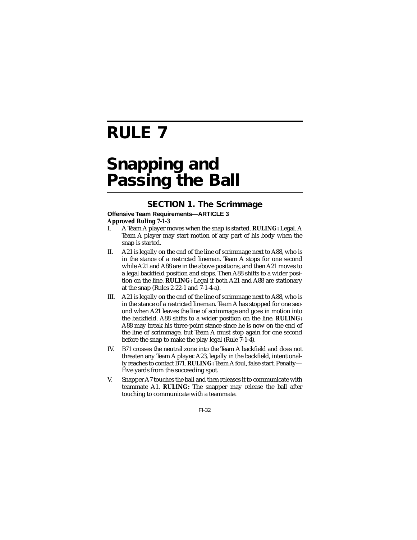# **RULE 7**

# **Snapping and Passing the Ball**

## **SECTION 1. The Scrimmage**

#### **Offensive Team Requirements—ARTICLE 3 Approved Ruling 7-1-3**

- I. A Team A player moves when the snap is started. **RULING:** Legal. A Team A player may start motion of any part of his body when the snap is started.
- II. A21 is legally on the end of the line of scrimmage next to A88, who is in the stance of a restricted lineman. Team A stops for one second while A21 and A88 are in the above positions, and then A21 moves to a legal backfield position and stops. Then A88 shifts to a wider position on the line. **RULING:** Legal if both A21 and A88 are stationary at the snap (Rules 2-22-1 and 7-1-4-a).
- III. A21 is legally on the end of the line of scrimmage next to A88, who is in the stance of a restricted lineman. Team A has stopped for one second when A21 leaves the line of scrimmage and goes in motion into the backfield. A88 shifts to a wider position on the line. **RULING:** A88 may break his three-point stance since he is now on the end of the line of scrimmage, but Team A must stop again for one second before the snap to make the play legal (Rule 7-1-4).
- IV. B71 crosses the neutral zone into the Team A backfield and does not threaten any Team A player. A23, legally in the backfield, intentionally reaches to contact B71. **RULING:** Team A foul, false start. Penalty— Five yards from the succeeding spot.
- V. Snapper A7 touches the ball and then releases it to communicate with teammate A1. **RULING:** The snapper may release the ball after touching to communicate with a teammate.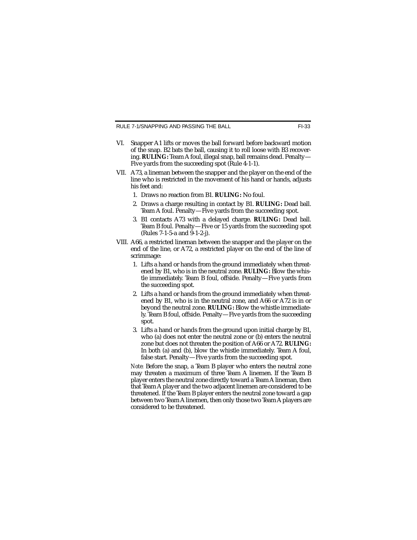RULE 7-1/SNAPPING AND PASSING THE BALL FI-33

- VI. Snapper A1 lifts or moves the ball forward before backward motion of the snap. B2 bats the ball, causing it to roll loose with B3 recovering. **RULING:** Team A foul, illegal snap, ball remains dead. Penalty— Five yards from the succeeding spot (Rule 4-1-1).
- VII. A73, a lineman between the snapper and the player on the end of the line who is restricted in the movement of his hand or hands, adjusts his feet and:
	- 1. Draws no reaction from B1. **RULING:** No foul.
	- 2. Draws a charge resulting in contact by B1. **RULING:** Dead ball. Team A foul. Penalty—Five yards from the succeeding spot.
	- 3. B1 contacts A73 with a delayed charge. **RULING:** Dead ball. Team B foul. Penalty—Five or 15 yards from the succeeding spot (Rules 7-1-5-a and 9-1-2-j).
- VIII. A66, a restricted lineman between the snapper and the player on the end of the line, or A72, a restricted player on the end of the line of scrimmage:
	- 1. Lifts a hand or hands from the ground immediately when threatened by B1, who is in the neutral zone. **RULING:** Blow the whistle immediately. Team B foul, offside. Penalty—Five yards from the succeeding spot.
	- 2. Lifts a hand or hands from the ground immediately when threatened by B1, who is in the neutral zone, and A66 or A72 is in or beyond the neutral zone. **RULING:** Blow the whistle immediately. Team B foul, offside. Penalty—Five yards from the succeeding spot.
	- 3. Lifts a hand or hands from the ground upon initial charge by B1, who (a) does not enter the neutral zone or (b) enters the neutral zone but does not threaten the position of A66 or A72. **RULING:** In both (a) and (b), blow the whistle immediately. Team A foul, false start. Penalty—Five yards from the succeeding spot.

*Note:* Before the snap, a Team B player who enters the neutral zone may threaten a maximum of three Team A linemen. If the Team B player enters the neutral zone directly toward a Team A lineman, then that Team A player and the two adjacent linemen are considered to be threatened. If the Team B player enters the neutral zone toward a gap between two Team A linemen, then only those two Team A players are considered to be threatened.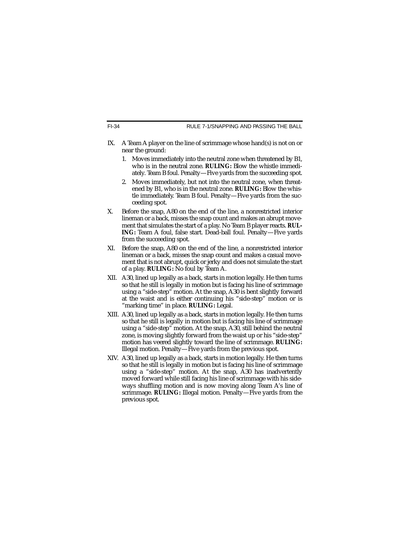RULE 7-1/SNAPPING AND PASSING THE BALL

- IX. A Team A player on the line of scrimmage whose hand(s) is not on or near the ground:
	- 1. Moves immediately into the neutral zone when threatened by B1, who is in the neutral zone. **RULING:** Blow the whistle immediately. Team B foul. Penalty—Five yards from the succeeding spot.
	- 2. Moves immediately, but not into the neutral zone, when threatened by B1, who is in the neutral zone. **RULING:** Blow the whistle immediately. Team B foul. Penalty—Five yards from the succeeding spot.
- X. Before the snap, A80 on the end of the line, a nonrestricted interior lineman or a back, misses the snap count and makes an abrupt movement that simulates the start of a play. No Team B player reacts. **RUL-ING:** Team A foul, false start. Dead-ball foul. Penalty—Five yards from the succeeding spot.
- XI. Before the snap, A80 on the end of the line, a nonrestricted interior lineman or a back, misses the snap count and makes a casual movement that is not abrupt, quick or jerky and does not simulate the start of a play. **RULING:** No foul by Team A.
- XII. A30, lined up legally as a back, starts in motion legally. He then turns so that he still is legally in motion but is facing his line of scrimmage using a "side-step" motion. At the snap, A30 is bent slightly forward at the waist and is either continuing his "side-step" motion or is "marking time" in place. **RULING:** Legal.
- XIII. A30, lined up legally as a back, starts in motion legally. He then turns so that he still is legally in motion but is facing his line of scrimmage using a "side-step" motion. At the snap, A30, still behind the neutral zone, is moving slightly forward from the waist up or his "side-step" motion has veered slightly toward the line of scrimmage. **RULING:** Illegal motion. Penalty—Five yards from the previous spot.
- XIV. A30, lined up legally as a back, starts in motion legally. He then turns so that he still is legally in motion but is facing his line of scrimmage using a "side-step" motion. At the snap, A30 has inadvertently moved forward while still facing his line of scrimmage with his sideways shuffling motion and is now moving along Team A's line of scrimmage. **RULING:** Illegal motion. Penalty—Five yards from the previous spot.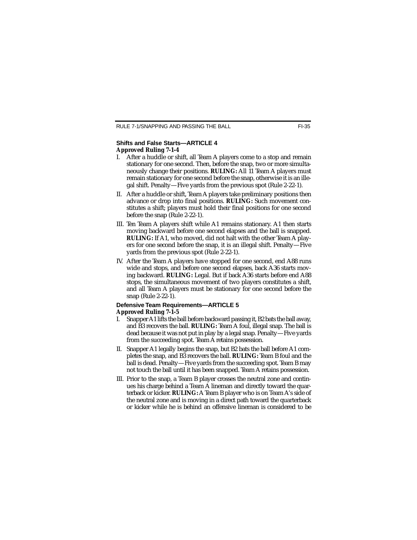#### **Shifts and False Starts—ARTICLE 4 Approved Ruling 7-1-4**

- I. After a huddle or shift, all Team A players come to a stop and remain stationary for one second. Then, before the snap, two or more simultaneously change their positions. **RULING:** All 11 Team A players must remain stationary for one second before the snap, otherwise it is an illegal shift. Penalty—Five yards from the previous spot (Rule 2-22-1).
- II. After a huddle or shift, Team A players take preliminary positions then advance or drop into final positions. **RULING:** Such movement constitutes a shift; players must hold their final positions for one second before the snap (Rule 2-22-1).
- III. Ten Team A players shift while A1 remains stationary. A1 then starts moving backward before one second elapses and the ball is snapped. **RULING:** If A1, who moved, did not halt with the other Team A players for one second before the snap, it is an illegal shift. Penalty—Five yards from the previous spot (Rule 2-22-1).
- IV. After the Team A players have stopped for one second, end A88 runs wide and stops, and before one second elapses, back A36 starts moving backward. **RULING:** Legal. But if back A36 starts before end A88 stops, the simultaneous movement of two players constitutes a shift, and all Team A players must be stationary for one second before the snap (Rule 2-22-1).

#### **Defensive Team Requirements—ARTICLE 5 Approved Ruling 7-1-5**

- I. Snapper A1 lifts the ball before backward passing it, B2 bats the ball away, and B3 recovers the ball. **RULING:** Team A foul, illegal snap. The ball is dead because it was not put in play by a legal snap. Penalty—Five yards from the succeeding spot. Team A retains possession.
- II. Snapper A1 legally begins the snap, but B2 bats the ball before A1 completes the snap, and B3 recovers the ball. **RULING:** Team B foul and the ball is dead. Penalty—Five yards from the succeeding spot. Team B may not touch the ball until it has been snapped. Team A retains possession.
- III. Prior to the snap, a Team B player crosses the neutral zone and continues his charge behind a Team A lineman and directly toward the quarterback or kicker. **RULING:** A Team B player who is on Team A's side of the neutral zone and is moving in a direct path toward the quarterback or kicker while he is behind an offensive lineman is considered to be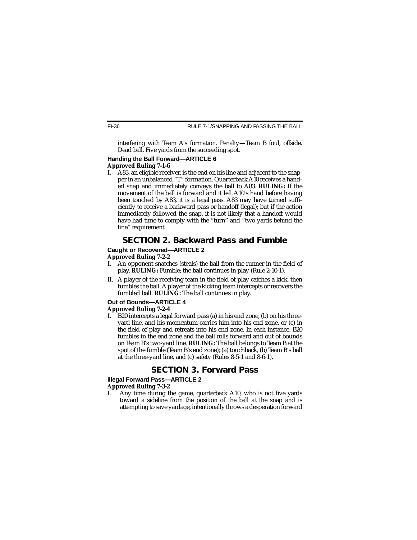interfering with Team A's formation. Penalty—Team B foul, offside. Dead ball. Five yards from the succeeding spot.

## **Handing the Ball Forward—ARTICLE 6 Approved Ruling 7-1-6**

A83, an eligible receiver, is the end on his line and adjacent to the snapper in an unbalanced "T'' formation. Quarterback A10 receives a handed snap and immediately conveys the ball to A83. **RULING:** If the movement of the ball is forward and it left A10's hand before having been touched by A83, it is a legal pass. A83 may have turned sufficiently to receive a backward pass or handoff (legal); but if the action immediately followed the snap, it is not likely that a handoff would have had time to comply with the "turn'' and "two yards behind the line'' requirement.

# **SECTION 2. Backward Pass and Fumble**

#### **Caught or Recovered—ARTICLE 2**

#### **Approved Ruling 7-2-2**

- I. An opponent snatches (steals) the ball from the runner in the field of play. **RULING:** Fumble; the ball continues in play (Rule 2-10-1).
- II. A player of the receiving team in the field of play catches a kick, then fumbles the ball. A player of the kicking team intercepts or recovers the fumbled ball. **RULING:** The ball continues in play.

## **Out of Bounds—ARTICLE 4**

#### **Approved Ruling 7-2-4**

I. B20 intercepts a legal forward pass (a) in his end zone, (b) on his threeyard line, and his momentum carries him into his end zone, or (c) in the field of play and retreats into his end zone. In each instance, B20 fumbles in the end zone and the ball rolls forward and out of bounds on Team B's two-yard line. **RULING:** The ball belongs to Team B at the spot of the fumble (Team B's end zone); (a) touchback, (b) Team B's ball at the three-yard line, and (c) safety (Rules 8-5-1 and 8-6-1).

## **SECTION 3. Forward Pass**

### **Illegal Forward Pass—ARTICLE 2**

#### **Approved Ruling 7-3-2**

I. Any time during the game, quarterback A10, who is not five yards toward a sideline from the position of the ball at the snap and is attempting to save yardage, intentionally throws a desperation forward

FI-36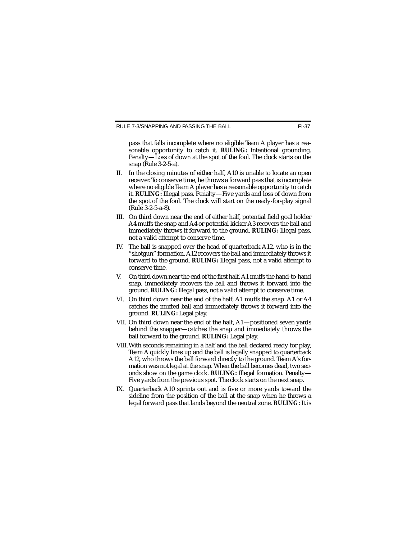pass that falls incomplete where no eligible Team A player has a reasonable opportunity to catch it. **RULING:** Intentional grounding. Penalty—Loss of down at the spot of the foul. The clock starts on the snap (Rule 3-2-5-a).

- II. In the closing minutes of either half, A10 is unable to locate an open receiver. To conserve time, he throws a forward pass that is incomplete where no eligible Team A player has a reasonable opportunity to catch it. **RULING:** Illegal pass. Penalty—Five yards and loss of down from the spot of the foul. The clock will start on the ready-for-play signal (Rule 3-2-5-a-8).
- III. On third down near the end of either half, potential field goal holder A4 muffs the snap and A4 or potential kicker A3 recovers the ball and immediately throws it forward to the ground. **RULING:** Illegal pass, not a valid attempt to conserve time.
- IV. The ball is snapped over the head of quarterback A12, who is in the "shotgun'' formation. A12 recovers the ball and immediately throws it forward to the ground. **RULING:** Illegal pass, not a valid attempt to conserve time.
- V. On third down near the end of the first half, A1 muffs the hand-to-hand snap, immediately recovers the ball and throws it forward into the ground. **RULING:** Illegal pass, not a valid attempt to conserve time.
- VI. On third down near the end of the half, A1 muffs the snap. A1 or A4 catches the muffed ball and immediately throws it forward into the ground. **RULING:** Legal play.
- VII. On third down near the end of the half, A1—positioned seven yards behind the snapper—catches the snap and immediately throws the ball forward to the ground. **RULING:** Legal play.
- VIII.With seconds remaining in a half and the ball declared ready for play, Team A quickly lines up and the ball is legally snapped to quarterback A12, who throws the ball forward directly to the ground. Team A's formation was not legal at the snap. When the ball becomes dead, two seconds show on the game clock. **RULING:** Illegal formation. Penalty— Five yards from the previous spot. The clock starts on the next snap.
- IX. Quarterback A10 sprints out and is five or more yards toward the sideline from the position of the ball at the snap when he throws a legal forward pass that lands beyond the neutral zone. **RULING:** It is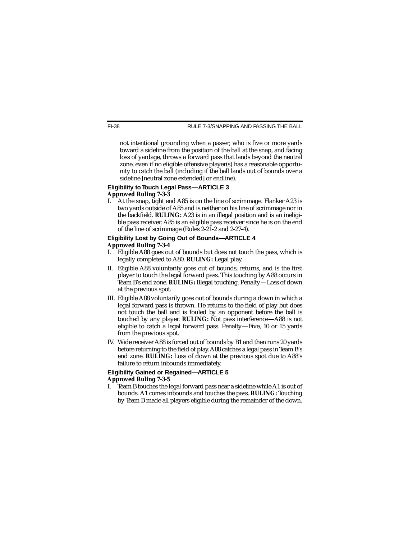not intentional grounding when a passer, who is five or more yards toward a sideline from the position of the ball at the snap, and facing loss of yardage, throws a forward pass that lands beyond the neutral zone, even if no eligible offensive player(s) has a reasonable opportunity to catch the ball (including if the ball lands out of bounds over a sideline [neutral zone extended] or endline).

#### **Eligibility to Touch Legal Pass—ARTICLE 3 Approved Ruling 7-3-3**

I. At the snap, tight end A85 is on the line of scrimmage. Flanker A23 is two yards outside of A85 and is neither on his line of scrimmage nor in the backfield. **RULING:** A23 is in an illegal position and is an ineligible pass receiver. A85 is an eligible pass receiver since he is on the end of the line of scrimmage (Rules 2-21-2 and 2-27-4).

#### **Eligibility Lost by Going Out of Bounds—ARTICLE 4 Approved Ruling 7-3-4**

- I. Eligible A88 goes out of bounds but does not touch the pass, which is legally completed to A80. **RULING:** Legal play.
- II. Eligible A88 voluntarily goes out of bounds, returns, and is the first player to touch the legal forward pass. This touching by A88 occurs in Team B's end zone. **RULING:** Illegal touching. Penalty—Loss of down at the previous spot.
- III. Eligible A88 voluntarily goes out of bounds during a down in which a legal forward pass is thrown. He returns to the field of play but does not touch the ball and is fouled by an opponent before the ball is touched by any player. **RULING:** Not pass interference—A88 is not eligible to catch a legal forward pass. Penalty—Five, 10 or 15 yards from the previous spot.
- IV. Wide receiver A88 is forced out of bounds by B1 and then runs 20 yards before returning to the field of play. A88 catches a legal pass in Team B's end zone. **RULING:** Loss of down at the previous spot due to A88's failure to return inbounds immediately.

#### **Eligibility Gained or Regained—ARTICLE 5 Approved Ruling 7-3-5**

I. Team B touches the legal forward pass near a sideline while A1 is out of bounds. A1 comes inbounds and touches the pass. **RULING:** Touching by Team B made all players eligible during the remainder of the down.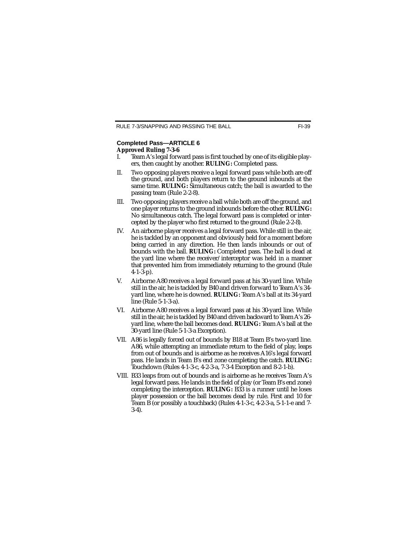### **Completed Pass—ARTICLE 6 Approved Ruling 7-3-6**

- Team A's legal forward pass is first touched by one of its eligible players, then caught by another. **RULING:** Completed pass.
- II. Two opposing players receive a legal forward pass while both are off the ground, and both players return to the ground inbounds at the same time. **RULING:** Simultaneous catch; the ball is awarded to the passing team (Rule 2-2-8).
- III. Two opposing players receive a ball while both are off the ground, and one player returns to the ground inbounds before the other. **RULING:** No simultaneous catch. The legal forward pass is completed or intercepted by the player who first returned to the ground (Rule 2-2-8).
- IV. An airborne player receives a legal forward pass. While still in the air, he is tackled by an opponent and obviously held for a moment before being carried in any direction. He then lands inbounds or out of bounds with the ball. **RULING:** Completed pass. The ball is dead at the yard line where the receiver/interceptor was held in a manner that prevented him from immediately returning to the ground (Rule 4-1-3-p).
- V. Airborne A80 receives a legal forward pass at his 30-yard line. While still in the air, he is tackled by B40 and driven forward to Team A's 34 yard line, where he is downed. **RULING:** Team A's ball at its 34-yard line (Rule 5-1-3-a).
- VI. Airborne A80 receives a legal forward pass at his 30-yard line. While still in the air, he is tackled by B40 and driven backward to Team A's 26 yard line, where the ball becomes dead. **RULING:** Team A's ball at the 30-yard line (Rule 5-1-3-a Exception).
- VII. A86 is legally forced out of bounds by B18 at Team B's two-yard line. A86, while attempting an immediate return to the field of play, leaps from out of bounds and is airborne as he receives A16's legal forward pass. He lands in Team B's end zone completing the catch. **RULING:** Touchdown (Rules 4-1-3-c, 4-2-3-a, 7-3-4 Exception and 8-2-1-b).
- VIII. B33 leaps from out of bounds and is airborne as he receives Team A's legal forward pass. He lands in the field of play (or Team B's end zone) completing the interception. **RULING:** B33 is a runner until he loses player possession or the ball becomes dead by rule. First and 10 for Team B (or possibly a touchback) (Rules 4-1-3-c, 4-2-3-a, 5-1-1-e and 7- 3-4).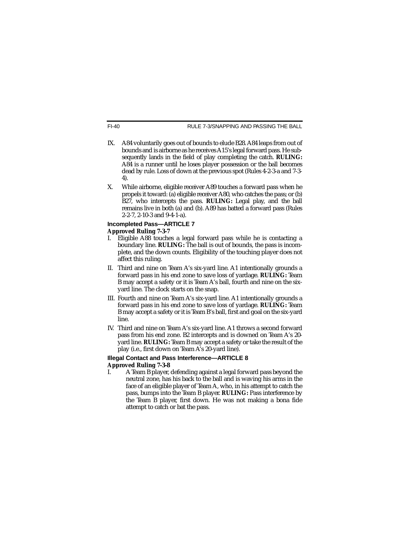- IX. A84 voluntarily goes out of bounds to elude B28. A84 leaps from out of bounds and is airborne as he receives A15's legal forward pass. He subsequently lands in the field of play completing the catch. **RULING:** A84 is a runner until he loses player possession or the ball becomes dead by rule. Loss of down at the previous spot (Rules 4-2-3-a and 7-3- 4).
- X. While airborne, eligible receiver A89 touches a forward pass when he propels it toward: (a) eligible receiver A80, who catches the pass; or (b) B27, who intercepts the pass. **RULING:** Legal play, and the ball remains live in both (a) and (b). A89 has batted a forward pass (Rules 2-2-7, 2-10-3 and 9-4-1-a).

#### **Incompleted Pass—ARTICLE 7 Approved Ruling 7-3-7**

- I. Eligible A88 touches a legal forward pass while he is contacting a boundary line. **RULING:** The ball is out of bounds, the pass is incomplete, and the down counts. Eligibility of the touching player does not affect this ruling.
- II. Third and nine on Team A's six-yard line. A1 intentionally grounds a forward pass in his end zone to save loss of yardage. **RULING:** Team B may accept a safety or it is Team A's ball, fourth and nine on the sixyard line. The clock starts on the snap.
- III. Fourth and nine on Team A's six-yard line. A1 intentionally grounds a forward pass in his end zone to save loss of yardage. **RULING:** Team B may accept a safety or it is Team B's ball, first and goal on the six-yard line.
- IV. Third and nine on Team A's six-yard line. A1 throws a second forward pass from his end zone. B2 intercepts and is downed on Team A's 20 yard line. **RULING:** Team B may accept a safety or take the result of the play (i.e., first down on Team A's 20-yard line).

#### **Illegal Contact and Pass Interference—ARTICLE 8 Approved Ruling 7-3-8**

I. A Team B player, defending against a legal forward pass beyond the neutral zone, has his back to the ball and is waving his arms in the face of an eligible player of Team A, who, in his attempt to catch the pass, bumps into the Team B player. **RULING:** Pass interference by the Team B player, first down. He was not making a bona fide attempt to catch or bat the pass.

FI-40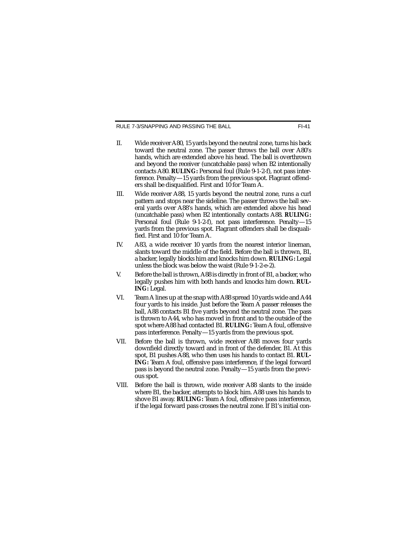RULE 7-3/SNAPPING AND PASSING THE BALL

- II. Wide receiver A80, 15 yards beyond the neutral zone, turns his back toward the neutral zone. The passer throws the ball over A80's hands, which are extended above his head. The ball is overthrown and beyond the receiver (uncatchable pass) when B2 intentionally contacts A80. **RULING:** Personal foul (Rule 9-1-2-f), not pass interference. Penalty—15 yards from the previous spot. Flagrant offenders shall be disqualified. First and 10 for Team A.
- III. Wide receiver A88, 15 yards beyond the neutral zone, runs a curl pattern and stops near the sideline. The passer throws the ball several yards over A88's hands, which are extended above his head (uncatchable pass) when B2 intentionally contacts A88. **RULING:** Personal foul (Rule 9-1-2-f), not pass interference. Penalty—15 yards from the previous spot. Flagrant offenders shall be disqualified. First and 10 for Team A.
- IV. A83, a wide receiver 10 yards from the nearest interior lineman, slants toward the middle of the field. Before the ball is thrown, B1, a backer, legally blocks him and knocks him down. **RULING:** Legal unless the block was below the waist (Rule 9-1-2-e-2).
- V. Before the ball is thrown, A88 is directly in front of B1, a backer, who legally pushes him with both hands and knocks him down. **RUL-ING:** Legal.
- VI. Team A lines up at the snap with A88 spread 10 yards wide and A44 four yards to his inside. Just before the Team A passer releases the ball, A88 contacts B1 five yards beyond the neutral zone. The pass is thrown to A44, who has moved in front and to the outside of the spot where A88 had contacted B1. **RULING:** Team A foul, offensive pass interference. Penalty—15 yards from the previous spot.
- VII. Before the ball is thrown, wide receiver A88 moves four yards downfield directly toward and in front of the defender, B1. At this spot, B1 pushes A88, who then uses his hands to contact B1. **RUL-ING:** Team A foul, offensive pass interference, if the legal forward pass is beyond the neutral zone. Penalty—15 yards from the previous spot.
- VIII. Before the ball is thrown, wide receiver A88 slants to the inside where B1, the backer, attempts to block him. A88 uses his hands to shove B1 away. **RULING:** Team A foul, offensive pass interference, if the legal forward pass crosses the neutral zone. If B1's initial con-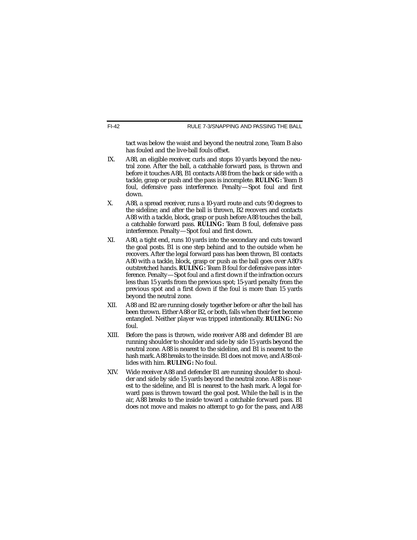tact was below the waist and beyond the neutral zone, Team B also has fouled and the live-ball fouls offset.

- IX. A88, an eligible receiver, curls and stops 10 yards beyond the neutral zone. After the ball, a catchable forward pass, is thrown and before it touches A88, B1 contacts A88 from the back or side with a tackle, grasp or push and the pass is incomplete. **RULING:** Team B foul, defensive pass interference. Penalty—Spot foul and first down.
- X. A88, a spread receiver, runs a 10-yard route and cuts 90 degrees to the sideline; and after the ball is thrown, B2 recovers and contacts A88 with a tackle, block, grasp or push before A88 touches the ball, a catchable forward pass. **RULING:** Team B foul, defensive pass interference. Penalty—Spot foul and first down.
- XI. A80, a tight end, runs 10 yards into the secondary and cuts toward the goal posts. B1 is one step behind and to the outside when he recovers. After the legal forward pass has been thrown, B1 contacts A80 with a tackle, block, grasp or push as the ball goes over A80's outstretched hands. **RULING:** Team B foul for defensive pass interference. Penalty—Spot foul and a first down if the infraction occurs less than 15 yards from the previous spot; 15-yard penalty from the previous spot and a first down if the foul is more than 15 yards beyond the neutral zone.
- XII. A88 and B2 are running closely together before or after the ball has been thrown. Either A88 or B2, or both, falls when their feet become entangled. Neither player was tripped intentionally. **RULING:** No foul.
- XIII. Before the pass is thrown, wide receiver A88 and defender B1 are running shoulder to shoulder and side by side 15 yards beyond the neutral zone. A88 is nearest to the sideline, and B1 is nearest to the hash mark. A88 breaks to the inside. B1 does not move, and A88 collides with him. **RULING:** No foul.
- XIV. Wide receiver A88 and defender B1 are running shoulder to shoulder and side by side 15 yards beyond the neutral zone. A88 is nearest to the sideline, and B1 is nearest to the hash mark. A legal forward pass is thrown toward the goal post. While the ball is in the air, A88 breaks to the inside toward a catchable forward pass. B1 does not move and makes no attempt to go for the pass, and A88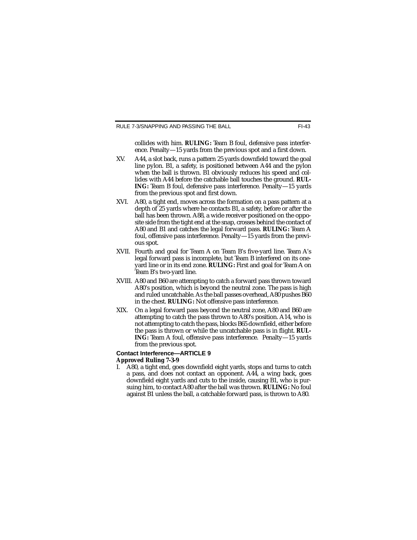collides with him. **RULING:** Team B foul, defensive pass interference. Penalty—15 yards from the previous spot and a first down.

- XV. A44, a slot back, runs a pattern 25 yards downfield toward the goal line pylon. B1, a safety, is positioned between A44 and the pylon when the ball is thrown. B1 obviously reduces his speed and collides with A44 before the catchable ball touches the ground. **RUL-ING:** Team B foul, defensive pass interference. Penalty—15 yards from the previous spot and first down.
- XVI. A80, a tight end, moves across the formation on a pass pattern at a depth of 25 yards where he contacts B1, a safety, before or after the ball has been thrown. A88, a wide receiver positioned on the opposite side from the tight end at the snap, crosses behind the contact of A80 and B1 and catches the legal forward pass. **RULING:** Team A foul, offensive pass interference. Penalty—15 yards from the previous spot.
- XVII. Fourth and goal for Team A on Team B's five-yard line. Team A's legal forward pass is incomplete, but Team B interfered on its oneyard line or in its end zone. **RULING:** First and goal for Team A on Team B's two-yard line.
- XVIII. A80 and B60 are attempting to catch a forward pass thrown toward A80's position, which is beyond the neutral zone. The pass is high and ruled uncatchable. As the ball passes overhead, A80 pushes B60 in the chest. **RULING:** Not offensive pass interference.
- XIX. On a legal forward pass beyond the neutral zone, A80 and B60 are attempting to catch the pass thrown to A80's position. A14, who is not attempting to catch the pass, blocks B65 downfield, either before the pass is thrown or while the uncatchable pass is in flight. **RUL-ING:** Team A foul, offensive pass interference. Penalty—15 yards from the previous spot.

#### **Contact Interference—ARTICLE 9**

#### **Approved Ruling 7-3-9**

I. A80, a tight end, goes downfield eight yards, stops and turns to catch a pass, and does not contact an opponent. A44, a wing back, goes downfield eight yards and cuts to the inside, causing B1, who is pursuing him, to contact A80 after the ball was thrown. **RULING:** No foul against B1 unless the ball, a catchable forward pass, is thrown to A80.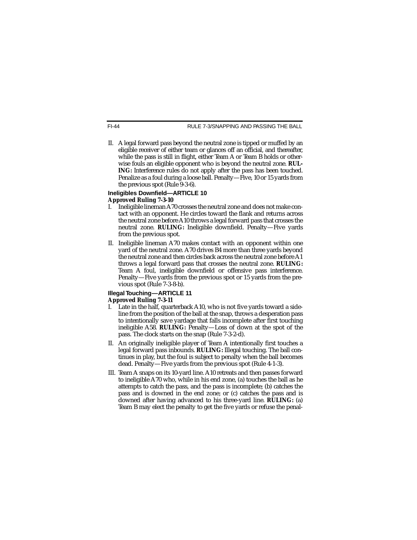RULE 7-3/SNAPPING AND PASSING THE BALL

II. A legal forward pass beyond the neutral zone is tipped or muffed by an eligible receiver of either team or glances off an official, and thereafter, while the pass is still in flight, either Team A or Team B holds or otherwise fouls an eligible opponent who is beyond the neutral zone. **RUL-ING:** Interference rules do not apply after the pass has been touched. Penalize as a foul during a loose ball. Penalty—Five, 10 or 15 yards from the previous spot (Rule 9-3-6).

#### **Ineligibles Downfield—ARTICLE 10 Approved Ruling 7-3-10**

- I. Ineligible lineman A70 crosses the neutral zone and does not make contact with an opponent. He circles toward the flank and returns across the neutral zone before A10 throws a legal forward pass that crosses the neutral zone. **RULING:** Ineligible downfield. Penalty—Five yards from the previous spot.
- II. Ineligible lineman A70 makes contact with an opponent within one yard of the neutral zone. A70 drives B4 more than three yards beyond the neutral zone and then circles back across the neutral zone before A1 throws a legal forward pass that crosses the neutral zone. **RULING:** Team A foul, ineligible downfield or offensive pass interference. Penalty—Five yards from the previous spot or 15 yards from the previous spot (Rule 7-3-8-b).

#### **Illegal Touching—ARTICLE 11 Approved Ruling 7-3-11**

- Late in the half, quarterback A10, who is not five yards toward a sideline from the position of the ball at the snap, throws a desperation pass to intentionally save yardage that falls incomplete after first touching ineligible A58. **RULING:** Penalty—Loss of down at the spot of the pass. The clock starts on the snap (Rule 7-3-2-d).
- II. An originally ineligible player of Team A intentionally first touches a legal forward pass inbounds. **RULING:** Illegal touching. The ball continues in play, but the foul is subject to penalty when the ball becomes dead. Penalty—Five yards from the previous spot (Rule 4-1-3).
- III. Team A snaps on its 10-yard line. A10 retreats and then passes forward to ineligible A70 who, while in his end zone, (a) touches the ball as he attempts to catch the pass, and the pass is incomplete; (b) catches the pass and is downed in the end zone; or (c) catches the pass and is downed after having advanced to his three-yard line. **RULING:** (a) Team B may elect the penalty to get the five yards or refuse the penal-

FI-44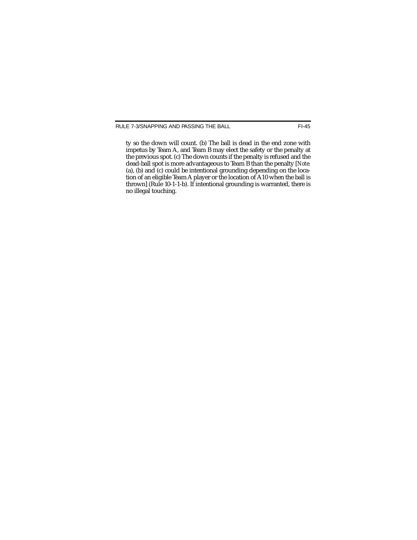ty so the down will count. (b) The ball is dead in the end zone with impetus by Team A, and Team B may elect the safety or the penalty at the previous spot. (c) The down counts if the penalty is refused and the dead-ball spot is more advantageous to Team B than the penalty [*Note:* (a), (b) and (c) could be intentional grounding depending on the location of an eligible Team A player or the location of A10 when the ball is thrown] (Rule 10-1-1-b). If intentional grounding is warranted, there is no illegal touching.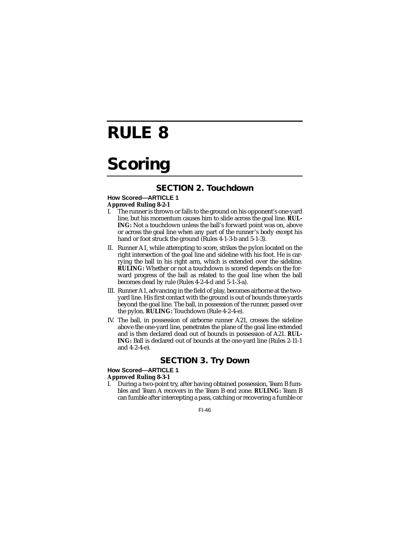# **RULE 8**

# **Scoring**

## **SECTION 2. Touchdown**

#### **How Scored—ARTICLE 1 Approved Ruling 8-2-1**

- I. The runner is thrown or falls to the ground on his opponent's one-yard line, but his momentum causes him to slide across the goal line. **RUL-ING:** Not a touchdown unless the ball's forward point was on, above or across the goal line when any part of the runner's body except his hand or foot struck the ground (Rules 4-1-3-b and 5-1-3).
- II. Runner A1, while attempting to score, strikes the pylon located on the right intersection of the goal line and sideline with his foot. He is carrying the ball in his right arm, which is extended over the sideline. **RULING:** Whether or not a touchdown is scored depends on the forward progress of the ball as related to the goal line when the ball becomes dead by rule (Rules 4-2-4-d and 5-1-3-a).
- III. Runner A1, advancing in the field of play, becomes airborne at the twoyard line. His first contact with the ground is out of bounds three yards beyond the goal line. The ball, in possession of the runner, passed over the pylon. **RULING:** Touchdown (Rule 4-2-4-e).
- IV. The ball, in possession of airborne runner A21, crosses the sideline above the one-yard line, penetrates the plane of the goal line extended and is then declared dead out of bounds in possession of A21. **RUL-ING:** Ball is declared out of bounds at the one-yard line (Rules 2-11-1 and 4-2-4-e).

### **SECTION 3. Try Down**

#### **How Scored—ARTICLE 1**

#### **Approved Ruling 8-3-1**

I. During a two-point try, after having obtained possession, Team B fumbles and Team A recovers in the Team B end zone. **RULING:** Team B can fumble after intercepting a pass, catching or recovering a fumble or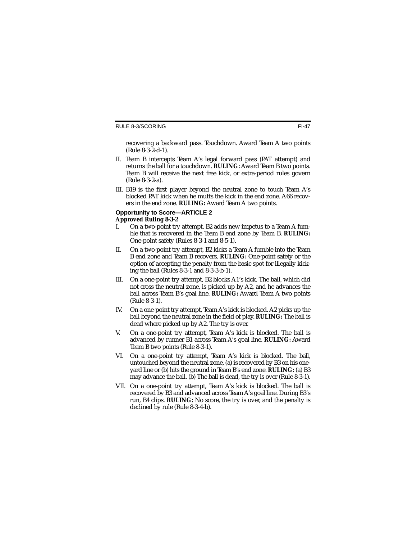recovering a backward pass. Touchdown. Award Team A two points (Rule 8-3-2-d-1).

- II. Team B intercepts Team A's legal forward pass (PAT attempt) and returns the ball for a touchdown. **RULING:** Award Team B two points. Team B will receive the next free kick, or extra-period rules govern (Rule 8-3-2-a).
- III. B19 is the first player beyond the neutral zone to touch Team A's blocked PAT kick when he muffs the kick in the end zone. A66 recovers in the end zone. **RULING:** Award Team A two points.

### **Opportunity to Score—ARTICLE 2 Approved Ruling 8-3-2**

- I. On a two-point try attempt, B2 adds new impetus to a Team A fumble that is recovered in the Team B end zone by Team B. **RULING:** One-point safety (Rules 8-3-1 and 8-5-1).
- II. On a two-point try attempt, B2 kicks a Team A fumble into the Team B end zone and Team B recovers. **RULING:** One-point safety or the option of accepting the penalty from the basic spot for illegally kicking the ball (Rules 8-3-1 and 8-3-3-b-1).
- III. On a one-point try attempt, B2 blocks A1's kick. The ball, which did not cross the neutral zone, is picked up by A2, and he advances the ball across Team B's goal line. **RULING:** Award Team A two points (Rule 8-3-1).
- IV. On a one-point try attempt, Team A's kick is blocked. A2 picks up the ball beyond the neutral zone in the field of play. **RULING:** The ball is dead where picked up by A2. The try is over.
- V. On a one-point try attempt, Team A's kick is blocked. The ball is advanced by runner B1 across Team A's goal line. **RULING:** Award Team B two points (Rule 8-3-1).
- VI. On a one-point try attempt, Team A's kick is blocked. The ball, untouched beyond the neutral zone, (a) is recovered by B3 on his oneyard line or (b) hits the ground in Team B's end zone. **RULING:** (a) B3 may advance the ball. (b) The ball is dead, the try is over (Rule 8-3-1).
- VII. On a one-point try attempt, Team A's kick is blocked. The ball is recovered by B3 and advanced across Team A's goal line. During B3's run, B4 clips. **RULING:** No score, the try is over, and the penalty is declined by rule (Rule 8-3-4-b).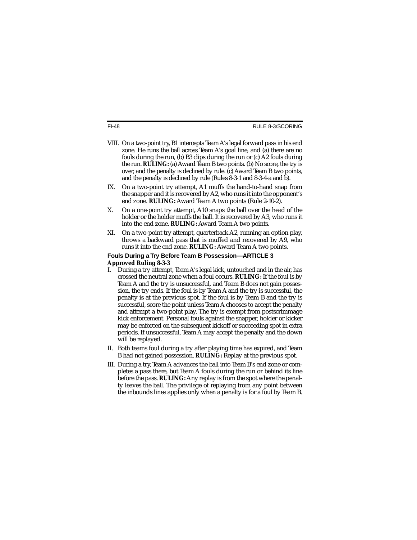- VIII. On a two-point try, B1 intercepts Team A's legal forward pass in his end zone. He runs the ball across Team A's goal line, and (a) there are no fouls during the run, (b) B3 clips during the run or (c) A2 fouls during the run. **RULING:** (a) Award Team B two points. (b) No score, the try is over, and the penalty is declined by rule. (c) Award Team B two points, and the penalty is declined by rule (Rules 8-3-1 and 8-3-4-a and b).
- IX. On a two-point try attempt, A1 muffs the hand-to-hand snap from the snapper and it is recovered by A2, who runs it into the opponent's end zone. **RULING:** Award Team A two points (Rule 2-10-2).
- X. On a one-point try attempt, A10 snaps the ball over the head of the holder or the holder muffs the ball. It is recovered by A3, who runs it into the end zone. **RULING:** Award Team A two points.
- XI. On a two-point try attempt, quarterback A2, running an option play, throws a backward pass that is muffed and recovered by A9, who runs it into the end zone. **RULING:** Award Team A two points.

#### **Fouls During a Try Before Team B Possession—ARTICLE 3 Approved Ruling 8-3-3**

- I. During a try attempt, Team A's legal kick, untouched and in the air, has crossed the neutral zone when a foul occurs. **RULING:** If the foul is by Team A and the try is unsuccessful, and Team B does not gain possession, the try ends. If the foul is by Team A and the try is successful, the penalty is at the previous spot. If the foul is by Team B and the try is successful, score the point unless Team A chooses to accept the penalty and attempt a two-point play. The try is exempt from postscrimmage kick enforcement. Personal fouls against the snapper, holder or kicker may be enforced on the subsequent kickoff or succeeding spot in extra periods. If unsuccessful, Team A may accept the penalty and the down will be replayed.
- II. Both teams foul during a try after playing time has expired, and Team B had not gained possession. **RULING:** Replay at the previous spot.
- III. During a try, Team A advances the ball into Team B's end zone or completes a pass there, but Team A fouls during the run or behind its line before the pass. **RULING:**Any replay is from the spot where the penalty leaves the ball. The privilege of replaying from any point between the inbounds lines applies only when a penalty is for a foul by Team B.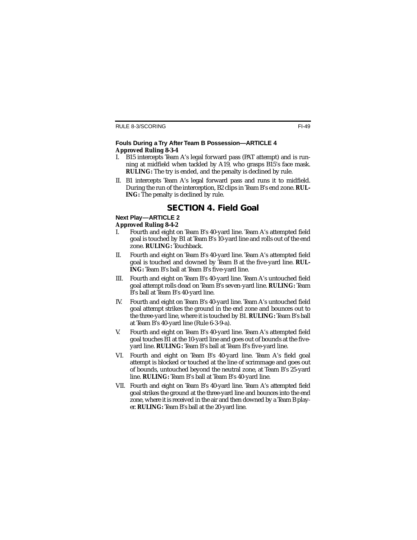#### **Fouls During a Try After Team B Possession—ARTICLE 4 Approved Ruling 8-3-4**

- I. B15 intercepts Team A's legal forward pass (PAT attempt) and is running at midfield when tackled by A19, who grasps B15's face mask. **RULING:** The try is ended, and the penalty is declined by rule.
- II. B1 intercepts Team A's legal forward pass and runs it to midfield. During the run of the interception, B2 clips in Team B's end zone. **RUL-ING:** The penalty is declined by rule.

## **SECTION 4. Field Goal**

#### **Next Play—ARTICLE 2**

#### **Approved Ruling 8-4-2**

- I. Fourth and eight on Team B's 40-yard line. Team A's attempted field goal is touched by B1 at Team B's 10-yard line and rolls out of the end zone. **RULING:** Touchback.
- II. Fourth and eight on Team B's 40-yard line. Team A's attempted field goal is touched and downed by Team B at the five-yard line. **RUL-ING:** Team B's ball at Team B's five-yard line.
- III. Fourth and eight on Team B's 40-yard line. Team A's untouched field goal attempt rolls dead on Team B's seven-yard line. **RULING:** Team B's ball at Team B's 40-yard line.
- IV. Fourth and eight on Team B's 40-yard line. Team A's untouched field goal attempt strikes the ground in the end zone and bounces out to the three-yard line, where it is touched by B1. **RULING:** Team B's ball at Team B's 40-yard line (Rule 6-3-9-a).
- V. Fourth and eight on Team B's 40-yard line. Team A's attempted field goal touches B1 at the 10-yard line and goes out of bounds at the fiveyard line. **RULING:** Team B's ball at Team B's five-yard line.
- VI. Fourth and eight on Team B's 40-yard line. Team A's field goal attempt is blocked or touched at the line of scrimmage and goes out of bounds, untouched beyond the neutral zone, at Team B's 25-yard line. **RULING:** Team B's ball at Team B's 40-yard line.
- VII. Fourth and eight on Team B's 40-yard line. Team A's attempted field goal strikes the ground at the three-yard line and bounces into the end zone, where it is received in the air and then downed by a Team B player. **RULING:** Team B's ball at the 20-yard line.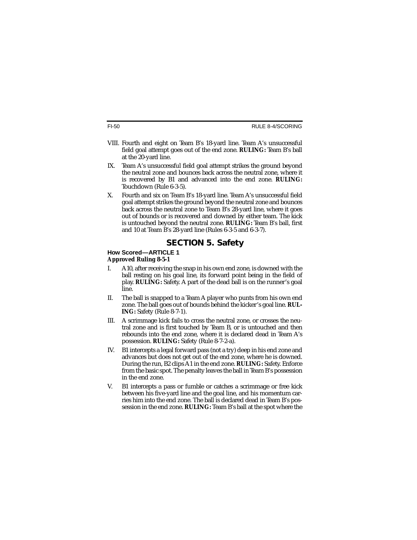- VIII. Fourth and eight on Team B's 18-yard line. Team A's unsuccessful field goal attempt goes out of the end zone. **RULING:** Team B's ball at the 20-yard line.
- IX. Team A's unsuccessful field goal attempt strikes the ground beyond the neutral zone and bounces back across the neutral zone, where it is recovered by B1 and advanced into the end zone. **RULING:** Touchdown (Rule 6-3-5).
- X. Fourth and six on Team B's 18-yard line. Team A's unsuccessful field goal attempt strikes the ground beyond the neutral zone and bounces back across the neutral zone to Team B's 28-yard line, where it goes out of bounds or is recovered and downed by either team. The kick is untouched beyond the neutral zone. **RULING:** Team B's ball, first and 10 at Team B's 28-yard line (Rules 6-3-5 and 6-3-7).

## **SECTION 5. Safety**

#### **How Scored—ARTICLE 1 Approved Ruling 8-5-1**

- I. A10, after receiving the snap in his own end zone, is downed with the ball resting on his goal line, its forward point being in the field of play. **RULING:** Safety. A part of the dead ball is on the runner's goal line.
- II. The ball is snapped to a Team A player who punts from his own end zone. The ball goes out of bounds behind the kicker's goal line. **RUL-ING:** Safety (Rule 8-7-1).
- III. A scrimmage kick fails to cross the neutral zone, or crosses the neutral zone and is first touched by Team B, or is untouched and then rebounds into the end zone, where it is declared dead in Team A's possession. **RULING:** Safety (Rule 8-7-2-a).
- IV. B1 intercepts a legal forward pass (not a try) deep in his end zone and advances but does not get out of the end zone, where he is downed. During the run, B2 clips A1 in the end zone. **RULING:** Safety. Enforce from the basic spot. The penalty leaves the ball in Team B's possession in the end zone.
- V. B1 intercepts a pass or fumble or catches a scrimmage or free kick between his five-yard line and the goal line, and his momentum carries him into the end zone. The ball is declared dead in Team B's possession in the end zone. **RULING:** Team B's ball at the spot where the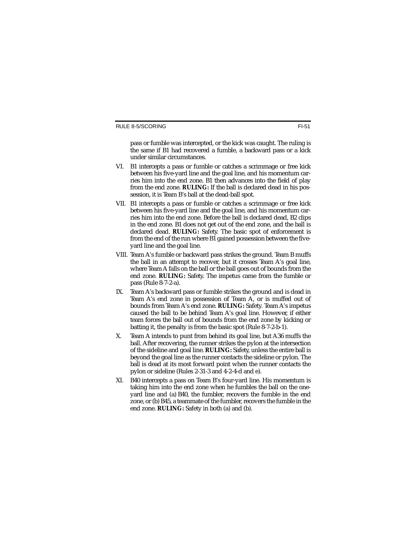pass or fumble was intercepted, or the kick was caught. The ruling is the same if B1 had recovered a fumble, a backward pass or a kick under similar circumstances.

- VI. B1 intercepts a pass or fumble or catches a scrimmage or free kick between his five-yard line and the goal line, and his momentum carries him into the end zone. B1 then advances into the field of play from the end zone. **RULING:** If the ball is declared dead in his possession, it is Team B's ball at the dead-ball spot.
- VII. B1 intercepts a pass or fumble or catches a scrimmage or free kick between his five-yard line and the goal line, and his momentum carries him into the end zone. Before the ball is declared dead, B2 clips in the end zone. B1 does not get out of the end zone, and the ball is declared dead. **RULING:** Safety. The basic spot of enforcement is from the end of the run where B1 gained possession between the fiveyard line and the goal line.
- VIII. Team A's fumble or backward pass strikes the ground. Team B muffs the ball in an attempt to recover, but it crosses Team A's goal line, where Team A falls on the ball or the ball goes out of bounds from the end zone. **RULING:** Safety. The impetus came from the fumble or pass (Rule 8-7-2-a).
- IX. Team A's backward pass or fumble strikes the ground and is dead in Team A's end zone in possession of Team A, or is muffed out of bounds from Team A's end zone. **RULING:** Safety. Team A's impetus caused the ball to be behind Team A's goal line. However, if either team forces the ball out of bounds from the end zone by kicking or batting it, the penalty is from the basic spot (Rule 8-7-2-b-1).
- X. Team A intends to punt from behind its goal line, but A36 muffs the ball. After recovering, the runner strikes the pylon at the intersection of the sideline and goal line. **RULING:** Safety, unless the entire ball is beyond the goal line as the runner contacts the sideline or pylon. The ball is dead at its most forward point when the runner contacts the pylon or sideline (Rules 2-31-3 and 4-2-4-d and e).
- XI. B40 intercepts a pass on Team B's four-yard line. His momentum is taking him into the end zone when he fumbles the ball on the oneyard line and (a) B40, the fumbler, recovers the fumble in the end zone, or (b) B45, a teammate of the fumbler, recovers the fumble in the end zone. **RULING:** Safety in both (a) and (b).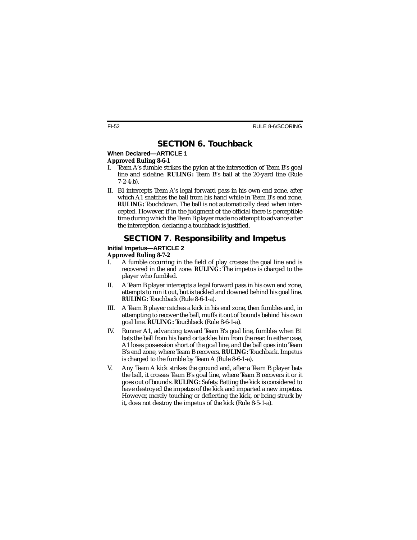## **SECTION 6. Touchback**

## When Declared-ARTICLE 1

#### **Approved Ruling 8-6-1**

- I. Team A's fumble strikes the pylon at the intersection of Team B's goal line and sideline. **RULING:** Team B's ball at the 20-yard line (Rule 7-2-4-b).
- II. B1 intercepts Team A's legal forward pass in his own end zone, after which A1 snatches the ball from his hand while in Team B's end zone. **RULING:** Touchdown. The ball is not automatically dead when intercepted. However, if in the judgment of the official there is perceptible time during which the Team B player made no attempt to advance after the interception, declaring a touchback is justified.

## **SECTION 7. Responsibility and Impetus**

### **Initial Impetus—ARTICLE 2 Approved Ruling 8-7-2**

- I. A fumble occurring in the field of play crosses the goal line and is recovered in the end zone. **RULING:** The impetus is charged to the player who fumbled.
- II. A Team B player intercepts a legal forward pass in his own end zone, attempts to run it out, but is tackled and downed behind his goal line. **RULING:** Touchback (Rule 8-6-1-a).
- III. A Team B player catches a kick in his end zone, then fumbles and, in attempting to recover the ball, muffs it out of bounds behind his own goal line. **RULING:** Touchback (Rule 8-6-1-a).
- IV. Runner A1, advancing toward Team B's goal line, fumbles when B1 bats the ball from his hand or tackles him from the rear. In either case, A1 loses possession short of the goal line, and the ball goes into Team B's end zone, where Team B recovers. **RULING:** Touchback. Impetus is charged to the fumble by Team A (Rule 8-6-1-a).
- V. Any Team A kick strikes the ground and, after a Team B player bats the ball, it crosses Team B's goal line, where Team B recovers it or it goes out of bounds. **RULING:** Safety. Batting the kick is considered to have destroyed the impetus of the kick and imparted a new impetus. However, merely touching or deflecting the kick, or being struck by it, does not destroy the impetus of the kick (Rule 8-5-1-a).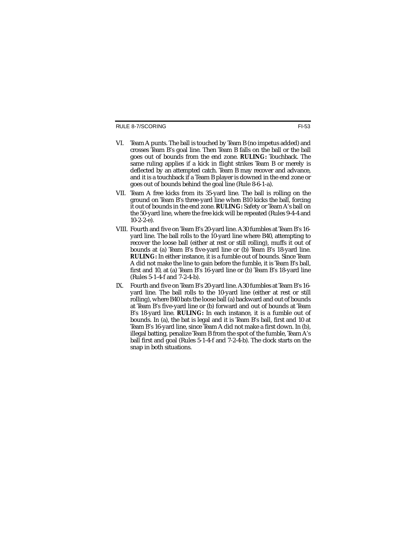#### RULE 8-7/SCORING

- VI. Team A punts. The ball is touched by Team B (no impetus added) and crosses Team B's goal line. Then Team B falls on the ball or the ball goes out of bounds from the end zone. **RULING:** Touchback. The same ruling applies if a kick in flight strikes Team B or merely is deflected by an attempted catch. Team B may recover and advance, and it is a touchback if a Team B player is downed in the end zone or goes out of bounds behind the goal line (Rule 8-6-1-a).
- VII. Team A free kicks from its 35-yard line. The ball is rolling on the ground on Team B's three-yard line when B10 kicks the ball, forcing it out of bounds in the end zone. **RULING:** Safety or Team A's ball on the 50-yard line, where the free kick will be repeated (Rules 9-4-4 and  $10-2-2-e$ ).
- VIII. Fourth and five on Team B's 20-yard line. A30 fumbles at Team B's 16 yard line. The ball rolls to the 10-yard line where B40, attempting to recover the loose ball (either at rest or still rolling), muffs it out of bounds at (a) Team B's five-yard line or (b) Team B's 18-yard line. **RULING:** In either instance, it is a fumble out of bounds. Since Team A did not make the line to gain before the fumble, it is Team B's ball, first and 10, at (a) Team B's 16-yard line or (b) Team B's 18-yard line (Rules 5-1-4-f and 7-2-4-b).
- IX. Fourth and five on Team B's 20-yard line. A30 fumbles at Team B's 16 yard line. The ball rolls to the 10-yard line (either at rest or still rolling), where B40 bats the loose ball (a) backward and out of bounds at Team B's five-yard line or (b) forward and out of bounds at Team B's 18-yard line. **RULING:** In each instance, it is a fumble out of bounds. In (a), the bat is legal and it is Team B's ball, first and 10 at Team B's 16-yard line, since Team A did not make a first down. In (b), illegal batting, penalize Team B from the spot of the fumble, Team A's ball first and goal (Rules 5-1-4-f and 7-2-4-b). The clock starts on the snap in both situations.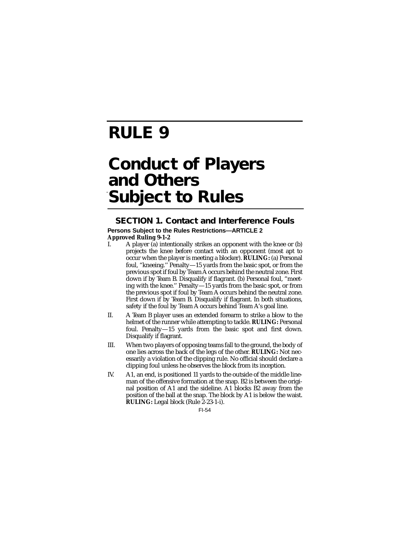# **RULE 9**

# **Conduct of Players and Others Subject to Rules**

### **SECTION 1. Contact and Interference Fouls**

### **Persons Subject to the Rules Restrictions—ARTICLE 2 Approved Ruling 9-1-2**

- A player (a) intentionally strikes an opponent with the knee or (b) projects the knee before contact with an opponent (most apt to occur when the player is meeting a blocker). **RULING:** (a) Personal foul, "kneeing.'' Penalty—15 yards from the basic spot, or from the previous spot if foul by Team A occurs behind the neutral zone. First down if by Team B. Disqualify if flagrant. (b) Personal foul, "meeting with the knee.'' Penalty—15 yards from the basic spot, or from the previous spot if foul by Team A occurs behind the neutral zone. First down if by Team B. Disqualify if flagrant. In both situations, safety if the foul by Team A occurs behind Team A's goal line.
- II. A Team B player uses an extended forearm to strike a blow to the helmet of the runner while attempting to tackle. **RULING:** Personal foul. Penalty—15 yards from the basic spot and first down. Disqualify if flagrant.
- III. When two players of opposing teams fall to the ground, the body of one lies across the back of the legs of the other. **RULING:** Not necessarily a violation of the clipping rule. No official should declare a clipping foul unless he observes the block from its inception.
- IV. A1, an end, is positioned 11 yards to the outside of the middle lineman of the offensive formation at the snap. B2 is between the original position of A1 and the sideline. A1 blocks B2 away from the position of the ball at the snap. The block by A1 is below the waist. **RULING:** Legal block (Rule 2-23-1-i).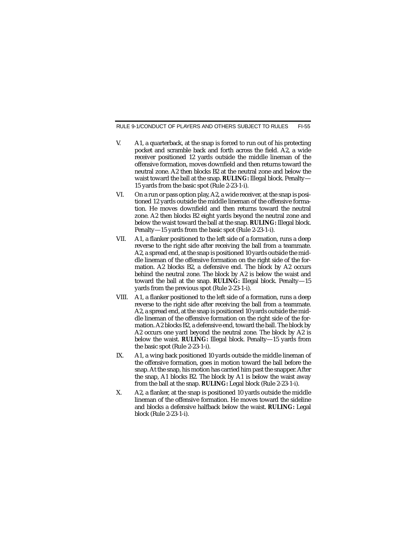- V. A1, a quarterback, at the snap is forced to run out of his protecting pocket and scramble back and forth across the field. A2, a wide receiver positioned 12 yards outside the middle lineman of the offensive formation, moves downfield and then returns toward the neutral zone. A2 then blocks B2 at the neutral zone and below the waist toward the ball at the snap. **RULING:** Illegal block. Penalty— 15 yards from the basic spot (Rule 2-23-1-i).
- VI. On a run or pass option play, A2, a wide receiver, at the snap is positioned 12 yards outside the middle lineman of the offensive formation. He moves downfield and then returns toward the neutral zone. A2 then blocks B2 eight yards beyond the neutral zone and below the waist toward the ball at the snap. **RULING:** Illegal block. Penalty—15 yards from the basic spot (Rule 2-23-1-i).
- VII. A1, a flanker positioned to the left side of a formation, runs a deep reverse to the right side after receiving the ball from a teammate. A2, a spread end, at the snap is positioned 10 yards outside the middle lineman of the offensive formation on the right side of the formation. A2 blocks B2, a defensive end. The block by A2 occurs behind the neutral zone. The block by A2 is below the waist and toward the ball at the snap. **RULING:** Illegal block. Penalty—15 yards from the previous spot (Rule 2-23-1-i).
- VIII. A1, a flanker positioned to the left side of a formation, runs a deep reverse to the right side after receiving the ball from a teammate. A2, a spread end, at the snap is positioned 10 yards outside the middle lineman of the offensive formation on the right side of the formation. A2 blocks B2, a defensive end, toward the ball. The block by A2 occurs one yard beyond the neutral zone. The block by A2 is below the waist. **RULING:** Illegal block. Penalty—15 yards from the basic spot (Rule 2-23-1-i).
- IX. A1, a wing back positioned 10 yards outside the middle lineman of the offensive formation, goes in motion toward the ball before the snap. At the snap, his motion has carried him past the snapper. After the snap, A1 blocks B2. The block by A1 is below the waist away from the ball at the snap. **RULING:** Legal block (Rule 2-23-1-i).
- X. A2, a flanker, at the snap is positioned 10 yards outside the middle lineman of the offensive formation. He moves toward the sideline and blocks a defensive halfback below the waist. **RULING:** Legal block (Rule 2-23-1-i).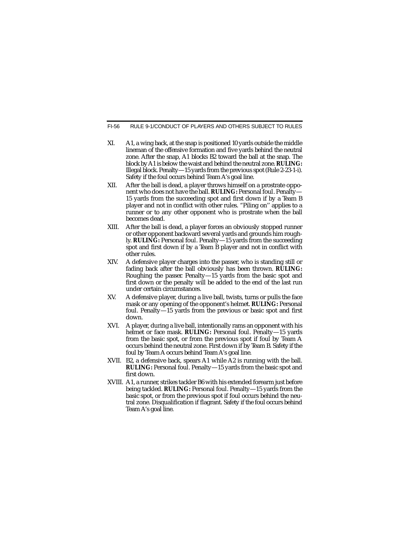- XI. A1, a wing back, at the snap is positioned 10 yards outside the middle lineman of the offensive formation and five yards behind the neutral zone. After the snap, A1 blocks B2 toward the ball at the snap. The block by A1 is below the waist and behind the neutral zone. **RULING:** Illegal block. Penalty—15 yards from the previous spot (Rule 2-23-1-i). Safety if the foul occurs behind Team A's goal line.
- XII. After the ball is dead, a player throws himself on a prostrate opponent who does not have the ball. **RULING:** Personal foul. Penalty— 15 yards from the succeeding spot and first down if by a Team B player and not in conflict with other rules. "Piling on'' applies to a runner or to any other opponent who is prostrate when the ball becomes dead.
- XIII. After the ball is dead, a player forces an obviously stopped runner or other opponent backward several yards and grounds him roughly. **RULING:** Personal foul. Penalty—15 yards from the succeeding spot and first down if by a Team B player and not in conflict with other rules.
- XIV. A defensive player charges into the passer, who is standing still or fading back after the ball obviously has been thrown. **RULING:** Roughing the passer. Penalty—15 yards from the basic spot and first down or the penalty will be added to the end of the last run under certain circumstances.
- XV. A defensive player, during a live ball, twists, turns or pulls the face mask or any opening of the opponent's helmet. **RULING:** Personal foul. Penalty—15 yards from the previous or basic spot and first down.
- XVI. A player, during a live ball, intentionally rams an opponent with his helmet or face mask. **RULING:** Personal foul. Penalty—15 yards from the basic spot, or from the previous spot if foul by Team A occurs behind the neutral zone. First down if by Team B. Safety if the foul by Team A occurs behind Team A's goal line.
- XVII. B2, a defensive back, spears A1 while A2 is running with the ball. **RULING:** Personal foul. Penalty—15 yards from the basic spot and first down.
- XVIII. A1, a runner, strikes tackler B6 with his extended forearm just before being tackled. **RULING:** Personal foul. Penalty—15 yards from the basic spot, or from the previous spot if foul occurs behind the neutral zone. Disqualification if flagrant. Safety if the foul occurs behind Team A's goal line.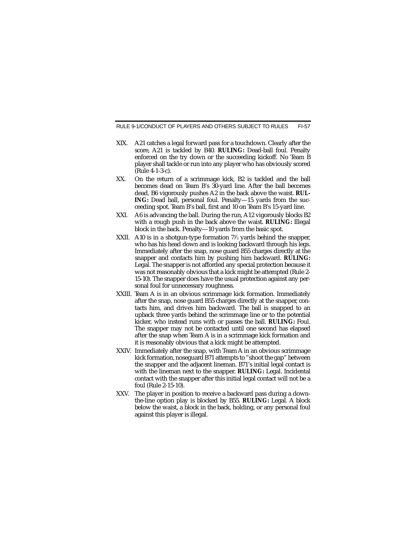- XIX. A21 catches a legal forward pass for a touchdown. Clearly after the score, A21 is tackled by B40. **RULING:** Dead-ball foul. Penalty enforced on the try down or the succeeding kickoff. No Team B player shall tackle or run into any player who has obviously scored (Rule 4-1-3-c).
- XX. On the return of a scrimmage kick, B2 is tackled and the ball becomes dead on Team B's 30-yard line. After the ball becomes dead, B6 vigorously pushes A2 in the back above the waist. **RUL-ING:** Dead ball, personal foul. Penalty—15 yards from the succeeding spot. Team B's ball, first and 10 on Team B's 15-yard line.
- XXI. A6 is advancing the ball. During the run, A12 vigorously blocks B2 with a rough push in the back above the waist. **RULING:** Illegal block in the back. Penalty—10 yards from the basic spot.
- XXII.  $\,$  A10 is in a shotgun-type formation  $7\%$  yards behind the snapper, who has his head down and is looking backward through his legs. Immediately after the snap, nose guard B55 charges directly at the snapper and contacts him by pushing him backward. **RULING:** Legal. The snapper is not afforded any special protection because it was not reasonably obvious that a kick might be attempted (Rule 2- 15-10). The snapper does have the usual protection against any personal foul for unnecessary roughness.
- XXIII. Team A is in an obvious scrimmage kick formation. Immediately after the snap, nose guard B55 charges directly at the snapper, contacts him, and drives him backward. The ball is snapped to an upback three yards behind the scrimmage line or to the potential kicker, who instead runs with or passes the ball. **RULING:** Foul. The snapper may not be contacted until one second has elapsed after the snap when Team A is in a scrimmage kick formation and it is reasonably obvious that a kick might be attempted.
- XXIV. Immediately after the snap, with Team A in an obvious scrimmage kick formation, noseguard B71 attempts to "shoot the gap" between the snapper and the adjacent lineman. B71's initial legal contact is with the lineman next to the snapper. **RULING:** Legal. Incidental contact with the snapper after this initial legal contact will not be a foul (Rule 2-15-10).
- XXV. The player in position to receive a backward pass during a downthe-line option play is blocked by B55. **RULING:** Legal. A block below the waist, a block in the back, holding, or any personal foul against this player is illegal.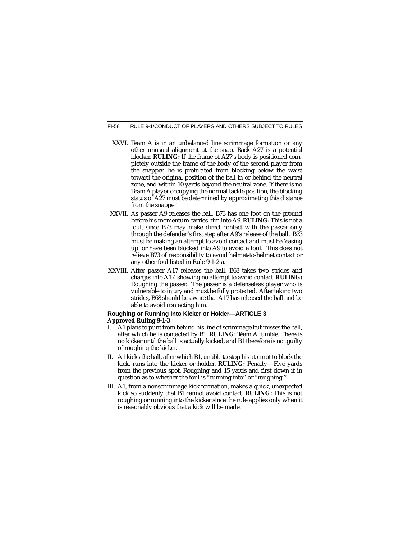- XXVI. Team A is in an unbalanced line scrimmage formation or any other unusual alignment at the snap. Back A27 is a potential blocker. **RULING:** If the frame of A27's body is positioned completely outside the frame of the body of the second player from the snapper, he is prohibited from blocking below the waist toward the original position of the ball in or behind the neutral zone, and within 10 yards beyond the neutral zone. If there is no Team A player occupying the normal tackle position, the blocking status of A27 must be determined by approximating this distance from the snapper.
- XXVII. As passer A9 releases the ball, B73 has one foot on the ground before his momentum carries him into A9. **RULING:** This is not a foul, since B73 may make direct contact with the passer only through the defender's first step after A9's release of the ball. B73 must be making an attempt to avoid contact and must be 'easing up' or have been blocked into A9 to avoid a foul. This does not relieve B73 of responsibility to avoid helmet-to-helmet contact or any other foul listed in Rule 9-1-2-a.
- XXVIII. After passer A17 releases the ball, B68 takes two strides and charges into A17, showing no attempt to avoid contact. **RULING:** Roughing the passer. The passer is a defenseless player who is vulnerable to injury and must be fully protected. After taking two strides, B68 should be aware that A17 has released the ball and be able to avoid contacting him.

#### **Roughing or Running Into Kicker or Holder—ARTICLE 3 Approved Ruling 9-1-3**

- I. A1 plans to punt from behind his line of scrimmage but misses the ball, after which he is contacted by B1. **RULING:** Team A fumble. There is no kicker until the ball is actually kicked, and B1 therefore is not guilty of roughing the kicker.
- II. A1 kicks the ball, after which B1, unable to stop his attempt to block the kick, runs into the kicker or holder. **RULING:** Penalty—Five yards from the previous spot. Roughing and 15 yards and first down if in question as to whether the foul is "running into'' or "roughing.''
- III. A1, from a nonscrimmage kick formation, makes a quick, unexpected kick so suddenly that B1 cannot avoid contact. **RULING:** This is not roughing or running into the kicker since the rule applies only when it is reasonably obvious that a kick will be made.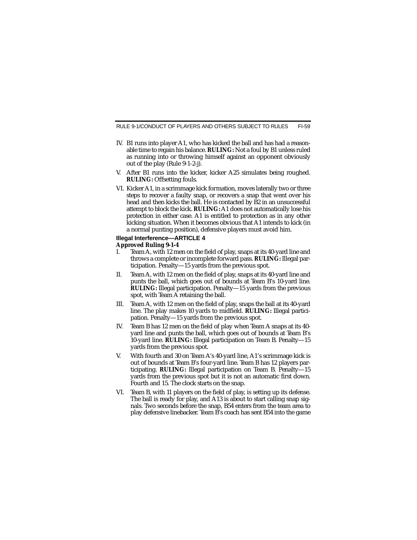- IV. B1 runs into player A1, who has kicked the ball and has had a reasonable time to regain his balance. **RULING:** Not a foul by B1 unless ruled as running into or throwing himself against an opponent obviously out of the play (Rule 9-1-2-j).
- V. After B1 runs into the kicker, kicker A25 simulates being roughed. **RULING:** Offsetting fouls.
- VI. Kicker A1, in a scrimmage kick formation, moves laterally two or three steps to recover a faulty snap, or recovers a snap that went over his head and then kicks the ball. He is contacted by B2 in an unsuccessful attempt to block the kick. **RULING:** A1 does not automatically lose his protection in either case. A1 is entitled to protection as in any other kicking situation. When it becomes obvious that A1 intends to kick (in a normal punting position), defensive players must avoid him.

#### **Illegal Interference—ARTICLE 4 Approved Ruling 9-1-4**

- I. Team A, with 12 men on the field of play, snaps at its 40-yard line and throws a complete or incomplete forward pass. **RULING:** Illegal participation. Penalty—15 yards from the previous spot.
- II. Team A, with 12 men on the field of play, snaps at its 40-yard line and punts the ball, which goes out of bounds at Team B's 10-yard line. **RULING:** Illegal participation. Penalty—15 yards from the previous spot, with Team A retaining the ball.
- III. Team A, with 12 men on the field of play, snaps the ball at its 40-yard line. The play makes 10 yards to midfield. **RULING:** Illegal participation. Penalty—15 yards from the previous spot.
- IV. Team B has 12 men on the field of play when Team A snaps at its 40 yard line and punts the ball, which goes out of bounds at Team B's 10-yard line. **RULING:** Illegal participation on Team B. Penalty—15 yards from the previous spot.
- V. With fourth and 30 on Team A's 40-yard line, A1's scrimmage kick is out of bounds at Team B's four-yard line. Team B has 12 players participating. **RULING:** Illegal participation on Team B. Penalty—15 yards from the previous spot but it is not an automatic first down. Fourth and 15. The clock starts on the snap.
- VI. Team B, with 11 players on the field of play, is setting up its defense. The ball is ready for play, and A13 is about to start calling snap signals. Two seconds before the snap, B54 enters from the team area to play defensive linebacker. Team B's coach has sent B54 into the game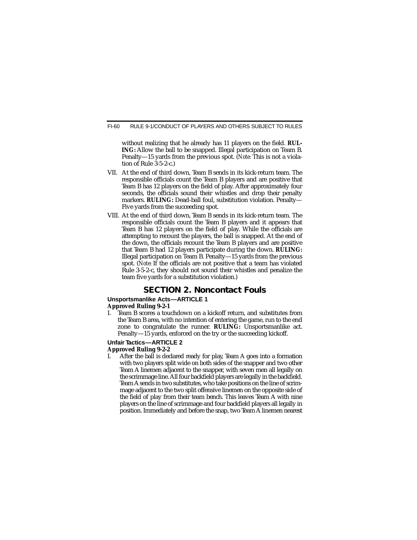without realizing that he already has 11 players on the field. **RUL-ING:** Allow the ball to be snapped. Illegal participation on Team B. Penalty—15 yards from the previous spot. (*Note:* This is not a violation of Rule 3-5-2-c.)

- VII. At the end of third down, Team B sends in its kick-return team. The responsible officials count the Team B players and are positive that Team B has 12 players on the field of play. After approximately four seconds, the officials sound their whistles and drop their penalty markers. **RULING:** Dead-ball foul, substitution violation. Penalty— Five yards from the succeeding spot.
- VIII. At the end of third down, Team B sends in its kick-return team. The responsible officials count the Team B players and it appears that Team B has 12 players on the field of play. While the officials are attempting to recount the players, the ball is snapped. At the end of the down, the officials recount the Team B players and are positive that Team B had 12 players participate during the down. **RULING:** Illegal participation on Team B. Penalty—15 yards from the previous spot. (*Note:* If the officials are not positive that a team has violated Rule 3-5-2-c, they should not sound their whistles and penalize the team five yards for a substitution violation.)

### **SECTION 2. Noncontact Fouls**

#### **Unsportsmanlike Acts—ARTICLE 1**

#### **Approved Ruling 9-2-1**

I. Team B scores a touchdown on a kickoff return, and substitutes from the Team B area, with no intention of entering the game, run to the end zone to congratulate the runner. **RULING:** Unsportsmanlike act. Penalty—15 yards, enforced on the try or the succeeding kickoff.

#### **Unfair Tactics—ARTICLE 2 Approved Ruling 9-2-2**

I. After the ball is declared ready for play, Team A goes into a formation with two players split wide on both sides of the snapper and two other Team A linemen adjacent to the snapper, with seven men all legally on the scrimmage line. All four backfield players are legally in the backfield. Team A sends in two substitutes, who take positions on the line of scrimmage adjacent to the two split offensive linemen on the opposite side of the field of play from their team bench. This leaves Team A with nine players on the line of scrimmage and four backfield players all legally in position. Immediately and before the snap, two Team A linemen nearest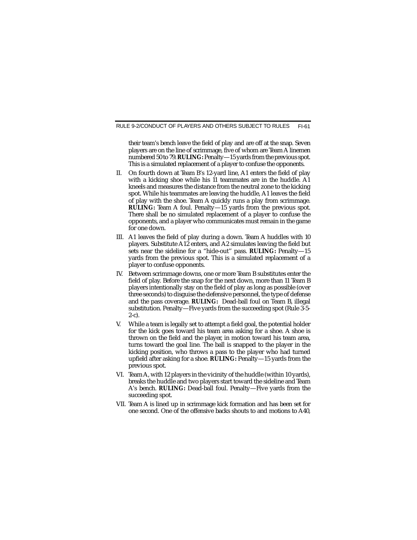their team's bench leave the field of play and are off at the snap. Seven players are on the line of scrimmage, five of whom are Team A linemen numbered 50 to 79. **RULING:** Penalty—15 yards from the previous spot. This is a simulated replacement of a player to confuse the opponents.

- II. On fourth down at Team B's 12-yard line, A1 enters the field of play with a kicking shoe while his 11 teammates are in the huddle. A1 kneels and measures the distance from the neutral zone to the kicking spot. While his teammates are leaving the huddle, A1 leaves the field of play with the shoe. Team A quickly runs a play from scrimmage. **RULING:** Team A foul. Penalty—15 yards from the previous spot. There shall be no simulated replacement of a player to confuse the opponents, and a player who communicates must remain in the game for one down.
- III. A1 leaves the field of play during a down. Team A huddles with 10 players. Substitute A12 enters, and A2 simulates leaving the field but sets near the sideline for a "hide-out'' pass. **RULING:** Penalty—15 yards from the previous spot. This is a simulated replacement of a player to confuse opponents.
- IV. Between scrimmage downs, one or more Team B substitutes enter the field of play. Before the snap for the next down, more than 11 Team B players intentionally stay on the field of play as long as possible (over three seconds) to disguise the defensive personnel, the type of defense and the pass coverage. **RULING:** Dead-ball foul on Team B, illegal substitution. Penalty—Five yards from the succeeding spot (Rule 3-5-  $2-c$ ).
- V. While a team is legally set to attempt a field goal, the potential holder for the kick goes toward his team area asking for a shoe. A shoe is thrown on the field and the player, in motion toward his team area, turns toward the goal line. The ball is snapped to the player in the kicking position, who throws a pass to the player who had turned upfield after asking for a shoe. **RULING:** Penalty—15 yards from the previous spot.
- VI. Team A, with 12 players in the vicinity of the huddle (within 10 yards), breaks the huddle and two players start toward the sideline and Team A's bench. **RULING:** Dead-ball foul. Penalty—Five yards from the succeeding spot.
- VII. Team A is lined up in scrimmage kick formation and has been set for one second. One of the offensive backs shouts to and motions to A40,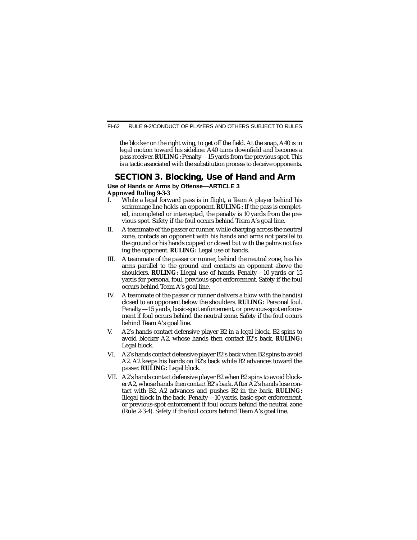the blocker on the right wing, to get off the field. At the snap, A40 is in legal motion toward his sideline. A40 turns downfield and becomes a pass receiver. **RULING:** Penalty—15 yards from the previous spot. This is a tactic associated with the substitution process to deceive opponents.

## **SECTION 3. Blocking, Use of Hand and Arm**

#### **Use of Hands or Arms by Offense—ARTICLE 3 Approved Ruling 9-3-3**

- I. While a legal forward pass is in flight, a Team A player behind his scrimmage line holds an opponent. **RULING:** If the pass is completed, incompleted or intercepted, the penalty is 10 yards from the previous spot. Safety if the foul occurs behind Team A's goal line.
- II. A teammate of the passer or runner, while charging across the neutral zone, contacts an opponent with his hands and arms not parallel to the ground or his hands cupped or closed but with the palms not facing the opponent. **RULING:** Legal use of hands.
- III. A teammate of the passer or runner, behind the neutral zone, has his arms parallel to the ground and contacts an opponent above the shoulders. **RULING:** Illegal use of hands. Penalty—10 yards or 15 yards for personal foul, previous-spot enforcement. Safety if the foul occurs behind Team A's goal line.
- IV. A teammate of the passer or runner delivers a blow with the hand(s) closed to an opponent below the shoulders. **RULING:** Personal foul. Penalty—15 yards, basic-spot enforcement, or previous-spot enforcement if foul occurs behind the neutral zone. Safety if the foul occurs behind Team A's goal line.
- V. A2's hands contact defensive player B2 in a legal block. B2 spins to avoid blocker A2, whose hands then contact B2's back. **RULING:** Legal block.
- VI. A2's hands contact defensive player B2's back when B2 spins to avoid A2. A2 keeps his hands on B2's back while B2 advances toward the passer. **RULING:** Legal block.
- VII. A2's hands contact defensive player B2 when B2 spins to avoid blocker A2, whose hands then contact B2's back. After A2's hands lose contact with B2, A2 advances and pushes B2 in the back. **RULING:** Illegal block in the back. Penalty—10 yards, basic-spot enforcement, or previous-spot enforcement if foul occurs behind the neutral zone (Rule 2-3-4). Safety if the foul occurs behind Team A's goal line.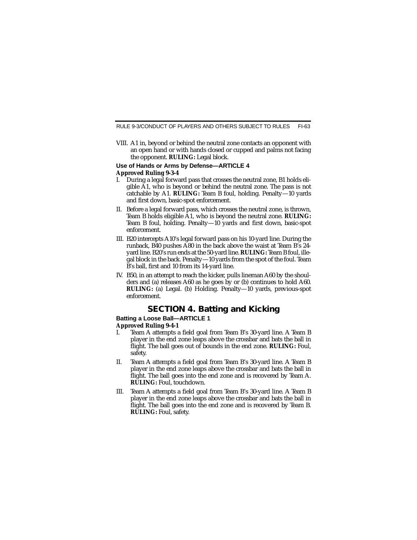VIII. A1 in, beyond or behind the neutral zone contacts an opponent with an open hand or with hands closed or cupped and palms not facing the opponent. **RULING:** Legal block.

#### **Use of Hands or Arms by Defense—ARTICLE 4 Approved Ruling 9-3-4**

- I. During a legal forward pass that crosses the neutral zone, B1 holds eligible A1, who is beyond or behind the neutral zone. The pass is not catchable by A1. **RULING:** Team B foul, holding. Penalty—10 yards and first down, basic-spot enforcement.
- II. Before a legal forward pass, which crosses the neutral zone, is thrown, Team B holds eligible A1, who is beyond the neutral zone. **RULING:** Team B foul, holding. Penalty—10 yards and first down, basic-spot enforcement.
- III. B20 intercepts A10's legal forward pass on his 10-yard line. During the runback, B40 pushes A80 in the back above the waist at Team B's 24 yard line. B20's run ends at the 50-yard line. **RULING:** Team B foul, illegal block in the back. Penalty—10 yards from the spot of the foul. Team B's ball, first and 10 from its 14-yard line.
- IV. B50, in an attempt to reach the kicker, pulls lineman A60 by the shoulders and (a) releases A60 as he goes by or (b) continues to hold A60. **RULING:** (a) Legal. (b) Holding. Penalty—10 yards, previous-spot enforcement.

## **SECTION 4. Batting and Kicking**

#### **Batting a Loose Ball—ARTICLE 1**

#### **Approved Ruling 9-4-1**

- I. Team A attempts a field goal from Team B's 30-yard line. A Team B player in the end zone leaps above the crossbar and bats the ball in flight. The ball goes out of bounds in the end zone. **RULING:** Foul, safety.
- II. Team A attempts a field goal from Team B's 30-yard line. A Team B player in the end zone leaps above the crossbar and bats the ball in flight. The ball goes into the end zone and is recovered by Team A. **RULING:** Foul, touchdown.
- III. Team A attempts a field goal from Team B's 30-yard line. A Team B player in the end zone leaps above the crossbar and bats the ball in flight. The ball goes into the end zone and is recovered by Team B. **RULING:** Foul, safety.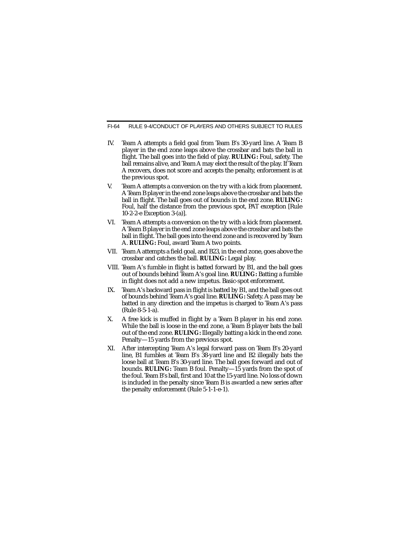- IV. Team A attempts a field goal from Team B's 30-yard line. A Team B player in the end zone leaps above the crossbar and bats the ball in flight. The ball goes into the field of play. **RULING:** Foul, safety. The ball remains alive, and Team A may elect the result of the play. If Team A recovers, does not score and accepts the penalty, enforcement is at the previous spot.
- V. Team A attempts a conversion on the try with a kick from placement. A Team B player in the end zone leaps above the crossbar and bats the ball in flight. The ball goes out of bounds in the end zone. **RULING:** Foul, half the distance from the previous spot, PAT exception [Rule 10-2-2-e Exception 3-(a)].
- VI. Team A attempts a conversion on the try with a kick from placement. A Team B player in the end zone leaps above the crossbar and bats the ball in flight. The ball goes into the end zone and is recovered by Team A. **RULING:** Foul, award Team A two points.
- VII. Team A attempts a field goal, and B23, in the end zone, goes above the crossbar and catches the ball. **RULING:** Legal play.
- VIII. Team A's fumble in flight is batted forward by B1, and the ball goes out of bounds behind Team A's goal line. **RULING:** Batting a fumble in flight does not add a new impetus. Basic-spot enforcement.
- IX. Team A's backward pass in flight is batted by B1, and the ball goes out of bounds behind Team A's goal line. **RULING:** Safety. A pass may be batted in any direction and the impetus is charged to Team A's pass (Rule 8-5-1-a).
- X. A free kick is muffed in flight by a Team B player in his end zone. While the ball is loose in the end zone, a Team B player bats the ball out of the end zone. **RULING:** Illegally batting a kick in the end zone. Penalty—15 yards from the previous spot.
- XI. After intercepting Team A's legal forward pass on Team B's 20-yard line, B1 fumbles at Team B's 38-yard line and B2 illegally bats the loose ball at Team B's 30-yard line. The ball goes forward and out of bounds. **RULING:** Team B foul. Penalty—15 yards from the spot of the foul. Team B's ball, first and 10 at the 15-yard line. No loss of down is included in the penalty since Team B is awarded a new series after the penalty enforcement (Rule 5-1-1-e-1).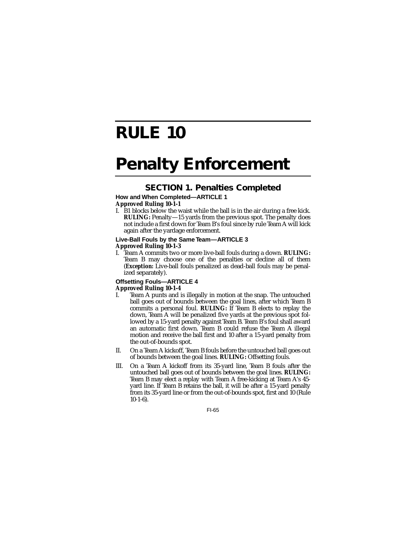# **RULE 10**

# **Penalty Enforcement**

## **SECTION 1. Penalties Completed**

#### **How and When Completed—ARTICLE 1 Approved Ruling 10-1-1**

I. B1 blocks below the waist while the ball is in the air during a free kick. **RULING:** Penalty—15 yards from the previous spot. The penalty does not include a first down for Team B's foul since by rule Team A will kick again after the yardage enforcement.

#### **Live-Ball Fouls by the Same Team—ARTICLE 3 Approved Ruling 10-1-3**

I. Team A commits two or more live-ball fouls during a down. **RULING:** Team B may choose one of the penalties or decline all of them (*Exception:* Live-ball fouls penalized as dead-ball fouls may be penalized separately).

#### **Offsetting Fouls—ARTICLE 4 Approved Ruling 10-1-4**

- I. Team A punts and is illegally in motion at the snap. The untouched ball goes out of bounds between the goal lines, after which Team B commits a personal foul. **RULING:** If Team B elects to replay the down, Team A will be penalized five yards at the previous spot followed by a 15-yard penalty against Team B. Team B's foul shall award an automatic first down. Team B could refuse the Team A illegal motion and receive the ball first and 10 after a 15-yard penalty from the out-of-bounds spot.
- II. On a Team A kickoff, Team B fouls before the untouched ball goes out of bounds between the goal lines. **RULING:** Offsetting fouls.
- III. On a Team A kickoff from its 35-yard line, Team B fouls after the untouched ball goes out of bounds between the goal lines. **RULING:** Team B may elect a replay with Team A free-kicking at Team A's 45 yard line. If Team B retains the ball, it will be after a 15-yard penalty from its 35-yard line or from the out-of-bounds spot, first and 10 (Rule  $10-1-6$ ).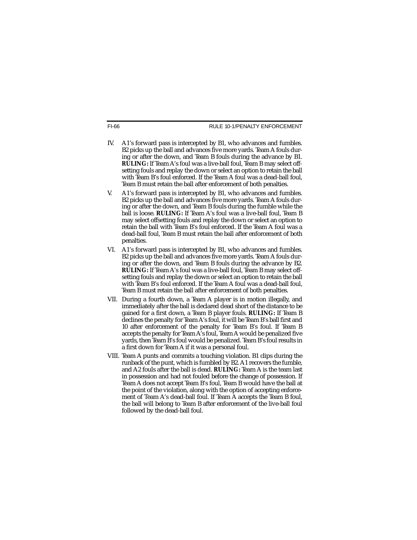- IV. A1's forward pass is intercepted by B1, who advances and fumbles. B2 picks up the ball and advances five more yards. Team A fouls during or after the down, and Team B fouls during the advance by B1. **RULING:** If Team A's foul was a live-ball foul, Team B may select offsetting fouls and replay the down or select an option to retain the ball with Team B's foul enforced. If the Team A foul was a dead-ball foul, Team B must retain the ball after enforcement of both penalties.
- V. A1's forward pass is intercepted by B1, who advances and fumbles. B2 picks up the ball and advances five more yards. Team A fouls during or after the down, and Team B fouls during the fumble while the ball is loose. **RULING:** If Team A's foul was a live-ball foul, Team B may select offsetting fouls and replay the down or select an option to retain the ball with Team B's foul enforced. If the Team A foul was a dead-ball foul, Team B must retain the ball after enforcement of both penalties.
- VI. A1's forward pass is intercepted by B1, who advances and fumbles. B2 picks up the ball and advances five more yards. Team A fouls during or after the down, and Team B fouls during the advance by B2. **RULING:** If Team A's foul was a live-ball foul, Team B may select offsetting fouls and replay the down or select an option to retain the ball with Team B's foul enforced. If the Team A foul was a dead-ball foul, Team B must retain the ball after enforcement of both penalties.
- VII. During a fourth down, a Team A player is in motion illegally, and immediately after the ball is declared dead short of the distance to be gained for a first down, a Team B player fouls. **RULING:** If Team B declines the penalty for Team A's foul, it will be Team B's ball first and 10 after enforcement of the penalty for Team B's foul. If Team B accepts the penalty for Team A's foul, Team A would be penalized five yards, then Team B's foul would be penalized. Team B's foul results in a first down for Team A if it was a personal foul.
- VIII. Team A punts and commits a touching violation. B1 clips during the runback of the punt, which is fumbled by B2. A1 recovers the fumble, and A2 fouls after the ball is dead. **RULING:** Team A is the team last in possession and had not fouled before the change of possession. If Team A does not accept Team B's foul, Team B would have the ball at the point of the violation, along with the option of accepting enforcement of Team A's dead-ball foul. If Team A accepts the Team B foul, the ball will belong to Team B after enforcement of the live-ball foul followed by the dead-ball foul.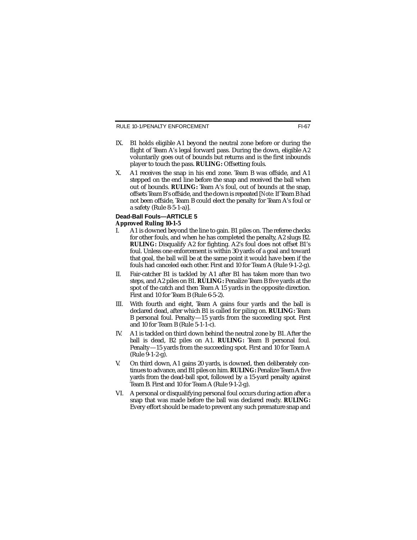- IX. B1 holds eligible A1 beyond the neutral zone before or during the flight of Team A's legal forward pass. During the down, eligible A2 voluntarily goes out of bounds but returns and is the first inbounds player to touch the pass. **RULING:** Offsetting fouls.
- X. A1 receives the snap in his end zone. Team B was offside, and A1 stepped on the end line before the snap and received the ball when out of bounds. **RULING:** Team A's foul, out of bounds at the snap, offsets Team B's offside, and the down is repeated [*Note:* If Team B had not been offside, Team B could elect the penalty for Team A's foul or a safety (Rule 8-5-1-a)].

#### **Dead-Ball Fouls—ARTICLE 5 Approved Ruling 10-1-5**

- I. A1 is downed beyond the line to gain. B1 piles on. The referee checks for other fouls, and when he has completed the penalty, A2 slugs B2. **RULING:** Disqualify A2 for fighting. A2's foul does not offset B1's foul. Unless one enforcement is within 30 yards of a goal and toward that goal, the ball will be at the same point it would have been if the fouls had canceled each other. First and 10 for Team A (Rule 9-1-2-g).
- II. Fair-catcher B1 is tackled by A1 after B1 has taken more than two steps, and A2 piles on B1. **RULING:** Penalize Team B five yards at the spot of the catch and then Team A 15 yards in the opposite direction. First and 10 for Team B (Rule 6-5-2).
- III. With fourth and eight, Team A gains four yards and the ball is declared dead, after which B1 is called for piling on. **RULING:** Team B personal foul. Penalty—15 yards from the succeeding spot. First and 10 for Team B (Rule 5-1-1-c).
- IV. A1 is tackled on third down behind the neutral zone by B1. After the ball is dead, B2 piles on A1. **RULING:** Team B personal foul. Penalty—15 yards from the succeeding spot. First and 10 for Team A (Rule 9-1-2-g).
- V. On third down, A1 gains 20 yards, is downed, then deliberately continues to advance, and B1 piles on him. **RULING:** Penalize Team Afive yards from the dead-ball spot, followed by a 15-yard penalty against Team B. First and 10 for Team A (Rule 9-1-2-g).
- VI. A personal or disqualifying personal foul occurs during action after a snap that was made before the ball was declared ready. **RULING:** Every effort should be made to prevent any such premature snap and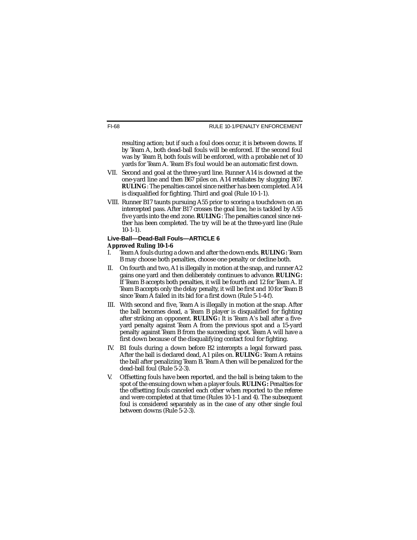resulting action; but if such a foul does occur, it is between downs. If by Team A, both dead-ball fouls will be enforced. If the second foul was by Team B, both fouls will be enforced, with a probable net of 10 yards for Team A. Team B's foul would be an automatic first down.

- VII. Second and goal at the three-yard line. Runner A14 is downed at the one-yard line and then B67 piles on. A14 retaliates by slugging B67. **RULING**: The penalties cancel since neither has been completed. A14 is disqualified for fighting. Third and goal (Rule 10-1-1).
- VIII. Runner B17 taunts pursuing A55 prior to scoring a touchdown on an intercepted pass. After B17 crosses the goal line, he is tackled by A55 five yards into the end zone. **RULING**: The penalties cancel since neither has been completed. The try will be at the three-yard line (Rule 10-1-1).

#### **Live-Ball—Dead-Ball Fouls—ARTICLE 6 Approved Ruling 10-1-6**

- I. Team A fouls during a down and after the down ends. **RULING:** Team B may choose both penalties, choose one penalty or decline both.
- II. On fourth and two, A1 is illegally in motion at the snap, and runner A2 gains one yard and then deliberately continues to advance. **RULING:** If Team B accepts both penalties, it will be fourth and 12 for Team A. If Team B accepts only the delay penalty, it will be first and 10 for Team B since Team A failed in its bid for a first down (Rule 5-1-4-f).
- III. With second and five, Team A is illegally in motion at the snap. After the ball becomes dead, a Team B player is disqualified for fighting after striking an opponent. **RULING:** It is Team A's ball after a fiveyard penalty against Team A from the previous spot and a 15-yard penalty against Team B from the succeeding spot. Team A will have a first down because of the disqualifying contact foul for fighting.
- IV. B1 fouls during a down before B2 intercepts a legal forward pass. After the ball is declared dead, A1 piles on. **RULING:** Team A retains the ball after penalizing Team B. Team A then will be penalized for the dead-ball foul (Rule 5-2-3).
- V. Offsetting fouls have been reported, and the ball is being taken to the spot of the ensuing down when a player fouls. **RULING:** Penalties for the offsetting fouls canceled each other when reported to the referee and were completed at that time (Rules 10-1-1 and 4). The subsequent foul is considered separately as in the case of any other single foul between downs (Rule 5-2-3).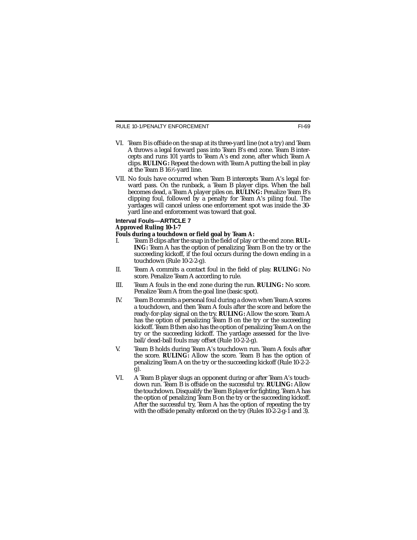RULE 10-1/PENALTY ENFORCEMENT

- VI. Team B is offside on the snap at its three-yard line (not a try) and Team A throws a legal forward pass into Team B's end zone. Team B intercepts and runs 101 yards to Team A's end zone, after which Team A clips. **RULING:** Repeat the down with Team A putting the ball in play at the Team B 16 <sup>1</sup> ⁄2-yard line.
- VII. No fouls have occurred when Team B intercepts Team A's legal forward pass. On the runback, a Team B player clips. When the ball becomes dead, a Team A player piles on. **RULING:** Penalize Team B's clipping foul, followed by a penalty for Team A's piling foul. The yardages will cancel unless one enforcement spot was inside the 30 yard line and enforcement was toward that goal.

#### **Interval Fouls—ARTICLE 7 Approved Ruling 10-1-7**

- **Fouls during a touchdown or field goal by Team A:**<br>Learn B clips after the spap in the field of play of Team B clips after the snap in the field of play or the end zone. **RUL**-**ING:** Team A has the option of penalizing Team B on the try or the succeeding kickoff, if the foul occurs during the down ending in a touchdown (Rule 10-2-2-g).
- II. Team A commits a contact foul in the field of play. **RULING:** No score. Penalize Team A according to rule.
- III. Team A fouls in the end zone during the run. **RULING:** No score. Penalize Team A from the goal line (basic spot).
- IV. Team B commits a personal foul during a down when Team A scores a touchdown, and then Team A fouls after the score and before the ready-for-play signal on the try. **RULING:** Allow the score. Team A has the option of penalizing Team B on the try or the succeeding kickoff. Team B then also has the option of penalizing Team A on the try or the succeeding kickoff. The yardage assessed for the liveball/dead-ball fouls may offset (Rule 10-2-2-g).
- V. Team B holds during Team A's touchdown run. Team A fouls after the score. **RULING:** Allow the score. Team B has the option of penalizing Team A on the try or the succeeding kickoff (Rule 10-2-2 g).
- VI. A Team B player slugs an opponent during or after Team A's touchdown run. Team B is offside on the successful try. **RULING:** Allow the touchdown. Disqualify the Team B player for fighting. Team Ahas the option of penalizing Team B on the try or the succeeding kickoff. After the successful try, Team A has the option of repeating the try with the offside penalty enforced on the try (Rules 10-2-2-g-1 and 3).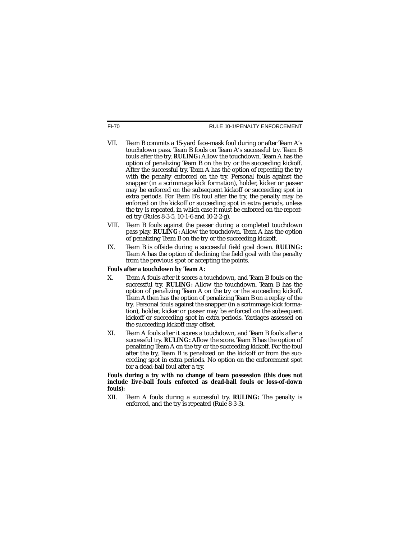- VII. Team B commits a 15-yard face-mask foul during or after Team A's touchdown pass. Team B fouls on Team A's successful try. Team B fouls after the try. **RULING:** Allow the touchdown. Team A has the option of penalizing Team B on the try or the succeeding kickoff. After the successful try, Team A has the option of repeating the try with the penalty enforced on the try. Personal fouls against the snapper (in a scrimmage kick formation), holder, kicker or passer may be enforced on the subsequent kickoff or succeeding spot in extra periods. For Team B's foul after the try, the penalty may be enforced on the kickoff or succeeding spot in extra periods, unless the try is repeated, in which case it must be enforced on the repeated try (Rules 8-3-5, 10-1-6 and 10-2-2-g).
- VIII. Team B fouls against the passer during a completed touchdown pass play. **RULING:** Allow the touchdown. Team A has the option of penalizing Team B on the try or the succeeding kickoff.
- IX. Team B is offside during a successful field goal down. **RULING:** Team A has the option of declining the field goal with the penalty from the previous spot or accepting the points.

### **Fouls after a touchdown by Team A:**

- X. Team A fouls after it scores a touchdown, and Team B fouls on the successful try. **RULING:** Allow the touchdown. Team B has the option of penalizing Team A on the try or the succeeding kickoff. Team A then has the option of penalizing Team B on a replay of the try. Personal fouls against the snapper (in a scrimmage kick formation), holder, kicker or passer may be enforced on the subsequent kickoff or succeeding spot in extra periods. Yardages assessed on the succeeding kickoff may offset.
- XI. Team A fouls after it scores a touchdown, and Team B fouls after a successful try. **RULING:** Allow the score. Team B has the option of penalizing Team A on the try or the succeeding kickoff. For the foul after the try, Team B is penalized on the kickoff or from the succeeding spot in extra periods. No option on the enforcement spot for a dead-ball foul after a try.

**Fouls during a try with no change of team possession (this does not include live-ball fouls enforced as dead-ball fouls or loss-of-down fouls):**

XII. Team A fouls during a successful try. **RULING:** The penalty is enforced, and the try is repeated (Rule 8-3-3).

FI-70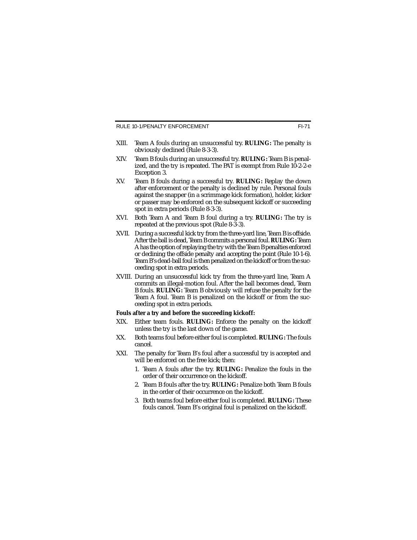RULE 10-1/PENALTY ENFORCEMENT

- XIII. Team A fouls during an unsuccessful try. **RULING:** The penalty is obviously declined (Rule 8-3-3).
- XIV. Team B fouls during an unsuccessful try. **RULING:** Team B is penalized, and the try is repeated. The PAT is exempt from Rule 10-2-2-e Exception 3.
- XV. Team B fouls during a successful try. **RULING:** Replay the down after enforcement or the penalty is declined by rule. Personal fouls against the snapper (in a scrimmage kick formation), holder, kicker or passer may be enforced on the subsequent kickoff or succeeding spot in extra periods (Rule 8-3-3).
- XVI. Both Team A and Team B foul during a try. **RULING:** The try is repeated at the previous spot (Rule 8-3-3).
- XVII. During a successful kick try from the three-yard line, Team B is offside. After the ball is dead, Team B commits a personal foul. **RULING:** Team Ahas the option of replaying the try with the Team B penalties enforced or declining the offside penalty and accepting the point (Rule 10-1-6). Team B's dead-ball foul is then penalized on the kickoff or from the succeeding spot in extra periods.
- XVIII. During an unsuccessful kick try from the three-yard line, Team A commits an illegal-motion foul. After the ball becomes dead, Team B fouls. **RULING:** Team B obviously will refuse the penalty for the Team A foul. Team B is penalized on the kickoff or from the succeeding spot in extra periods.

#### **Fouls after a try and before the succeeding kickoff:**

- XIX. Either team fouls. **RULING:** Enforce the penalty on the kickoff unless the try is the last down of the game.
- XX. Both teams foul before either foul is completed. **RULING:** The fouls cancel.
- XXI. The penalty for Team B's foul after a successful try is accepted and will be enforced on the free kick; then:
	- 1. Team A fouls after the try. **RULING:** Penalize the fouls in the order of their occurrence on the kickoff.
	- 2. Team B fouls after the try. **RULING:** Penalize both Team B fouls in the order of their occurrence on the kickoff.
	- 3. Both teams foul before either foul is completed. **RULING:** These fouls cancel. Team B's original foul is penalized on the kickoff.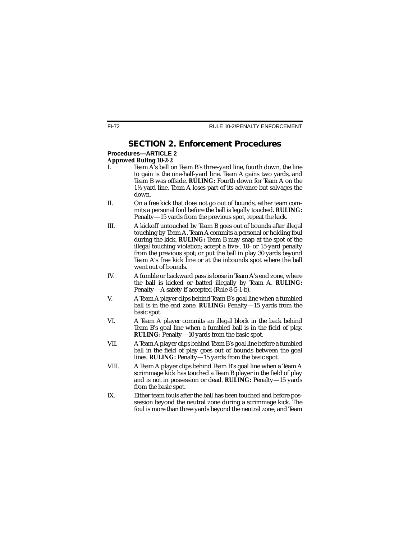## **SECTION 2. Enforcement Procedures**

# **Procedures—ARTICLE 2**

# **Approved Ruling 10-2-2**

- Team A's ball on Team B's three-yard line, fourth down, the line to gain is the one-half-yard line. Team A gains two yards, and Team B was offside. **RULING:** Fourth down for Team A on the 1 1 ⁄2-yard line. Team A loses part of its advance but salvages the down.
- II. On a free kick that does not go out of bounds, either team commits a personal foul before the ball is legally touched. **RULING:** Penalty—15 yards from the previous spot, repeat the kick.
- III. A kickoff untouched by Team B goes out of bounds after illegal touching by Team A. Team A commits a personal or holding foul during the kick. **RULING:** Team B may snap at the spot of the illegal touching violation; accept a five-, 10- or 15-yard penalty from the previous spot; or put the ball in play 30 yards beyond Team A's free kick line or at the inbounds spot where the ball went out of bounds.
- IV. A fumble or backward pass is loose in Team A's end zone, where the ball is kicked or batted illegally by Team A. **RULING:** Penalty—A safety if accepted (Rule 8-5-1-b).
- V. A Team A player clips behind Team B's goal line when a fumbled ball is in the end zone. **RULING:** Penalty—15 yards from the basic spot.
- VI. A Team A player commits an illegal block in the back behind Team B's goal line when a fumbled ball is in the field of play. **RULING:** Penalty—10 yards from the basic spot.
- VII. A Team A player clips behind Team B's goal line before a fumbled ball in the field of play goes out of bounds between the goal lines. **RULING:** Penalty—15 yards from the basic spot.
- VIII. A Team A player clips behind Team B's goal line when a Team A scrimmage kick has touched a Team B player in the field of play and is not in possession or dead. **RULING:** Penalty—15 yards from the basic spot.
- IX. Either team fouls after the ball has been touched and before possession beyond the neutral zone during a scrimmage kick. The foul is more than three yards beyond the neutral zone, and Team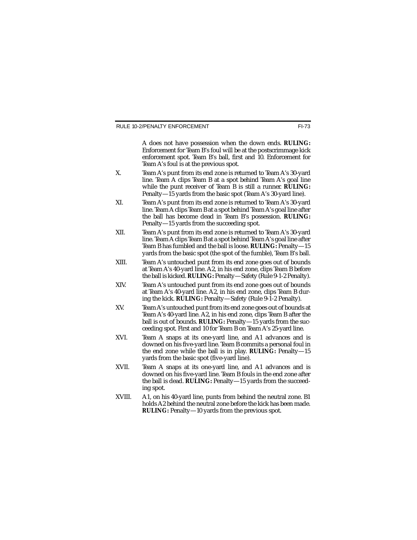A does not have possession when the down ends. **RULING:** Enforcement for Team B's foul will be at the postscrimmage kick enforcement spot. Team B's ball, first and 10. Enforcement for Team A's foul is at the previous spot.

- X. Team A's punt from its end zone is returned to Team A's 30-yard line. Team A clips Team B at a spot behind Team A's goal line while the punt receiver of Team B is still a runner. **RULING:** Penalty—15 yards from the basic spot (Team A's 30-yard line).
- XI. Team A's punt from its end zone is returned to Team A's 30-yard line. Team A clips Team B at a spot behind Team A's goal line after the ball has become dead in Team B's possession. **RULING:** Penalty—15 yards from the succeeding spot.
- XII. Team A's punt from its end zone is returned to Team A's 30-yard line. Team A clips Team B at a spot behind Team A's goal line after Team B has fumbled and the ball is loose. **RULING:** Penalty—15 yards from the basic spot (the spot of the fumble), Team B's ball.
- XIII. Team A's untouched punt from its end zone goes out of bounds at Team A's 40-yard line. A2, in his end zone, clips Team B before the ball is kicked. **RULING:** Penalty—Safety (Rule 9-1-2 Penalty).
- XIV. Team A's untouched punt from its end zone goes out of bounds at Team A's 40-yard line. A2, in his end zone, clips Team B during the kick. **RULING:** Penalty—Safety (Rule 9-1-2 Penalty).
- XV. Team A's untouched punt from its end zone goes out of bounds at Team A's 40-yard line. A2, in his end zone, clips Team B after the ball is out of bounds. **RULING:** Penalty—15 yards from the succeeding spot. First and 10 for Team B on Team A's 25-yard line.
- XVI. Team A snaps at its one-yard line, and A1 advances and is downed on his five-yard line. Team B commits a personal foul in the end zone while the ball is in play. **RULING:** Penalty—15 yards from the basic spot (five-yard line).
- XVII. Team A snaps at its one-yard line, and A1 advances and is downed on his five-yard line. Team B fouls in the end zone after the ball is dead. **RULING:** Penalty—15 yards from the succeeding spot.
- XVIII. A1, on his 40-yard line, punts from behind the neutral zone. B1 holds A2 behind the neutral zone before the kick has been made. **RULING:** Penalty—10 yards from the previous spot.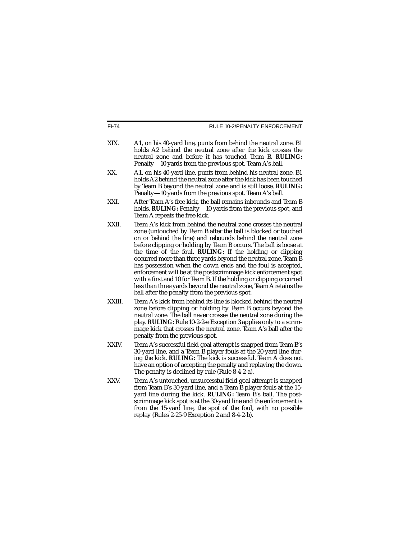| $FI-74$ | RULE 10-2/PENALTY ENFORCEMENT                                                                                                                                                                                                                                                                                                                                                                                                                                                                                                                                                                                                                                                                                                     |
|---------|-----------------------------------------------------------------------------------------------------------------------------------------------------------------------------------------------------------------------------------------------------------------------------------------------------------------------------------------------------------------------------------------------------------------------------------------------------------------------------------------------------------------------------------------------------------------------------------------------------------------------------------------------------------------------------------------------------------------------------------|
| XIX.    | A1, on his 40-yard line, punts from behind the neutral zone. B1<br>holds A2 behind the neutral zone after the kick crosses the<br>neutral zone and before it has touched Team B. RULING:<br>Penalty-10 yards from the previous spot. Team A's ball.                                                                                                                                                                                                                                                                                                                                                                                                                                                                               |
| XX.     | A1, on his 40-yard line, punts from behind his neutral zone. B1<br>holds A2 behind the neutral zone after the kick has been touched<br>by Team B beyond the neutral zone and is still loose. RULING:<br>Penalty-10 yards from the previous spot. Team A's ball.                                                                                                                                                                                                                                                                                                                                                                                                                                                                   |
| XXI.    | After Team A's free kick, the ball remains inbounds and Team B<br>holds. RULING: Penalty-10 yards from the previous spot, and<br>Team A repeats the free kick.                                                                                                                                                                                                                                                                                                                                                                                                                                                                                                                                                                    |
| XXII.   | Team A's kick from behind the neutral zone crosses the neutral<br>zone (untouched by Team B after the ball is blocked or touched<br>on or behind the line) and rebounds behind the neutral zone<br>before clipping or holding by Team B occurs. The ball is loose at<br>the time of the foul. RULING: If the holding or clipping<br>occurred more than three yards beyond the neutral zone, Team B<br>has possession when the down ends and the foul is accepted,<br>enforcement will be at the postscrimmage kick enforcement spot<br>with a first and 10 for Team B. If the holding or clipping occurred<br>less than three yards beyond the neutral zone, Team A retains the<br>ball after the penalty from the previous spot. |
| XXIII.  | Team A's kick from behind its line is blocked behind the neutral<br>zone before clipping or holding by Team B occurs beyond the<br>neutral zone. The ball never crosses the neutral zone during the<br>play. RULING: Rule 10-2-2-e Exception 3 applies only to a scrim-<br>mage kick that crosses the neutral zone. Team A's ball after the<br>penalty from the previous spot.                                                                                                                                                                                                                                                                                                                                                    |
| XXIV.   | Team A's successful field goal attempt is snapped from Team B's<br>30-yard line, and a Team B player fouls at the 20-yard line dur-<br>ing the kick. RULING: The kick is successful. Team A does not<br>have an option of accepting the penalty and replaying the down.<br>The penalty is declined by rule (Rule 8-4-2-a).                                                                                                                                                                                                                                                                                                                                                                                                        |
| XXV.    | Team A's untouched, unsuccessful field goal attempt is snapped<br>from Team B's 30-yard line, and a Team B player fouls at the 15-<br>yard line during the kick. <b>RULING</b> : Team B's ball. The post-<br>scrimmage kick spot is at the 30-yard line and the enforcement is<br>from the 15-yard line, the spot of the foul, with no possible<br>replay (Rules 2-25-9 Exception 2 and 8-4-2-b).                                                                                                                                                                                                                                                                                                                                 |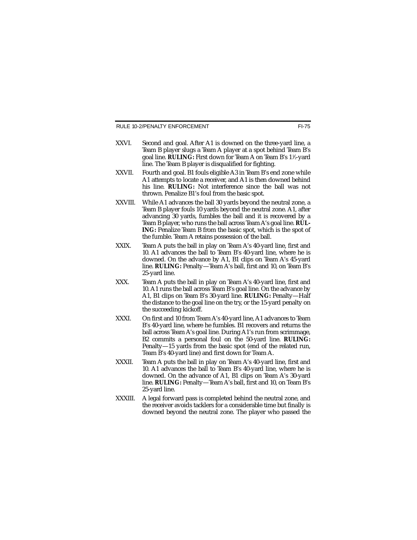- XXVI. Second and goal. After A1 is downed on the three-yard line, a Team B player slugs a Team A player at a spot behind Team B's goal line. **RULING:** First down for Team A on Team B's 1½-yard line. The Team B player is disqualified for fighting.
- XXVII. Fourth and goal. B1 fouls eligible A3 in Team B's end zone while A1 attempts to locate a receiver, and A1 is then downed behind his line. **RULING:** Not interference since the ball was not thrown. Penalize B1's foul from the basic spot.
- XXVIII. While A1 advances the ball 30 yards beyond the neutral zone, a Team B player fouls 10 yards beyond the neutral zone. A1, after advancing 30 yards, fumbles the ball and it is recovered by a Team B player, who runs the ball across Team A's goal line. **RUL-ING:** Penalize Team B from the basic spot, which is the spot of the fumble. Team A retains possession of the ball.
- XXIX. Team A puts the ball in play on Team A's 40-yard line, first and 10. A1 advances the ball to Team B's 40-yard line, where he is downed. On the advance by A1, B1 clips on Team A's 45-yard line. **RULING:** Penalty—Team A's ball, first and 10, on Team B's 25-yard line.
- XXX. Team A puts the ball in play on Team A's 40-yard line, first and 10. A1 runs the ball across Team B's goal line. On the advance by A1, B1 clips on Team B's 30-yard line. **RULING:** Penalty—Half the distance to the goal line on the try, or the 15-yard penalty on the succeeding kickoff.
- XXXI. On first and 10 from Team A's 40-yard line, A1 advances to Team B's 40-yard line, where he fumbles. B1 recovers and returns the ball across Team A's goal line. During A1's run from scrimmage, B2 commits a personal foul on the 50-yard line. **RULING:** Penalty—15 yards from the basic spot (end of the related run, Team B's 40-yard line) and first down for Team A.
- XXXII. Team A puts the ball in play on Team A's 40-yard line, first and 10. A1 advances the ball to Team B's 40-yard line, where he is downed. On the advance of A1, B1 clips on Team A's 30-yard line. **RULING:** Penalty—Team A's ball, first and 10, on Team B's 25-yard line.
- XXXIII. A legal forward pass is completed behind the neutral zone, and the receiver avoids tacklers for a considerable time but finally is downed beyond the neutral zone. The player who passed the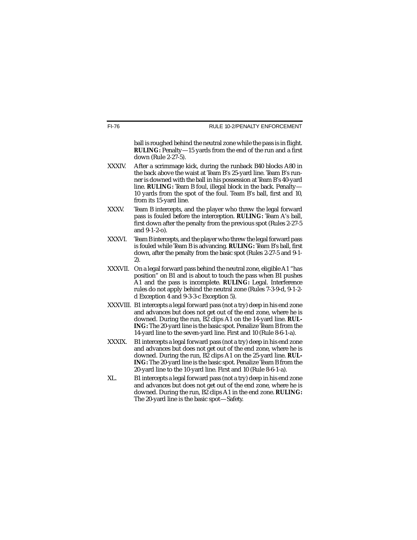ball is roughed behind the neutral zone while the pass is in flight. **RULING:** Penalty—15 yards from the end of the run and a first down (Rule 2-27-5).

- XXXIV. After a scrimmage kick, during the runback B40 blocks A80 in the back above the waist at Team B's 25-yard line. Team B's runner is downed with the ball in his possession at Team B's 40-yard line. **RULING:** Team B foul, illegal block in the back. Penalty— 10 yards from the spot of the foul. Team B's ball, first and 10, from its 15-yard line.
- XXXV. Team B intercepts, and the player who threw the legal forward pass is fouled before the interception. **RULING:** Team A's ball, first down after the penalty from the previous spot (Rules 2-27-5 and 9-1-2-o).
- XXXVI. Team B intercepts, and the player who threw the legal forward pass is fouled while Team B is advancing. **RULING:** Team B's ball, first down, after the penalty from the basic spot (Rules 2-27-5 and 9-1- 2).
- XXXVII. On a legal forward pass behind the neutral zone, eligible A1 "has position" on B1 and is about to touch the pass when B1 pushes A1 and the pass is incomplete. **RULING:** Legal. Interference rules do not apply behind the neutral zone (Rules 7-3-9-d, 9-1-2 d Exception 4 and 9-3-3-c Exception 5).
- XXXVIII. B1 intercepts a legal forward pass (not a try) deep in his end zone and advances but does not get out of the end zone, where he is downed. During the run, B2 clips A1 on the 14-yard line. **RUL-ING:** The 20-yard line is the basic spot. Penalize Team B from the 14-yard line to the seven-yard line. First and 10 (Rule 8-6-1-a).
- XXXIX. B1 intercepts a legal forward pass (not a try) deep in his end zone and advances but does not get out of the end zone, where he is downed. During the run, B2 clips A1 on the 25-yard line. **RUL-ING:** The 20-yard line is the basic spot. Penalize Team B from the 20-yard line to the 10-yard line. First and 10 (Rule 8-6-1-a).
- XL. B1 intercepts a legal forward pass (not a try) deep in his end zone and advances but does not get out of the end zone, where he is downed. During the run, B2 clips A1 in the end zone. **RULING:** The 20-yard line is the basic spot—Safety.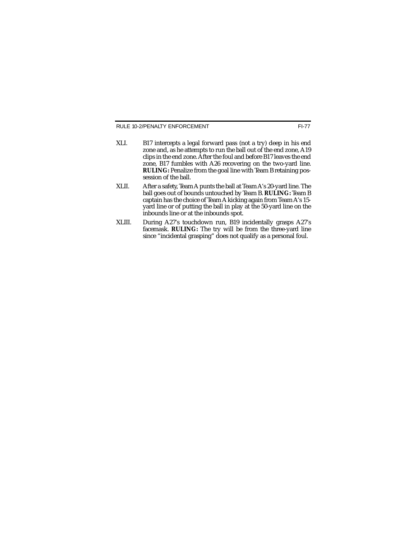- XLI. B17 intercepts a legal forward pass (not a try) deep in his end zone and, as he attempts to run the ball out of the end zone, A19 clips in the end zone. After the foul and before B17 leaves the end zone, B17 fumbles with A26 recovering on the two-yard line. **RULING:** Penalize from the goal line with Team B retaining possession of the ball.
- XLII. After a safety, Team A punts the ball at Team A's 20-yard line. The ball goes out of bounds untouched by Team B. **RULING:** Team B captain has the choice of Team A kicking again from Team A's 15 yard line or of putting the ball in play at the 50-yard line on the inbounds line or at the inbounds spot.
- XLIII. During A27's touchdown run, B19 incidentally grasps A27's facemask. **RULING:** The try will be from the three-yard line since "incidental grasping" does not qualify as a personal foul.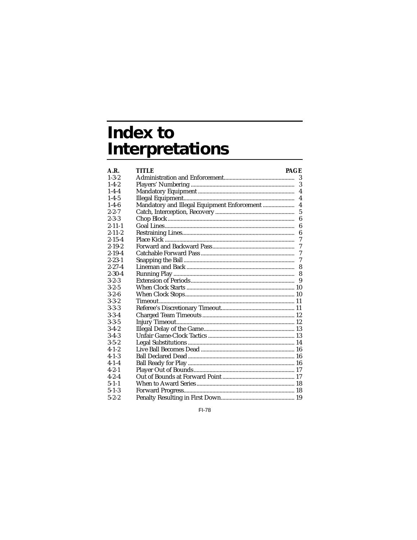# **Index to Interpretations**

| A.R.         | TITLE<br><b>PAGE</b>                        |                |
|--------------|---------------------------------------------|----------------|
| $1 - 3 - 2$  |                                             | 3              |
| $1 - 4 - 2$  |                                             | 3              |
| $1 - 4 - 4$  |                                             | $\overline{4}$ |
| $1 - 4 - 5$  |                                             | 4              |
| $1 - 4 - 6$  | Mandatory and Illegal Equipment Enforcement | $\overline{4}$ |
| $2 - 2 - 7$  |                                             | $\overline{5}$ |
| $2 - 3 - 3$  |                                             | 6              |
| $2 - 11 - 1$ |                                             | 6              |
| $2 - 11 - 2$ |                                             | 6              |
| $2 - 15 - 4$ |                                             | 7              |
| $2 - 19 - 2$ |                                             | 7              |
| $2 - 19 - 4$ |                                             | 7              |
| $2 - 23 - 1$ |                                             | $\mathcal I$   |
| $2 - 27 - 4$ |                                             | 8              |
| $2 - 30 - 4$ |                                             | 8              |
| $3 - 2 - 3$  |                                             | 9              |
| $3 - 2 - 5$  |                                             |                |
| $3 - 2 - 6$  |                                             |                |
| $3 - 3 - 2$  |                                             |                |
| $3 - 3 - 3$  |                                             |                |
| $3 - 3 - 4$  |                                             |                |
| $3 - 3 - 5$  |                                             |                |
| $3-4-2$      |                                             |                |
| $3-4-3$      |                                             |                |
| $3 - 5 - 2$  |                                             |                |
| $4 - 1 - 2$  |                                             |                |
| $4 - 1 - 3$  |                                             |                |
| $4 - 1 - 4$  |                                             |                |
| $4 - 2 - 1$  |                                             |                |
| $4 - 2 - 4$  |                                             |                |
| $5 - 1 - 1$  |                                             |                |
| $5 - 1 - 3$  |                                             |                |
| $5 - 2 - 2$  |                                             |                |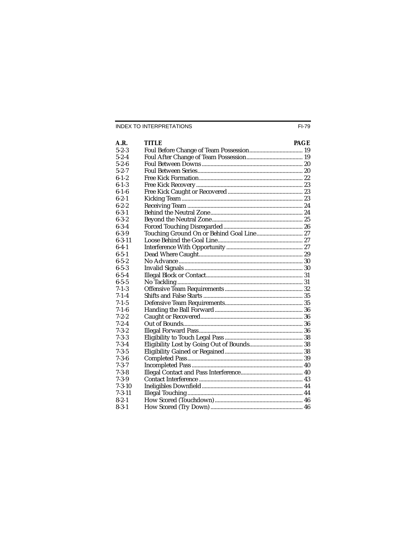| A.R.         | TITLE                                     | <b>PAGE</b> |
|--------------|-------------------------------------------|-------------|
| $5 - 2 - 3$  |                                           |             |
| $5 - 2 - 4$  |                                           |             |
| $5 - 2 - 6$  |                                           |             |
| $5 - 2 - 7$  |                                           |             |
| $6 - 1 - 2$  |                                           |             |
| $6 - 1 - 3$  |                                           |             |
| $6 - 1 - 6$  |                                           |             |
| $6 - 2 - 1$  |                                           |             |
| $6 - 2 - 2$  |                                           |             |
| $6 - 3 - 1$  |                                           |             |
| $6 - 3 - 2$  |                                           |             |
| $6 - 3 - 4$  |                                           |             |
| $6 - 3 - 9$  | Touching Ground On or Behind Goal Line 27 |             |
| $6 - 3 - 11$ |                                           |             |
| $6 - 4 - 1$  |                                           |             |
| $6 - 5 - 1$  |                                           |             |
| $6 - 5 - 2$  |                                           |             |
| $6 - 5 - 3$  |                                           |             |
| $6 - 5 - 4$  |                                           |             |
| $6 - 5 - 5$  |                                           |             |
| $7 - 1 - 3$  |                                           |             |
| $7 - 1 - 4$  |                                           |             |
| $7 - 1 - 5$  |                                           |             |
| $7 - 1 - 6$  |                                           |             |
| $7 - 2 - 2$  |                                           |             |
| $7 - 2 - 4$  |                                           |             |
| $7 - 3 - 2$  |                                           |             |
| $7 - 3 - 3$  |                                           |             |
| $7 - 3 - 4$  |                                           |             |
| $7 - 3 - 5$  |                                           |             |
| $7 - 3 - 6$  |                                           |             |
| $7 - 3 - 7$  |                                           |             |
| $7 - 3 - 8$  |                                           |             |
| 7-3-9        |                                           |             |
| $7 - 3 - 10$ |                                           |             |
| $7 - 3 - 11$ |                                           |             |
| $8 - 2 - 1$  |                                           |             |
| $8 - 3 - 1$  |                                           |             |
|              |                                           |             |